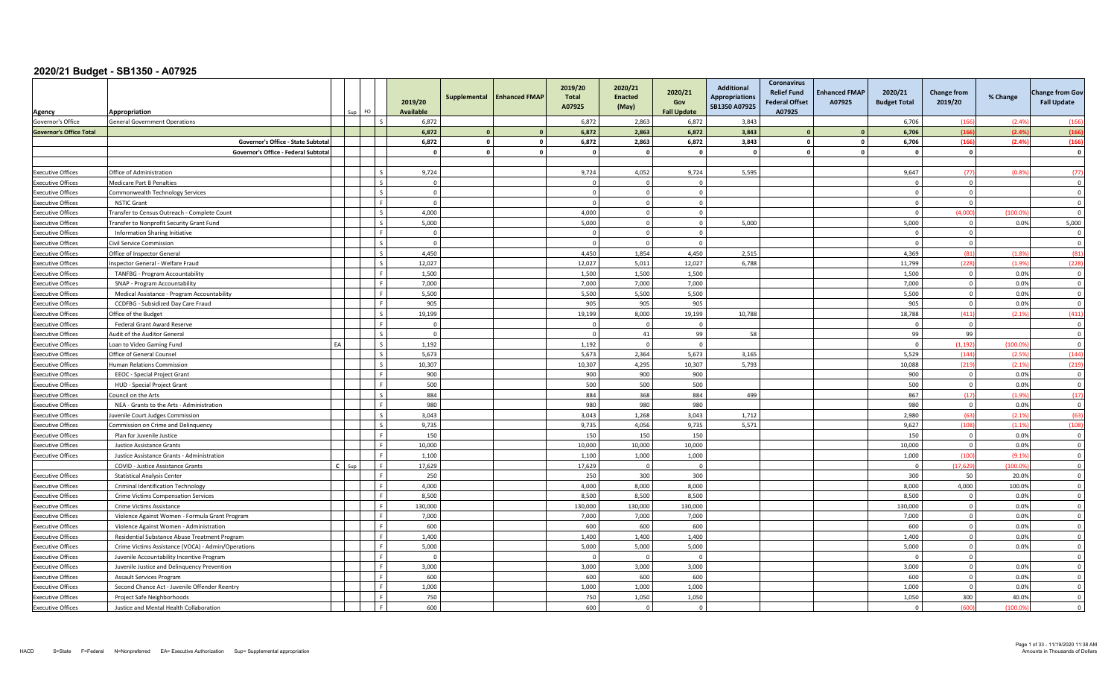| Agency                         | Appropriation<br>FO.                                     | 2019/20<br>Available | Supplemental | <b>Enhanced FMAP</b> | 2019/20<br>Total<br>A07925 | 2020/21<br><b>Enacted</b><br>(May) | 2020/21<br>Gov<br><b>Fall Update</b> | <b>Additional</b><br><b>Appropriations</b><br>SB1350 A07925 | Coronavirus<br><b>Relief Fund</b><br><b>Federal Offset</b><br>A07925 | <b>Enhanced FMAP</b><br>A07925 | 2020/21<br><b>Budget Total</b> | <b>Change from</b><br>2019/20 | % Change | <b>Change from Gov</b><br><b>Fall Update</b> |
|--------------------------------|----------------------------------------------------------|----------------------|--------------|----------------------|----------------------------|------------------------------------|--------------------------------------|-------------------------------------------------------------|----------------------------------------------------------------------|--------------------------------|--------------------------------|-------------------------------|----------|----------------------------------------------|
| Governor's Office              | <b>General Government Operations</b>                     | 6,872                |              |                      | 6,872                      | 2,863                              | 6,872                                | 3,843                                                       |                                                                      |                                | 6,706                          | (166)                         | (2.49)   | (166)                                        |
| <b>Governor's Office Total</b> |                                                          | 6.872                | $\mathbf{a}$ | $\Omega$             | 6.872                      | 2.863                              | 6.872                                | 3,843                                                       |                                                                      |                                | 6,706                          | (166)                         | (2.4%    | (166)                                        |
|                                | Governor's Office - State Subtotal                       | 6,872                | $\circ$      | $\mathbf 0$          | 6,872                      | 2,863                              | 6,872                                | 3,843                                                       | $\mathbf{0}$                                                         | <sup>0</sup>                   | 6,706                          | (166)                         | (2.4%    | (166)                                        |
|                                | Governor's Office - Federal Subtotal                     | $\mathbf 0$          | $\mathbf{r}$ | $\mathbf 0$          |                            | $\sqrt{2}$                         | $\mathbf{0}$                         |                                                             | $\mathbf{r}$                                                         |                                | - 0                            | $\mathbf 0$                   |          | $\mathbf{0}$                                 |
|                                |                                                          |                      |              |                      |                            |                                    |                                      |                                                             |                                                                      |                                |                                |                               |          |                                              |
| <b>Executive Offices</b>       | Office of Administration                                 | 9,724                |              |                      | 9,724                      | 4,052                              | 9,724                                | 5,595                                                       |                                                                      |                                | 9,647                          | (77)                          | (0.89)   | (77)                                         |
| <b>Executive Offices</b>       | <b>Medicare Part B Penalties</b>                         | $\Omega$             |              |                      |                            |                                    | $\Omega$                             |                                                             |                                                                      |                                | -C                             | $\Omega$                      |          | $\Omega$                                     |
| <b>Executive Offices</b>       | Commonwealth Technology Services                         | $\mathbf{0}$         |              |                      |                            | $\Omega$                           | $\mathbf{0}$                         |                                                             |                                                                      |                                | $\Omega$                       | $\circ$                       |          | $\Omega$                                     |
| <b>Executive Offices</b>       | <b>NSTIC Grant</b>                                       | $\mathbf 0$          |              |                      | $\Omega$                   | $\Omega$                           | $\mathbf 0$                          |                                                             |                                                                      |                                | $\Omega$                       | $\mathbf 0$                   |          | $\overline{0}$                               |
| <b>Executive Offices</b>       | Fransfer to Census Outreach - Complete Count             | 4,000                |              |                      | 4,000                      | $\Omega$                           | $\Omega$                             |                                                             |                                                                      |                                | $\Omega$                       | (4.000)                       | (100.0)  | $\Omega$                                     |
| <b>Executive Offices</b>       | Transfer to Nonprofit Security Grant Fund                | 5.000                |              |                      | 5.000                      | $\Omega$                           | $\Omega$                             | 5.000                                                       |                                                                      |                                | 5,000                          | $\overline{0}$                | 0.0%     | 5,000                                        |
| <b>Executive Offices</b>       | Information Sharing Initiative                           | $\overline{0}$       |              |                      |                            | $\Omega$                           | $\Omega$                             |                                                             |                                                                      |                                | $\Omega$                       | $\overline{0}$                |          | $\Omega$                                     |
| <b>Executive Offices</b>       | Civil Service Commission                                 | $\Omega$             |              |                      |                            | $\Omega$                           | $\Omega$                             |                                                             |                                                                      |                                | $\Omega$                       | $\overline{0}$                |          | $\Omega$                                     |
| <b>Executive Offices</b>       | Office of Inspector General                              | 4,450                |              |                      | 4,450                      | 1,854                              | 4,450                                | 2,515                                                       |                                                                      |                                | 4,369                          | (81)                          | (1.89)   | (81)                                         |
| <b>Executive Offices</b>       | nspector General - Welfare Fraud                         | 12,027               |              |                      | 12,027                     | 5,011                              | 12,027                               | 6,788                                                       |                                                                      |                                | 11,799                         | (228)                         | (1.9%    | (228)                                        |
| <b>Executive Offices</b>       | TANFBG - Program Accountability                          | 1,500                |              |                      | 1,500                      | 1,500                              | 1,500                                |                                                             |                                                                      |                                | 1,500                          | $\overline{0}$                | 0.0%     | $\overline{0}$                               |
| <b>Executive Offices</b>       | SNAP - Program Accountability                            | 7,000                |              |                      | 7,000                      | 7,000                              | 7,000                                |                                                             |                                                                      |                                | 7,000                          | $\overline{0}$                | 0.0%     | $\overline{0}$                               |
| <b>Executive Offices</b>       | Medical Assistance - Program Accountability              | 5,500                |              |                      | 5,500                      | 5,500                              | 5,500                                |                                                             |                                                                      |                                | 5,500                          | $\overline{0}$                | 0.0%     | $\Omega$                                     |
| <b>Executive Offices</b>       | CCDFBG - Subsidized Day Care Fraud                       | 905                  |              |                      | 905                        | 905                                | 905                                  |                                                             |                                                                      |                                | 905                            | $\circ$                       | 0.0%     | $\Omega$                                     |
| <b>Executive Offices</b>       | Office of the Budget                                     | 19,199               |              |                      | 19,199                     | 8,000                              | 19,199                               | 10,788                                                      |                                                                      |                                | 18,788                         | (411)                         | (2.1%    | (411)                                        |
| <b>Executive Offices</b>       | Federal Grant Award Reserve                              | $\mathbf 0$          |              |                      |                            | $\Omega$                           | $\Omega$                             |                                                             |                                                                      |                                | $\Omega$                       | $\mathbf 0$                   |          | $\overline{\mathbf{0}}$                      |
| <b>Executive Offices</b>       | Audit of the Auditor General                             | $\overline{0}$       |              |                      | $\Omega$                   | 41                                 | 99                                   | 58                                                          |                                                                      |                                | 99                             | 99                            |          | $\overline{\mathbf{0}}$                      |
| <b>Executive Offices</b>       | EA<br>Loan to Video Gaming Fund                          | 1,192                |              |                      | 1,192                      | $\sqrt{ }$                         | $\Omega$                             |                                                             |                                                                      |                                | $\Omega$                       | (1.192)                       | (100.0)  | $\Omega$                                     |
| <b>Executive Offices</b>       | Office of General Counsel                                | 5,673                |              |                      | 5,673                      | 2,364                              | 5,673                                | 3,165                                                       |                                                                      |                                | 5,529                          | (144)                         | (2.59)   | (144)                                        |
| <b>Executive Offices</b>       | Human Relations Commission                               | 10,307               |              |                      | 10,307                     | 4,295                              | 10,307                               | 5.793                                                       |                                                                      |                                | 10,088                         | (219)                         | (2.1%    | (219)                                        |
| <b>Executive Offices</b>       | <b>EEOC</b> - Special Project Grant                      | 900                  |              |                      | 900                        | 900                                | 900                                  |                                                             |                                                                      |                                | 900                            | $\mathbf{0}$                  | 0.0%     | $\Omega$                                     |
| <b>Executive Offices</b>       | HUD - Special Project Grant                              | 500                  |              |                      | 500                        | 500                                | 500                                  |                                                             |                                                                      |                                | 500                            | $\overline{0}$                | 0.0%     | $\overline{\mathbf{0}}$                      |
| <b>Executive Offices</b>       | Council on the Arts                                      | 884                  |              |                      | 884                        | 368                                | 884                                  | 499                                                         |                                                                      |                                | 867                            | (17)                          | (1.9%    | (17)                                         |
| <b>Executive Offices</b>       | NEA - Grants to the Arts - Administration                | 980                  |              |                      | 980                        | 980                                | 980                                  |                                                             |                                                                      |                                | 980                            | $\overline{0}$                | 0.0%     | $\overline{0}$                               |
| <b>Executive Offices</b>       | Juvenile Court Judges Commission                         | 3.043                |              |                      | 3.043                      | 1.268                              | 3.043                                | 1.712                                                       |                                                                      |                                | 2.980                          | (63)                          | (2.1%    | (63)                                         |
| <b>Executive Offices</b>       | Commission on Crime and Delinquency                      | 9,735                |              |                      | 9,735                      | 4,056                              | 9,735                                | 5,571                                                       |                                                                      |                                | 9,627                          | (108)                         | (1.1%    | (108)                                        |
| <b>Executive Offices</b>       | Plan for Juvenile Justice                                | 150                  |              |                      | 150                        | 150                                | 150                                  |                                                             |                                                                      |                                | 150                            | $\overline{0}$                | 0.0%     | $\overline{0}$                               |
| <b>Executive Offices</b>       | Justice Assistance Grants                                | 10.000               |              |                      | 10.000                     | 10.000                             | 10.000                               |                                                             |                                                                      |                                | 10.000                         | $\circ$                       | 0.0%     | $\overline{0}$                               |
| <b>Executive Offices</b>       | Justice Assistance Grants - Administration               | 1,100                |              |                      | 1,100                      | 1,000                              | 1,000                                |                                                             |                                                                      |                                | 1,000                          | (100)                         | (9.1%    | $\overline{\mathbf{0}}$                      |
|                                | $\mathbf{r}$<br>COVID - Justice Assistance Grants<br>Sun | 17,629               |              |                      | 17,629                     | $\sqrt{ }$                         | $\Omega$                             |                                                             |                                                                      |                                | $\Omega$                       | (17.629)                      | (100.09) | $\overline{0}$                               |
| <b>Executive Offices</b>       | <b>Statistical Analysis Center</b>                       | 250                  |              |                      | 250                        | 300                                | 300                                  |                                                             |                                                                      |                                | 300                            | 50                            | 20.0%    | $\overline{0}$                               |
| <b>Executive Offices</b>       | Criminal Identification Technology                       | 4,000                |              |                      | 4,000                      | 8,000                              | 8,000                                |                                                             |                                                                      |                                | 8,000                          | 4,000                         | 100.0%   | $\overline{0}$                               |
| <b>Executive Offices</b>       | Crime Victims Compensation Services                      | 8.500                |              |                      | 8.500                      | 8,500                              | 8.500                                |                                                             |                                                                      |                                | 8,500                          | $\overline{0}$                | 0.0%     | $\overline{0}$                               |
| <b>Executive Offices</b>       | Crime Victims Assistance                                 | 130.000              |              |                      | 130,000                    | 130.000                            | 130.000                              |                                                             |                                                                      |                                | 130,000                        | $\overline{0}$                | 0.0%     | $\Omega$                                     |
| <b>Executive Offices</b>       | Violence Against Women - Formula Grant Program           | 7,000                |              |                      | 7,000                      | 7,000                              | 7,000                                |                                                             |                                                                      |                                | 7,000                          | $\mathbf 0$                   | 0.0%     | $\Omega$                                     |
| <b>Executive Offices</b>       | Violence Against Women - Administration                  | 600                  |              |                      | 600                        | 600                                | 600                                  |                                                             |                                                                      |                                | 600                            | $\overline{0}$                | 0.0%     | $\mathbf 0$                                  |
| <b>Executive Offices</b>       | Residential Substance Abuse Treatment Program            | 1,400                |              |                      | 1.400                      | 1,400                              | 1,400                                |                                                             |                                                                      |                                | 1,400                          | $\mathbf{0}$                  | 0.0%     | $\overline{0}$                               |
| <b>Executive Offices</b>       | Crime Victims Assistance (VOCA) - Admin/Operations       | 5,000                |              |                      | 5,000                      | 5,000                              | 5,000                                |                                                             |                                                                      |                                | 5,000                          | $\mathbf{0}$                  | 0.0%     | $\Omega$                                     |
| <b>Executive Offices</b>       | Juvenile Accountability Incentive Program                | $\Omega$             |              |                      |                            | $\sqrt{ }$                         | $\Omega$                             |                                                             |                                                                      |                                | - 0                            | $\overline{0}$                |          | $\Omega$                                     |
| <b>Executive Offices</b>       | Juvenile Justice and Delinquency Prevention              | 3,000                |              |                      | 3,000                      | 3,000                              | 3,000                                |                                                             |                                                                      |                                | 3,000                          | $\mathbf{0}$                  | 0.0%     | $\Omega$                                     |
| <b>Executive Offices</b>       | Assault Services Program                                 | 600                  |              |                      | 600                        | 600                                | 600                                  |                                                             |                                                                      |                                | 600                            | $\overline{0}$                | 0.0%     | $\overline{\mathbf{0}}$                      |
| <b>Executive Offices</b>       | Second Chance Act - Juvenile Offender Reentry            | 1,000                |              |                      | 1,000                      | 1,000                              | 1,000                                |                                                             |                                                                      |                                | 1,000                          | $\overline{0}$                | 0.0%     | $\overline{0}$                               |
| <b>Executive Offices</b>       | Project Safe Neighborhoods                               | 750                  |              |                      | 750                        | 1,050                              | 1,050                                |                                                             |                                                                      |                                | 1,050                          | 300                           | 40.0%    | $\Omega$                                     |
| <b>Executive Offices</b>       | Justice and Mental Health Collaboration                  | 600                  |              |                      | 600                        | $\Omega$                           | $\Omega$                             |                                                             |                                                                      |                                | $\Omega$                       | (600)                         | (100.09) | $\Omega$                                     |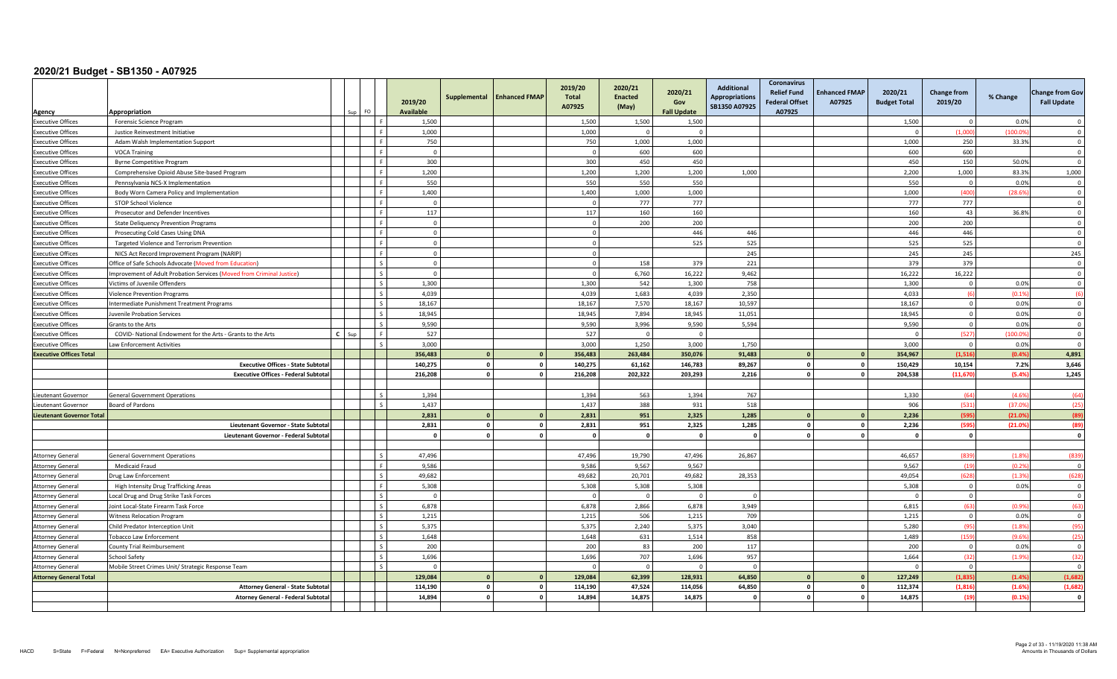| Agency                           | Appropriation                                                         |              | FO           | 2019/20<br><b>Available</b> | Supplemental            | <b>Enhanced FMAP</b>       | 2019/20<br><b>Total</b><br>A07925 | 2020/21<br><b>Enacted</b><br>(May) | 2020/21<br>Gov<br><b>Fall Update</b> | <b>Additional</b><br><b>Appropriations</b><br>SB1350 A07925 | <b>Coronavirus</b><br><b>Relief Fund</b><br><b>Federal Offset</b><br>A07925 | <b>Enhanced FMAP</b><br>A07925 | 2020/21<br><b>Budget Total</b> | <b>Change from</b><br>2019/20 | % Change         | <b>Change from Gov</b><br><b>Fall Update</b> |
|----------------------------------|-----------------------------------------------------------------------|--------------|--------------|-----------------------------|-------------------------|----------------------------|-----------------------------------|------------------------------------|--------------------------------------|-------------------------------------------------------------|-----------------------------------------------------------------------------|--------------------------------|--------------------------------|-------------------------------|------------------|----------------------------------------------|
| <b>Executive Offices</b>         | Forensic Science Program                                              |              | l F          | 1,500                       |                         |                            | 1,500                             | 1,500                              | 1,500                                |                                                             |                                                                             |                                | 1,500                          | $\Omega$                      | 0.0%             | $\Omega$                                     |
| <b>Executive Offices</b>         | Justice Reinvestment Initiative                                       |              | l F          | 1,000                       |                         |                            | 1,000                             |                                    | $\Omega$                             |                                                             |                                                                             |                                | - C                            | (1,000)                       | (100.09)         | $\Omega$                                     |
| <b>Executive Offices</b>         | Adam Walsh Implementation Support                                     |              | l F          | 750                         |                         |                            | 750                               | 1.000                              | 1.000                                |                                                             |                                                                             |                                | 1.000                          | 250                           | 33.3%            | $\Omega$                                     |
| <b>Executive Offices</b>         | <b>VOCA Training</b>                                                  |              | ΙF           | $\Omega$                    |                         |                            | $\Omega$                          | 600                                | 600                                  |                                                             |                                                                             |                                | 600                            | 600                           |                  | $\Omega$                                     |
| <b>Executive Offices</b>         | <b>Byrne Competitive Program</b>                                      |              | l F          | 300                         |                         |                            | 300                               | 450                                | 450                                  |                                                             |                                                                             |                                | 450                            | 150                           | 50.0%            | $\Omega$                                     |
| <b>Executive Offices</b>         | Comprehensive Opioid Abuse Site-based Program                         |              | l F          | 1,200                       |                         |                            | 1,200                             | 1,200                              | 1,200                                | 1.000                                                       |                                                                             |                                | 2,200                          | 1.000                         | 83.3%            | 1,000                                        |
| <b>Executive Offices</b>         | Pennsylvania NCS-X Implementation                                     |              | l F          | 550                         |                         |                            | 550                               | 550                                | 550                                  |                                                             |                                                                             |                                | 550                            | $\overline{0}$                | 0.0%             | $\mathbf 0$                                  |
| <b>Executive Offices</b>         | Body Worn Camera Policy and Implementation                            |              | ΙF           | 1,400                       |                         |                            | 1,400                             | 1,000                              | 1,000                                |                                                             |                                                                             |                                | 1,000                          | (400)                         | (28.6%           | $\Omega$                                     |
| <b>Executive Offices</b>         | <b>STOP School Violence</b>                                           |              |              | $\Omega$                    |                         |                            | $\Omega$                          | 777                                | 777                                  |                                                             |                                                                             |                                | 777                            | 777                           |                  | $\Omega$                                     |
| <b>Executive Offices</b>         | Prosecutor and Defender Incentives                                    |              | l F          | 117                         |                         |                            | 117                               | 160                                | 160                                  |                                                             |                                                                             |                                | 160                            | 43                            | 36.8%            | $\overline{\mathbf{0}}$                      |
| <b>Executive Offices</b>         | <b>State Deliquency Prevention Programs</b>                           |              | l e          | $\overline{0}$              |                         |                            | $\mathbf{0}$                      | 200                                | 200                                  |                                                             |                                                                             |                                | 200                            | 200                           |                  | $\Omega$                                     |
| <b>Executive Offices</b>         | Prosecuting Cold Cases Using DNA                                      |              | l F          | $\overline{0}$              |                         |                            | $\circ$                           |                                    | 446                                  | 446                                                         |                                                                             |                                | 446                            | 446                           |                  | $\overline{0}$                               |
| <b>Executive Offices</b>         | Targeted Violence and Terrorism Prevention                            |              | ΙF           | $\mathbf 0$                 |                         |                            | $\Omega$                          |                                    | 525                                  | 525                                                         |                                                                             |                                | 525                            | 525                           |                  | $\Omega$                                     |
| <b>Executive Offices</b>         | NICS Act Record Improvement Program (NARIP)                           |              | <b>F</b>     | $\overline{0}$              |                         |                            | $\Omega$                          |                                    |                                      | 245                                                         |                                                                             |                                | 245                            | 245                           |                  | 245                                          |
| <b>Executive Offices</b>         | Office of Safe Schools Advocate (Moved from Education)                |              |              | $\overline{0}$              |                         |                            | $\Omega$                          | 158                                | 379                                  | 221                                                         |                                                                             |                                | 379                            | 379                           |                  | $\Omega$                                     |
| <b>Executive Offices</b>         | Improvement of Adult Probation Services (Moved from Criminal Justice) |              | $\mathsf{L}$ | $\mathbf{0}$                |                         |                            | $\overline{0}$                    | 6,760                              | 16,222                               | 9,462                                                       |                                                                             |                                | 16,222                         | 16,222                        |                  | $\Omega$                                     |
| <b>Executive Offices</b>         | Victims of Juvenile Offenders                                         |              | $\mathsf{I}$ | 1,300                       |                         |                            | 1,300                             | 542                                | 1,300                                | 758                                                         |                                                                             |                                | 1,300                          | $\overline{0}$                | 0.0%             | $\overline{\mathbf{0}}$                      |
| <b>Executive Offices</b>         | <b>Violence Prevention Programs</b>                                   |              | l s          | 4,039                       |                         |                            | 4,039                             | 1,683                              | 4,039                                | 2,350                                                       |                                                                             |                                | 4,033                          | (6)                           | (0.1%            | (6)                                          |
| <b>Executive Offices</b>         | Intermediate Punishment Treatment Programs                            |              | l s          | 18,167                      |                         |                            | 18,167                            | 7,570                              | 18.167                               | 10.597                                                      |                                                                             |                                | 18,167                         | $\overline{0}$                | 0.0%             | $\Omega$                                     |
| <b>Executive Offices</b>         | Juvenile Probation Services                                           |              | l s          | 18,945                      |                         |                            | 18,945                            | 7,894                              | 18,945                               | 11,051                                                      |                                                                             |                                | 18,945                         | $\mathsf 0$                   | 0.0%             | $\Omega$                                     |
| <b>Executive Offices</b>         | Grants to the Arts                                                    |              |              | 9,590                       |                         |                            | 9,590                             | 3,996                              | 9,590                                | 5,594                                                       |                                                                             |                                | 9,590                          | $\Omega$                      | 0.0%             | $\Omega$                                     |
| <b>Executive Offices</b>         | COVID- National Endowment for the Arts - Grants to the Arts           | $\mathbf{c}$ | l F          | 527                         |                         |                            | 527                               | $\Omega$                           | $\Omega$                             |                                                             |                                                                             |                                | $\Omega$                       | (527)                         | (100.09)         | $\overline{\mathbf{0}}$                      |
| <b>Executive Offices</b>         | Law Enforcement Activities                                            |              | Ιs           | 3,000                       |                         |                            | 3,000                             | 1,250                              | 3,000                                | 1,750                                                       |                                                                             |                                | 3,000                          | $\overline{0}$                | 0.0%             | $\Omega$                                     |
| <b>Executive Offices Total</b>   |                                                                       |              |              | 356.483                     | $\overline{0}$          | $\mathbf{0}$               | 356,483                           | 263.484                            | 350,076                              | 91.483                                                      |                                                                             | $\mathbf{r}$                   | 354,967                        | (1.516)                       | (0.4%            | 4,891                                        |
|                                  | <b>Executive Offices - State Subtota</b>                              |              |              | 140,275                     | $\overline{\mathbf{0}}$ | $\mathbf 0$                | 140,275                           | 61,162                             | 146,783                              | 89,267                                                      | $\mathbf{0}$                                                                | 0                              | 150,429                        | 10,154                        | 7.2%             | 3,646                                        |
|                                  | <b>Executive Offices - Federal Subtota</b>                            |              |              | 216,208                     | $\mathbf{0}$            | $\circ$                    | 216,208                           | 202,322                            | 203,293                              | 2,216                                                       | $\mathbf{0}$                                                                |                                | 204,538                        | (11, 670)                     | (5.4%            | 1,245                                        |
|                                  |                                                                       |              |              |                             |                         |                            |                                   |                                    |                                      |                                                             |                                                                             |                                |                                |                               |                  |                                              |
| ieutenant Governor               | <b>General Government Operations</b>                                  |              |              | 1,394                       |                         |                            | 1,394                             | 563                                | 1,394                                | 767                                                         |                                                                             |                                | 1,330                          | (64)                          | (4.69)           | (64)                                         |
| ieutenant Governor               | Board of Pardons                                                      |              | $\sim$       | 1,437                       |                         |                            | 1,437                             | 388                                | 931                                  | 518                                                         |                                                                             |                                | 906                            | (531)                         | (37.09)          | (25                                          |
| <b>Lieutenant Governor Total</b> |                                                                       |              |              | 2.831                       | $\Omega$                | $\mathbf{0}$               | 2,831                             | 951                                | 2,325                                | 1,285                                                       |                                                                             |                                | 2,236                          | (595)                         | (21.0)           | (89)                                         |
|                                  | Lieutenant Governor - State Subtota                                   |              |              | 2,831                       | $\circ$                 | $\mathbf 0$                | 2,831                             | 951                                | 2,325                                | 1,285                                                       | $\mathbf{0}$                                                                |                                | 2,236                          | (595)                         | (21.09)          | (89)                                         |
|                                  | Lieutenant Governor - Federal Subtotal                                |              |              | $\sqrt{2}$                  | $\mathbf{0}$            | $\mathbf 0$                | n.                                | $\mathbf{a}$                       | $\sqrt{2}$                           | - C                                                         |                                                                             |                                | £                              | $\mathbf{o}$                  |                  | $\mathbf 0$                                  |
|                                  |                                                                       |              |              |                             |                         |                            |                                   |                                    |                                      |                                                             |                                                                             |                                |                                |                               |                  |                                              |
| <b>Attorney General</b>          | <b>General Government Operations</b>                                  |              | Ιs           | 47,496                      |                         |                            | 47,496                            | 19,790                             | 47,496                               | 26,867                                                      |                                                                             |                                | 46,657                         | (839)                         | (1.89)           | (839)                                        |
| <b>Attorney General</b>          | Medicaid Fraud                                                        |              | l e          | 9,586                       |                         |                            | 9.586                             | 9,567                              | 9,567                                |                                                             |                                                                             |                                | 9,567                          | (19)                          | (0.29)           | $\overline{\mathbf{0}}$                      |
| <b>Attorney General</b>          | Drug Law Enforcement                                                  |              | $\mathsf{L}$ | 49,682                      |                         |                            | 49,682                            | 20,701                             | 49,682                               | 28,353                                                      |                                                                             |                                | 49,054                         | (628)                         | (1.3%            | (628)                                        |
| <b>Attorney General</b>          | High Intensity Drug Trafficking Areas                                 |              | ΙF           | 5,308                       |                         |                            | 5,308                             | 5,308                              | 5,308                                |                                                             |                                                                             |                                | 5,308                          | $\overline{0}$                | 0.0%             | $\overline{\mathbf{0}}$                      |
| <b>Attorney General</b>          | Local Drug and Drug Strike Task Forces                                |              | $\sim$       | $\Omega$                    |                         |                            | $\Omega$                          | $\Omega$                           | $\Omega$                             | $\Omega$                                                    |                                                                             |                                | $\Omega$                       | $\overline{0}$                |                  | $\mathbf 0$                                  |
| <b>Attorney General</b>          | Joint Local-State Firearm Task Force                                  |              | $\sim$       | 6,878                       |                         |                            | 6,878                             | 2,866                              | 6,878                                | 3.949                                                       |                                                                             |                                | 6,815                          | (63)                          | (0.9%            | (63)                                         |
| <b>Attorney General</b>          | <b>Witness Relocation Program</b>                                     |              |              | 1.215                       |                         |                            | 1.215                             | 506                                | 1.215                                | 709                                                         |                                                                             |                                | 1.215                          | $\overline{0}$                | 0.0%             | $\Omega$                                     |
| <b>Attorney General</b>          | Child Predator Interception Unit                                      |              | $\mathsf{L}$ | 5,375                       |                         |                            | 5,375                             | 2,240                              | 5,375                                | 3,040                                                       |                                                                             |                                | 5,280                          | (95)                          | (1.8%            | (95)                                         |
| <b>Attorney General</b>          | <b>Tobacco Law Enforcement</b>                                        |              | $\mathsf{L}$ | 1,648                       |                         |                            | 1,648                             | 631                                | 1,514                                | 858                                                         |                                                                             |                                | 1,489                          | (159)                         | (9.6%            | (25)                                         |
| <b>Attorney General</b>          | <b>County Trial Reimbursement</b>                                     |              | l s          | 200                         |                         |                            | 200                               | 83                                 | 200                                  | 117                                                         |                                                                             |                                | 200                            | $\overline{0}$                | 0.0%             | $\overline{0}$                               |
| <b>Attorney General</b>          | <b>School Safety</b>                                                  |              | l s          | 1,696                       |                         |                            | 1,696                             | 707                                | 1,696                                | 957                                                         |                                                                             |                                | 1,664                          | (32)                          | (1.99)           | (32)                                         |
| <b>Attorney General</b>          | Mobile Street Crimes Unit/ Strategic Response Team                    |              | l s          | $\Omega$                    | $\Omega$                |                            |                                   | $\Omega$                           | $\Omega$                             | $\Omega$                                                    |                                                                             |                                | - C                            | $\overline{0}$<br>(1.835)     |                  | $\Omega$                                     |
| <b>Attorney General Total</b>    |                                                                       |              |              | 129.084                     | $\mathbf{o}$            | $\mathbf{0}$               | 129.084                           | 62.399                             | 128.931                              | 64.850                                                      |                                                                             | O.                             | 127.249<br>112,374             | (1, 816)                      | (1.49)<br>(1.69) | (1,682)                                      |
|                                  | <b>Attorney General - State Subtota</b>                               |              |              | 114,190<br>14.894           | $\Omega$                | $\mathbf 0$<br>$\mathbf 0$ | 114,190<br>14.894                 | 47,524<br>14.875                   | 114,056<br>14.875                    | 64,850<br>$\mathbf{0}$                                      |                                                                             |                                | 14.875                         | (19)                          |                  | (1,682)<br>- 0                               |
|                                  | Atorney General - Federal Subtota                                     |              |              |                             |                         |                            |                                   |                                    |                                      |                                                             |                                                                             |                                |                                |                               | (0.1%            |                                              |
|                                  |                                                                       |              |              |                             |                         |                            |                                   |                                    |                                      |                                                             |                                                                             |                                |                                |                               |                  |                                              |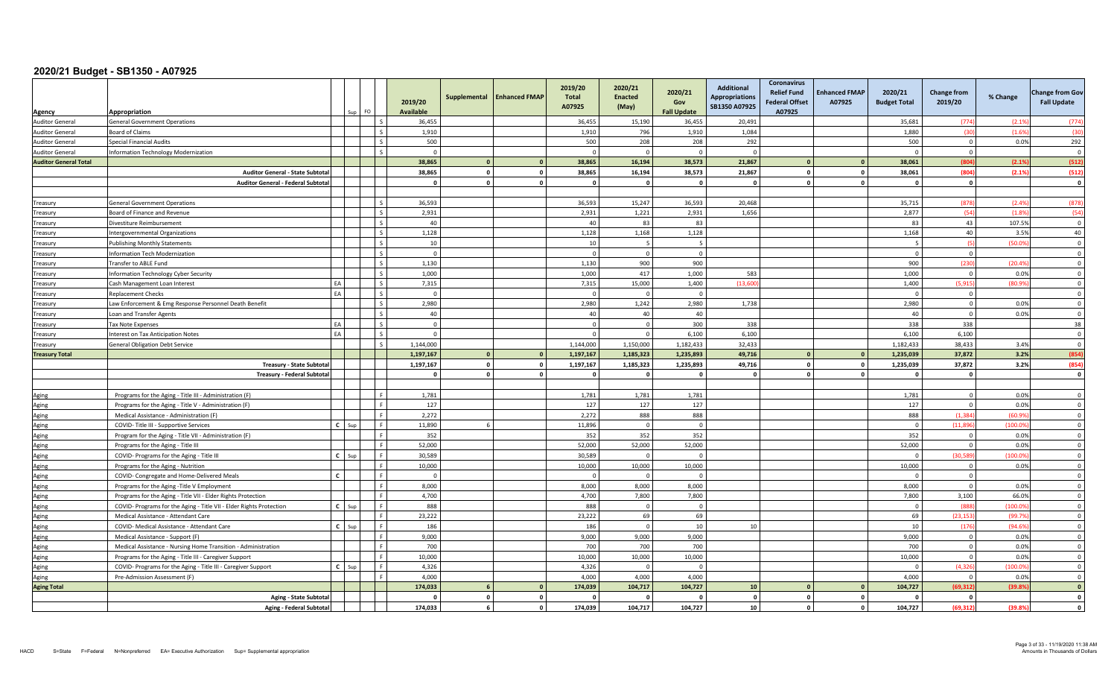| Agency                       | Appropriation                                                       |              |     | FO.                      | 2019/20<br><b>Available</b> | Supplemental | <b>Enhanced FMAP</b> | 2019/20<br><b>Total</b><br>A07925 | 2020/21<br><b>Enacted</b><br>(May) | 2020/21<br>Gov<br><b>Fall Update</b> | <b>Additional</b><br><b>Appropriations</b><br>SB1350 A07925 | <b>Coronavirus</b><br><b>Relief Fund</b><br><b>Federal Offset</b><br>A07925 | <b>Enhanced FMAP</b><br>A07925 | 2020/21<br><b>Budget Total</b> | <b>Change from</b><br>2019/20 | % Change | <b>Change from Gov</b><br><b>Fall Update</b> |
|------------------------------|---------------------------------------------------------------------|--------------|-----|--------------------------|-----------------------------|--------------|----------------------|-----------------------------------|------------------------------------|--------------------------------------|-------------------------------------------------------------|-----------------------------------------------------------------------------|--------------------------------|--------------------------------|-------------------------------|----------|----------------------------------------------|
| <b>Auditor General</b>       | <b>General Government Operations</b>                                |              |     | I۰                       | 36,455                      |              |                      | 36,455                            | 15,190                             | 36,455                               | 20,491                                                      |                                                                             |                                | 35,681                         | (774)                         | (2.19)   | (774)                                        |
| <b>Auditor General</b>       | <b>Board of Claims</b>                                              |              |     | $\sim$                   | 1,910                       |              |                      | 1,910                             | 796                                | 1,910                                | 1,084                                                       |                                                                             |                                | 1.880                          | (30)                          | (1.69)   | (30)                                         |
| <b>Auditor General</b>       | <b>Special Financial Audits</b>                                     |              |     | $\sim$                   | 500                         |              |                      | 500                               | 208                                | 208                                  | 292                                                         |                                                                             |                                | 500                            | $\mathbf 0$                   | 0.0%     | 292                                          |
| <b>Auditor General</b>       | Information Technology Modernization                                |              |     | Ιc                       | $\Omega$                    |              |                      | $\Omega$                          | $\sqrt{ }$                         | $\Omega$                             | $\sqrt{ }$                                                  |                                                                             |                                | $\sqrt{ }$                     | $\Omega$                      |          | $\Omega$                                     |
| <b>Auditor General Total</b> |                                                                     |              |     |                          | 38.865                      | $\mathbf{0}$ | $\overline{0}$       | 38.865                            | 16,194                             | 38,573                               | 21.867                                                      |                                                                             |                                | 38.061                         | (804)                         | (2.1%    | (512)                                        |
|                              | <b>Auditor General - State Subtota</b>                              |              |     |                          | 38,865                      | $\Omega$     | $\circ$              | 38,865                            | 16,194                             | 38,573                               | 21,867                                                      |                                                                             | $\Omega$                       | 38,061                         | (804)                         | (2.19)   | (512)                                        |
|                              | <b>Auditor General - Federal Subtota</b>                            |              |     |                          | $\Omega$                    | $\Omega$     | $\mathbf 0$          | $\Omega$                          | $\Omega$                           | $\Omega$                             | $\Omega$                                                    | $\Omega$                                                                    |                                | - 0                            | $\mathbf 0$                   |          | $\mathbf{0}$                                 |
|                              |                                                                     |              |     |                          |                             |              |                      |                                   |                                    |                                      |                                                             |                                                                             |                                |                                |                               |          |                                              |
| Treasury                     | <b>General Government Operations</b>                                |              |     | $\sim$                   | 36,593                      |              |                      | 36,593                            | 15,247                             | 36,593                               | 20,468                                                      |                                                                             |                                | 35,715                         | (878)                         | (2.49)   | (878)                                        |
| Treasury                     | Board of Finance and Revenue                                        |              |     | l s                      | 2,931                       |              |                      | 2,931                             | 1,221                              | 2,931                                | 1,656                                                       |                                                                             |                                | 2,877                          | (54)                          | (1.89)   | (54)                                         |
| Treasury                     | Divestiture Reimbursement                                           |              |     | l s                      | 40                          |              |                      | 40                                | 83                                 | 83                                   |                                                             |                                                                             |                                | 83                             | 43                            | 107.5%   | $\overline{0}$                               |
| reasury                      | Intergovernmental Organizations                                     |              |     | $\sim$                   | 1,128                       |              |                      | 1,128                             | 1,168                              | 1,128                                |                                                             |                                                                             |                                | 1,168                          | 40                            | 3.5%     | 40                                           |
| Treasury                     | <b>Publishing Monthly Statements</b>                                |              |     | I۰                       | 10                          |              |                      | 10                                | - 5                                |                                      |                                                             |                                                                             |                                |                                | $\sqrt{5}$                    | (50.09)  | $\Omega$                                     |
| Treasury                     | Information Tech Modernization                                      |              |     |                          | $\overline{0}$              |              |                      |                                   | $\Omega$                           | $\Omega$                             |                                                             |                                                                             |                                | $\Omega$                       | $\overline{0}$                |          | $\Omega$                                     |
| Treasury                     | Transfer to ABLE Fund                                               |              |     | l s                      | 1,130                       |              |                      | 1,130                             | 900                                | 900                                  |                                                             |                                                                             |                                | 900                            | (230)                         | (20.49)  | $\overline{0}$                               |
| Treasury                     | Information Technology Cyber Security                               |              |     | l s                      | 1,000                       |              |                      | 1.000                             | 417                                | 1.000                                | 583                                                         |                                                                             |                                | 1.000                          | $\Omega$                      | 0.0%     | $\overline{0}$                               |
| Treasury                     | Cash Management Loan Interest                                       | EA           |     | l s                      | 7,315                       |              |                      | 7,315                             | 15.000                             | 1,400                                | (13,600)                                                    |                                                                             |                                | 1,400                          | (5.915                        | (80.99)  | $\overline{0}$                               |
| Treasury                     | <b>Replacement Checks</b>                                           | EA           |     | l s                      | $\Omega$                    |              |                      | $\Omega$                          | $\Omega$                           | $\Omega$                             |                                                             |                                                                             |                                | $\Omega$                       | $\overline{0}$                |          | $\overline{0}$                               |
| Treasury                     | Law Enforcement & Emg Response Personnel Death Benefit              |              |     | I۰                       | 2,980                       |              |                      | 2,980                             | 1.242                              | 2,980                                | 1,738                                                       |                                                                             |                                | 2.980                          | $\overline{0}$                | 0.0%     | $\Omega$                                     |
| Treasury                     | Loan and Transfer Agents                                            |              |     | $\overline{\phantom{a}}$ | 40                          |              |                      | 40                                | 40                                 | 40                                   |                                                             |                                                                             |                                | 40                             | $\overline{0}$                | 0.0%     | $\Omega$                                     |
| Treasury                     | <b>Tax Note Expenses</b>                                            | EA           |     | $\sim$                   | $\overline{\mathbf{0}}$     |              |                      | $\Omega$                          | $\Omega$                           | 300                                  | 338                                                         |                                                                             |                                | 338                            | 338                           |          | 38                                           |
| Treasury                     | Interest on Tax Anticipation Notes                                  | EA           |     | $\overline{\phantom{a}}$ | $\Omega$                    |              |                      | $\Omega$                          | $\Omega$                           | 6,100                                | 6,100                                                       |                                                                             |                                | 6.100                          | 6,100                         |          | $\overline{0}$                               |
| Treasury                     | <b>General Obligation Debt Service</b>                              |              |     | l s                      | 1.144.000                   |              |                      | 1.144.000                         | 1,150,000                          | 1,182,433                            | 32.433                                                      |                                                                             |                                | 1.182.433                      | 38.433                        | 3.4%     | $\overline{0}$                               |
| <b>Treasury Total</b>        |                                                                     |              |     |                          | 1,197,167                   | $\Omega$     | $\mathbf{0}$         | 1,197,167                         | 1,185,323                          | 1,235,893                            | 49,716                                                      |                                                                             |                                | 1,235,039                      | 37,872                        | 3.2%     | (854)                                        |
|                              | <b>Treasury - State Subtota</b>                                     |              |     |                          | 1,197,167                   | $\Omega$     | $\mathbf 0$          | 1,197,167                         | 1,185,323                          | 1,235,893                            | 49.716                                                      |                                                                             |                                | 1,235,039                      | 37.872                        | 3.2%     | (854)                                        |
|                              | Treasury - Federal Subtota                                          |              |     |                          | $\Omega$                    |              | $\mathbf{0}$         |                                   | $\Omega$                           | $\Omega$                             | $\Omega$                                                    |                                                                             |                                | $\Omega$                       | $\mathbf{0}$                  |          | $\Omega$                                     |
|                              |                                                                     |              |     |                          |                             |              |                      |                                   |                                    |                                      |                                                             |                                                                             |                                |                                |                               |          |                                              |
| Aging                        | Programs for the Aging - Title III - Administration (F)             |              |     | ΙF                       | 1,781                       |              |                      | 1,781                             | 1,781                              | 1,781                                |                                                             |                                                                             |                                | 1,781                          | $\Omega$                      | 0.0%     | $\Omega$                                     |
| Aging                        | Programs for the Aging - Title V - Administration (F)               |              |     |                          | 127                         |              |                      | 127                               | 127                                | 127                                  |                                                             |                                                                             |                                | 127                            | $\Omega$                      | 0.0%     | $\Omega$                                     |
| Aging                        | Medical Assistance - Administration (F)                             |              |     | Lε                       | 2,272                       |              |                      | 2,272                             | 888                                | 888                                  |                                                             |                                                                             |                                | 888                            | (1, 384)                      | (60.99)  | $\Omega$                                     |
| Aging                        | COVID- Title III - Supportive Services                              | $\mathbf{c}$ | Sur |                          | 11,890                      |              |                      | 11,896                            | $\bigcap$                          | $\Omega$                             |                                                             |                                                                             |                                | $\Omega$                       | (11, 896)                     | (100.09) | $\Omega$                                     |
| Aging                        | Program for the Aging - Title VII - Administration (F)              |              |     | Iя                       | 352                         |              |                      | 352                               | 352                                | 352                                  |                                                             |                                                                             |                                | 352                            | $\Omega$                      | 0.0%     | $\Omega$                                     |
| Aging                        | Programs for the Aging - Title III                                  |              |     | Ιc                       | 52,000                      |              |                      | 52,000                            | 52,000                             | 52,000                               |                                                             |                                                                             |                                | 52,000                         | $\Omega$                      | 0.0%     | $\overline{0}$                               |
| Aging                        | COVID- Programs for the Aging - Title III                           | $C$ Sup      |     | ΙF                       | 30,589                      |              |                      | 30,589                            | $\overline{0}$                     | $\Omega$                             |                                                             |                                                                             |                                | $\overline{0}$                 | (30, 589)                     | (100.09) | $\overline{0}$                               |
| Aging                        | Programs for the Aging - Nutrition                                  |              |     | Iя                       | 10,000                      |              |                      | 10,000                            | 10,000                             | 10,000                               |                                                             |                                                                             |                                | 10,000                         | $\Omega$                      | 0.0%     | $\Omega$                                     |
| Aging                        | COVID- Congregate and Home-Delivered Meals                          | C            |     | l F                      | $\Omega$                    |              |                      |                                   | $\Omega$                           |                                      |                                                             |                                                                             |                                | $\Omega$                       | $\mathbf 0$                   |          | $\Omega$                                     |
| Aging                        | Programs for the Aging - Title V Employment                         |              |     |                          | 8,000                       |              |                      | 8,000                             | 8,000                              | 8,000                                |                                                             |                                                                             |                                | 8,000                          | $\overline{0}$                | 0.0%     | $\Omega$                                     |
| Aging                        | Programs for the Aging - Title VII - Elder Rights Protection        |              |     | l e                      | 4,700                       |              |                      | 4.700                             | 7.800                              | 7.800                                |                                                             |                                                                             |                                | 7,800                          | 3.100                         | 66.0%    | $\Omega$                                     |
| Aging                        | COVID- Programs for the Aging - Title VII - Elder Rights Protection | $\mathbf{c}$ |     | ΙF                       | 888                         |              |                      | 888                               | $\Omega$                           | $\Omega$                             |                                                             |                                                                             |                                | $\overline{\mathbf{0}}$        | (888                          | (100.09) | $\overline{0}$                               |
| Aging                        | Medical Assistance - Attendant Care                                 |              |     | ΙF                       | 23,222                      |              |                      | 23,222                            | 69                                 | 69                                   |                                                             |                                                                             |                                | 69                             | (23.153)                      | (99.79)  | $\overline{0}$                               |
| Aging                        | COVID- Medical Assistance - Attendant Care                          | $C$ Sup      |     | ΙF                       | 186                         |              |                      | 186                               | $\Omega$                           | 10                                   | 10                                                          |                                                                             |                                | 10                             | (176)                         | (94.69)  | $\Omega$                                     |
| Aging                        | Medical Assistance - Support (F)                                    |              |     | Lε                       | 9,000                       |              |                      | 9,000                             | 9,000                              | 9,000                                |                                                             |                                                                             |                                | 9,000                          | $\overline{0}$                | 0.0%     | $\Omega$                                     |
| Aging                        | Medical Assistance - Nursing Home Transition - Administration       |              |     |                          | 700                         |              |                      | 700                               | 700                                | 700                                  |                                                             |                                                                             |                                | 700                            | $\Omega$                      | 0.0%     | $\Omega$                                     |
| Aging                        | Programs for the Aging - Title III - Caregiver Support              |              |     | Iя                       | 10,000                      |              |                      | 10.000                            | 10,000                             | 10.000                               |                                                             |                                                                             |                                | 10.000                         | $\overline{0}$                | 0.0%     | $\Omega$                                     |
| Aging                        | COVID- Programs for the Aging - Title III - Caregiver Support       | $\mathbf{c}$ | Sur | ΙF                       | 4,326                       |              |                      | 4,326                             | $\Omega$                           |                                      |                                                             |                                                                             |                                | $\Omega$                       | (4.326)                       | (100.09) | $\overline{0}$                               |
| Aging                        | Pre-Admission Assessment (F)                                        |              |     | l F                      | 4,000                       |              |                      | 4.000                             | 4,000                              | 4,000                                |                                                             |                                                                             |                                | 4.000                          | $\overline{0}$                | 0.0%     | $\overline{0}$                               |
| <b>Aging Total</b>           |                                                                     |              |     |                          | 174,033                     |              | $\overline{0}$       | 174,039                           | 104.717                            | 104,727                              | 10 <sup>10</sup>                                            |                                                                             |                                | 104,727                        | (69.312                       | (39.89)  | $\mathbf{o}$                                 |
|                              | <b>Aging - State Subtota</b>                                        |              |     |                          | $\sqrt{2}$                  | $\Omega$     | $\mathbf 0$          | $\Omega$                          | $\Omega$                           |                                      | $\mathbf{0}$                                                | $\Omega$                                                                    |                                | $\Omega$                       | $\Omega$                      |          | $\Omega$                                     |
|                              | Aging - Federal Subtotal                                            |              |     |                          | 174,033                     |              | $\circ$              | 174,039                           | 104,717                            | 104,727                              | 10                                                          |                                                                             | $\mathbf{0}$                   | 104,727                        | (69, 312)                     | (39.8%   | $\mathbf{0}$                                 |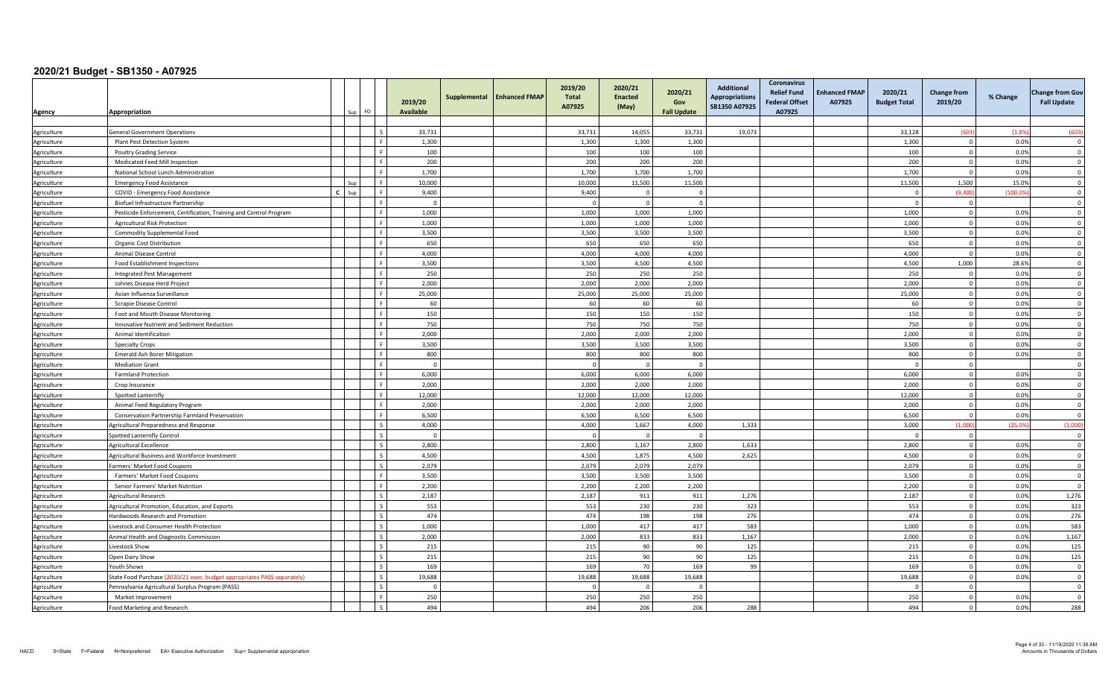| <b>Agency</b>              | Appropriation                                                           |     | FO.                      | Supplemental<br>2019/20<br><b>Available</b> | <b>Enhanced FMAP</b> | 2019/20<br>Total<br>A07925 | 2020/21<br><b>Enacted</b><br>(May) | 2020/21<br>Gov<br><b>Fall Update</b> | <b>Additional</b><br><b>Appropriations</b><br>SB1350 A07925 | <b>Coronavirus</b><br><b>Relief Fund</b><br><b>Federal Offset</b><br>A07925 | <b>Enhanced FMAP</b><br>A07925 | 2020/21<br><b>Budget Total</b> | <b>Change from</b><br>2019/20    | % Change     | <b>Change from Gov</b><br><b>Fall Update</b> |
|----------------------------|-------------------------------------------------------------------------|-----|--------------------------|---------------------------------------------|----------------------|----------------------------|------------------------------------|--------------------------------------|-------------------------------------------------------------|-----------------------------------------------------------------------------|--------------------------------|--------------------------------|----------------------------------|--------------|----------------------------------------------|
|                            |                                                                         |     |                          |                                             |                      |                            |                                    |                                      |                                                             |                                                                             |                                |                                |                                  |              |                                              |
| Agriculture                | <b>General Government Operations</b>                                    |     | $\mathsf{I}$             | 33,731                                      |                      | 33,731                     | 14,055                             | 33,731                               | 19,073                                                      |                                                                             |                                | 33,128                         | (603)                            | (1.8%        | (603)                                        |
| Agriculture                | Plant Pest Detection System                                             |     | l e                      | 1,300                                       |                      | 1,300                      | 1,300                              | 1,300                                |                                                             |                                                                             |                                | 1,300                          | $\overline{0}$                   | 0.0%         | $\overline{0}$                               |
| Agriculture                | <b>Poultry Grading Service</b>                                          |     | l e                      | 100                                         |                      | 100                        | 100                                | 100                                  |                                                             |                                                                             |                                | 100                            | $\overline{0}$                   | 0.0%         | $\overline{\mathbf{0}}$                      |
| Agriculture                | Medicated Feed Mill Inspection                                          |     | l F                      | 200                                         |                      | 200                        | 200                                | 200                                  |                                                             |                                                                             |                                | 200                            | $\overline{0}$                   | 0.0%         | $\overline{0}$                               |
| Agriculture                | National School Lunch Administration                                    |     | l F                      | 1,700                                       |                      | 1,700                      | 1,700                              | 1,700                                |                                                             |                                                                             |                                | 1,700                          | $\overline{0}$                   | 0.0%         | $\mathbf 0$                                  |
| Agriculture                | <b>Emergency Food Assistance</b>                                        | Sur | <b>F</b>                 | 10,000                                      |                      | 10,000                     | 11,500                             | 11,500                               |                                                             |                                                                             |                                | 11,500                         | 1.500                            | 15.0%        | $\Omega$                                     |
| Agriculture                | COVID - Emergency Food Assistance                                       | Sun | ۱F                       | 9,400                                       |                      | 9,400                      | $\Omega$                           | $\Omega$                             |                                                             |                                                                             |                                | $\Omega$                       | (9.400)                          | (100.09)     | $\Omega$                                     |
| Agriculture                | Biofuel Infrastructure Partnership                                      |     | l F                      | $\overline{0}$                              |                      | $\Omega$                   | $\Omega$                           | $\Omega$                             |                                                             |                                                                             |                                | $\Omega$                       | $\overline{0}$                   |              | $\mathbf 0$                                  |
| Agriculture                | Pesticide Enforcement, Certification, Training and Control Program      |     | L.F.                     | 1,000                                       |                      | 1,000                      | 1,000                              | 1,000                                |                                                             |                                                                             |                                | 1,000                          | $\overline{0}$                   | 0.0%         | $\overline{\mathbf{0}}$                      |
| Agriculture                | <b>Agricultural Risk Protection</b>                                     |     | l F                      | 1,000                                       |                      | 1.000                      | 1,000                              | 1,000                                |                                                             |                                                                             |                                | 1,000                          | $\overline{0}$                   | 0.0%         | $\overline{0}$                               |
| Agriculture                | Commodity Supplemental Food                                             |     | l F                      | 3,500                                       |                      | 3,500                      | 3,500                              | 3,500                                |                                                             |                                                                             |                                | 3,500                          | $\overline{0}$                   | 0.0%         | $\overline{\mathbf{0}}$                      |
| Agriculture                | Organic Cost Distribution                                               |     | l e                      | 650                                         |                      | 650                        | 650                                | 650                                  |                                                             |                                                                             |                                | 650                            | $\overline{0}$                   | 0.0%         | $\Omega$                                     |
| Agriculture                | Animal Disease Control                                                  |     | Lε                       | 4,000                                       |                      | 4,000                      | 4,000                              | 4,000                                |                                                             |                                                                             |                                | 4,000                          | $\Omega$                         | 0.0%         | $\Omega$                                     |
| Agriculture                | Food Establishment Inspections                                          |     | F                        | 3,500                                       |                      | 3,500                      | 4,500                              | 4,500                                |                                                             |                                                                             |                                | 4,500                          | 1,000                            | 28.6%        | $\overline{\mathbf{0}}$                      |
| Agriculture                | Integrated Pest Management                                              |     | l F                      | 250                                         |                      | 250                        | 250                                | 250                                  |                                                             |                                                                             |                                | 250                            | $\overline{0}$                   | 0.0%         | $\overline{\mathbf{0}}$                      |
| Agriculture                | Johnes Disease Herd Project                                             |     | l F                      | 2,000                                       |                      | 2,000                      | 2,000                              | 2,000                                |                                                             |                                                                             |                                | 2,000                          | $\overline{0}$                   | 0.0%         | $\overline{0}$                               |
| Agriculture                | Avian Influenza Surveillance                                            |     | ΙF                       | 25,000                                      |                      | 25,000                     | 25,000                             | 25,000                               |                                                             |                                                                             |                                | 25,000                         | $\overline{0}$                   | 0.0%         | $\overline{\mathbf{0}}$                      |
| Agriculture                | Scrapie Disease Control                                                 |     | ΙF                       | 60                                          |                      | 60                         | 60                                 | 60                                   |                                                             |                                                                             |                                | 60                             | $\overline{0}$                   | 0.0%         | $\Omega$                                     |
| Agriculture                | Foot and Mouth Disease Monitoring                                       |     | ΙF                       | 150                                         |                      | 150                        | 150                                | 150                                  |                                                             |                                                                             |                                | 150                            | $\overline{0}$                   | 0.0%         | $\Omega$                                     |
| Agriculture                | <b>Innovative Nutrient and Sediment Reduction</b>                       |     | l F                      | 750                                         |                      | 750                        | 750                                | 750                                  |                                                             |                                                                             |                                | 750                            | $\mathbf{0}$                     | 0.0%         | $\Omega$                                     |
| Agriculture                | Animal Identification                                                   |     | l el                     | 2,000                                       |                      | 2,000                      | 2,000                              | 2,000                                |                                                             |                                                                             |                                | 2,000                          | $\overline{0}$                   | 0.0%         | $\overline{0}$                               |
| Agriculture                | <b>Specialty Crops</b>                                                  |     | l F                      | 3,500                                       |                      | 3,500                      | 3,500                              | 3,500                                |                                                             |                                                                             |                                | 3,500                          | $\overline{0}$                   | 0.0%         | $\overline{0}$                               |
| Agriculture                | <b>Emerald Ash Borer Mitigation</b>                                     |     | l F                      | 800                                         |                      | 800                        | 800                                | 800                                  |                                                             |                                                                             |                                | 800                            | $\overline{0}$                   | 0.0%         | $\Omega$                                     |
| Agriculture                | <b>Mediation Grant</b>                                                  |     | l F                      | $\Omega$                                    |                      | $\Omega$                   | $\Omega$                           | $\Omega$                             |                                                             |                                                                             |                                | $\Omega$                       | $\overline{0}$                   |              | $\mathbf 0$                                  |
| Agriculture                | <b>Farmland Protection</b>                                              |     | l F                      | 6,000                                       |                      | 6,000                      | 6,000                              | 6,000                                |                                                             |                                                                             |                                | 6,000                          | $\overline{0}$                   | 0.0%         | $\Omega$                                     |
| Agriculture                | Crop Insurance                                                          |     | ΙF.                      | 2.000                                       |                      | 2.000                      | 2.000                              | 2.000                                |                                                             |                                                                             |                                | 2.000                          | $\overline{0}$                   | 0.0%         | $\Omega$                                     |
| Agriculture                | Spotted Lanternfly                                                      |     | l F                      | 12,000                                      |                      | 12,000                     | 12,000                             | 12,000                               |                                                             |                                                                             |                                | 12,000                         | $\overline{0}$                   | 0.0%         | $\overline{\mathbf{0}}$                      |
| Agriculture                | Animal Feed Regulatory Program                                          |     | L.F.                     | 2,000                                       |                      | 2,000                      | 2,000                              | 2,000                                |                                                             |                                                                             |                                | 2,000                          | $\Omega$                         | 0.0%         | $\overline{0}$                               |
| Agriculture                | Conservation Partnership Farmland Preservation                          |     | l F                      | 6.500                                       |                      | 6,500                      | 6.500                              | 6,500                                |                                                             |                                                                             |                                | 6,500                          | $\overline{0}$                   | 0.0%         | $\Omega$                                     |
| Agriculture                | Agricultural Preparedness and Response                                  |     | l s                      | 4,000                                       |                      | 4,000                      | 1,667                              | 4,000                                | 1,333                                                       |                                                                             |                                | 3,000                          | (1,000)                          | (25.09)      | (1,000)                                      |
| Agriculture                | <b>Spotted Lanternfly Control</b>                                       |     | $\mathsf{L}$             | $\Omega$                                    |                      | $\Omega$                   | $\Omega$                           | $\Omega$                             |                                                             |                                                                             |                                | $\Omega$                       | $\overline{0}$                   |              | $\overline{0}$                               |
| Agriculture                | Agricultural Excellence                                                 |     | $\mathsf{L}$             | 2.800                                       |                      | 2.800                      | 1.167                              | 2,800                                | 1,633                                                       |                                                                             |                                | 2,800                          | $\overline{0}$                   | 0.0%         | $\Omega$                                     |
| Agriculture                | Agricultural Business and Workforce Investment                          |     | $\mathsf{I}$             | 4,500                                       |                      | 4,500                      | 1,875                              | 4,500                                | 2,625                                                       |                                                                             |                                | 4,500                          | $\overline{0}$                   | 0.0%         | $\overline{\mathbf{0}}$                      |
| Agriculture                | Farmers' Market Food Coupons                                            |     | $\mathsf{L}$             | 2,079                                       |                      | 2,079                      | 2,079                              | 2,079                                |                                                             |                                                                             |                                | 2,079                          | $\overline{0}$                   | 0.0%         | $\overline{0}$                               |
| Agriculture                | Farmers' Market Food Coupons                                            |     | l F<br>ΙF                | 3,500                                       |                      | 3,500                      | 3,500                              | 3,500                                |                                                             |                                                                             |                                | 3,500                          | $\overline{0}$                   | 0.0%         | $\mathbf 0$<br>$\Omega$                      |
| Agriculture                | Senior Farmers' Market Nutrition                                        |     | Ιs                       | 2,200                                       |                      | 2,200                      | 2,200                              | 2,200                                |                                                             |                                                                             |                                | 2,200                          | $\overline{0}$<br>$\overline{0}$ | 0.0%<br>0.0% |                                              |
| Agriculture                | Agricultural Research                                                   |     | $\mathsf{L}$             | 2,187                                       |                      | 2,187                      | 911<br>230                         | 911                                  | 1,276                                                       |                                                                             |                                | 2,187                          | $\overline{0}$                   | 0.0%         | 1,276                                        |
| Agriculture                | Agricultural Promotion, Education, and Exports                          |     | $\mathsf{I}$             | 553                                         |                      | 553<br>474                 | 198                                | 230<br>198                           | 323<br>276                                                  |                                                                             |                                | 553<br>474                     | $\overline{0}$                   |              | 323                                          |
| Agriculture                | Hardwoods Research and Promotion                                        |     | $\mathsf{L}$             | 474<br>1,000                                |                      | 1,000                      | 417                                | 417                                  | 583                                                         |                                                                             |                                | 1,000                          | $\overline{0}$                   | 0.0%<br>0.0% | 276<br>583                                   |
| Agriculture                | Livestock and Consumer Health Protection                                |     | l s                      |                                             |                      |                            |                                    |                                      |                                                             |                                                                             |                                |                                | $\overline{0}$                   |              |                                              |
| Agriculture<br>Agriculture | Animal Health and Diagnostic Commission<br>Livestock Show               |     | Ιs                       | 2,000<br>215                                |                      | 2,000<br>215               | 833<br>90                          | 833<br>90                            | 1,167<br>125                                                |                                                                             |                                | 2,000<br>215                   | $\overline{0}$                   | 0.0%<br>0.0% | 1,167<br>125                                 |
| Agriculture                | Open Dairy Show                                                         |     | Ιs                       | 215                                         |                      | 215                        | 90                                 | 90                                   | 125                                                         |                                                                             |                                | 215                            | $\overline{0}$                   | 0.0%         | 125                                          |
|                            | Youth Shows                                                             |     |                          | 169                                         |                      | 169                        | 70                                 | 169                                  | 99                                                          |                                                                             |                                | 169                            | $\Omega$                         | 0.0%         | $\Omega$                                     |
| Agriculture<br>Agriculture | State Food Purchase (2020/21 exec. budget appropriates PASS separately) |     | $\overline{\phantom{a}}$ | 19,688                                      |                      | 19,688                     | 19,688                             | 19,688                               |                                                             |                                                                             |                                | 19,688                         | $\overline{0}$                   | 0.0%         | $\overline{\mathbf{0}}$                      |
| Agriculture                | Pennsylvania Agricultural Surplus Program (PASS)                        |     | $\mathsf{L}$             | $\Omega$                                    |                      | $\Omega$                   | $\Omega$                           | $\Omega$                             |                                                             |                                                                             |                                | $\Omega$                       | $\overline{0}$                   |              | $\overline{\mathbf{0}}$                      |
| Agriculture                | Market Improvement                                                      |     | l e                      | 250                                         |                      | 250                        | 250                                | 250                                  |                                                             |                                                                             |                                | 250                            | $\Omega$                         | 0.0%         | $\Omega$                                     |
| Agriculture                | Food Marketing and Research                                             |     |                          | 494                                         |                      | 494                        | 206                                | 206                                  | 288                                                         |                                                                             |                                | 494                            | $\circ$                          | 0.0%         | 288                                          |
|                            |                                                                         |     |                          |                                             |                      |                            |                                    |                                      |                                                             |                                                                             |                                |                                |                                  |              |                                              |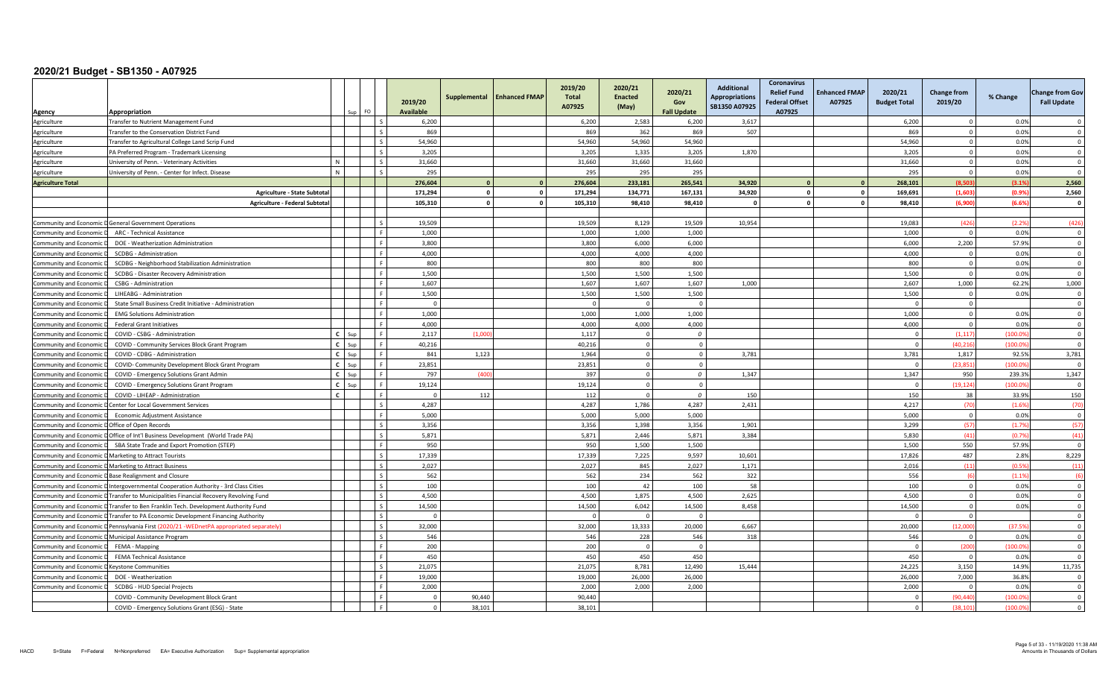|                                         |                                                                                                 |              | F <sub>O</sub> | 2019/20<br>Available | Supplemental | <b>Enhanced FMAP</b> | 2019/20<br><b>Total</b><br>A07925 | 2020/21<br><b>Enacted</b><br>(May) | 2020/21<br>Gov<br><b>Fall Update</b> | <b>Additional</b><br><b>Appropriations</b><br>SB1350 A07925 | <b>Coronavirus</b><br><b>Relief Fund</b><br><b>Federal Offset</b><br>A07925 | <b>Enhanced FMAP</b><br>A07925 | 2020/21<br><b>Budget Total</b> | <b>Change from</b><br>2019/20 | % Change | <b>Change from Gov</b><br><b>Fall Update</b> |
|-----------------------------------------|-------------------------------------------------------------------------------------------------|--------------|----------------|----------------------|--------------|----------------------|-----------------------------------|------------------------------------|--------------------------------------|-------------------------------------------------------------|-----------------------------------------------------------------------------|--------------------------------|--------------------------------|-------------------------------|----------|----------------------------------------------|
| Agency                                  | Appropriation<br>ransfer to Nutrient Management Fund                                            |              |                | 6,200                |              |                      | 6,200                             | 2,583                              | 6,200                                | 3,617                                                       |                                                                             |                                | 6,200                          | $\Omega$                      | 0.0%     | $\Omega$                                     |
| Agriculture<br>Agriculture              | Fransfer to the Conservation District Fund                                                      |              |                | 869                  |              |                      | 869                               | 362                                | 869                                  | 507                                                         |                                                                             |                                | 869                            | $\overline{0}$                | 0.0%     | $\Omega$                                     |
|                                         |                                                                                                 |              |                | 54,960               |              |                      | 54,960                            | 54,960                             | 54,960                               |                                                             |                                                                             |                                | 54,960                         | $\overline{0}$                | 0.0%     | $\Omega$                                     |
| Agriculture                             | ransfer to Agricultural College Land Scrip Fund                                                 |              |                | 3,205                |              |                      | 3,205                             | 1,335                              | 3,205                                | 1,870                                                       |                                                                             |                                | 3,205                          | $\Omega$                      | 0.0%     | $\overline{0}$                               |
| Agriculture                             | PA Preferred Program - Trademark Licensing                                                      |              |                | 31,660               |              |                      | 31,660                            | 31,660                             | 31,660                               |                                                             |                                                                             |                                | 31,660                         | $\overline{0}$                | 0.0%     | $\Omega$                                     |
| Agriculture                             | Jniversity of Penn. - Veterinary Activities<br>Jniversity of Penn. - Center for Infect. Disease | N            |                | 295                  |              |                      | 295                               | 295                                | 295                                  |                                                             |                                                                             |                                | 295                            | $\Omega$                      | 0.0%     | $\Omega$                                     |
| Agriculture<br><b>Agriculture Total</b> |                                                                                                 |              |                | 276,604              |              | $\mathbf{o}$         | 276,604                           | 233,181                            | 265,541                              | 34,920                                                      |                                                                             |                                | 268,101                        | (8.503)                       | (3.1%    | 2,560                                        |
|                                         | Agriculture - State Subtotal                                                                    |              |                | 171,294              | $\Omega$     | $\mathbf{0}$         | 171,294                           | 134,771                            | 167,131                              | 34,920                                                      |                                                                             |                                | 169,691                        | (1,603)                       | (0.9%    | 2,560                                        |
|                                         |                                                                                                 |              |                | 105,310              | $\Omega$     | $\mathbf{0}$         | 105,310                           | 98,410                             | 98,410                               |                                                             |                                                                             |                                | 98,410                         | (6,900)                       | (6.6%    | $\mathbf{0}$                                 |
|                                         | Agriculture - Federal Subtotal                                                                  |              |                |                      |              |                      |                                   |                                    |                                      |                                                             |                                                                             |                                |                                |                               |          |                                              |
| Community and Economic I                | <b>General Government Operations</b>                                                            |              |                | 19,509               |              |                      | 19,509                            | 8,129                              | 19,509                               | 10,954                                                      |                                                                             |                                | 19,083                         | (426)                         | (2.29)   | (426)                                        |
| Community and Economic                  | ARC - Technical Assistance                                                                      |              |                | 1,000                |              |                      | 1,000                             | 1,000                              | 1,000                                |                                                             |                                                                             |                                | 1,000                          | $\overline{0}$                | 0.0%     | $\Omega$                                     |
| Community and Economic                  | DOE - Weatherization Administration                                                             |              |                | 3,800                |              |                      | 3,800                             | 6,000                              | 6,000                                |                                                             |                                                                             |                                | 6,000                          | 2,200                         | 57.9%    | $\Omega$                                     |
| Community and Economic                  | SCDBG - Administration                                                                          |              |                | 4,000                |              |                      | 4,000                             | 4,000                              | 4,000                                |                                                             |                                                                             |                                | 4,000                          | $\overline{0}$                | 0.0%     | $\Omega$                                     |
| Community and Economic                  | SCDBG - Neighborhood Stabilization Administration                                               |              |                | 800                  |              |                      | 800                               | 800                                | 800                                  |                                                             |                                                                             |                                | 800                            | $\overline{0}$                | 0.0%     | $\Omega$                                     |
| Community and Economic                  | SCDBG - Disaster Recovery Administration                                                        |              |                | 1,500                |              |                      | 1,500                             | 1,500                              | 1,500                                |                                                             |                                                                             |                                | 1,500                          | $\Omega$                      | 0.0%     | $\overline{\mathbf{0}}$                      |
| Community and Economic                  | CSBG - Administration                                                                           |              |                | 1,607                |              |                      | 1,607                             | 1,607                              | 1,607                                | 1,000                                                       |                                                                             |                                | 2,607                          | 1,000                         | 62.2%    | 1,000                                        |
| Community and Economic                  | LIHEABG - Administration                                                                        |              |                | 1,500                |              |                      | 1,500                             | 1,500                              | 1,500                                |                                                             |                                                                             |                                | 1,500                          | $\overline{0}$                | 0.0%     | $\Omega$                                     |
| Community and Economic                  | State Small Business Credit Initiative - Administration                                         |              |                | $\Omega$             |              |                      |                                   |                                    | $\Omega$                             |                                                             |                                                                             |                                | - 0                            | $\Omega$                      |          | $\Omega$                                     |
| Community and Economic                  | <b>EMG Solutions Administration</b>                                                             |              |                | 1,000                |              |                      | 1,000                             | 1,000                              | 1,000                                |                                                             |                                                                             |                                | 1,000                          | $\overline{0}$                | 0.0%     | $\Omega$                                     |
| Community and Economic                  | <b>Federal Grant Initiatives</b>                                                                |              |                | 4,000                |              |                      | 4.000                             | 4.000                              | 4.000                                |                                                             |                                                                             |                                | 4,000                          | $\Omega$                      | 0.0%     | $\Omega$                                     |
| Community and Economic                  | COVID - CSBG - Administration                                                                   | $C$ Sup      |                | 2,117                | (1,00)       |                      | 1,117                             | $\overline{0}$                     | $\overline{\mathbf{0}}$              |                                                             |                                                                             |                                | $\Omega$                       | (1, 117)                      | (100.09) | $\overline{\mathbf{0}}$                      |
| Community and Economic                  | COVID - Community Services Block Grant Program                                                  | $C$ Sup      |                | 40,216               |              |                      | 40,216                            | $\Omega$                           | $\Omega$                             |                                                             |                                                                             |                                | $\Omega$                       | (40.216)                      | (100.0)  | $\Omega$                                     |
| Community and Economic                  | COVID - CDBG - Administration                                                                   | $C$ Sup      |                | 841                  | 1,123        |                      | 1,964                             | $\Omega$                           | $\Omega$                             | 3,781                                                       |                                                                             |                                | 3,781                          | 1,817                         | 92.5%    | 3,781                                        |
| Community and Economic                  | COVID- Community Development Block Grant Program                                                | $C$ Sup      |                | 23,851               |              |                      | 23,851                            | $\Omega$                           | $\Omega$                             |                                                             |                                                                             |                                | $\sqrt{ }$                     | (23, 851)                     | (100.09) | $\Omega$                                     |
| Community and Economic                  | COVID - Emergency Solutions Grant Admin                                                         | $C$ Sup      |                | 797                  | (400)        |                      | 397                               |                                    | $\Omega$                             | 1,347                                                       |                                                                             |                                | 1,347                          | 950                           | 239.3%   | 1,347                                        |
| Community and Economic                  | COVID - Emergency Solutions Grant Program                                                       | c l          |                | 19,124               |              |                      | 19,124                            | $\Omega$                           | $\Omega$                             |                                                             |                                                                             |                                | - 0                            | (19, 124)                     | (100.0)  | $\Omega$                                     |
| Community and Economic                  | COVID - LIHEAP - Administration                                                                 | $\mathbf{c}$ |                | $\Omega$             | 112          |                      | 112                               |                                    | $\Omega$                             | 150                                                         |                                                                             |                                | 150                            | 38                            | 33.9%    | 150                                          |
| Community and Economic                  | Center for Local Government Services                                                            |              |                | 4,287                |              |                      | 4,287                             | 1,786                              | 4,287                                | 2,431                                                       |                                                                             |                                | 4,217                          | (70)                          | (1.6%    | (70)                                         |
| Community and Economic                  | Economic Adjustment Assistance                                                                  |              |                | 5,000                |              |                      | 5,000                             | 5,000                              | 5,000                                |                                                             |                                                                             |                                | 5,000                          | $\overline{0}$                | 0.0%     | $\Omega$                                     |
| Community and Economic                  | Office of Open Records                                                                          |              |                | 3,356                |              |                      | 3,356                             | 1,398                              | 3,356                                | 1,901                                                       |                                                                             |                                | 3,299                          | (57)                          | (1.79)   | (57)                                         |
| Community and Economic                  | Office of Int'l Business Development (World Trade PA)                                           |              |                | 5,871                |              |                      | 5,871                             | 2,446                              | 5,871                                | 3,384                                                       |                                                                             |                                | 5,830                          | (41)                          | (0.79)   | (41)                                         |
| Community and Economic                  | SBA State Trade and Export Promotion (STEP)                                                     |              |                | 950                  |              |                      | 950                               | 1,500                              | 1,500                                |                                                             |                                                                             |                                | 1,500                          | 550                           | 57.9%    | $\Omega$                                     |
| Community and Economic                  | Marketing to Attract Tourists                                                                   |              |                | 17,339               |              |                      | 17,339                            | 7,225                              | 9,597                                | 10,601                                                      |                                                                             |                                | 17,826                         | 487                           | 2.8%     | 8,229                                        |
| <b>Community and Economic</b>           | D Marketing to Attract Business                                                                 |              |                | 2,027                |              |                      | 2,027                             | 845                                | 2,027                                | 1,171                                                       |                                                                             |                                | 2,016                          | (11)                          | (0.59)   | (11)                                         |
|                                         | Community and Economic D Base Realignment and Closure                                           |              |                | 562                  |              |                      | 562                               | 234                                | 562                                  | 322                                                         |                                                                             |                                | 556                            | (6)                           | (1.1%    | (6)                                          |
|                                         | Community and Economic D Intergovernmental Cooperation Authority - 3rd Class Cities             |              |                | 100                  |              |                      | 100                               | 42                                 | 100                                  | 58                                                          |                                                                             |                                | 100                            | $\overline{0}$                | 0.0%     | $\Omega$                                     |
|                                         | Community and Economic D Transfer to Municipalities Financial Recovery Revolving Fund           |              |                | 4,500                |              |                      | 4,500                             | 1,875                              | 4,500                                | 2,625                                                       |                                                                             |                                | 4,500                          | $\mathbf{0}$                  | 0.0%     | $\overline{0}$                               |
| Community and Economic                  | Fransfer to Ben Franklin Tech. Development Authority Fund                                       |              |                | 14,500               |              |                      | 14,500                            | 6,042                              | 14,500                               | 8,458                                                       |                                                                             |                                | 14,500                         | $\overline{0}$                | 0.0%     | $\Omega$                                     |
| Community and Economic I                | Transfer to PA Economic Development Financing Authority                                         |              |                | $\Omega$             |              |                      |                                   |                                    | $\Omega$                             |                                                             |                                                                             |                                | $\sqrt{ }$                     | $\Omega$                      |          | $\overline{\mathbf{0}}$                      |
|                                         | Community and Economic D Pennsylvania First (2020/21 - WEDnetPA appropriated separately)        |              |                | 32,000               |              |                      | 32,000                            | 13,333                             | 20,000                               | 6,667                                                       |                                                                             |                                | 20,000                         | (12,000)                      | (37.59)  | $\Omega$                                     |
| Community and Economic                  | Municipal Assistance Program                                                                    |              |                | 546                  |              |                      | 546                               | 228                                | 546                                  | 318                                                         |                                                                             |                                | 546                            | $\Omega$                      | 0.0%     | $\Omega$                                     |
| Community and Economic                  | FEMA - Mapping                                                                                  |              |                | 200                  |              |                      | 200                               |                                    | $\Omega$                             |                                                             |                                                                             |                                |                                | (200)                         | (100.09) | $\Omega$                                     |
| Community and Economic                  | <b>FEMA Technical Assistance</b>                                                                |              |                | 450                  |              |                      | 450                               | 450                                | 450                                  |                                                             |                                                                             |                                | 450                            | $\overline{0}$                | 0.0%     | $\Omega$                                     |
| Community and Economic                  | <b>Keystone Communities</b>                                                                     |              |                | 21,075               |              |                      | 21,075                            | 8,781                              | 12,490                               | 15,444                                                      |                                                                             |                                | 24,225                         | 3,150                         | 14.9%    | 11,735                                       |
| Community and Economic                  | DOE - Weatherization                                                                            |              |                | 19,000               |              |                      | 19,000                            | 26,000                             | 26,000                               |                                                             |                                                                             |                                | 26,000                         | 7,000                         | 36.8%    | $\overline{0}$                               |
| Community and Economic                  | SCDBG - HUD Special Projects                                                                    |              |                | 2,000                |              |                      | 2,000                             | 2,000                              | 2,000                                |                                                             |                                                                             |                                | 2,000                          | $\Omega$                      | 0.0%     | $\Omega$                                     |
|                                         | COVID - Community Development Block Grant                                                       |              |                | $\Omega$             | 90.440       |                      | 90.440                            |                                    |                                      |                                                             |                                                                             |                                |                                | (90.440)                      | (100.09) | $\Omega$                                     |
|                                         | COVID - Emergency Solutions Grant (ESG) - State                                                 |              |                | $\mathbf 0$          | 38,101       |                      | 38,101                            |                                    |                                      |                                                             |                                                                             |                                |                                | (38, 101)                     | (100.0)  | $\Omega$                                     |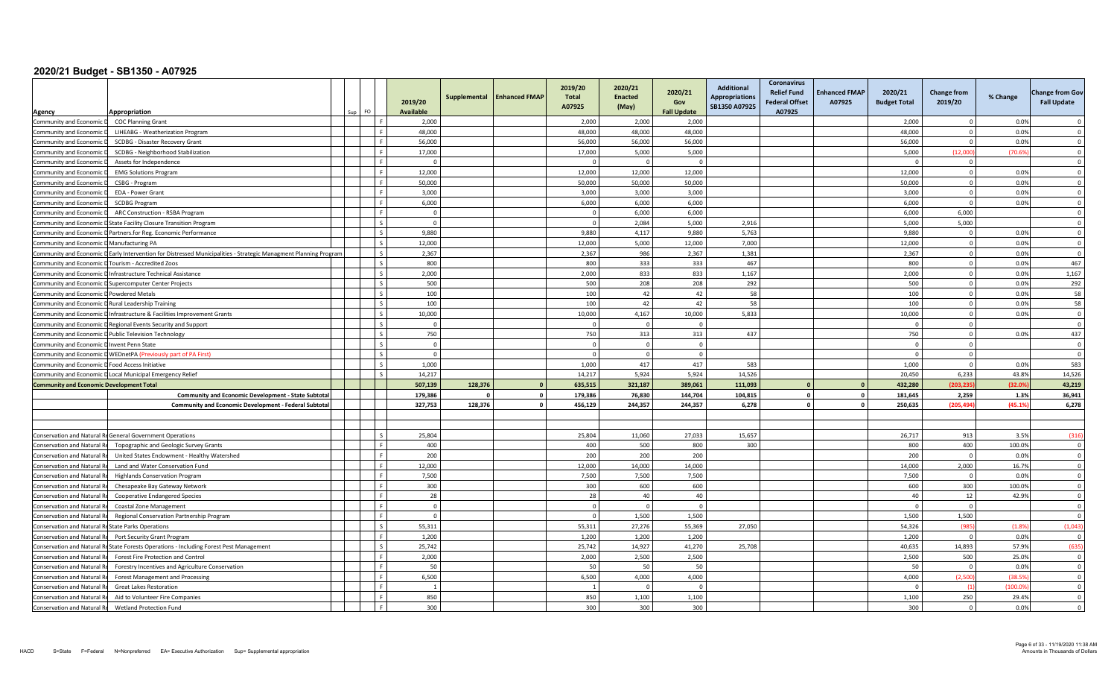|                                                    |                                                                                                                  |       |           | 2019/20          | Supplemental | <b>Enhanced FMAP</b> | 2019/20<br>Total<br>A07925 | 2020/21<br><b>Enacted</b><br>(May) | 2020/21<br>Gov     | <b>Additional</b><br><b>Appropriations</b><br>SB1350 A07925 | <b>Coronavirus</b><br><b>Relief Fund</b><br><b>Federal Offset</b> | <b>Enhanced FMAP</b><br>A07925 | 2020/21<br><b>Budget Total</b> | <b>Change from</b><br>2019/20 | % Change     | <b>Change from Gov</b><br><b>Fall Update</b> |
|----------------------------------------------------|------------------------------------------------------------------------------------------------------------------|-------|-----------|------------------|--------------|----------------------|----------------------------|------------------------------------|--------------------|-------------------------------------------------------------|-------------------------------------------------------------------|--------------------------------|--------------------------------|-------------------------------|--------------|----------------------------------------------|
| Agency                                             | Appropriation                                                                                                    | sun I | <b>FO</b> | <b>Available</b> |              |                      |                            |                                    | <b>Fall Update</b> |                                                             | A07925                                                            |                                |                                |                               |              |                                              |
| Community and Economic D                           | <b>COC Planning Grant</b>                                                                                        |       |           | 2,000<br>48.000  |              |                      | 2,000<br>48.000            | 2,000                              | 2,000              |                                                             |                                                                   |                                | 2,000                          | $\Omega$                      | 0.0%<br>0.0% | $\overline{0}$                               |
| Community and Economic I                           | LIHEABG - Weatherization Program                                                                                 |       |           | 56,000           |              |                      | 56,000                     | 48,000<br>56,000                   | 48,000<br>56,000   |                                                             |                                                                   |                                | 48,000<br>56,000               | $\Omega$                      | 0.0%         | $\overline{0}$                               |
| Community and Economic<br>Community and Economic   | SCDBG - Disaster Recovery Grant<br>SCDBG - Neighborhood Stabilization                                            |       |           | 17,000           |              |                      | 17,000                     | 5,000                              | 5,000              |                                                             |                                                                   |                                | 5,000                          | (12.000)                      | (70.69)      | $\overline{0}$                               |
| Community and Economic                             | Assets for Independence                                                                                          |       |           | $\Omega$         |              |                      | $\Omega$                   | $\overline{0}$                     | $\Omega$           |                                                             |                                                                   |                                | $\overline{0}$                 | $\Omega$                      |              | $\overline{0}$                               |
| Community and Economic                             | <b>EMG Solutions Program</b>                                                                                     |       |           | 12.000           |              |                      | 12.000                     | 12.000                             | 12,000             |                                                             |                                                                   |                                | 12,000                         | $\Omega$                      | 0.0%         | $\overline{0}$                               |
| Community and Economic                             | CSBG - Program                                                                                                   |       |           | 50,000           |              |                      | 50,000                     | 50,000                             | 50,000             |                                                             |                                                                   |                                | 50,000                         | $\Omega$                      | 0.0%         | $\Omega$                                     |
| Community and Economic                             | <b>EDA - Power Grant</b>                                                                                         |       |           | 3.000            |              |                      | 3,000                      | 3,000                              | 3.000              |                                                             |                                                                   |                                | 3,000                          | $\Omega$                      | 0.0%         | $\overline{0}$                               |
| Community and Economic                             | <b>SCDBG Program</b>                                                                                             |       |           | 6,000            |              |                      | 6,000                      | 6,000                              | 6,000              |                                                             |                                                                   |                                | 6,000                          | $\Omega$                      | 0.0%         | $\overline{0}$                               |
| Community and Economic                             | ARC Construction - RSBA Program                                                                                  |       |           | $\overline{0}$   |              |                      | $\Omega$                   | 6,000                              | 6,000              |                                                             |                                                                   |                                | 6,000                          | 6,000                         |              | $\overline{0}$                               |
|                                                    | Community and Economic D State Facility Closure Transition Program                                               |       |           | $\Omega$         |              |                      | $\Omega$                   | 2,084                              | 5,000              | 2,916                                                       |                                                                   |                                | 5,000                          | 5,000                         |              | $\overline{0}$                               |
|                                                    | Community and Economic D Partners.for Reg. Economic Performance                                                  |       |           | 9.880            |              |                      | 9.880                      | 4.117                              | 9.880              | 5,763                                                       |                                                                   |                                | 9.880                          | $\Omega$                      | 0.0%         | $\overline{0}$                               |
| Community and Economic D Manufacturing PA          |                                                                                                                  |       |           | 12,000           |              |                      | 12,000                     | 5,000                              | 12,000             | 7,000                                                       |                                                                   |                                | 12,000                         | $\Omega$                      | 0.0%         | $\Omega$                                     |
|                                                    | Community and Economic D Early Intervention for Distressed Municipalities - Strategic Managment Planning Program |       |           | 2,367            |              |                      | 2,367                      | 986                                | 2,367              | 1,381                                                       |                                                                   |                                | 2,367                          | $\Omega$                      | 0.0%         | $\overline{0}$                               |
| Community and Economic D Tourism - Accredited Zoos |                                                                                                                  |       |           | 800              |              |                      | 800                        | 333                                | 333                | 467                                                         |                                                                   |                                | 800                            | $\Omega$                      | 0.0%         | 467                                          |
|                                                    | Community and Economic D Infrastructure Technical Assistance                                                     |       |           | 2,000            |              |                      | 2,000                      | 833                                | 833                | 1,167                                                       |                                                                   |                                | 2,000                          | $\overline{0}$                | 0.0%         | 1,167                                        |
|                                                    | Community and Economic D Supercomputer Center Projects                                                           |       |           | 500              |              |                      | 500                        | 208                                | 208                | 292                                                         |                                                                   |                                | 500                            | $\overline{0}$                | 0.0%         | 292                                          |
| Community and Economic D Powdered Metals           |                                                                                                                  |       |           | 100              |              |                      | 100                        | 42                                 | 42                 | 58                                                          |                                                                   |                                | 100                            | $\Omega$                      | 0.0%         | 58                                           |
| Community and Economic D Rural Leadership Training |                                                                                                                  |       |           | 100              |              |                      | 100                        | 42                                 | 42                 | 58                                                          |                                                                   |                                | 100                            | $\Omega$                      | 0.0%         | 58                                           |
|                                                    | Community and Economic D Infrastructure & Facilities Improvement Grants                                          |       |           | 10,000           |              |                      | 10,000                     | 4,167                              | 10,000             | 5,833                                                       |                                                                   |                                | 10,000                         | $\Omega$                      | 0.0%         | $\overline{0}$                               |
|                                                    | Community and Economic D Regional Events Security and Support                                                    |       |           |                  |              |                      | $\Omega$                   | $\mathsf{C}$                       | $\Omega$           |                                                             |                                                                   |                                |                                | $\Omega$                      |              | $\overline{0}$                               |
|                                                    | Community and Economic D Public Television Technology                                                            |       |           | 750              |              |                      | 750                        | 313                                | 313                | 437                                                         |                                                                   |                                | 750                            | $\overline{0}$                | 0.0%         | 437                                          |
| Community and Economic D Invent Penn State         |                                                                                                                  |       |           | $\Omega$         |              |                      | $\Omega$                   | $\Omega$                           | $\Omega$           |                                                             |                                                                   |                                | $\Omega$                       | $\Omega$                      |              | $\overline{0}$                               |
|                                                    | Community and Economic D WEDnetPA (Previously part of PA First)                                                  |       |           | $\Omega$         |              |                      | $\Omega$                   | $\Omega$                           | $\Omega$           |                                                             |                                                                   |                                | $\Omega$                       | $\overline{0}$                |              | $\overline{0}$                               |
| Community and Economic D Food Access Initiative    |                                                                                                                  |       |           | 1.000            |              |                      | 1.000                      | 417                                | 417                | 583                                                         |                                                                   |                                | 1.000                          | $\Omega$                      | 0.0%         | 583                                          |
|                                                    | Community and Economic D Local Municipal Emergency Relief                                                        |       |           | 14,217           |              |                      | 14,217                     | 5,924                              | 5,924              | 14,526                                                      |                                                                   |                                | 20,450                         | 6,233                         | 43.8%        | 14,526                                       |
| <b>Community and Economic Development Total</b>    |                                                                                                                  |       |           | 507,139          | 128,376      | $\mathbf{0}$         | 635.515                    | 321.187                            | 389,061            | 111,093                                                     |                                                                   |                                | 432,280                        | (203.235)                     | (32.09       | 43,219                                       |
|                                                    | <b>Community and Economic Development - State Subtota</b>                                                        |       |           | 179,386          |              | $\mathbf 0$          | 179,386                    | 76,830                             | 144,704            | 104,815                                                     | $\mathbf{0}$                                                      | $\Omega$                       | 181,645                        | 2,259                         | 1.3%         | 36,941                                       |
|                                                    | <b>Community and Economic Development - Federal Subtotal</b>                                                     |       |           | 327,753          | 128,376      | $\mathbf{r}$         | 456,129                    | 244,357                            | 244,357            | 6,278                                                       | $\mathbf{0}$                                                      | $\mathbf{r}$                   | 250,635                        | (205.494)                     | (45.1%       | 6,278                                        |
|                                                    |                                                                                                                  |       |           |                  |              |                      |                            |                                    |                    |                                                             |                                                                   |                                |                                |                               |              |                                              |
|                                                    |                                                                                                                  |       |           |                  |              |                      |                            |                                    |                    |                                                             |                                                                   |                                |                                |                               |              |                                              |
|                                                    | Conservation and Natural ReGeneral Government Operations                                                         |       |           | 25,804           |              |                      | 25,804                     | 11,060                             | 27,033             | 15,657                                                      |                                                                   |                                | 26,717                         | 913                           | 3.5%         | (316)                                        |
| <b>Conservation and Natural R</b>                  | Topographic and Geologic Survey Grants                                                                           |       |           | 400              |              |                      | 400                        | 500                                | 800                | 300                                                         |                                                                   |                                | 800                            | 400                           | 100.0%       | $\overline{0}$                               |
| Conservation and Natural F                         | United States Endowment - Healthy Watershed                                                                      |       |           | 200              |              |                      | 200                        | 200                                | 200                |                                                             |                                                                   |                                | 200                            | $\Omega$                      | 0.0%         | $\overline{0}$                               |
| <b>Conservation and Natural F</b>                  | Land and Water Conservation Fund                                                                                 |       |           | 12,000           |              |                      | 12,000                     | 14,000                             | 14,000             |                                                             |                                                                   |                                | 14,000                         | 2,000                         | 16.7%        | $\overline{0}$                               |
| Conservation and Natural R                         | <b>Highlands Conservation Program</b>                                                                            |       |           | 7,500            |              |                      | 7,500                      | 7,500                              | 7,500              |                                                             |                                                                   |                                | 7,500                          | $\Omega$                      | 0.0%         | $\overline{0}$                               |
| Conservation and Natural R                         | Chesapeake Bay Gateway Network                                                                                   |       |           | 300              |              |                      | 300                        | 600                                | 600                |                                                             |                                                                   |                                | 600                            | 300                           | 100.0%       | $\Omega$                                     |
| <b>Conservation and Natural R</b>                  | <b>Cooperative Endangered Species</b>                                                                            |       |           | 28               |              |                      | 28                         | 40                                 | 40                 |                                                             |                                                                   |                                | 40                             | 12                            | 42.9%        | $\overline{0}$                               |
| Conservation and Natural F                         | <b>Coastal Zone Management</b>                                                                                   |       |           | $\Omega$         |              |                      | $\Omega$                   | $\Omega$                           | $\Omega$           |                                                             |                                                                   |                                |                                | $\Omega$                      |              | $\overline{0}$                               |
| <b>Conservation and Natural R</b>                  | Regional Conservation Partnership Program                                                                        |       |           | $\Omega$         |              |                      | $\Omega$                   | 1,500                              | 1,500              |                                                             |                                                                   |                                | 1,500                          | 1,500                         |              | $\Omega$                                     |
| <b>Conservation and Natural F</b>                  | Re State Parks Operations                                                                                        |       |           | 55,311           |              |                      | 55,311                     | 27,276                             | 55,369             | 27,050                                                      |                                                                   |                                | 54,326                         | (985)                         | (1.8%        | (1,043)                                      |
| Conservation and Natural R                         | Port Security Grant Program                                                                                      |       |           | 1.200            |              |                      | 1,200                      | 1.200                              | 1,200              |                                                             |                                                                   |                                | 1,200                          | - 0                           | 0.0%         | $\Omega$                                     |
|                                                    | Conservation and Natural ReState Forests Operations - Including Forest Pest Management                           |       |           | 25,742           |              |                      | 25,742                     | 14,927                             | 41,270             | 25,708                                                      |                                                                   |                                | 40,635                         | 14,893                        | 57.9%        | (635)                                        |
| Conservation and Natural R                         | Forest Fire Protection and Control                                                                               |       |           | 2,000            |              |                      | 2,000                      | 2,500                              | 2,500              |                                                             |                                                                   |                                | 2,500                          | 500                           | 25.0%        | $\overline{0}$                               |
| <b>Conservation and Natural F</b>                  | Forestry Incentives and Agriculture Conservation                                                                 |       |           | 50               |              |                      | 50                         | 50                                 | 50                 |                                                             |                                                                   |                                | 50                             | $\Omega$                      | 0.0%         | $\overline{0}$                               |
| <b>Conservation and Natural R</b>                  | <b>Forest Management and Processing</b>                                                                          |       |           | 6,500            |              |                      | 6,500                      | 4,000                              | 4,000              |                                                             |                                                                   |                                | 4,000                          | (2,500)                       | (38.59       | $\overline{0}$                               |
| <b>Conservation and Natural I</b>                  | <b>Great Lakes Restoration</b>                                                                                   |       |           |                  |              |                      |                            | $\Omega$                           | $\Omega$           |                                                             |                                                                   |                                |                                | (1)                           | (100.09)     | $\overline{0}$                               |
| <b>Conservation and Natural F</b>                  | Aid to Volunteer Fire Companies                                                                                  |       |           | 850              |              |                      | 850                        | 1,100                              | 1,100              |                                                             |                                                                   |                                | 1,100                          | 250                           | 29.4%        | $\overline{0}$                               |
| Conservation and Natural Re                        | <b>Wetland Protection Fund</b>                                                                                   |       |           | 300              |              |                      | 300                        | 300                                | 300                |                                                             |                                                                   |                                | 300                            | $\Omega$                      | 0.0%         | $\Omega$                                     |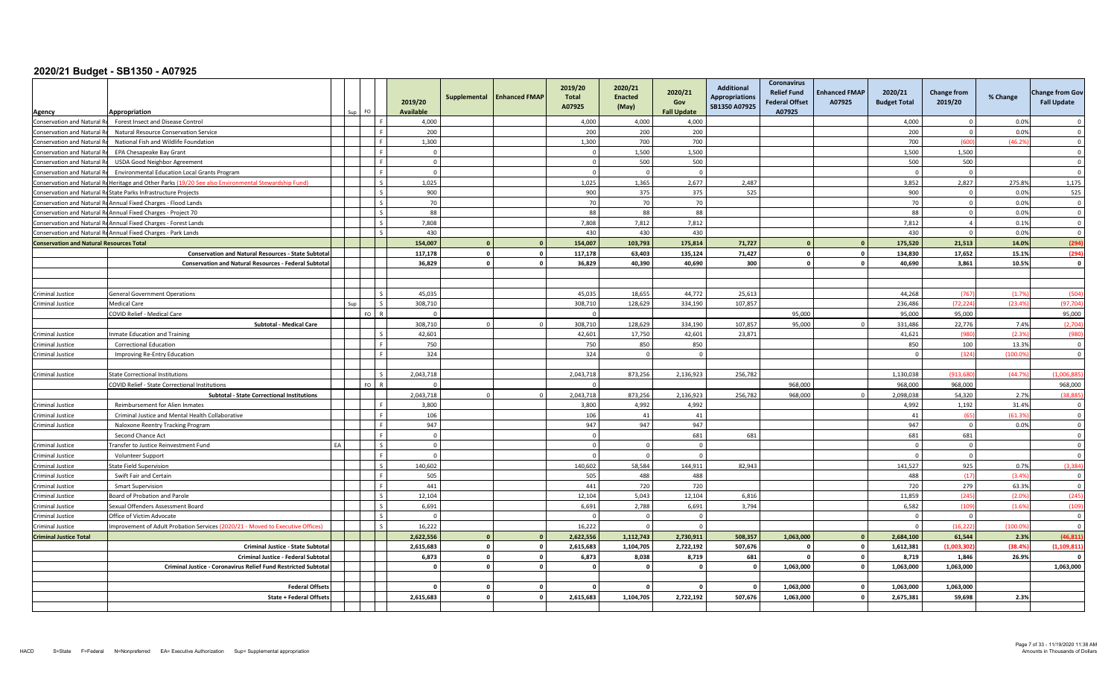| Agency                                          | Appropriation                                                                                        |    | FO.  |                | 2019/20<br><b>Available</b> | Supplemental                              | <b>Enhanced FMAP</b>        | 2019/20<br>Total<br>A07925 | 2020/21<br><b>Enacted</b><br>(May) | 2020/21<br>Gov<br><b>Fall Update</b> | <b>Additional</b><br><b>Appropriations</b><br>SB1350 A07925 | <b>Coronavirus</b><br><b>Relief Fund</b><br><b>Federal Offset</b><br>A07925 | <b>Enhanced FMAP</b><br>A07925 | 2020/21<br><b>Budget Total</b> | <b>Change from</b><br>2019/20 | % Change        | <b>Change from Gov</b><br><b>Fall Update</b> |
|-------------------------------------------------|------------------------------------------------------------------------------------------------------|----|------|----------------|-----------------------------|-------------------------------------------|-----------------------------|----------------------------|------------------------------------|--------------------------------------|-------------------------------------------------------------|-----------------------------------------------------------------------------|--------------------------------|--------------------------------|-------------------------------|-----------------|----------------------------------------------|
| Conservation and Natural Re                     | Forest Insect and Disease Control                                                                    |    |      |                | 4,000                       |                                           |                             | 4,000                      | 4,000                              | 4,000                                |                                                             |                                                                             |                                | 4,000                          | $\Omega$                      | 0.0%            | $\Omega$                                     |
| <b>Conservation and Natural Re</b>              | Natural Resource Conservation Service                                                                |    |      |                | 200                         |                                           |                             | 200                        | 200                                | 200                                  |                                                             |                                                                             |                                | 200                            | $\Omega$                      | 0.0%            | $\Omega$                                     |
| Conservation and Natural Re                     | National Fish and Wildlife Foundation                                                                |    |      | $\mathbf{F}$   | 1,300                       |                                           |                             | 1,300                      | 700                                | 700                                  |                                                             |                                                                             |                                | 700                            | (600                          | (46.2%          | $\overline{0}$                               |
| Conservation and Natural R                      | EPA Chesapeake Bay Grant                                                                             |    |      | $\blacksquare$ | $\overline{0}$              |                                           |                             | $\Omega$                   | 1,500                              | 1,500                                |                                                             |                                                                             |                                | 1,500                          | 1,500                         |                 | $\overline{0}$                               |
| Conservation and Natural Re                     | <b>USDA Good Neighbor Agreement</b>                                                                  |    |      | $\mathbf{F}$   | $\overline{0}$              |                                           |                             | $\Omega$                   | 500                                | 500                                  |                                                             |                                                                             |                                | 500                            | 500                           |                 | $\Omega$                                     |
| Conservation and Natural Re                     | Environmental Education Local Grants Program                                                         |    |      |                | $\overline{0}$              |                                           |                             |                            | $\Omega$                           | $\mathbf{0}$                         |                                                             |                                                                             |                                |                                | $\overline{0}$                |                 | $\overline{0}$                               |
|                                                 | Conservation and Natural Rd Heritage and Other Parks (19/20 See also Environmental Stewardship Fund) |    |      | $\zeta$        | 1,025                       |                                           |                             | 1,025                      | 1,365                              | 2,677                                | 2,487                                                       |                                                                             |                                | 3,852                          | 2,827                         | 275.8%          | 1,175                                        |
|                                                 | Conservation and Natural ReState Parks Infrastructure Projects                                       |    |      |                | 900                         |                                           |                             | 900                        | 375                                | 375                                  | 525                                                         |                                                                             |                                | 900                            | $\Omega$                      | 0.0%            | 525                                          |
|                                                 | Conservation and Natural ReAnnual Fixed Charges - Flood Lands                                        |    |      | $\epsilon$     | 70                          |                                           |                             | 70                         | 70                                 | 70                                   |                                                             |                                                                             |                                | 70                             | $\overline{0}$                | 0.0%            | $\mathbf 0$                                  |
|                                                 | Conservation and Natural ReAnnual Fixed Charges - Project 70                                         |    |      |                | 88                          |                                           |                             | 88                         | 88                                 | 88                                   |                                                             |                                                                             |                                | 88                             | $\overline{0}$                | 0.0%            | $\overline{0}$                               |
|                                                 | Conservation and Natural ReAnnual Fixed Charges - Forest Lands                                       |    |      |                | 7.808                       |                                           |                             | 7,808                      | 7,812                              | 7,812                                |                                                             |                                                                             |                                | 7,812                          | $\overline{a}$                | 0.1%            | $\Omega$                                     |
|                                                 | Conservation and Natural ReAnnual Fixed Charges - Park Lands                                         |    |      |                | 430                         |                                           |                             | 430                        | 430                                | 430                                  |                                                             |                                                                             |                                | 430                            | $\mathbf 0$                   | 0.0%            | $\overline{0}$                               |
| <b>Conservation and Natural Resources Total</b> |                                                                                                      |    |      |                | 154,007                     | $\Omega$                                  | $\mathbf{0}$                | 154,007                    | 103,793                            | 175,814                              | 71,727                                                      | $\Omega$                                                                    |                                | 175,520                        | 21,513                        | 14.0%           | (294)                                        |
|                                                 | <b>Conservation and Natural Resources - State Subtota</b>                                            |    |      |                | 117,178                     | $\Omega$                                  | $\mathbf{0}$                | 117,178                    | 63,403                             | 135,124                              | 71,427                                                      | $\mathbf 0$                                                                 |                                | 134,830                        | 17,652                        | 15.1%           | (294)                                        |
|                                                 | <b>Conservation and Natural Resources - Federal Subtotal</b>                                         |    |      |                | 36.829                      | $\mathbf{a}$                              | $\mathbf{0}$                | 36.829                     | 40.390                             | 40.690                               | 300                                                         | $\mathbf{0}$                                                                | $\mathbf{a}$                   | 40.690                         | 3.861                         | 10.5%           | $\Omega$                                     |
|                                                 |                                                                                                      |    |      |                |                             |                                           |                             |                            |                                    |                                      |                                                             |                                                                             |                                |                                |                               |                 |                                              |
| <b>Criminal Justice</b>                         | <b>General Government Operations</b>                                                                 |    |      |                | 45.035                      |                                           |                             | 45.035                     | 18.655                             | 44.772                               | 25.613                                                      |                                                                             |                                | 44.268                         | (767)                         | (1.79)          | (504)                                        |
| Criminal Justice                                | <b>Medical Care</b>                                                                                  |    |      |                | 308,710                     |                                           |                             | 308,710                    | 128,629                            | 334,190                              | 107,857                                                     |                                                                             |                                | 236,486                        | (72, 224)                     | (23.4%          | (97, 704)                                    |
|                                                 | COVID Relief - Medical Care                                                                          |    | FO.  |                | $\Omega$                    |                                           |                             |                            |                                    |                                      |                                                             | 95.000                                                                      |                                | 95.000                         | 95.000                        |                 | 95,000                                       |
|                                                 | <b>Subtotal - Medical Care</b>                                                                       |    |      |                | 308.710                     |                                           |                             | 308.710                    | 128.629                            | 334.190                              | 107,857                                                     | 95,000                                                                      |                                | 331,486                        | 22.776                        | 7.4%            | (2,704)                                      |
| Criminal Justice                                | Inmate Education and Training                                                                        |    |      |                | 42,601                      |                                           |                             | 42,601                     | 17,750                             | 42,601                               | 23,871                                                      |                                                                             |                                | 41,621                         | (980                          | (2.3%           | (980                                         |
| <b>Criminal Justice</b>                         | <b>Correctional Education</b>                                                                        |    |      |                | 750                         |                                           |                             | 750                        | 850                                | 850                                  |                                                             |                                                                             |                                | 850                            | 100                           | 13.3%           | $\overline{0}$                               |
| <b>Criminal Justice</b>                         | Improving Re-Entry Education                                                                         |    |      | F              | 324                         |                                           |                             | 324                        | $\overline{0}$                     | $\circ$                              |                                                             |                                                                             |                                | $\sqrt{ }$                     | (324)                         | (100.09)        | $\overline{0}$                               |
|                                                 |                                                                                                      |    |      |                |                             |                                           |                             |                            |                                    |                                      |                                                             |                                                                             |                                |                                |                               |                 |                                              |
| Criminal Justice                                | State Correctional Institutions                                                                      |    |      |                | 2,043,718                   |                                           |                             | 2,043,718                  | 873,256                            | 2,136,923                            | 256,782                                                     |                                                                             |                                | 1,130,038                      | (913, 68)                     | (44.7%          | (1,006,885)                                  |
|                                                 | COVID Relief - State Correctional Institutions                                                       |    | FO I |                | $\Omega$                    |                                           |                             |                            |                                    |                                      |                                                             | 968,000                                                                     |                                | 968,000                        | 968,000                       |                 | 968,000                                      |
|                                                 | <b>Subtotal - State Correctional Institutions</b>                                                    |    |      |                | 2.043.718                   |                                           | $\Omega$                    | 2.043.718                  | 873.256                            | 2,136,923                            | 256,782                                                     | 968.000                                                                     |                                | 2.098.038                      | 54.320                        | 2.7%            | (38.885)                                     |
| <b>Criminal Justice</b>                         | Reimbursement for Alien Inmates                                                                      |    |      | $\mathbf{F}$   | 3,800                       |                                           |                             | 3,800                      | 4,992                              | 4,992                                |                                                             |                                                                             |                                | 4,992                          | 1,192                         | 31.4%           | $\Omega$                                     |
| Criminal Justice                                | Criminal Justice and Mental Health Collaborative                                                     |    |      | $\mathbf{F}$   | 106                         |                                           |                             | 106                        | 41                                 | 41                                   |                                                             |                                                                             |                                | 41                             | (65)                          | (61.3%)         | $\Omega$                                     |
| <b>Criminal Justice</b>                         | Naloxone Reentry Tracking Program                                                                    |    |      | F.             | 947                         |                                           |                             | 947                        | 947                                | 947                                  |                                                             |                                                                             |                                | 947                            | $\overline{0}$                | 0.0%            | $\overline{0}$                               |
|                                                 | Second Chance Act                                                                                    |    |      |                | $\overline{0}$              |                                           |                             |                            |                                    | 681                                  | 681                                                         |                                                                             |                                | 681                            | 681                           |                 | $\Omega$                                     |
| Criminal Justice                                | Transfer to Justice Reinvestment Fund                                                                | FL |      |                | $\Omega$                    |                                           |                             |                            | $\Omega$                           | $\Omega$                             |                                                             |                                                                             |                                |                                | $\Omega$                      |                 | $\Omega$                                     |
| <b>Criminal Justice</b>                         | Volunteer Support                                                                                    |    |      |                | $\overline{0}$              |                                           |                             |                            | $\Omega$                           | $\Omega$                             |                                                             |                                                                             |                                |                                | $\overline{0}$                |                 | $\Omega$                                     |
| Criminal Justice                                | State Field Supervision                                                                              |    |      | $\zeta$        | 140,602                     |                                           |                             | 140,602                    | 58,584                             | 144,911                              | 82,943                                                      |                                                                             |                                | 141,527                        | 925                           | 0.7%            | (3, 384)                                     |
| Criminal Justice                                | Swift Fair and Certain                                                                               |    |      | F.             | 505                         |                                           |                             | 505                        | 488                                | 488                                  |                                                             |                                                                             |                                | 488                            | (17)                          | (3.4%           | $\overline{0}$                               |
| <b>Criminal Justice</b>                         | <b>Smart Supervision</b>                                                                             |    |      | F              | 441                         |                                           |                             | 441                        | 720                                | 720                                  |                                                             |                                                                             |                                | 720                            | 279                           | 63.3%           | $\overline{0}$                               |
| <b>Criminal Justice</b>                         | <b>Board of Probation and Parole</b>                                                                 |    |      |                | 12,104                      |                                           |                             | 12,104                     | 5,043                              | 12,104                               | 6,816                                                       |                                                                             |                                | 11,859                         | (245)                         | (2.0%           | (245)                                        |
| <b>Criminal Justice</b>                         | Sexual Offenders Assessment Board                                                                    |    |      |                | 6,691                       |                                           |                             | 6,691                      | 2.788                              | 6,691                                | 3,794                                                       |                                                                             |                                | 6,582                          | (109)                         | (1.6%           | (109)                                        |
| <b>Criminal Justice</b>                         | Office of Victim Advocate                                                                            |    |      |                | $\Omega$<br>16,222          |                                           |                             |                            | $\Omega$<br>$\Omega$               | $\mathbf 0$<br>$\circ$               |                                                             |                                                                             |                                |                                | $\Omega$                      | (100.09)        | $\overline{0}$<br>$\Omega$                   |
| Criminal Justice                                | Improvement of Adult Probation Services (2020/21 - Moved to Executive Offices)                       |    |      |                |                             |                                           |                             | 16,222                     |                                    |                                      |                                                             |                                                                             |                                |                                | (16, 222)                     |                 |                                              |
| <b>Criminal Justice Total</b>                   |                                                                                                      |    |      |                | 2,622,556                   | $\Omega$                                  | $\mathbf{0}$                | 2,622,556                  | 1,112,743                          | 2,730,911                            | 508,357                                                     | 1,063,000                                                                   | $\Omega$                       | 2,684,100                      | 61,544                        | 2.3%            | (46, 811)                                    |
|                                                 | <b>Criminal Justice - State Subtotal</b>                                                             |    |      |                | 2.615.683<br>6,873          | $\overline{\mathbf{0}}$<br>$\overline{0}$ | $\mathbf 0$<br>$\mathbf{o}$ | 2,615,683<br>6,873         | 1.104.705<br>8,038                 | 2,722,192<br>8,719                   | 507,676<br>681                                              | $^{\circ}$<br>$\mathbf 0$                                                   | $\mathbf{0}$                   | 1,612,381<br>8,719             | (1.003.302)<br>1,846          | (38.4%<br>26.9% | (1.109.811)<br>$\Omega$                      |
|                                                 | Criminal Justice - Federal Subtotal                                                                  |    |      |                | $\mathbf{0}$                | $\mathbf{0}$                              | $\mathbf 0$                 |                            | $\sqrt{2}$                         | $\mathbf{0}$                         | $\sqrt{ }$                                                  |                                                                             | $\mathbf{0}$                   |                                | 1,063,000                     |                 |                                              |
|                                                 | Criminal Justice - Coronavirus Relief Fund Restricted Subtotal                                       |    |      |                |                             |                                           |                             |                            |                                    |                                      |                                                             | 1,063,000                                                                   |                                | 1,063,000                      |                               |                 | 1,063,000                                    |
|                                                 | <b>Federal Offset</b>                                                                                |    |      |                | $\mathbf{0}$                | $\overline{0}$                            | $\mathbf 0$                 | $\mathbf{a}$               | $\sqrt{2}$                         | $\mathbf 0$                          |                                                             | 1,063,000                                                                   | $\mathbf{0}$                   | 1,063,000                      | 1,063,000                     |                 |                                              |
|                                                 | State + Federal Offset                                                                               |    |      |                | 2,615,683                   | $\Omega$                                  | $\mathbf 0$                 | 2,615,683                  | 1,104,705                          | 2,722,192                            | 507,676                                                     | 1,063,000                                                                   | $\mathbf{r}$                   | 2,675,381                      | 59,698                        | 2.3%            |                                              |
|                                                 |                                                                                                      |    |      |                |                             |                                           |                             |                            |                                    |                                      |                                                             |                                                                             |                                |                                |                               |                 |                                              |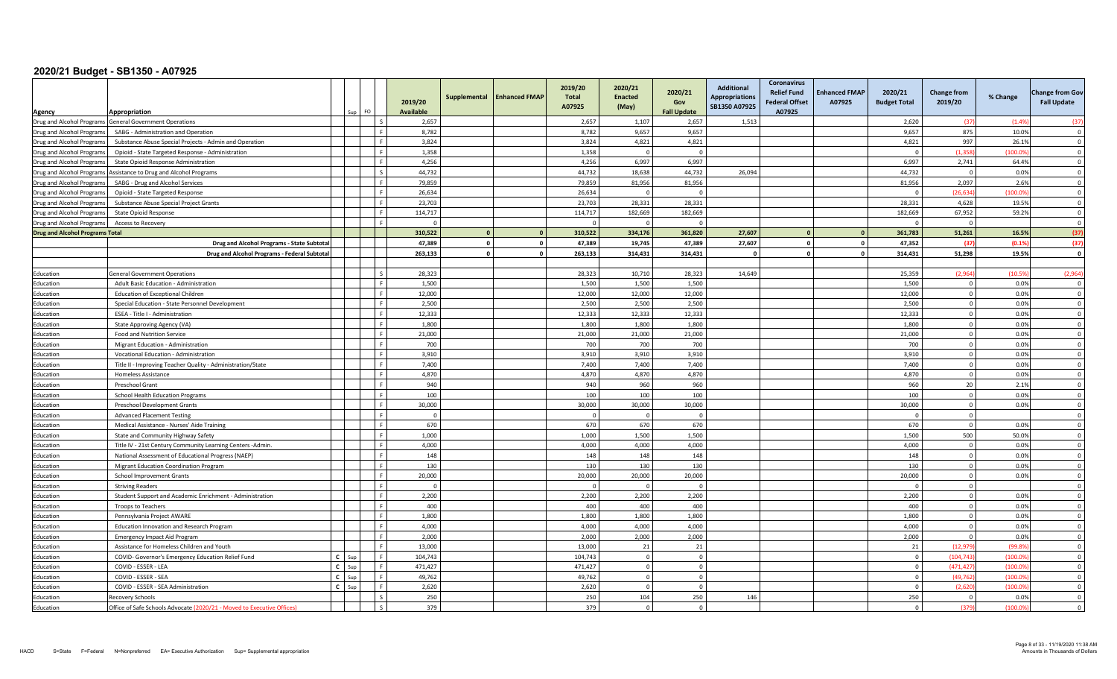|                                                        | Appropriation                                                                                  |              | FO. |                | 2019/20<br><b>Available</b> | Supplemental   | <b>Enhanced FMAP</b> | 2019/20<br><b>Total</b><br>A07925 | 2020/21<br><b>Enacted</b><br>(May) | 2020/21<br>Gov<br><b>Fall Update</b> | <b>Additional</b><br><b>Appropriations</b><br>SB1350 A07925 | Coronavirus<br><b>Relief Fund</b><br><b>Federal Offset</b><br>A07925 | <b>Enhanced FMAP</b><br>A07925 | 2020/21<br><b>Budget Total</b> | <b>Change from</b><br>2019/20 | % Change | <b>Change from Gov</b><br><b>Fall Update</b> |
|--------------------------------------------------------|------------------------------------------------------------------------------------------------|--------------|-----|----------------|-----------------------------|----------------|----------------------|-----------------------------------|------------------------------------|--------------------------------------|-------------------------------------------------------------|----------------------------------------------------------------------|--------------------------------|--------------------------------|-------------------------------|----------|----------------------------------------------|
| Agency                                                 |                                                                                                |              |     |                | 2,657                       |                |                      | 2,657                             | 1,107                              | 2,657                                | 1,513                                                       |                                                                      |                                | 2,620                          | (37)                          | (1.49)   | (37)                                         |
|                                                        | Drug and Alcohol Programs General Government Operations<br>SABG - Administration and Operation |              |     |                | 8,782                       |                |                      | 8,782                             | 9,657                              | 9,657                                |                                                             |                                                                      |                                | 9,657                          | 875                           | 10.0%    | $\Omega$                                     |
| Drug and Alcohol Programs<br>Drug and Alcohol Programs | Substance Abuse Special Projects - Admin and Operation                                         |              |     | $\blacksquare$ | 3,824                       |                |                      | 3,824                             | 4,821                              | 4,821                                |                                                             |                                                                      |                                | 4,821                          | 997                           | 26.1%    | $\Omega$                                     |
| Drug and Alcohol Programs                              | Opioid - State Targeted Response - Administration                                              |              |     |                | 1,358                       |                |                      | 1,358                             |                                    | $\Omega$                             |                                                             |                                                                      |                                | $\sqrt{ }$                     | (1.358)                       | (100.09) | $\Omega$                                     |
| Drug and Alcohol Programs                              | State Opioid Response Administration                                                           |              |     |                | 4,256                       |                |                      | 4,256                             | 6,997                              | 6,997                                |                                                             |                                                                      |                                | 6,997                          | 2,741                         | 64.4%    | $\Omega$                                     |
| Drug and Alcohol Programs                              | Assistance to Drug and Alcohol Programs                                                        |              |     |                | 44,732                      |                |                      | 44,732                            | 18,638                             | 44,732                               | 26,094                                                      |                                                                      |                                | 44,732                         | $\overline{0}$                | 0.0%     | $\Omega$                                     |
| Drug and Alcohol Programs                              | SABG - Drug and Alcohol Services                                                               |              |     |                | 79,859                      |                |                      | 79,859                            | 81,956                             | 81,956                               |                                                             |                                                                      |                                | 81,956                         | 2,097                         | 2.6%     | $\Omega$                                     |
| Drug and Alcohol Programs                              | Opioid - State Targeted Response                                                               |              |     |                | 26,634                      |                |                      | 26,634                            |                                    | $\Omega$                             |                                                             |                                                                      |                                |                                | (26.634)                      | (100.09) | $\Omega$                                     |
| Drug and Alcohol Programs                              | Substance Abuse Special Project Grants                                                         |              |     | $\blacksquare$ | 23,703                      |                |                      | 23,703                            | 28,331                             | 28,331                               |                                                             |                                                                      |                                | 28,331                         | 4,628                         | 19.5%    | $\overline{0}$                               |
| Drug and Alcohol Programs                              | <b>State Opioid Response</b>                                                                   |              |     | $\mathbf{F}$   | 114,717                     |                |                      | 114,717                           | 182,669                            | 182,669                              |                                                             |                                                                      |                                | 182,669                        | 67,952                        | 59.2%    | $\overline{\mathbf{0}}$                      |
| Drug and Alcohol Programs                              | Access to Recovery                                                                             |              |     |                | $\sqrt{ }$                  |                |                      |                                   |                                    |                                      |                                                             |                                                                      |                                | - C                            | $\overline{0}$                |          | $\Omega$                                     |
| <b>Drug and Alcohol Programs Total</b>                 |                                                                                                |              |     |                | 310,522                     | $\overline{0}$ | $\mathbf{0}$         | 310,522                           | 334,176                            | 361,820                              | 27,607                                                      |                                                                      |                                | 361,783                        | 51,261                        | 16.5%    | (37)                                         |
|                                                        | Drug and Alcohol Programs - State Subtota                                                      |              |     |                | 47.389                      | $\overline{0}$ | $\mathbf 0$          | 47,389                            | 19.745                             | 47,389                               | 27,607                                                      |                                                                      |                                | 47,352                         | (37)                          | (0.1%    | (37)                                         |
|                                                        | Drug and Alcohol Programs - Federal Subtotal                                                   |              |     |                | 263,133                     | $\Omega$       | $\mathbf 0$          | 263,133                           | 314,431                            | 314,431                              | - 0                                                         | $\Omega$                                                             |                                | 314,431                        | 51,298                        | 19.5%    | $\mathbf{0}$                                 |
|                                                        |                                                                                                |              |     |                |                             |                |                      |                                   |                                    |                                      |                                                             |                                                                      |                                |                                |                               |          |                                              |
| Education                                              | <b>General Government Operations</b>                                                           |              |     | $\varsigma$    | 28,323                      |                |                      | 28,323                            | 10,710                             | 28,323                               | 14,649                                                      |                                                                      |                                | 25,359                         | (2.964)                       | (10.5)   | (2,964)                                      |
| Education                                              | Adult Basic Education - Administration                                                         |              |     | F.             | 1,500                       |                |                      | 1,500                             | 1,500                              | 1,500                                |                                                             |                                                                      |                                | 1,500                          | $\overline{0}$                | 0.0%     | - 0                                          |
| Education                                              | <b>Education of Exceptional Children</b>                                                       |              |     | F.             | 12,000                      |                |                      | 12,000                            | 12,000                             | 12,000                               |                                                             |                                                                      |                                | 12,000                         | $\mathbf 0$                   | 0.0%     | $\overline{\mathbf{0}}$                      |
| Education                                              | Special Education - State Personnel Development                                                |              |     |                | 2,500                       |                |                      | 2,500                             | 2,500                              | 2,500                                |                                                             |                                                                      |                                | 2,500                          | $\mathbf{0}$                  | 0.0%     | $\Omega$                                     |
| Education                                              | ESEA - Title I - Administration                                                                |              |     |                | 12,333                      |                |                      | 12,333                            | 12,333                             | 12,333                               |                                                             |                                                                      |                                | 12,333                         | $\mathbf{0}$                  | 0.0%     | $\Omega$                                     |
| Education                                              | State Approving Agency (VA)                                                                    |              |     |                | 1.800                       |                |                      | 1.800                             | 1.800                              | 1.800                                |                                                             |                                                                      |                                | 1.800                          | $\Omega$                      | 0.0%     | $\Omega$                                     |
| Education                                              | Food and Nutrition Service                                                                     |              |     | $\mathsf{F}$   | 21,000                      |                |                      | 21,000                            | 21,000                             | 21,000                               |                                                             |                                                                      |                                | 21,000                         | $\overline{0}$                | 0.0%     | $\overline{\mathbf{0}}$                      |
| Education                                              | Migrant Education - Administration                                                             |              |     |                | 700                         |                |                      | 700                               | 700                                | 700                                  |                                                             |                                                                      |                                | 700                            | $\overline{0}$                | 0.0%     | $\Omega$                                     |
| Education                                              | Vocational Education - Administration                                                          |              |     | -F             | 3,910                       |                |                      | 3,910                             | 3,910                              | 3,910                                |                                                             |                                                                      |                                | 3,910                          | $\overline{0}$                | 0.0%     | $\overline{0}$                               |
| Education                                              | Title II - Improving Teacher Quality - Administration/State                                    |              |     |                | 7,400                       |                |                      | 7,400                             | 7,400                              | 7,400                                |                                                             |                                                                      |                                | 7,400                          | $\overline{0}$                | 0.0%     | $\overline{0}$                               |
| Education                                              | Homeless Assistance                                                                            |              |     |                | 4,870                       |                |                      | 4,870                             | 4,870                              | 4,870                                |                                                             |                                                                      |                                | 4,870                          | $\Omega$                      | 0.0%     | $\Omega$                                     |
| Education                                              | Preschool Grant                                                                                |              |     |                | 940                         |                |                      | 940                               | 960                                | 960                                  |                                                             |                                                                      |                                | 960                            | 20                            | 2.1%     | $\Omega$                                     |
| Education                                              | School Health Education Programs                                                               |              |     |                | 100                         |                |                      | 100                               | 100                                | 100                                  |                                                             |                                                                      |                                | 100                            | $\mathbf 0$                   | 0.0%     | $\overline{\mathbf{0}}$                      |
| Education                                              | Preschool Development Grants                                                                   |              |     | $\mathbf{r}$   | 30,000                      |                |                      | 30,000                            | 30,000                             | 30,000                               |                                                             |                                                                      |                                | 30,000                         | $\overline{0}$                | 0.0%     | $\Omega$                                     |
| Education                                              | <b>Advanced Placement Testing</b>                                                              |              |     |                | $\Omega$                    |                |                      |                                   |                                    | $\Omega$                             |                                                             |                                                                      |                                | $\Omega$                       | $\mathbf{0}$                  |          | $\overline{0}$                               |
| Education                                              | Medical Assistance - Nurses' Aide Training                                                     |              |     |                | 670                         |                |                      | 670                               | 670                                | 670                                  |                                                             |                                                                      |                                | 670                            | $\overline{0}$                | 0.0%     | $\overline{\mathbf{0}}$                      |
| Education                                              | State and Community Highway Safety                                                             |              |     |                | 1.000                       |                |                      | 1,000                             | 1,500                              | 1,500                                |                                                             |                                                                      |                                | 1,500                          | 500                           | 50.0%    | $\Omega$                                     |
| Education                                              | Title IV - 21st Century Community Learning Centers -Admin                                      |              |     |                | 4.000                       |                |                      | 4,000                             | 4,000                              | 4,000                                |                                                             |                                                                      |                                | 4,000                          | $\Omega$                      | 0.0%     | $\Omega$                                     |
| Education                                              | National Assessment of Educational Progress (NAEP)                                             |              |     |                | 148                         |                |                      | 148                               | 148                                | 148                                  |                                                             |                                                                      |                                | 148                            | $\overline{0}$                | 0.0%     | $\overline{\mathbf{0}}$                      |
| Education                                              | Migrant Education Coordination Program                                                         |              |     |                | 130                         |                |                      | 130                               | 130                                | 130                                  |                                                             |                                                                      |                                | 130                            | $\overline{0}$                | 0.0%     | $\overline{0}$                               |
| Education                                              | School Improvement Grants                                                                      |              |     | F.             | 20,000                      |                |                      | 20,000                            | 20,000                             | 20,000                               |                                                             |                                                                      |                                | 20,000                         | $\overline{0}$                | 0.0%     | $\overline{0}$                               |
| Education                                              | <b>Striving Readers</b>                                                                        |              |     |                | $\Omega$                    |                |                      |                                   | $\sqrt{ }$                         | $\Omega$                             |                                                             |                                                                      |                                | $\Omega$                       | $\mathbf 0$                   |          | $\Omega$                                     |
| Education                                              | Student Support and Academic Enrichment - Administration                                       |              |     |                | 2,200                       |                |                      | 2,200                             | 2,200                              | 2,200                                |                                                             |                                                                      |                                | 2,200                          | $\mathbf{0}$                  | 0.0%     | $\Omega$                                     |
| Education                                              | Troops to Teachers                                                                             |              |     |                | 400                         |                |                      | 400                               | 400                                | 400                                  |                                                             |                                                                      |                                | 400                            | $\circ$                       | 0.0%     | $\Omega$                                     |
| Education                                              | Pennsylvania Project AWARE                                                                     |              |     |                | 1,800                       |                |                      | 1,800                             | 1,800                              | 1,800                                |                                                             |                                                                      |                                | 1,800                          | $\circ$                       | 0.0%     | $\Omega$                                     |
| Education                                              | Education Innovation and Research Program                                                      |              |     |                | 4,000                       |                |                      | 4,000                             | 4,000                              | 4,000                                |                                                             |                                                                      |                                | 4,000                          | $\overline{0}$                | 0.0%     | $\overline{0}$                               |
| Education                                              | <b>Emergency Impact Aid Program</b>                                                            |              |     |                | 2,000                       |                |                      | 2,000                             | 2,000                              | 2,000                                |                                                             |                                                                      |                                | 2,000                          | $\Omega$                      | 0.0%     | $\mathbf 0$                                  |
| Education                                              | Assistance for Homeless Children and Youth                                                     |              |     |                | 13,000                      |                |                      | 13,000                            | 21                                 | 21                                   |                                                             |                                                                      |                                | 21                             | (12.979                       | (99.89)  | $\Omega$                                     |
| Education                                              | COVID- Governor's Emergency Education Relief Fund                                              | $\mathbf{c}$ |     |                | 104,743                     |                |                      | 104,743                           | $\Omega$                           | $\Omega$                             |                                                             |                                                                      |                                | $\Omega$                       | (104, 743)                    | (100.09) | $\Omega$                                     |
| Education                                              | COVID - ESSER - LEA                                                                            |              |     |                | 471,427                     |                |                      | 471,427                           |                                    | $\Omega$                             |                                                             |                                                                      |                                | $\cap$                         | (471, 427)                    | (100.0)  | $\Omega$                                     |
| Education                                              | COVID - ESSER - SEA                                                                            | $\mathbf{r}$ |     | $\mathbf{F}$   | 49,762                      |                |                      | 49,762                            | $\Omega$                           | $\Omega$                             |                                                             |                                                                      |                                | $\Omega$                       | (49, 762)                     | (100.09) | $\Omega$                                     |
| Education                                              | COVID - ESSER - SEA Administration                                                             | $\mathbf{c}$ | Sur |                | 2,620                       |                |                      | 2,620                             |                                    | $\Omega$                             |                                                             |                                                                      |                                | $\Omega$                       | (2,620)                       | (100.0)  | $\mathbf 0$                                  |
| Education                                              | Recovery Schools                                                                               |              |     |                | 250                         |                |                      | 250                               | 104                                | 250                                  | 146                                                         |                                                                      |                                | 250                            | $\Omega$                      | 0.0%     | $\Omega$                                     |
| Education                                              | Office of Safe Schools Advocate (2020/21 - Moved to Executive Offices)                         |              |     |                | 379                         |                |                      | 379                               | $\Omega$                           | $\Omega$                             |                                                             |                                                                      |                                | $\Omega$                       | (379)                         | (100.0)  | $\Omega$                                     |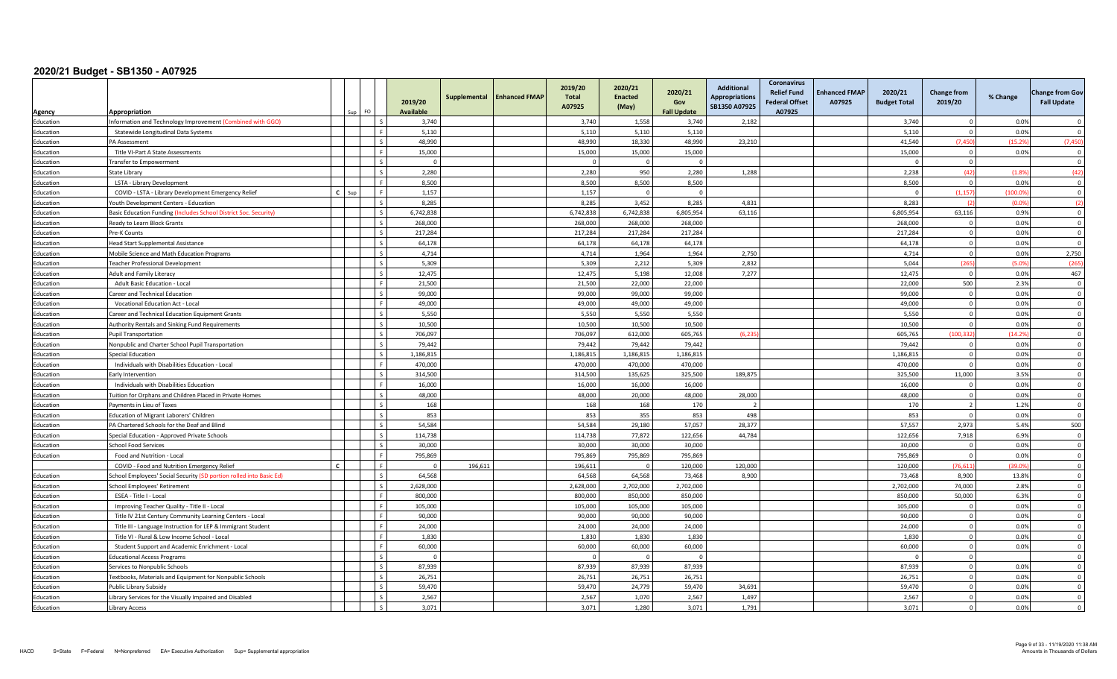|                        |                                                                                                   |                          | 2019/20<br><b>Available</b> | Supplemental | <b>Enhanced FMAP</b> | 2019/20<br><b>Total</b><br>A07925 | 2020/21<br><b>Enacted</b><br>(May) | 2020/21<br>Gov<br><b>Fall Update</b> | <b>Additional</b><br><b>Appropriations</b><br>SB1350 A07925 | <b>Coronavirus</b><br><b>Relief Fund</b><br><b>Federal Offset</b><br>A07925 | <b>Enhanced FMAP</b><br>A07925 | 2020/21<br><b>Budget Total</b> | <b>Change from</b><br>2019/20 | % Change | <b>Change from Gov</b><br><b>Fall Update</b> |
|------------------------|---------------------------------------------------------------------------------------------------|--------------------------|-----------------------------|--------------|----------------------|-----------------------------------|------------------------------------|--------------------------------------|-------------------------------------------------------------|-----------------------------------------------------------------------------|--------------------------------|--------------------------------|-------------------------------|----------|----------------------------------------------|
| Agency                 | Appropriation<br>Sup                                                                              | FO                       | 3.740                       |              |                      | 3,740                             | 1,558                              | 3,740                                | 2,182                                                       |                                                                             |                                | 3,740                          | $\Omega$                      | 0.0%     | $\Omega$                                     |
| Education<br>Education | Information and Technology Improvement (Combined with GGO)<br>Statewide Longitudinal Data Systems |                          | 5,110                       |              |                      | 5,110                             | 5,110                              | 5,110                                |                                                             |                                                                             |                                | 5,110                          | $\Omega$                      | 0.0%     | $\Omega$                                     |
| Education              | PA Assessment                                                                                     | l s                      | 48.990                      |              |                      | 48,990                            | 18,330                             | 48.990                               | 23,210                                                      |                                                                             |                                | 41,540                         | (7, 450)                      | (15.29)  | (7, 450)                                     |
| ducation               | Title VI-Part A State Assessments                                                                 |                          | 15,000                      |              |                      | 15,000                            | 15,000                             | 15,000                               |                                                             |                                                                             |                                | 15,000                         | $\Omega$                      | 0.0%     | $\Omega$                                     |
| Education              | <b>Transfer to Empowerment</b>                                                                    | $\zeta$                  | $\Omega$                    |              |                      |                                   | $\Omega$                           | $\Omega$                             |                                                             |                                                                             |                                | $\Omega$                       | $\mathbf 0$                   |          | $\Omega$                                     |
| ducation               | State Library                                                                                     |                          | 2,280                       |              |                      | 2,280                             | 950                                | 2,280                                | 1.288                                                       |                                                                             |                                | 2,238                          | (42)                          | (1.89)   | (42)                                         |
| ducation               | LSTA - Library Development                                                                        |                          | 8,500                       |              |                      | 8,500                             | 8,500                              | 8,500                                |                                                             |                                                                             |                                | 8,500                          | $\Omega$                      | 0.0%     | $\Omega$                                     |
| Education              | COVID - LSTA - Library Development Emergency Relief<br>$\mathbf{r}$                               |                          | 1.157                       |              |                      | 1.157                             | $\Omega$                           | $\Omega$                             |                                                             |                                                                             |                                | $\Omega$                       | (1.157)                       | (100.09) | $\Omega$                                     |
| ducation               | outh Development Centers - Education                                                              |                          | 8,285                       |              |                      | 8,285                             | 3,452                              | 8,285                                | 4,831                                                       |                                                                             |                                | 8,283                          |                               | (0.09)   | (2)                                          |
| Education              | Basic Education Funding (Includes School District Soc. Security)                                  | Ιs                       | 6,742,838                   |              |                      | 6,742,838                         | 6,742,838                          | 6,805,954                            | 63,116                                                      |                                                                             |                                | 6,805,954                      | 63,116                        | 0.9%     | $\overline{0}$                               |
| Education              | Ready to Learn Block Grants                                                                       | l s                      | 268,000                     |              |                      | 268,000                           | 268.000                            | 268,000                              |                                                             |                                                                             |                                | 268,000                        | $\Omega$                      | 0.0%     | $\mathbf{0}$                                 |
| ducation               | Pre-K Counts                                                                                      |                          | 217,284                     |              |                      | 217,284                           | 217,284                            | 217,284                              |                                                             |                                                                             |                                | 217,284                        | $\overline{0}$                | 0.0%     | $\Omega$                                     |
| Education              | Head Start Supplemental Assistance                                                                | $\sim$                   | 64,178                      |              |                      | 64,178                            | 64,178                             | 64,178                               |                                                             |                                                                             |                                | 64,178                         | $\overline{0}$                | 0.0%     | $\Omega$                                     |
| Education              | Mobile Science and Math Education Programs                                                        | $\sim$                   | 4.714                       |              |                      | 4.714                             | 1.964                              | 1,964                                | 2.750                                                       |                                                                             |                                | 4.714                          | $\overline{0}$                | 0.0%     | 2,750                                        |
| ducation               | Feacher Professional Development                                                                  | l s                      | 5,309                       |              |                      | 5,309                             | 2,212                              | 5,309                                | 2,832                                                       |                                                                             |                                | 5,044                          | (265)                         | (5.0%    | (265)                                        |
| ducation               | Adult and Family Literacy                                                                         | $\sim$                   | 12,475                      |              |                      | 12,475                            | 5,198                              | 12,008                               | 7,277                                                       |                                                                             |                                | 12,475                         | $\overline{0}$                | 0.0%     | 467                                          |
| ducation               | <b>Adult Basic Education - Local</b>                                                              |                          | 21.500                      |              |                      | 21,500                            | 22.000                             | 22.000                               |                                                             |                                                                             |                                | 22.000                         | 500                           | 2.3%     | $\Omega$                                     |
| Education              | Career and Technical Education                                                                    |                          | 99,000                      |              |                      | 99,000                            | 99,000                             | 99,000                               |                                                             |                                                                             |                                | 99,000                         | $\Omega$                      | 0.0%     | $\overline{\mathbf{0}}$                      |
| Education              | Vocational Education Act - Local                                                                  |                          | 49,000                      |              |                      | 49,000                            | 49,000                             | 49,000                               |                                                             |                                                                             |                                | 49,000                         | $\Omega$                      | 0.0%     | $\Omega$                                     |
| Education              | Career and Technical Education Equipment Grants                                                   | l s                      | 5.550                       |              |                      | 5.550                             | 5.550                              | 5.550                                |                                                             |                                                                             |                                | 5.550                          | $\overline{0}$                | 0.0%     | $\Omega$                                     |
| ducation               | Authority Rentals and Sinking Fund Requirements                                                   | $\overline{\phantom{a}}$ | 10,500                      |              |                      | 10,500                            | 10,500                             | 10,500                               |                                                             |                                                                             |                                | 10,500                         | $\Omega$                      | 0.0%     | $\overline{0}$                               |
| Education              | <b>Pupil Transportation</b>                                                                       | l s                      | 706,097                     |              |                      | 706,097                           | 612,000                            | 605,765                              | (6.235)                                                     |                                                                             |                                | 605,765                        | (100.332)                     | (14.2%   | $\overline{0}$                               |
| ducation               | Nonpublic and Charter School Pupil Transportation                                                 | l s                      | 79.442                      |              |                      | 79.442                            | 79.442                             | 79.442                               |                                                             |                                                                             |                                | 79.442                         | $\Omega$                      | 0.0%     | $\Omega$                                     |
| ducation               | <b>Special Education</b>                                                                          |                          | 1,186,815                   |              |                      | 1,186,815                         | 1,186,815                          | 1,186,815                            |                                                             |                                                                             |                                | 1,186,815                      | $^{\circ}$                    | 0.0%     | $\mathbf 0$                                  |
| Education              | Individuals with Disabilities Education - Local                                                   |                          | 470.000                     |              |                      | 470,000                           | 470.000                            | 470.000                              |                                                             |                                                                             |                                | 470.000                        | $\Omega$                      | 0.0%     | $\Omega$                                     |
| Education              | Early Intervention                                                                                |                          | 314,500                     |              |                      | 314.500                           | 135.625                            | 325,500                              | 189,875                                                     |                                                                             |                                | 325.500                        | 11.000                        | 3.5%     | $\Omega$                                     |
| ducation               | Individuals with Disabilities Education                                                           | l c                      | 16,000                      |              |                      | 16,000                            | 16,000                             | 16,000                               |                                                             |                                                                             |                                | 16,000                         | $\overline{0}$                | 0.0%     | $\overline{\mathbf{0}}$                      |
| ducation               | Fuition for Orphans and Children Placed in Private Homes                                          | l s                      | 48,000                      |              |                      | 48,000                            | 20,000                             | 48,000                               | 28,000                                                      |                                                                             |                                | 48.000                         | $\Omega$                      | 0.0%     | $\overline{0}$                               |
| ducation               | Payments in Lieu of Taxes                                                                         |                          | 168                         |              |                      | 168                               | 168                                | 170                                  | $\overline{2}$                                              |                                                                             |                                | 170                            | $\overline{2}$                | 1.2%     | $\Omega$                                     |
| ducation               | Education of Migrant Laborers' Children                                                           |                          | 853                         |              |                      | 853                               | 355                                | 853                                  | 498                                                         |                                                                             |                                | 853                            | $\Omega$                      | 0.0%     | $\overline{0}$                               |
| ducation               | PA Chartered Schools for the Deaf and Blind                                                       |                          | 54,584                      |              |                      | 54,584                            | 29,180                             | 57,057                               | 28,377                                                      |                                                                             |                                | 57,557                         | 2.973                         | 5.4%     | 500                                          |
| Education              | Special Education - Approved Private Schools                                                      | $\overline{\mathbf{s}}$  | 114,738                     |              |                      | 114,738                           | 77,872                             | 122,656                              | 44,784                                                      |                                                                             |                                | 122,656                        | 7,918                         | 6.9%     | $\overline{\mathbf{0}}$                      |
| ducation               | <b>School Food Services</b>                                                                       |                          | 30,000                      |              |                      | 30,000                            | 30,000                             | 30,000                               |                                                             |                                                                             |                                | 30,000                         | $\mathbf 0$                   | 0.0%     | $\overline{0}$                               |
| Education              | Food and Nutrition - Local                                                                        | ΙF                       | 795,869                     |              |                      | 795,869                           | 795,869                            | 795,869                              |                                                             |                                                                             |                                | 795,869                        | $\Omega$                      | 0.0%     | $\overline{0}$                               |
|                        | COVID - Food and Nutrition Emergency Relief                                                       |                          | $\Omega$                    | 196,611      |                      | 196,611                           | $\Omega$                           | 120,000                              | 120,000                                                     |                                                                             |                                | 120,000                        | (76.611)                      | (39.09   | $\overline{0}$                               |
| Education              | School Employees' Social Security (SD portion rolled into Basic Ed)                               |                          | 64,568                      |              |                      | 64,568                            | 64,568                             | 73,468                               | 8,900                                                       |                                                                             |                                | 73,468                         | 8,900                         | 13.8%    | $\Omega$                                     |
| Education              | School Employees' Retirement                                                                      |                          | 2,628,000                   |              |                      | 2,628,000                         | 2,702,000                          | 2,702,000                            |                                                             |                                                                             |                                | 2,702,000                      | 74.000                        | 2.8%     | $\Omega$                                     |
| Education              | ESEA - Title I - Local                                                                            |                          | 800,000                     |              |                      | 800,000                           | 850,000                            | 850,000                              |                                                             |                                                                             |                                | 850,000                        | 50,000                        | 6.3%     | $\Omega$                                     |
| Education              | Improving Teacher Quality - Title II - Local                                                      |                          | 105,000                     |              |                      | 105,000                           | 105,000                            | 105,000                              |                                                             |                                                                             |                                | 105,000                        | $\Omega$                      | 0.0%     | $\Omega$                                     |
| Education              | Title IV 21st Century Community Learning Centers - Local                                          | ΙF                       | 90,000                      |              |                      | 90,000                            | 90,000                             | 90,000                               |                                                             |                                                                             |                                | 90.000                         | $\overline{0}$                | 0.0%     | $\overline{0}$                               |
| Education              | Title III - Language Instruction for LEP & Immigrant Student                                      |                          | 24,000                      |              |                      | 24,000                            | 24,000                             | 24,000                               |                                                             |                                                                             |                                | 24,000                         | $\mathbf{0}$                  | 0.0%     | $\overline{0}$                               |
| ducation               | Title VI - Rural & Low Income School - Local                                                      |                          | 1.830                       |              |                      | 1.830                             | 1.830                              | 1.830                                |                                                             |                                                                             |                                | 1.830                          | $\Omega$                      | 0.0%     | $\Omega$                                     |
| ducation               | Student Support and Academic Enrichment - Local                                                   |                          | 60,000                      |              |                      | 60,000                            | 60,000                             | 60,000                               |                                                             |                                                                             |                                | 60,000                         | $\Omega$                      | 0.0%     | $\Omega$                                     |
| Education              | <b>Educational Access Programs</b>                                                                | l s                      | $\Omega$                    |              |                      |                                   | $\Omega$                           | $\Omega$                             |                                                             |                                                                             |                                | $\overline{0}$                 | $\overline{0}$                |          | $\overline{\mathbf{0}}$                      |
| Education              | Services to Nonpublic Schools                                                                     | l s                      | 87.939                      |              |                      | 87,939                            | 87,939                             | 87,939                               |                                                             |                                                                             |                                | 87.939                         | $\Omega$                      | 0.0%     | $\Omega$                                     |
| Education              | Fextbooks, Materials and Equipment for Nonpublic Schools                                          | l s                      | 26,751                      |              |                      | 26,751                            | 26,751                             | 26,751                               |                                                             |                                                                             |                                | 26,751                         | $\overline{0}$                | 0.0%     | $\overline{0}$                               |
| Education              | Public Library Subsidy                                                                            | l s                      | 59,470                      |              |                      | 59,470                            | 24,779                             | 59,470                               | 34,691                                                      |                                                                             |                                | 59,470                         | $\Omega$                      | 0.0%     | $\overline{0}$                               |
| ducation               | Library Services for the Visually Impaired and Disabled                                           |                          | 2,567                       |              |                      | 2,567                             | 1,070                              | 2,567                                | 1,497                                                       |                                                                             |                                | 2,567                          | $\Omega$                      | 0.0%     | $\Omega$                                     |
| Education              | Library Access                                                                                    |                          | 3.071                       |              |                      | 3,071                             | 1,280                              | 3,071                                | 1,791                                                       |                                                                             |                                | 3,071                          |                               | 0.0%     | $\Omega$                                     |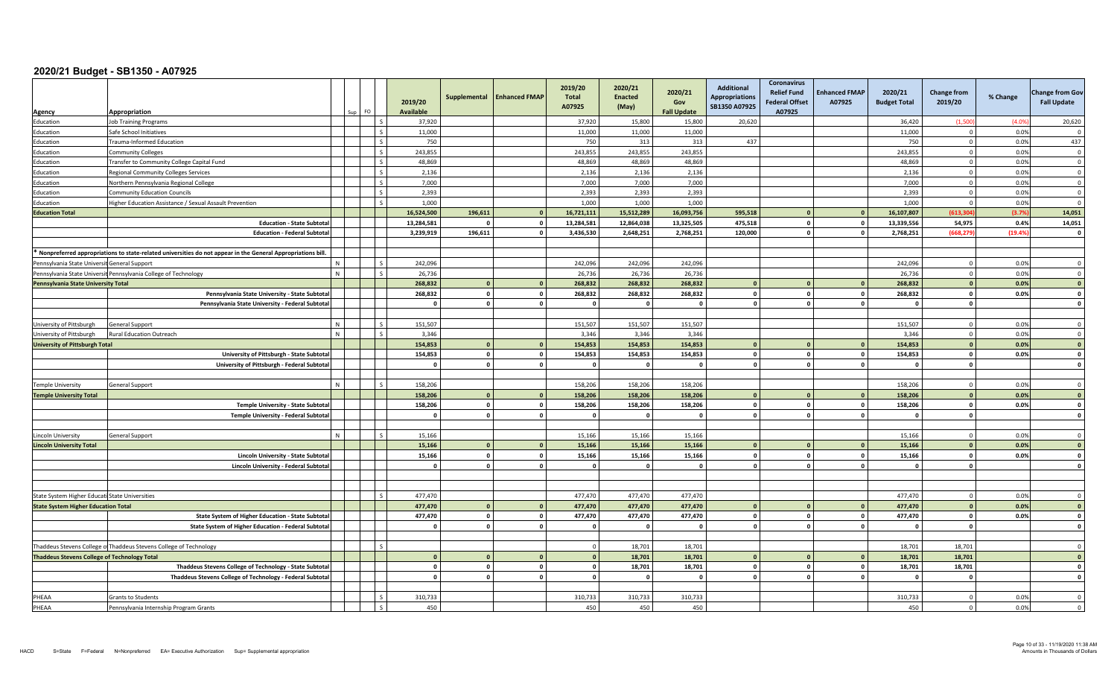|                                                     | Appropriation                                                                                               |   |                          | 2019/20<br><b>Available</b> | Supplemental            | <b>Enhanced FMAP</b>    | 2019/20<br><b>Total</b><br>A07925 | 2020/21<br><b>Enacted</b><br>(May) | 2020/21<br>Gov<br><b>Fall Update</b> | <b>Additional</b><br><b>Appropriations</b><br>SB1350 A07925 | <b>Coronavirus</b><br><b>Relief Fund</b><br><b>Federal Offset</b><br>A07925 | <b>Enhanced FMAP</b><br>A07925 | 2020/21<br><b>Budget Total</b> | <b>Change from</b><br>2019/20 | % Change | <b>Change from Gov</b><br><b>Fall Update</b> |
|-----------------------------------------------------|-------------------------------------------------------------------------------------------------------------|---|--------------------------|-----------------------------|-------------------------|-------------------------|-----------------------------------|------------------------------------|--------------------------------------|-------------------------------------------------------------|-----------------------------------------------------------------------------|--------------------------------|--------------------------------|-------------------------------|----------|----------------------------------------------|
| Agency<br>Education                                 | ob Training Programs                                                                                        |   |                          | 37,920                      |                         |                         | 37,920                            | 15,800                             | 15,800                               | 20,620                                                      |                                                                             |                                | 36,420                         | (1,500)                       | (4.09)   | 20,620                                       |
| Education                                           | Safe School Initiatives                                                                                     |   | $\sim$                   | 11,000                      |                         |                         | 11,000                            | 11,000                             | 11,000                               |                                                             |                                                                             |                                | 11,000                         | $\Omega$                      | 0.0%     | $\Omega$                                     |
| Education                                           | Frauma-Informed Education                                                                                   |   | $\mathsf{L}$             | 750                         |                         |                         | 750                               | 313                                | 313                                  | 437                                                         |                                                                             |                                | 750                            | $\mathbf 0$                   | 0.0%     | 437                                          |
| Education                                           | Community Colleges                                                                                          |   | $\sim$                   | 243,855                     |                         |                         | 243,855                           | 243,855                            | 243,855                              |                                                             |                                                                             |                                | 243,855                        | $\Omega$                      | 0.0%     | $\overline{\mathbf{0}}$                      |
| Education                                           | Fransfer to Community College Capital Fund                                                                  |   | $\overline{s}$           | 48.869                      |                         |                         | 48,869                            | 48.869                             | 48,869                               |                                                             |                                                                             |                                | 48.869                         | $\overline{0}$                | 0.0%     | $\overline{0}$                               |
| Education                                           | Regional Community Colleges Services                                                                        |   | $\zeta$                  | 2,136                       |                         |                         | 2,136                             | 2,136                              | 2,136                                |                                                             |                                                                             |                                | 2,136                          | $\Omega$                      | 0.0%     | $\overline{\mathbf{0}}$                      |
| Education                                           | Northern Pennsylvania Regional College                                                                      |   | -S                       | 7,000                       |                         |                         | 7,000                             | 7,000                              | 7,000                                |                                                             |                                                                             |                                | 7,000                          | $\Omega$                      | 0.0%     | $\overline{\mathbf{0}}$                      |
| Education                                           | Community Education Councils                                                                                |   | l <                      | 2.393                       |                         |                         | 2,393                             | 2,393                              | 2.393                                |                                                             |                                                                             |                                | 2,393                          | $\Omega$                      | 0.0%     | $\Omega$                                     |
| Education                                           | Higher Education Assistance / Sexual Assault Prevention                                                     |   | $\zeta$                  | 1,000                       |                         |                         | 1,000                             | 1,000                              | 1,000                                |                                                             |                                                                             |                                | 1,000                          | $\Omega$                      | 0.0%     | $\Omega$                                     |
| <b>Education Total</b>                              |                                                                                                             |   |                          | 16,524,500                  | 196,611                 | $\mathbf{0}$            | 16,721,111                        | 15,512,289                         | 16,093,756                           | 595,518                                                     |                                                                             |                                | 16,107,807                     | (613.30)                      | (3.7%    | 14,051                                       |
|                                                     | <b>Education - State Subtota</b>                                                                            |   |                          | 13,284,581                  |                         | $\mathbf 0$             | 13,284,581                        | 12,864,038                         | 13,325,505                           | 475,518                                                     |                                                                             |                                | 13,339,556                     | 54,975                        | 0.4%     | 14,051                                       |
|                                                     | <b>Education - Federal Subtotal</b>                                                                         |   |                          | 3,239,919                   | 196,611                 | $\mathbf 0$             | 3,436,530                         | 2,648,251                          | 2,768,251                            | 120,000                                                     |                                                                             |                                | 2,768,251                      | (668, 279)                    | (19.4%   | $\mathbf{o}$                                 |
|                                                     |                                                                                                             |   |                          |                             |                         |                         |                                   |                                    |                                      |                                                             |                                                                             |                                |                                |                               |          |                                              |
|                                                     | Nonpreferred appropriations to state-related universities do not appear in the General Appropriations bill. |   |                          |                             |                         |                         |                                   |                                    |                                      |                                                             |                                                                             |                                |                                |                               |          |                                              |
| Pennsylvania State Universit General Support        |                                                                                                             |   | $\mathsf{I}$ s           | 242,096                     |                         |                         | 242,096                           | 242,096                            | 242,096                              |                                                             |                                                                             |                                | 242,096                        | $\mathbf{0}$                  | 0.0%     | $\Omega$                                     |
|                                                     | Pennsylvania State Universit Pennsylvania College of Technology                                             | N | $\overline{\mathbf{s}}$  | 26,736                      |                         |                         | 26,736                            | 26,736                             | 26,736                               |                                                             |                                                                             |                                | 26,736                         | $\overline{0}$                | 0.0%     | $\overline{0}$                               |
| Pennsylvania State University Total                 |                                                                                                             |   |                          | 268,832                     | $\mathbf{0}$            | $\mathbf{0}$            | 268,832                           | 268,832                            | 268,832                              | $\Omega$                                                    |                                                                             |                                | 268,832                        | $\Omega$                      | 0.0%     | $\overline{\mathbf{0}}$                      |
|                                                     | Pennsylvania State University - State Subtota                                                               |   |                          | 268,832                     | $\mathbf{0}$            | $\mathbf 0$             | 268,832                           | 268,832                            | 268,832                              | $\mathbf 0$                                                 |                                                                             | $\Omega$                       | 268,832                        | $\mathbf 0$                   | 0.0%     | $\mathbf 0$                                  |
|                                                     | Pennsylvania State University - Federal Subtotal                                                            |   |                          | $\mathbf{0}$                | $\circ$                 | $\mathbf{o}$            | O.                                | $\Omega$                           | O                                    | $\Omega$                                                    |                                                                             |                                | - 0                            | $\mathbf{0}$                  |          | $\Omega$                                     |
|                                                     |                                                                                                             |   |                          |                             |                         |                         |                                   |                                    |                                      |                                                             |                                                                             |                                |                                |                               |          |                                              |
| University of Pittsburgh                            | General Support                                                                                             |   |                          | 151.507                     |                         |                         | 151.507                           | 151.507                            | 151.507                              |                                                             |                                                                             |                                | 151.507                        | $\Omega$                      | 0.0%     | $\Omega$                                     |
| University of Pittsburgh                            | Rural Education Outreach                                                                                    | N | $\overline{\phantom{a}}$ | 3,346                       |                         |                         | 3,346                             | 3,346                              | 3,346                                |                                                             |                                                                             |                                | 3,346                          | $\mathbf 0$                   | 0.0%     | $\overline{\mathbf{0}}$                      |
| <b>University of Pittsburgh Total</b>               |                                                                                                             |   |                          | 154,853                     | $\mathbf{0}$            | $\mathbf{0}$            | 154,853                           | 154,853                            | 154,853                              | $\Omega$                                                    |                                                                             |                                | 154,853                        | $\Omega$                      | 0.0%     | $\overline{\mathbf{0}}$                      |
|                                                     | University of Pittsburgh - State Subtota                                                                    |   |                          | 154.853                     | $\circ$                 | $\overline{\mathbf{0}}$ | 154,853                           | 154,853                            | 154,853                              | $\mathbf{0}$                                                |                                                                             | $\Omega$                       | 154.853                        | $\mathbf 0$                   | 0.0%     | $\mathbf 0$                                  |
|                                                     | University of Pittsburgh - Federal Subtotal                                                                 |   |                          | $\mathbf{0}$                | $\overline{\mathbf{0}}$ | $\circ$                 | $\Omega$                          | $\Omega$                           | $\Omega$                             | $\Omega$                                                    |                                                                             |                                | $\mathbf{0}$                   | $\mathbf{0}$                  |          | $\mathbf{o}$                                 |
|                                                     |                                                                                                             |   |                          |                             |                         |                         |                                   |                                    |                                      |                                                             |                                                                             |                                |                                |                               |          |                                              |
| <b>Temple University</b>                            | General Support                                                                                             |   | $\zeta$                  | 158,206                     |                         |                         | 158,206                           | 158,206                            | 158,206                              |                                                             |                                                                             |                                | 158.206                        | $\Omega$                      | 0.0%     | $\Omega$                                     |
| <b>Temple University Total</b>                      |                                                                                                             |   |                          | 158,206                     | $\mathbf{0}$            | $\mathbf{0}$            | 158,206                           | 158,206                            | 158,206                              |                                                             |                                                                             |                                | 158,206                        |                               | 0.0%     | $\overline{\mathbf{0}}$                      |
|                                                     | Temple University - State Subtota                                                                           |   |                          | 158,206                     | $\mathbf{0}$            | $\mathbf 0$             | 158,206                           | 158,206                            | 158,206                              | $\Omega$                                                    |                                                                             | $\mathbf{r}$                   | 158,206                        | $\mathbf{0}$                  | 0.0%     | $\mathbf{0}$                                 |
|                                                     | Temple University - Federal Subtota                                                                         |   |                          | $\Omega$                    | $\overline{\mathbf{0}}$ | $\mathbf{o}$            | $\Omega$                          | $\Omega$                           |                                      | $\mathbf{0}$                                                |                                                                             |                                | $\Omega$                       | $\mathbf{0}$                  |          | $\mathbf{o}$                                 |
|                                                     |                                                                                                             |   |                          |                             |                         |                         |                                   |                                    |                                      |                                                             |                                                                             |                                |                                |                               |          |                                              |
| Lincoln University                                  | General Support                                                                                             |   | $\zeta$                  | 15.166                      |                         |                         | 15,166                            | 15.166                             | 15.166                               |                                                             |                                                                             |                                | 15.166                         | $\overline{0}$                | 0.0%     | $\Omega$                                     |
| <b>Lincoln University Total</b>                     |                                                                                                             |   |                          | 15,166                      | $\Omega$                | $\mathbf{0}$            | 15,166                            | 15,166                             | 15,166                               |                                                             |                                                                             |                                | 15.166                         | $\Omega$                      | 0.0%     | $\overline{0}$                               |
|                                                     | Lincoln University - State Subtota                                                                          |   |                          | 15,166                      | $\circ$                 | $\mathbf 0$             | 15,166                            | 15,166                             | 15,166                               | $\mathbf{0}$                                                |                                                                             | $\mathbf{r}$                   | 15,166                         | $\mathbf 0$                   | 0.0%     | $\mathbf 0$                                  |
|                                                     | Lincoln University - Federal Subtota                                                                        |   |                          | $\Omega$                    | $\mathbf{0}$            | $\mathbf 0$             | $\Omega$                          | $\Omega$                           | $\mathbf{a}$                         | $\Omega$                                                    |                                                                             | $\mathbf{r}$                   | - 0                            | $\Omega$                      |          | $\mathbf 0$                                  |
|                                                     |                                                                                                             |   |                          |                             |                         |                         |                                   |                                    |                                      |                                                             |                                                                             |                                |                                |                               |          |                                              |
|                                                     |                                                                                                             |   |                          |                             |                         |                         |                                   |                                    |                                      |                                                             |                                                                             |                                |                                |                               |          |                                              |
| State System Higher Educati State Universities      |                                                                                                             |   | $\zeta$                  | 477.470                     |                         |                         | 477,470                           | 477,470                            | 477,470                              |                                                             |                                                                             |                                | 477.470                        | $\Omega$                      | 0.0%     | $\Omega$                                     |
| <b>State System Higher Education Total</b>          |                                                                                                             |   |                          | 477.470                     | $\mathbf{0}$            | $\mathbf{0}$            | 477,470                           | 477,470                            | 477,470                              | $\Omega$                                                    |                                                                             |                                | 477,470                        | $\mathbf{0}$                  | 0.0%     | $\overline{0}$                               |
|                                                     | State System of Higher Education - State Subtota                                                            |   |                          | 477,470                     | $\circ$                 | $\mathbf 0$             | 477,470                           | 477,470                            | 477,470                              | $\Omega$                                                    |                                                                             | $\mathbf{r}$                   | 477,470                        | $\mathbf{0}$                  | 0.0%     | $\mathbf{o}$                                 |
|                                                     | State System of Higher Education - Federal Subtota                                                          |   |                          | $\Omega$                    | $\overline{\mathbf{0}}$ | $\mathbf 0$             | $\overline{0}$                    | $\Omega$                           | $\Omega$                             | $\Omega$                                                    |                                                                             |                                | $\mathbf{0}$                   | $\Omega$                      |          | $\mathbf{0}$                                 |
|                                                     |                                                                                                             |   |                          |                             |                         |                         |                                   |                                    |                                      |                                                             |                                                                             |                                |                                |                               |          |                                              |
|                                                     | Thaddeus Stevens College of Thaddeus Stevens College of Technology                                          |   | l s                      |                             |                         |                         | $\Omega$                          | 18,701                             | 18.701                               |                                                             |                                                                             |                                | 18,701                         | 18,701                        |          | $\Omega$                                     |
| <b>Thaddeus Stevens College of Technology Total</b> |                                                                                                             |   |                          | $\Omega$                    | $\Omega$                | $\mathbf{0}$            | $\Omega$                          | 18,701                             | 18,701                               | $\Omega$                                                    |                                                                             |                                | 18,701                         | 18,701                        |          | $\mathbf{a}$                                 |
|                                                     | Thaddeus Stevens College of Technology - State Subtota                                                      |   |                          | $\Omega$                    | $\mathbf{0}$            | $\mathbf 0$             | n I                               | 18,701                             | 18,701                               | $\Omega$                                                    |                                                                             |                                | 18,701                         | 18,701                        |          | $\Omega$                                     |
|                                                     | Thaddeus Stevens College of Technology - Federal Subtotal                                                   |   |                          | $\mathbf{0}$                | $\overline{\mathbf{0}}$ | $\mathbf{0}$            | $\circ$                           | $\mathbf{0}$                       | $\Omega$                             | $\mathbf{0}$                                                |                                                                             | $\Omega$                       | $\mathbf{0}$                   | $\mathbf{0}$                  |          | $\mathbf{0}$                                 |
|                                                     |                                                                                                             |   |                          |                             |                         |                         |                                   |                                    |                                      |                                                             |                                                                             |                                |                                |                               |          |                                              |
| PHEAA                                               | <b>Grants to Students</b>                                                                                   |   | l s                      | 310,733                     |                         |                         | 310,733                           | 310,733                            | 310,733                              |                                                             |                                                                             |                                | 310,733                        | $\Omega$                      | 0.0%     | $\Omega$                                     |
| PHEAA                                               | Pennsylvania Internship Program Grants                                                                      |   |                          | 450                         |                         |                         | 450                               | 450                                | 450                                  |                                                             |                                                                             |                                | 450                            | $\Omega$                      | 0.0%     | $\overline{0}$                               |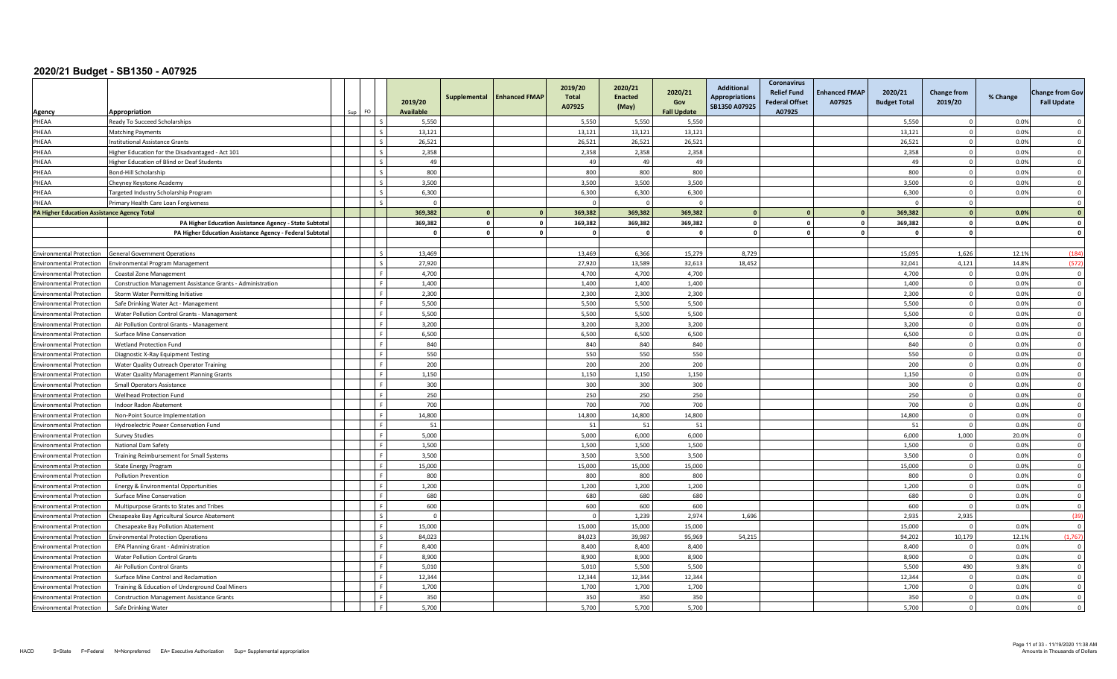|                                             |                                                                               | FO.                      | 2019/20<br><b>Available</b> | Supplemental            | <b>Enhanced FMAP</b>    | 2019/20<br><b>Total</b><br>A07925 | 2020/21<br><b>Enacted</b><br>(May) | 2020/21<br>Gov<br><b>Fall Update</b> | <b>Additional</b><br><b>Appropriations</b><br>SB1350 A07925 | <b>Coronavirus</b><br><b>Relief Fund</b><br><b>Federal Offset</b> | <b>Enhanced FMAP</b><br>A07925 | 2020/21<br><b>Budget Total</b> | <b>Change from</b><br>2019/20 | % Change     | <b>Change from Gov</b><br><b>Fall Update</b> |
|---------------------------------------------|-------------------------------------------------------------------------------|--------------------------|-----------------------------|-------------------------|-------------------------|-----------------------------------|------------------------------------|--------------------------------------|-------------------------------------------------------------|-------------------------------------------------------------------|--------------------------------|--------------------------------|-------------------------------|--------------|----------------------------------------------|
| Agency                                      | Appropriation                                                                 | Ιs                       |                             |                         |                         |                                   |                                    |                                      |                                                             | A07925                                                            |                                |                                |                               |              | $\Omega$                                     |
| PHEAA<br>PHEAA                              | Ready To Succeed Scholarships                                                 | $\sim$                   | 5,550<br>13,121             |                         |                         | 5,550                             | 5,550<br>13,121                    | 5,550<br>13,121                      |                                                             |                                                                   |                                | 5,550                          | $\Omega$                      | 0.0%<br>0.0% | $\Omega$                                     |
| PHEAA                                       | Matching Payments<br>nstitutional Assistance Grants                           | $\overline{\phantom{a}}$ | 26,521                      |                         |                         | 13,121<br>26,521                  | 26,521                             | 26,521                               |                                                             |                                                                   |                                | 13,121<br>26,521               | $\Omega$                      | 0.0%         | $\Omega$                                     |
| PHEAA                                       |                                                                               | l c                      | 2,358                       |                         |                         | 2.358                             | 2,358                              | 2,358                                |                                                             |                                                                   |                                | 2,358                          | $\Omega$                      | 0.0%         | $\overline{0}$                               |
|                                             | ligher Education for the Disadvantaged - Act 101                              | $\overline{\phantom{a}}$ | 49                          |                         |                         | 49                                | 49                                 | 49                                   |                                                             |                                                                   |                                | 49                             | $\overline{0}$                |              | $\overline{\mathbf{0}}$                      |
| PHEAA<br>PHEAA                              | Higher Education of Blind or Deaf Students<br>Bond-Hill Scholarship           | Ιs.                      | 800                         |                         |                         | 800                               | 800                                | 800                                  |                                                             |                                                                   |                                | 800                            | $\Omega$                      | 0.0%<br>0.0% | $\overline{0}$                               |
| PHEAA                                       |                                                                               | $\varsigma$              | 3,500                       |                         |                         | 3,500                             | 3,500                              | 3,500                                |                                                             |                                                                   |                                | 3,500                          | $\Omega$                      | 0.0%         | $\Omega$                                     |
| PHEAA                                       | Cheyney Keystone Academy                                                      | $\sim$                   | 6,300                       |                         |                         | 6,300                             | 6,300                              | 6,300                                |                                                             |                                                                   |                                | 6,300                          | $\Omega$                      | 0.0%         | $\Omega$                                     |
| PHEAA                                       | Fargeted Industry Scholarship Program<br>Primary Health Care Loan Forgiveness |                          | $\Omega$                    |                         |                         |                                   |                                    |                                      |                                                             |                                                                   |                                |                                | $\Omega$                      |              | $\Omega$                                     |
| PA Higher Education Assistance Agency Total |                                                                               |                          | 369,382                     | $\mathbf{0}$            | $\mathbf{0}$            | 369,382                           | 369,382                            | 369,382                              | $\mathbf{0}$                                                |                                                                   |                                | 369,382                        | $\mathbf{0}$                  | 0.0%         | $\overline{\mathbf{0}}$                      |
|                                             |                                                                               |                          | 369,382                     | $\mathbf 0$             | $\mathbf 0$             | 369,382                           | 369,382                            | 369,382                              | $\Omega$                                                    |                                                                   |                                | 369,382                        | $\mathbf{0}$                  | 0.0%         | $\mathbf 0$                                  |
|                                             | PA Higher Education Assistance Agency - State Subtota                         |                          | $\Omega$                    | $\overline{\mathbf{0}}$ | $\overline{\mathbf{0}}$ | $\Omega$                          | $\Omega$                           | $\Omega$                             | $\mathbf{0}$                                                |                                                                   |                                | $\mathbf{0}$                   | $\mathbf{0}$                  |              | $\mathbf{0}$                                 |
|                                             | PA Higher Education Assistance Agency - Federal Subtota                       |                          |                             |                         |                         |                                   |                                    |                                      |                                                             |                                                                   |                                |                                |                               |              |                                              |
| <b>Environmental Protection</b>             | <b>General Government Operations</b>                                          | $\sim$                   | 13,469                      |                         |                         | 13,469                            | 6,366                              | 15,279                               | 8,729                                                       |                                                                   |                                | 15,095                         | 1,626                         | 12.1%        | (184)                                        |
| <b>Environmental Protection</b>             | <b>Environmental Program Management</b>                                       | $\mathsf{L}$             | 27.920                      |                         |                         | 27.920                            | 13.589                             | 32.613                               | 18.452                                                      |                                                                   |                                | 32.041                         | 4,121                         | 14.8%        | (572)                                        |
| <b>Environmental Protection</b>             | Coastal Zone Management                                                       | ء ا                      | 4,700                       |                         |                         | 4,700                             | 4,700                              | 4,700                                |                                                             |                                                                   |                                | 4,700                          | $\Omega$                      | 0.0%         | $\overline{\mathbf{0}}$                      |
| <b>Environmental Protection</b>             | Construction Management Assistance Grants - Administration                    | l F.                     | 1,400                       |                         |                         | 1,400                             | 1,400                              | 1,400                                |                                                             |                                                                   |                                | 1,400                          | $\overline{0}$                | 0.0%         | $\overline{\mathbf{0}}$                      |
| <b>Environmental Protection</b>             | Storm Water Permitting Initiative                                             | ۱F                       | 2.300                       |                         |                         | 2.300                             | 2.300                              | 2.300                                |                                                             |                                                                   |                                | 2.300                          | $\Omega$                      | 0.0%         | $\Omega$                                     |
| <b>Environmental Protection</b>             | Safe Drinking Water Act - Management                                          | -F                       | 5,500                       |                         |                         | 5,500                             | 5,500                              | 5,500                                |                                                             |                                                                   |                                | 5,500                          | $\overline{0}$                | 0.0%         | $\overline{0}$                               |
| <b>Environmental Protection</b>             | Water Pollution Control Grants - Management                                   | - F                      | 5,500                       |                         |                         | 5,500                             | 5,500                              | 5,500                                |                                                             |                                                                   |                                | 5,500                          | $\Omega$                      | 0.0%         | $\Omega$                                     |
| <b>Environmental Protection</b>             | Air Pollution Control Grants - Management                                     | l F.                     | 3.200                       |                         |                         | 3.200                             | 3.200                              | 3.200                                |                                                             |                                                                   |                                | 3.200                          | $\Omega$                      | 0.0%         | $\Omega$                                     |
| <b>Environmental Protection</b>             | Surface Mine Conservation                                                     | L.F.                     | 6,500                       |                         |                         | 6,500                             | 6,500                              | 6,500                                |                                                             |                                                                   |                                | 6,500                          | $\mathbf 0$                   | 0.0%         | $\overline{\mathbf{0}}$                      |
| <b>Environmental Protection</b>             | Wetland Protection Fund                                                       | l F                      | 840                         |                         |                         | 840                               | 840                                | 840                                  |                                                             |                                                                   |                                | 840                            | $\Omega$                      | 0.0%         | $\overline{\mathbf{0}}$                      |
| <b>Environmental Protection</b>             | Diagnostic X-Ray Equipment Testing                                            | ΙF                       | 550                         |                         |                         | 550                               | 550                                | 550                                  |                                                             |                                                                   |                                | 550                            | $\overline{0}$                | 0.0%         | $\overline{0}$                               |
| <b>Environmental Protection</b>             | Water Quality Outreach Operator Training                                      | <b>F</b>                 | 200                         |                         |                         | 200                               | 200                                | 200                                  |                                                             |                                                                   |                                | 200                            | $\Omega$                      | 0.0%         | $\overline{0}$                               |
| <b>Environmental Protection</b>             | Water Quality Management Planning Grants                                      |                          | 1,150                       |                         |                         | 1,150                             | 1,150                              | 1,150                                |                                                             |                                                                   |                                | 1,150                          | $\Omega$                      | 0.0%         | $\Omega$                                     |
| <b>Environmental Protection</b>             | Small Operators Assistance                                                    | l F.                     | 300                         |                         |                         | 300                               | 300                                | 300                                  |                                                             |                                                                   |                                | 300                            | $\overline{0}$                | 0.0%         | $\Omega$                                     |
| <b>Environmental Protection</b>             | Wellhead Protection Fund                                                      | l F.                     | 250                         |                         |                         | 250                               | 250                                | 250                                  |                                                             |                                                                   |                                | 250                            | $\mathbf 0$                   | 0.0%         | $\mathbf 0$                                  |
| <b>Environmental Protection</b>             | Indoor Radon Abatement                                                        | l F.                     | 700                         |                         |                         | 700                               | 700                                | 700                                  |                                                             |                                                                   |                                | 700                            | $\overline{0}$                | 0.0%         | $\overline{\mathbf{0}}$                      |
| <b>Environmental Protection</b>             | Non-Point Source Implementation                                               | l F.                     | 14,800                      |                         |                         | 14.800                            | 14.800                             | 14.800                               |                                                             |                                                                   |                                | 14.800                         | $\Omega$                      | 0.0%         | $\Omega$                                     |
| <b>Environmental Protection</b>             | Hydroelectric Power Conservation Fund                                         |                          | 51                          |                         |                         | 51                                | 51                                 | 51                                   |                                                             |                                                                   |                                | 51                             | $\Omega$                      | 0.0%         | $\mathbf 0$                                  |
| <b>Environmental Protection</b>             | <b>Survey Studies</b>                                                         | l F.                     | 5,000                       |                         |                         | 5,000                             | 6,000                              | 6,000                                |                                                             |                                                                   |                                | 6,000                          | 1,000                         | 20.0%        | $\Omega$                                     |
| <b>Environmental Protection</b>             | National Dam Safety                                                           | ΙF                       | 1.500                       |                         |                         | 1.500                             | 1.500                              | 1.500                                |                                                             |                                                                   |                                | 1.500                          | $\Omega$                      | 0.0%         | $\Omega$                                     |
| <b>Environmental Protection</b>             | Training Reimbursement for Small Systems                                      | l F.                     | 3,500                       |                         |                         | 3,500                             | 3,500                              | 3,500                                |                                                             |                                                                   |                                | 3,500                          | $\mathbf 0$                   | 0.0%         | $\overline{0}$                               |
| <b>Environmental Protection</b>             | <b>State Energy Program</b>                                                   | L.F.                     | 15,000                      |                         |                         | 15,000                            | 15,000                             | 15,000                               |                                                             |                                                                   |                                | 15,000                         | $\overline{0}$                | 0.0%         | $\overline{0}$                               |
| <b>Environmental Protection</b>             | <b>Pollution Prevention</b>                                                   | l F.                     | 800                         |                         |                         | 800                               | 800                                | 800                                  |                                                             |                                                                   |                                | 800                            | $\overline{0}$                | 0.0%         | $\mathbf{0}$                                 |
| <b>Environmental Protection</b>             | Energy & Environmental Opportunities                                          | - F                      | 1,200                       |                         |                         | 1,200                             | 1,200                              | 1,200                                |                                                             |                                                                   |                                | 1,200                          | $\Omega$                      | 0.0%         | $\overline{0}$                               |
| <b>Environmental Protection</b>             | Surface Mine Conservation                                                     |                          | 680                         |                         |                         | 680                               | 680                                | 680                                  |                                                             |                                                                   |                                | 680                            | $\Omega$                      | 0.0%         | $\Omega$                                     |
| <b>Environmental Protection</b>             | Multipurpose Grants to States and Tribes                                      | ΙF                       | 600                         |                         |                         | 600                               | 600                                | 600                                  |                                                             |                                                                   |                                | 600                            | $\overline{0}$                | 0.0%         | $\Omega$                                     |
| <b>Environmental Protection</b>             | hesapeake Bay Agricultural Source Abatement                                   | Ιs                       | $\Omega$                    |                         |                         | $\Omega$                          | 1,239                              | 2,974                                | 1,696                                                       |                                                                   |                                | 2,935                          | 2,935                         |              | (39)                                         |
| <b>Environmental Protection</b>             | Chesapeake Bay Pollution Abatement                                            | l F.                     | 15,000                      |                         |                         | 15,000                            | 15,000                             | 15,000                               |                                                             |                                                                   |                                | 15,000                         | $\overline{0}$                | 0.0%         | $\Omega$                                     |
| <b>Environmental Protection</b>             | nvironmental Protection Operations                                            | $\mathsf{L}$             | 84.023                      |                         |                         | 84.023                            | 39.987                             | 95,969                               | 54,215                                                      |                                                                   |                                | 94.202                         | 10,179                        | 12.1%        | (1.767)                                      |
| <b>Environmental Protection</b>             | EPA Planning Grant - Administration                                           | - F                      | 8,400                       |                         |                         | 8,400                             | 8,400                              | 8,400                                |                                                             |                                                                   |                                | 8,400                          | $\overline{0}$                | 0.0%         | $\overline{\mathbf{0}}$                      |
| <b>Environmental Protection</b>             | Water Pollution Control Grants                                                |                          | 8,900                       |                         |                         | 8,900                             | 8,900                              | 8,900                                |                                                             |                                                                   |                                | 8,900                          | $\overline{0}$                | 0.0%         | $\Omega$                                     |
| <b>Environmental Protection</b>             | Air Pollution Control Grants                                                  | ء ا                      | 5,010                       |                         |                         | 5.010                             | 5.500                              | 5,500                                |                                                             |                                                                   |                                | 5.500                          | 490                           | 9.8%         | $\Omega$                                     |
| <b>Environmental Protection</b>             | Surface Mine Control and Reclamation                                          | l F.                     | 12,344                      |                         |                         | 12,344                            | 12,344                             | 12,344                               |                                                             |                                                                   |                                | 12,344                         | $\mathbf 0$                   | 0.0%         | $\overline{0}$                               |
| <b>Environmental Protection</b>             | Training & Education of Underground Coal Miners                               | l F                      | 1,700                       |                         |                         | 1,700                             | 1,700                              | 1,700                                |                                                             |                                                                   |                                | 1,700                          | $\overline{0}$                | 0.0%         | $\overline{0}$                               |
| <b>Environmental Protection</b>             | <b>Construction Management Assistance Grants</b>                              | ΙF                       | 350                         |                         |                         | 350                               | 350                                | 350                                  |                                                             |                                                                   |                                | 350                            | $\Omega$                      | 0.0%         | $\Omega$                                     |
| <b>Environmental Protection</b>             | Safe Drinking Water                                                           | <b>F</b>                 | 5,700                       |                         |                         | 5,700                             | 5,700                              | 5,700                                |                                                             |                                                                   |                                | 5,700                          | $\Omega$                      | 0.0%         | $\mathbf 0$                                  |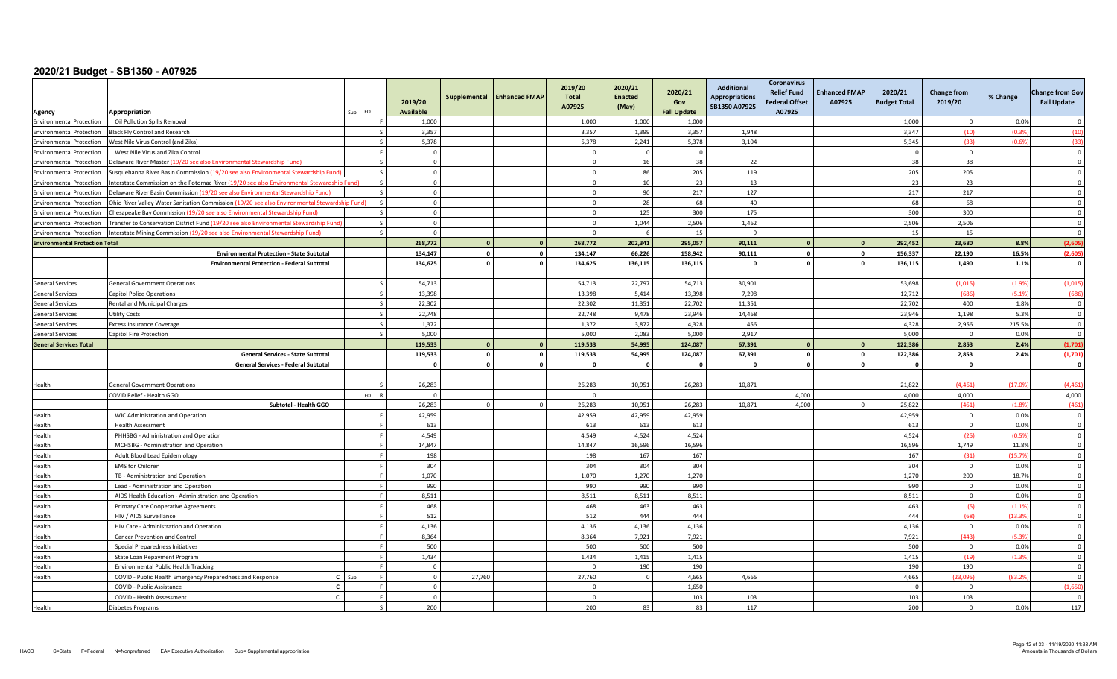| Agency                                | Appropriation                                                                                 |              | FO. |          | 2019/20<br><b>Available</b> | Supplemental   | <b>Enhanced FMAP</b> | 2019/20<br>Total<br>A07925 | 2020/21<br><b>Enacted</b><br>(May) | 2020/21<br>Gov<br><b>Fall Update</b> | <b>Additional</b><br><b>Appropriations</b><br>SB1350 A07925 | <b>Coronavirus</b><br><b>Relief Fund</b><br><b>Enhanced FMAP</b><br><b>Federal Offset</b><br>A07925<br>A07925 | 2020/21<br><b>Budget Total</b> | <b>Change from</b><br>2019/20 | % Change        | <b>Change from Gov</b><br><b>Fall Update</b> |
|---------------------------------------|-----------------------------------------------------------------------------------------------|--------------|-----|----------|-----------------------------|----------------|----------------------|----------------------------|------------------------------------|--------------------------------------|-------------------------------------------------------------|---------------------------------------------------------------------------------------------------------------|--------------------------------|-------------------------------|-----------------|----------------------------------------------|
| <b>Environmental Protection</b>       | Oil Pollution Spills Removal                                                                  |              |     |          | 1,000                       |                |                      | 1,000                      | 1,000                              | 1,000                                |                                                             |                                                                                                               | 1,000                          | $\Omega$                      | 0.0%            | $\bigcap$                                    |
| <b>Environmental Protection</b>       | <b>Black Fly Control and Research</b>                                                         |              |     |          | 3,357                       |                |                      | 3,357                      | 1,399                              | 3,357                                | 1,948                                                       |                                                                                                               | 3,347                          | (10)                          | (0.3%           | (10)                                         |
| <b>Environmental Protection</b>       | Vest Nile Virus Control (and Zika)                                                            |              |     |          | 5,378                       |                |                      | 5,378                      | 2,241                              | 5,378                                | 3,104                                                       |                                                                                                               | 5,345                          | (33)                          | (0.6%           | (33)                                         |
| <b>Environmental Protection</b>       | West Nile Virus and Zika Control                                                              |              |     |          | $\Omega$                    |                |                      |                            | $\Omega$                           | $\Omega$                             |                                                             |                                                                                                               |                                | $\sqrt{ }$                    |                 | $\Omega$                                     |
| <b>Environmental Protection</b>       | Delaware River Master (19/20 see also Environmental Stewardship Fund)                         |              |     |          | $\overline{0}$              |                |                      | $\Omega$                   | 16                                 | 38                                   | 22                                                          |                                                                                                               | 38                             | 38                            |                 | $\overline{0}$                               |
| <b>Environmental Protection</b>       | Susquehanna River Basin Commission (19/20 see also Environmental Stewardship Fund)            |              |     |          | $\Omega$                    |                |                      |                            | 86                                 | 205                                  | 119                                                         |                                                                                                               | 205                            | 205                           |                 | $\Omega$                                     |
| <b>Environmental Protection</b>       | Interstate Commission on the Potomac River (19/20 see also Environmental Stewardship Fund)    |              |     |          | $\overline{0}$              |                |                      |                            | 10                                 | 23                                   | 13                                                          |                                                                                                               | 23                             | 23                            |                 | $\Omega$                                     |
| <b>Environmental Protection</b>       | Delaware River Basin Commission (19/20 see also Environmental Stewardship Fund)               |              |     |          | $\overline{0}$              |                |                      |                            | 90                                 | 217                                  | 127                                                         |                                                                                                               | 217                            | 217                           |                 | $\overline{0}$                               |
| <b>Environmental Protection</b>       | Ohio River Valley Water Sanitation Commission (19/20 see also Environmental Stewardship Fund) |              |     |          | $\overline{0}$              |                |                      | $\Omega$                   | 28                                 | 68                                   | 40                                                          |                                                                                                               | 68                             | 68                            |                 | $\overline{0}$                               |
| <b>Environmental Protection</b>       | Chesapeake Bay Commission (19/20 see also Environmental Stewardship Fund)                     |              |     |          | $\overline{0}$              |                |                      | $\Omega$                   | 125                                | 300                                  | 175                                                         |                                                                                                               | 300                            | 300                           |                 | $\Omega$                                     |
| <b>Environmental Protection</b>       | Transfer to Conservation District Fund (19/20 see also Environmental Stewardship Fund         |              |     |          | $\overline{0}$              |                |                      | $\Omega$                   | 1,044                              | 2,506                                | 1,462                                                       |                                                                                                               | 2,506                          | 2,506                         |                 | $\overline{0}$                               |
| <b>Environmental Protection</b>       | Interstate Mining Commission (19/20 see also Environmental Stewardship Fund)                  |              |     |          | $\Omega$                    |                |                      |                            |                                    | 15                                   |                                                             |                                                                                                               | 15                             | 15                            |                 | $\Omega$                                     |
| <b>Environmental Protection Total</b> |                                                                                               |              |     |          | 268,772                     | $\mathbf{0}$   | $\Omega$             | 268.772                    | 202,341                            | 295,057                              | 90,111                                                      | $\Omega$                                                                                                      | 292,452                        | 23,680                        | 8.8%            | (2,605)                                      |
|                                       | <b>Environmental Protection - State Subtotal</b>                                              |              |     |          | 134.147                     | $\Omega$       | $\mathbf{0}$         | 134,147                    | 66,226                             | 158,942                              | 90,111                                                      | $\circ$<br>$\mathbf{0}$                                                                                       | 156,337                        | 22,190                        | 16.5%           | (2,605)                                      |
|                                       | <b>Environmental Protection - Federal Subtotal</b>                                            |              |     |          | 134.625                     | $\mathbf{0}$   | $\mathbf{0}$         | 134.625                    | 136,115                            | 136,115                              | $\mathbf{0}$                                                | $\circ$<br>$\mathbf{0}$                                                                                       | 136,115                        | 1,490                         | 1.1%            | $\mathbf{0}$                                 |
|                                       |                                                                                               |              |     |          |                             |                |                      |                            |                                    |                                      |                                                             |                                                                                                               |                                |                               |                 |                                              |
| <b>General Services</b>               | <b>General Government Operations</b>                                                          |              |     |          | 54,713                      |                |                      | 54,713                     | 22,797                             | 54,713                               | 30,901                                                      |                                                                                                               | 53,698                         | (1.015)                       | (1.9%           | (1,015)                                      |
| <b>General Services</b>               | Capitol Police Operations                                                                     |              |     |          | 13.398                      |                |                      | 13.398                     | 5.414                              | 13.398                               | 7.298                                                       |                                                                                                               | 12.712                         | (686)                         | (5.1%           | (686)                                        |
| <b>General Services</b>               | Rental and Municipal Charges                                                                  |              |     |          | 22,302                      |                |                      | 22,302                     | 11,351                             | 22,702                               | 11,351                                                      |                                                                                                               | 22,702                         | 400                           | 1.8%            | $\Omega$                                     |
| General Services                      | Jtility Costs                                                                                 |              |     |          | 22,748                      |                |                      | 22.748                     | 9.478                              | 23,946                               | 14,468                                                      |                                                                                                               | 23,946                         | 1.198                         | 5.3%            | $\overline{0}$                               |
| <b>General Services</b>               | <b>Excess Insurance Coverage</b>                                                              |              |     |          | 1,372                       |                |                      | 1,372                      | 3,872                              | 4,328                                | 456                                                         |                                                                                                               | 4,328                          | 2,956                         | 215.5%          | $\mathbf{0}$                                 |
| <b>General Services</b>               | Capitol Fire Protection                                                                       |              |     | l s      | 5,000                       |                |                      | 5,000                      | 2.083                              | 5,000                                | 2,917                                                       |                                                                                                               | 5,000                          | $\overline{0}$                | 0.0%            | $\Omega$                                     |
| <b>General Services Total</b>         |                                                                                               |              |     |          | 119,533                     | $\mathbf{0}$   | $\Omega$             | 119,533                    | 54,995                             | 124,087                              | 67,391                                                      | $\Omega$<br>$\Omega$                                                                                          | 122,386                        | 2,853                         | 2.4%            | (1,701)                                      |
|                                       | <b>General Services - State Subtotal</b>                                                      |              |     |          | 119,533                     | $\mathbf{0}$   | $\mathbf{0}$         | 119,533                    | 54,995                             | 124,087                              | 67,391                                                      | $\mathbf{0}$<br>$\circ$                                                                                       | 122,386                        | 2,853                         | 2.4%            | (1,701)                                      |
|                                       | <b>General Services - Federal Subtotal</b>                                                    |              |     |          | $\Omega$                    | $\Omega$       | $\Omega$             |                            | $\Omega$                           | $\overline{\mathbf{0}}$              |                                                             | $\Omega$<br>$\Omega$                                                                                          |                                | $\overline{0}$                |                 | - 0                                          |
|                                       |                                                                                               |              |     |          |                             |                |                      |                            |                                    |                                      |                                                             |                                                                                                               |                                |                               |                 |                                              |
| Health                                | <b>General Government Operations</b>                                                          |              |     |          | 26,283                      |                |                      | 26,283                     | 10,951                             | 26,283                               | 10,871                                                      |                                                                                                               | 21,822                         | (4, 461)                      | (17.09)         | (4, 461)                                     |
|                                       | COVID Relief - Health GGO                                                                     |              |     | $F \cap$ | $\Omega$                    |                |                      |                            |                                    |                                      |                                                             | 4.000                                                                                                         | 4.000                          | 4.000                         |                 | 4,000                                        |
|                                       | Subtotal - Health GGO                                                                         |              |     |          | 26,283                      | $\overline{0}$ |                      | 26,283                     | 10.951                             | 26,283                               | 10,871                                                      | 4.000<br>$\Omega$                                                                                             | 25,822                         | (461)                         | (1.8%           | (461)                                        |
| Health                                | WIC Administration and Operation                                                              |              |     |          | 42.959                      |                |                      | 42,959                     | 42.959                             | 42.959                               |                                                             |                                                                                                               | 42,959                         | $\Omega$                      | 0.0%            | $\overline{0}$                               |
| Health                                | <b>Health Assessment</b>                                                                      |              |     |          | 613                         |                |                      | 613                        | 613                                | 613                                  |                                                             |                                                                                                               | 613                            | $\overline{0}$<br>(25)        | 0.0%            | $\Omega$                                     |
| Health                                | PHHSBG - Administration and Operation                                                         |              |     |          | 4,549                       |                |                      | 4,549                      | 4,524<br>16.596                    | 4,524                                |                                                             |                                                                                                               | 4,524                          | 1,749                         | (0.5%           | $\mathbf 0$                                  |
| Health<br>Health                      | MCHSBG - Administration and Operation<br>Adult Blood Lead Epidemiology                        |              |     |          | 14,847<br>198               |                |                      | 14,847<br>198              | 167                                | 16,596<br>167                        |                                                             |                                                                                                               | 16,596<br>167                  | (31)                          | 11.8%<br>(15.7% | $\overline{0}$<br>$\overline{0}$             |
| Health                                | <b>EMS</b> for Children                                                                       |              |     |          | 304                         |                |                      | 304                        | 304                                | 304                                  |                                                             |                                                                                                               | 304                            | $\overline{0}$                | 0.0%            | $\mathbf 0$                                  |
| Health                                | TB - Administration and Operation                                                             |              |     |          | 1,070                       |                |                      | 1,070                      | 1,270                              | 1,270                                |                                                             |                                                                                                               | 1,270                          | 200                           | 18.7%           | $\overline{0}$                               |
| Health                                | Lead - Administration and Operation                                                           |              |     |          | 990                         |                |                      | 990                        | 990                                | 990                                  |                                                             |                                                                                                               | 990                            | $\Omega$                      | 0.0%            | $\Omega$                                     |
| Health                                | AIDS Health Education - Administration and Operation                                          |              |     |          | 8,511                       |                |                      | 8,511                      | 8,511                              | 8,511                                |                                                             |                                                                                                               | 8,511                          | $\overline{0}$                | 0.0%            | $\overline{0}$                               |
| Health                                | Primary Care Cooperative Agreements                                                           |              |     |          | 468                         |                |                      | 468                        | 463                                | 463                                  |                                                             |                                                                                                               | 463                            | (5)                           | (1.1%           | $\overline{0}$                               |
| Health                                | HIV / AIDS Surveillance                                                                       |              |     |          | 512                         |                |                      | 512                        | 444                                | 444                                  |                                                             |                                                                                                               | 444                            | (68)                          | (13.3%          | $\Omega$                                     |
| Health                                | HIV Care - Administration and Operation                                                       |              |     |          | 4,136                       |                |                      | 4,136                      | 4,136                              | 4,136                                |                                                             |                                                                                                               | 4,136                          | $\overline{\mathbf{0}}$       | 0.0%            | $\overline{0}$                               |
| Health                                | Cancer Prevention and Control                                                                 |              |     |          | 8,364                       |                |                      | 8,364                      | 7,921                              | 7,921                                |                                                             |                                                                                                               | 7,921                          | (443)                         | (5.3%           | $\overline{0}$                               |
| Health                                | Special Preparedness Initiatives                                                              |              |     |          | 500                         |                |                      | 500                        | 500                                | 500                                  |                                                             |                                                                                                               | 500                            | $\Omega$                      | 0.0%            | $\Omega$                                     |
| Health                                | State Loan Repayment Program                                                                  |              |     |          | 1,434                       |                |                      | 1,434                      | 1,415                              | 1,415                                |                                                             |                                                                                                               | 1,415                          | (19)                          | (1.3%           | $\mathbf 0$                                  |
| Health                                | <b>Environmental Public Health Tracking</b>                                                   |              |     |          | $\Omega$                    |                |                      |                            | 190                                | 190                                  |                                                             |                                                                                                               | 190                            | 190                           |                 | $\overline{0}$                               |
| Health                                | COVID - Public Health Emergency Preparedness and Response                                     | $C$ Sup      |     |          | $\overline{0}$              | 27,760         |                      | 27,760                     | $\overline{0}$                     | 4,665                                | 4,665                                                       |                                                                                                               | 4,665                          | (23.095                       | (83.29)         | $\Omega$                                     |
|                                       | COVID - Public Assistance                                                                     | $\mathbf{c}$ |     |          | $\mathbf 0$                 |                |                      | $\Omega$                   |                                    | 1,650                                |                                                             |                                                                                                               |                                | $\Omega$                      |                 | (1,650)                                      |
|                                       | COVID - Health Assessment                                                                     | $\epsilon$   |     |          | $\overline{0}$              |                |                      |                            |                                    | 103                                  | 103                                                         |                                                                                                               | 103                            | 103                           |                 | $\overline{0}$                               |
| Health                                | Diabetes Programs                                                                             |              |     |          | 200                         |                |                      | 200                        | 83                                 | 83                                   | 117                                                         |                                                                                                               | 200                            | $\Omega$                      | 0.0%            | 117                                          |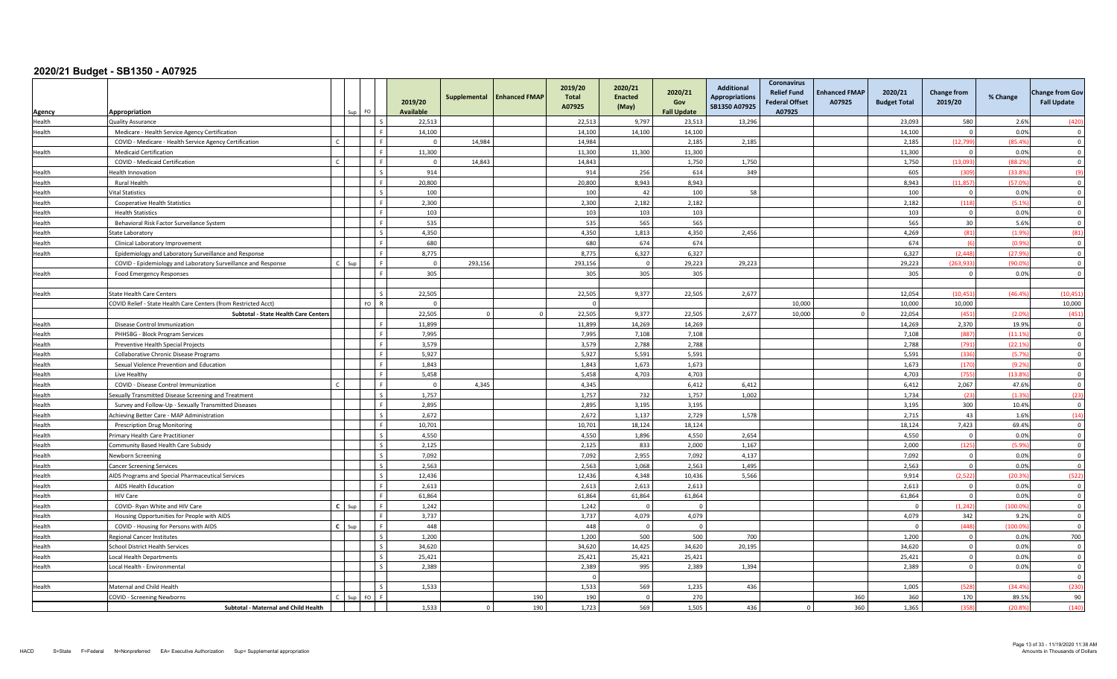| Agency           | Appropriation                                                   |                | Sur     | FO.                      | 2019/20<br><b>Available</b> | Supplemental | <b>Enhanced FMAP</b> | 2019/20<br><b>Total</b><br>A07925 | 2020/21<br><b>Enacted</b><br>(May) | 2020/21<br>Gov<br><b>Fall Update</b> | <b>Additional</b><br><b>Appropriations</b><br>SB1350 A07925 | Coronavirus<br><b>Relief Fund</b><br><b>Federal Offset</b><br>A07925 | <b>Enhanced FMAP</b><br>A07925 | 2020/21<br><b>Budget Total</b> | <b>Change from</b><br>2019/20    | % Change         | <b>Change from Gov</b><br><b>Fall Update</b> |
|------------------|-----------------------------------------------------------------|----------------|---------|--------------------------|-----------------------------|--------------|----------------------|-----------------------------------|------------------------------------|--------------------------------------|-------------------------------------------------------------|----------------------------------------------------------------------|--------------------------------|--------------------------------|----------------------------------|------------------|----------------------------------------------|
| Health           | <b>Quality Assurance</b>                                        |                |         | Ιs                       | 22,513                      |              |                      | 22,513                            | 9,797                              | 23,513                               | 13,296                                                      |                                                                      |                                | 23,093                         | 580                              | 2.6%             | (420                                         |
| Health           | Medicare - Health Service Agency Certification                  |                |         | ΙF                       | 14.100                      |              |                      | 14.100                            | 14.100                             | 14.100                               |                                                             |                                                                      |                                | 14.100                         | $\Omega$                         | 0.0%             | $\Omega$                                     |
|                  | COVID - Medicare - Health Service Agency Certification          |                |         | l F                      | $\Omega$                    | 14,984       |                      | 14,984                            |                                    | 2,185                                | 2,185                                                       |                                                                      |                                | 2,185                          | (12, 799)                        | (85.4%           | $\overline{\mathbf{0}}$                      |
| Health           | <b>Medicaid Certification</b>                                   |                |         | l F                      | 11,300                      |              |                      | 11,300                            | 11,300                             | 11,300                               |                                                             |                                                                      |                                | 11,300                         | $\overline{0}$                   | 0.0%             | $\Omega$                                     |
|                  | COVID - Medicaid Certification                                  | $\mathfrak{c}$ |         | l F                      | $\overline{0}$              | 14,843       |                      | 14,843                            |                                    | 1.750                                | 1.750                                                       |                                                                      |                                | 1,750                          | (13.093)                         | (88.29)          | $\overline{0}$                               |
| Health           | Health Innovation                                               |                |         | l s                      | 914                         |              |                      | 914                               | 256                                | 614                                  | 349                                                         |                                                                      |                                | 605                            | (309                             | (33.89)          | (9)                                          |
| Health           | Rural Health                                                    |                |         |                          | 20,800                      |              |                      | 20,800                            | 8,943                              | 8.943                                |                                                             |                                                                      |                                | 8,943                          | (11.857                          | (57.09           | $\Omega$                                     |
| Health           | Vital Statistics                                                |                |         | $\mathsf{L}$             | 100                         |              |                      | 100                               | 42                                 | 100                                  | 58                                                          |                                                                      |                                | 100                            | $\overline{0}$                   | 0.0%             | $\Omega$                                     |
| Health           | <b>Cooperative Health Statistics</b>                            |                |         | ΙF                       | 2,300                       |              |                      | 2,300                             | 2,182                              | 2,182                                |                                                             |                                                                      |                                | 2,182                          | (118)                            | (5.1%            | $\overline{\mathbf{0}}$                      |
| Health           | <b>Health Statistics</b>                                        |                |         | l F                      | 103                         |              |                      | 103                               | 103                                | 103                                  |                                                             |                                                                      |                                | 103                            | $\overline{0}$                   | 0.0%             | $\overline{0}$                               |
| Health           | Behavioral Risk Factor Surveilance System                       |                |         | l F                      | 535                         |              |                      | 535                               | 565                                | 565                                  |                                                             |                                                                      |                                | 565                            | 30                               | 5.6%             | $\overline{0}$                               |
| Health           | State Laboratory                                                |                |         | l s                      | 4,350                       |              |                      | 4,350                             | 1,813                              | 4,350                                | 2,456                                                       |                                                                      |                                | 4,269                          | (81)                             | (1.9%            | (81)                                         |
| Health           | Clinical Laboratory Improvement                                 |                |         | l F                      | 680                         |              |                      | 680                               | 674                                | 674                                  |                                                             |                                                                      |                                | 674                            | (6)                              | (0.9%            | $\Omega$                                     |
| Health           | Epidemiology and Laboratory Surveillance and Response           |                |         |                          | 8,775                       |              |                      | 8.775                             | 6,327                              | 6.327                                |                                                             |                                                                      |                                | 6,327                          | (2.448)                          | (27.99)          | $\Omega$                                     |
|                  | COVID - Epidemiology and Laboratory Surveillance and Response   |                |         | l e                      | $\overline{0}$              | 293.156      |                      | 293.156                           | $\Omega$                           | 29,223                               | 29,223                                                      |                                                                      |                                | 29.223                         | (263.933)                        | (90.09)          | $\Omega$                                     |
| Health           | Food Emergency Responses                                        |                |         | l F                      | 305                         |              |                      | 305                               | 305                                | 305                                  |                                                             |                                                                      |                                | 305                            | $\Omega$                         | 0.09             | $\Omega$                                     |
|                  |                                                                 |                |         |                          |                             |              |                      |                                   |                                    |                                      |                                                             |                                                                      |                                |                                |                                  |                  |                                              |
| Health           | <b>State Health Care Centers</b>                                |                |         | l s                      | 22,505                      |              |                      | 22,505                            | 9,377                              | 22,505                               | 2,677                                                       |                                                                      |                                | 12,054                         | (10.451)                         | (46.49)          | (10, 451)                                    |
|                  | COVID Relief - State Health Care Centers (from Restricted Acct) |                |         | FO <sub>R</sub>          | $\Omega$                    |              |                      |                                   |                                    |                                      |                                                             | 10,000                                                               |                                | 10,000                         | 10.000                           |                  | 10,000                                       |
|                  | Subtotal - State Health Care Centers                            |                |         |                          | 22.505                      | $\Omega$     | $\Omega$             | 22.505                            | 9.377                              | 22.505                               | 2.677                                                       | 10.000                                                               |                                | 22,054                         | (451)                            | (2.09)           | (451)                                        |
| Health           | Disease Control Immunization                                    |                |         | l F                      | 11,899                      |              |                      | 11,899                            | 14,269                             | 14,269                               |                                                             |                                                                      |                                | 14,269                         | 2,370                            | 19.9%            | $\overline{0}$                               |
| Health           | PHHSBG - Block Program Services                                 |                |         | L.F.                     | 7,995                       |              |                      | 7,995                             | 7,108                              | 7,108                                |                                                             |                                                                      |                                | 7,108                          | (887)                            | (11.19)          | $\overline{\mathbf{0}}$                      |
| Health           | Preventive Health Special Projects                              |                |         | l e                      | 3,579                       |              |                      | 3,579                             | 2.788                              | 2,788                                |                                                             |                                                                      |                                | 2,788                          | (791)                            | (22.19)          | $\overline{0}$                               |
| Health           | <b>Collaborative Chronic Disease Programs</b>                   |                |         | ΙF                       | 5,927                       |              |                      | 5,927                             | 5,591                              | 5,591                                |                                                             |                                                                      |                                | 5,591                          | (336)                            | (5.79)           | $\mathbf 0$                                  |
| Health           | Sexual Violence Prevention and Education                        |                |         | l e                      | 1.843                       |              |                      | 1.843                             | 1.673                              | 1.673                                |                                                             |                                                                      |                                | 1,673                          | (170)                            | (9.2%            | $\Omega$                                     |
| Health           | Live Healthy                                                    |                |         | Lε                       | 5,458                       |              |                      | 5,458                             | 4,703                              | 4,703                                |                                                             |                                                                      |                                | 4,703                          | (755)                            | (13.89)          | $\Omega$                                     |
| Health           | COVID - Disease Control Immunization                            |                |         | F                        | $\mathbf 0$                 | 4,345        |                      | 4,345                             |                                    | 6,412                                | 6,412                                                       |                                                                      |                                | 6,412                          | 2,067                            | 47.6%            | $\overline{\mathbf{0}}$                      |
| Health           | Sexually Transmitted Disease Screening and Treatment            |                |         | $\mathsf{I}$             | 1,757                       |              |                      | 1,757                             | 732                                | 1,757                                | 1,002                                                       |                                                                      |                                | 1,734                          | (23)                             | (1.39)           | (23)                                         |
| Health           | Survey and Follow-Up - Sexually Transmitted Diseases            |                |         | l F                      | 2.895                       |              |                      | 2,895                             | 3.195                              | 3.195                                |                                                             |                                                                      |                                | 3,195                          | 300                              | 10.4%            | $\overline{0}$                               |
| Health           | Achieving Better Care - MAP Administration                      |                |         | $\overline{\phantom{a}}$ | 2.672                       |              |                      | 2.672                             | 1.137                              | 2.729                                | 1.578                                                       |                                                                      |                                | 2.715                          | 43                               | 1.6%             | (14)                                         |
| Health           | <b>Prescription Drug Monitoring</b>                             |                |         | l F                      | 10,701                      |              |                      | 10,701                            | 18,124                             | 18,124                               |                                                             |                                                                      |                                | 18,124                         | 7,423                            | 69.4%            | $\overline{\mathbf{0}}$                      |
| Health           | Primary Health Care Practitioner                                |                |         | $\mathsf{I}$ s           | 4,550                       |              |                      | 4,550                             | 1,896                              | 4,550                                | 2,654                                                       |                                                                      |                                | 4,550                          | $\overline{0}$                   | 0.0%             | $\Omega$                                     |
| Health           | Community Based Health Care Subsidy                             |                |         | $\mathsf{L}$             | 2.125                       |              |                      | 2.125                             | 833                                | 2.000                                | 1.167                                                       |                                                                      |                                | 2.000                          | (125)                            | (5.9%            | $\overline{0}$                               |
| Health           | Newborn Screening                                               |                |         | $\mathsf{L}$             | 7,092                       |              |                      | 7,092                             | 2,955                              | 7,092                                | 4,137                                                       |                                                                      |                                | 7,092                          | $\overline{0}$                   | 0.0%             | $\overline{\mathbf{0}}$                      |
| Health           | <b>Cancer Screening Services</b>                                |                |         | $\mathsf{L}$             | 2.563                       |              |                      | 2.563                             | 1.068                              | 2,563                                | 1,495                                                       |                                                                      |                                | 2.563                          | $\Omega$                         | 0.0%             | $\overline{0}$                               |
| Health           | AIDS Programs and Special Pharmaceutical Services               |                |         | $\mathsf{L}$             | 12,436                      |              |                      | 12,436                            | 4.348                              | 10,436                               | 5,566                                                       |                                                                      |                                | 9,914                          | (2.522)                          | (20.3%           | (522)                                        |
| Health           | AIDS Health Education                                           |                |         | l F                      | 2,613                       |              |                      | 2,613                             | 2,613                              | 2,613                                |                                                             |                                                                      |                                | 2,613                          | $\overline{0}$                   | 0.0%             | $\overline{\mathbf{0}}$                      |
| Health           | HIV Care                                                        |                |         | l F<br>ΙF.               | 61.864                      |              |                      | 61.864                            | 61,864                             | 61,864                               |                                                             |                                                                      |                                | 61,864                         | $\Omega$                         | 0.0%             | $\overline{0}$                               |
| Health           | COVID- Ryan White and HIV Care                                  |                | $C$ Sun | l F                      | 1.242                       |              |                      | 1.242                             | $\Omega$                           | $\Omega$                             |                                                             |                                                                      |                                | $\Omega$                       | (1, 242)                         | (100.09)         | $\Omega$                                     |
| Health           | Housing Opportunities for People with AIDS                      | $C$ Sur        |         | l F                      | 3,737<br>448                |              |                      | 3,737                             | 4,079<br>$\Omega$                  | 4,079<br>$\Omega$                    |                                                             |                                                                      |                                | 4,079<br>$\Omega$              | 342<br>(448)                     | 9.2%<br>(100.09) | $\Omega$                                     |
| Health           | COVID - Housing for Persons with AIDS                           |                |         | $\mathsf{L}$             |                             |              |                      | 448                               |                                    |                                      |                                                             |                                                                      |                                |                                |                                  |                  | $\overline{0}$                               |
| Health           | <b>Regional Cancer Institutes</b>                               |                |         |                          | 1,200<br>34.620             |              |                      | 1,200<br>34.620                   | 500<br>14.425                      | 500<br>34.620                        | 700<br>20,195                                               |                                                                      |                                | 1,200<br>34.620                | $\overline{0}$<br>$\overline{0}$ | 0.0%<br>0.0%     | 700<br>$\Omega$                              |
| Health<br>Health | <b>School District Health Services</b>                          |                |         | l s                      | 25,421                      |              |                      |                                   | 25,421                             | 25,421                               |                                                             |                                                                      |                                | 25,421                         | $\overline{0}$                   | 0.0%             | $\Omega$                                     |
|                  | <b>Local Health Departments</b>                                 |                |         |                          |                             |              |                      | 25,421                            |                                    |                                      |                                                             |                                                                      |                                |                                | $\circ$                          | 0.0%             | $\Omega$                                     |
| Health           | Local Health - Environmental                                    |                |         |                          | 2,389                       |              |                      | 2,389                             | 995                                | 2,389                                | 1,394                                                       |                                                                      |                                | 2,389                          |                                  |                  | $\Omega$                                     |
| Health           | Maternal and Child Health                                       |                |         | $\mathsf{L}$             | 1,533                       |              |                      | $\mathbf 0$<br>1,533              | 569                                | 1,235                                | 436                                                         |                                                                      |                                | 1,005                          | (528)                            | (34.49)          | (230                                         |
|                  | <b>COVID - Screening Newborns</b>                               |                |         | $FQ$ $F$                 |                             |              | 190                  | 190                               | $\Omega$                           | 270                                  |                                                             |                                                                      | 360                            | 360                            | 170                              | 89.5%            |                                              |
|                  | Subtotal - Maternal and Child Health                            |                |         |                          | 1,533                       | $\circ$      | 190                  | 1,723                             | 569                                | 1,505                                | 436                                                         | $\Omega$                                                             | 360                            | 1,365                          | (358)                            | (20.89)          | 90<br>(140)                                  |
|                  |                                                                 |                |         |                          |                             |              |                      |                                   |                                    |                                      |                                                             |                                                                      |                                |                                |                                  |                  |                                              |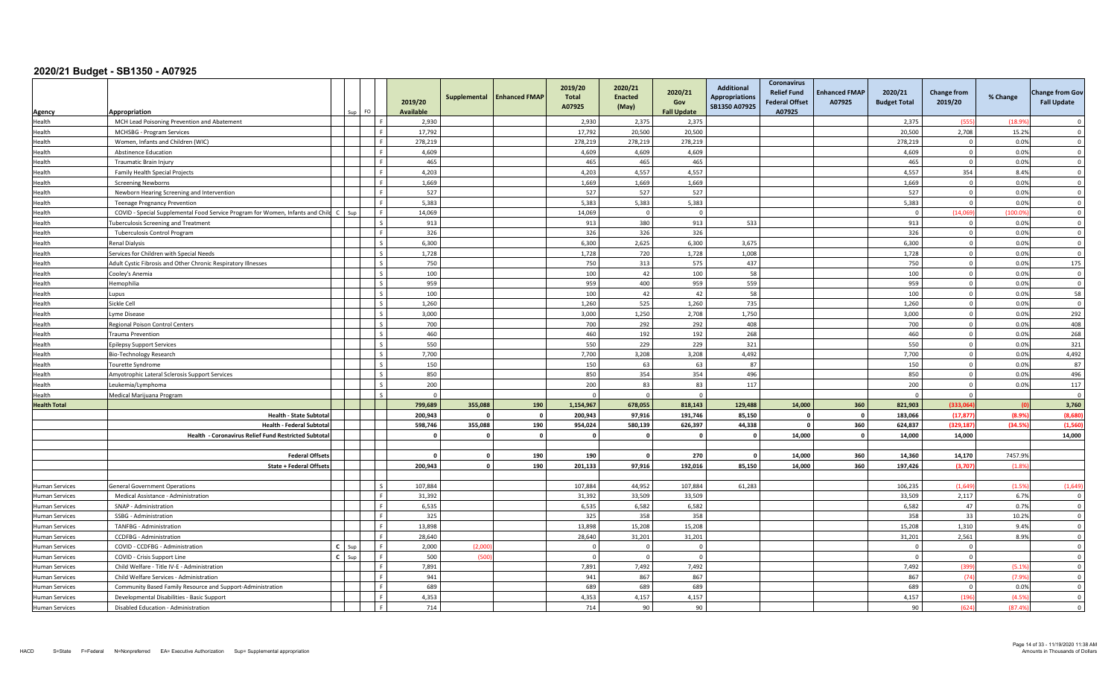|                       | Appropriation                                                                 |              |     | FO.                      | 2019/20<br><b>Available</b> | Supplemental | <b>Enhanced FMAP</b> | 2019/20<br><b>Total</b><br>A07925 | 2020/21<br><b>Enacted</b><br>(May) | 2020/21<br>Gov<br><b>Fall Update</b> | <b>Additional</b><br><b>Appropriations</b><br>SB1350 A07925 | <b>Coronavirus</b><br><b>Relief Fund</b><br><b>Federal Offset</b><br>A07925 | <b>Enhanced FMAP</b><br>A07925 | 2020/21<br><b>Budget Total</b> | <b>Change from</b><br>2019/20 | % Change | <b>Change from Gov</b><br><b>Fall Update</b> |
|-----------------------|-------------------------------------------------------------------------------|--------------|-----|--------------------------|-----------------------------|--------------|----------------------|-----------------------------------|------------------------------------|--------------------------------------|-------------------------------------------------------------|-----------------------------------------------------------------------------|--------------------------------|--------------------------------|-------------------------------|----------|----------------------------------------------|
| Agency<br>Health      | MCH Lead Poisoning Prevention and Abatement                                   |              |     | Lε                       | 2,930                       |              |                      | 2,930                             | 2,375                              | 2,375                                |                                                             |                                                                             |                                | 2,375                          | (555                          | (18.99)  | $\Omega$                                     |
| Health                | MCHSBG - Program Services                                                     |              |     | ΙF                       | 17,792                      |              |                      | 17,792                            | 20,500                             | 20,500                               |                                                             |                                                                             |                                | 20,500                         | 2,708                         | 15.2%    | $\Omega$                                     |
| Health                | Women, Infants and Children (WIC)                                             |              |     | Iя                       | 278,219                     |              |                      | 278,219                           | 278,219                            | 278,219                              |                                                             |                                                                             |                                | 278,219                        | $\overline{0}$                | 0.0%     | $\overline{0}$                               |
| Health                | <b>Abstinence Education</b>                                                   |              |     | Iя                       | 4,609                       |              |                      | 4,609                             | 4,609                              | 4,609                                |                                                             |                                                                             |                                | 4,609                          | $\overline{0}$                | 0.0%     | $\mathbf 0$                                  |
| Health                | <b>Traumatic Brain Injury</b>                                                 |              |     | Iг                       | 465                         |              |                      | 465                               | 465                                | 465                                  |                                                             |                                                                             |                                | 465                            | $\overline{0}$                | 0.0%     | $\mathbf 0$                                  |
| Health                | Family Health Special Projects                                                |              |     | Lε                       | 4,203                       |              |                      | 4.203                             | 4.557                              | 4.557                                |                                                             |                                                                             |                                | 4.557                          | 354                           | 8.4%     | $\Omega$                                     |
| Health                | <b>Screening Newborns</b>                                                     |              |     |                          | 1,669                       |              |                      | 1,669                             | 1,669                              | 1,669                                |                                                             |                                                                             |                                | 1.669                          | $\Omega$                      | 0.0%     | $\Omega$                                     |
| Health                | Newborn Hearing Screening and Intervention                                    |              |     | ΙF                       | 527                         |              |                      | 527                               | 527                                | 527                                  |                                                             |                                                                             |                                | 527                            | $\overline{0}$                | 0.0%     | $\Omega$                                     |
| Health                | <b>Teenage Pregnancy Prevention</b>                                           |              |     | Iя                       | 5,383                       |              |                      | 5.383                             | 5,383                              | 5,383                                |                                                             |                                                                             |                                | 5,383                          | $\Omega$                      | 0.0%     | $\overline{\mathbf{0}}$                      |
| Health                | COVID - Special Supplemental Food Service Program for Women, Infants and Chil | $\mathsf{C}$ | Sup | I F                      | 14,069                      |              |                      | 14,069                            | $\overline{0}$                     | $\overline{0}$                       |                                                             |                                                                             |                                | $\overline{0}$                 | (14.069)                      | (100.09) | $\overline{0}$                               |
| Health                | <b>Tuberculosis Screening and Treatment</b>                                   |              |     | l s                      | 913                         |              |                      | 913                               | 380                                | 913                                  | 533                                                         |                                                                             |                                | 913                            | $\overline{0}$                | 0.0%     | $\overline{0}$                               |
| Health                | <b>Tuberculosis Control Program</b>                                           |              |     | ΙF                       | 326                         |              |                      | 326                               | 326                                | 326                                  |                                                             |                                                                             |                                | 326                            | $\overline{0}$                | 0.0%     | $\Omega$                                     |
| Health                | <b>Renal Dialysis</b>                                                         |              |     | I۶                       | 6,300                       |              |                      | 6,300                             | 2,625                              | 6,300                                | 3,675                                                       |                                                                             |                                | 6,300                          | $\Omega$                      | 0.0%     | $\Omega$                                     |
| Health                | Services for Children with Special Needs                                      |              |     | $\overline{\phantom{a}}$ | 1,728                       |              |                      | 1,728                             | 720                                | 1,728                                | 1,008                                                       |                                                                             |                                | 1,728                          | $\Omega$                      | 0.0%     | $\Omega$                                     |
| Health                | Adult Cystic Fibrosis and Other Chronic Respiratory Illnesses                 |              |     | l s                      | 750                         |              |                      | 750                               | 313                                | 575                                  | 437                                                         |                                                                             |                                | 750                            | $\overline{0}$                | 0.0%     | 175                                          |
| Health                | Cooley's Anemia                                                               |              |     | l s                      | 100                         |              |                      | 100                               | 42                                 | 100                                  | 58                                                          |                                                                             |                                | 100                            | $\overline{0}$                | 0.0%     | $\overline{\mathbf{0}}$                      |
| Health                | Hemophilia                                                                    |              |     | l s                      | 959                         |              |                      | 959                               | 400                                | 959                                  | 559                                                         |                                                                             |                                | 959                            | $\overline{0}$                | 0.0%     | $\overline{0}$                               |
| Health                | Lupus                                                                         |              |     | l s                      | 100                         |              |                      | 100                               | 42                                 | 42                                   | 58                                                          |                                                                             |                                | 100                            | $\overline{0}$                | 0.0%     | 58                                           |
| Health                | Sickle Cell                                                                   |              |     | $\overline{\phantom{a}}$ | 1,260                       |              |                      | 1,260                             | 525                                | 1,260                                | 735                                                         |                                                                             |                                | 1,260                          | $\Omega$                      | 0.0%     | $\Omega$                                     |
| Health                | Lyme Disease                                                                  |              |     | I۰                       | 3,000                       |              |                      | 3,000                             | 1,250                              | 2,708                                | 1,750                                                       |                                                                             |                                | 3,000                          | $\overline{0}$                | 0.0%     | 292                                          |
| Health                | Regional Poison Control Centers                                               |              |     | I۰                       | 700                         |              |                      | 700                               | 292                                | 292                                  | 408                                                         |                                                                             |                                | 700                            | $\Omega$                      | 0.0%     | 408                                          |
| Health                | <b>Trauma Prevention</b>                                                      |              |     | l s                      | 460                         |              |                      | 460                               | 192                                | 192                                  | 268                                                         |                                                                             |                                | 460                            | $\overline{0}$                | 0.0%     | 268                                          |
| Health                | <b>Epilepsy Support Services</b>                                              |              |     | $\overline{\phantom{a}}$ | 550                         |              |                      | 550                               | 229                                | 229                                  | 321                                                         |                                                                             |                                | 550                            | $\overline{0}$                | 0.0%     | 321                                          |
| Health                | Bio-Technology Research                                                       |              |     | l s                      | 7,700                       |              |                      | 7,700                             | 3,208                              | 3,208                                | 4,492                                                       |                                                                             |                                | 7,700                          | $\overline{0}$                | 0.0%     | 4,492                                        |
| Health                | Tourette Syndrome                                                             |              |     | l s                      | 150                         |              |                      | 150                               | 63                                 | 63                                   | 87                                                          |                                                                             |                                | 150                            | $\Omega$                      | 0.0%     | 87                                           |
| Health                | Amyotrophic Lateral Sclerosis Support Services                                |              |     |                          | 850                         |              |                      | 850                               | 354                                | 354                                  | 496                                                         |                                                                             |                                | 850                            | $\Omega$                      | 0.0%     | 496                                          |
| Health                | Leukemia/Lymphoma                                                             |              |     | l s                      | 200                         |              |                      | 200                               | 83                                 | 83                                   | 117                                                         |                                                                             |                                | 200                            | $\overline{0}$                | 0.0%     | 117                                          |
| Health                | Medical Marijuana Program                                                     |              |     | l s                      | $\Omega$                    |              |                      | $\Omega$                          | $\Omega$                           | $\Omega$                             |                                                             |                                                                             |                                | $\Omega$                       | $\Omega$                      |          | $\Omega$                                     |
| <b>Health Total</b>   |                                                                               |              |     |                          | 799,689                     | 355,088      | 190                  | 1,154,967                         | 678.055                            | 818.143                              | 129,488                                                     | 14,000                                                                      | 360                            | 821.903                        | (333.064                      |          | 3,760                                        |
|                       | <b>Health - State Subtota</b>                                                 |              |     |                          | 200,943                     |              | $\mathbf 0$          | 200,943                           | 97,916                             | 191.746                              | 85,150                                                      |                                                                             | $\Omega$                       | 183.066                        | (17, 877)                     | (8.99)   | (8,680)                                      |
|                       | <b>Health - Federal Subtota</b>                                               |              |     |                          | 598,746                     | 355,088      | 190                  | 954,024                           | 580,139                            | 626,397                              | 44,338                                                      | $\Omega$                                                                    | 360                            | 624,837                        | (329, 187)                    | (34.5)   | (1, 560)                                     |
|                       | Health - Coronavirus Relief Fund Restricted Subtota                           |              |     |                          | $\Omega$                    | $\Omega$     | $\mathbf 0$          | $\Omega$                          | $\Omega$                           | $\Omega$                             | $\Omega$                                                    | 14,000                                                                      |                                | 14,000                         | 14,000                        |          | 14,000                                       |
|                       |                                                                               |              |     |                          |                             |              |                      |                                   |                                    |                                      |                                                             |                                                                             |                                |                                |                               |          |                                              |
|                       | <b>Federal Offset</b>                                                         |              |     |                          | $\Omega$                    | $\Omega$     | 190                  | 190                               | $\Omega$                           | 270                                  | $\Omega$                                                    | 14,000                                                                      | 360                            | 14,360                         | 14,170                        | 7457.9%  |                                              |
|                       | <b>State + Federal Offset</b>                                                 |              |     |                          | 200,943                     | $\Omega$     | 190                  | 201,133                           | 97,916                             | 192,016                              | 85,150                                                      | 14,000                                                                      | 360                            | 197,426                        | (3,707)                       | (1.8)    |                                              |
|                       |                                                                               |              |     |                          |                             |              |                      |                                   |                                    |                                      |                                                             |                                                                             |                                |                                |                               |          |                                              |
| <b>Human Services</b> | <b>General Government Operations</b>                                          |              |     | I۶                       | 107,884                     |              |                      | 107,884                           | 44.952                             | 107,884                              | 61,283                                                      |                                                                             |                                | 106,235                        | (1.649)                       | (1.5%    | (1,649)                                      |
| <b>Human Services</b> | Medical Assistance - Administration                                           |              |     | Lε                       | 31,392                      |              |                      | 31,392                            | 33,509                             | 33,509                               |                                                             |                                                                             |                                | 33,509                         | 2,117                         | 6.7%     | $\overline{\mathbf{0}}$                      |
| <b>Human Services</b> | SNAP - Administration                                                         |              |     | Iя                       | 6,535                       |              |                      | 6,535                             | 6,582                              | 6,582                                |                                                             |                                                                             |                                | 6,582                          | 47                            | 0.7%     | $\overline{\mathbf{0}}$                      |
| <b>Human Services</b> | SSBG - Administration                                                         |              |     | Iя                       | 325                         |              |                      | 325                               | 358                                | 358                                  |                                                             |                                                                             |                                | 358                            | 33                            | 10.2%    | $\overline{0}$                               |
| <b>Human Services</b> | TANFBG - Administration                                                       |              |     | Lε                       | 13,898                      |              |                      | 13,898                            | 15,208                             | 15,208                               |                                                             |                                                                             |                                | 15,208                         | 1,310                         | 9.4%     | $\overline{\mathbf{0}}$                      |
| <b>Human Services</b> | <b>CCDFBG</b> - Administration                                                |              |     | Lε                       | 28,640                      |              |                      | 28,640                            | 31,201                             | 31,201                               |                                                             |                                                                             |                                | 31,201                         | 2,561                         | 8.9%     | $\Omega$                                     |
| Human Services        | COVID - CCDFBG - Administration                                               | $C$ Sup      |     |                          | 2,000                       | (2,00)       |                      |                                   | $\Omega$                           | $\Omega$                             |                                                             |                                                                             |                                | $\Omega$                       | $\Omega$                      |          | $\Omega$                                     |
| <b>Human Services</b> | COVID - Crisis Support Line                                                   | $\epsilon$   | Sup | Iя                       | 500                         | (500         |                      | $\Omega$                          | $\Omega$                           | $\Omega$                             |                                                             |                                                                             |                                | $\Omega$                       | $\overline{0}$                |          | $\overline{\mathbf{0}}$                      |
| <b>Human Services</b> | Child Welfare - Title IV-E - Administration                                   |              |     | l e                      | 7,891                       |              |                      | 7,891                             | 7,492                              | 7,492                                |                                                             |                                                                             |                                | 7,492                          | (399)                         | (5.19)   | $\overline{0}$                               |
| Human Services        | Child Welfare Services - Administration                                       |              |     | I F                      | 941                         |              |                      | 941                               | 867                                | 867                                  |                                                             |                                                                             |                                | 867                            | (74)                          | (7.9%    | $\overline{0}$                               |
| <b>Human Services</b> | Community Based Family Resource and Support-Administration                    |              |     | Iя                       | 689                         |              |                      | 689                               | 689                                | 689                                  |                                                             |                                                                             |                                | 689                            | $\overline{0}$                | 0.0%     | $\mathbf 0$                                  |
| <b>Human Services</b> | Developmental Disabilities - Basic Support                                    |              |     | Lε                       | 4,353                       |              |                      | 4,353                             | 4,157                              | 4,157                                |                                                             |                                                                             |                                | 4,157                          | (196)                         | (4.59)   | $\Omega$                                     |
| <b>Human Services</b> | Disabled Education - Administration                                           |              |     |                          | 714                         |              |                      | 714                               | 90                                 | 90                                   |                                                             |                                                                             |                                | 90                             | (624)                         | (87.49)  | $\Omega$                                     |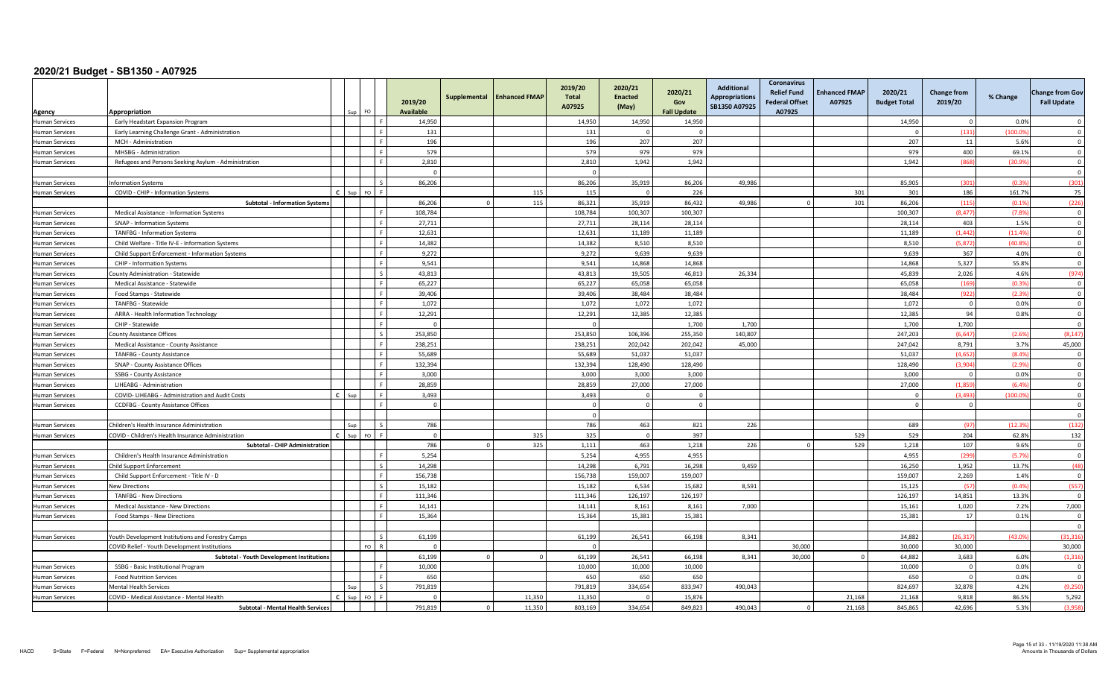| Agency                | Appropriation                                        |              |     | FO.            | 2019/20<br><b>Available</b> | Supplemental | <b>Enhanced FMAP</b> | 2019/20<br><b>Total</b><br>A07925 | 2020/21<br><b>Enacted</b><br>(May) | 2020/21<br>Gov<br><b>Fall Update</b> | <b>Additional</b><br><b>Appropriations</b><br>SB1350 A07925 | <b>Coronavirus</b><br><b>Relief Fund</b><br><b>Federal Offset</b><br>A07925 | <b>Enhanced FMAP</b><br>A07925 | 2020/21<br><b>Budget Total</b> | <b>Change from</b><br>2019/20 | % Change | <b>Change from Gov</b><br><b>Fall Update</b> |
|-----------------------|------------------------------------------------------|--------------|-----|----------------|-----------------------------|--------------|----------------------|-----------------------------------|------------------------------------|--------------------------------------|-------------------------------------------------------------|-----------------------------------------------------------------------------|--------------------------------|--------------------------------|-------------------------------|----------|----------------------------------------------|
| <b>Human Services</b> | Early Headstart Expansion Program                    |              |     |                | 14,950                      |              |                      | 14,950                            | 14,950                             | 14,950                               |                                                             |                                                                             |                                | 14,950                         | $\overline{0}$                | 0.0%     | $\Omega$                                     |
| <b>Human Services</b> | Early Learning Challenge Grant - Administration      |              |     |                | 131                         |              |                      | 131                               |                                    | $\Omega$                             |                                                             |                                                                             |                                | - 0                            | (131)                         | (100.09) | $\Omega$                                     |
| <b>Human Services</b> | MCH - Administration                                 |              |     | $\mathbf{r}$   | 196                         |              |                      | 196                               | 207                                | 207                                  |                                                             |                                                                             |                                | 207                            | 11                            | 5.6%     | $\Omega$                                     |
| <b>Human Services</b> | MHSBG - Administration                               |              |     |                | 579                         |              |                      | 579                               | 979                                | 979                                  |                                                             |                                                                             |                                | 979                            | 400                           | 69.1%    | $\Omega$                                     |
| <b>Human Services</b> | Refugees and Persons Seeking Asylum - Administration |              |     |                | 2,810                       |              |                      | 2,810                             | 1,942                              | 1,942                                |                                                             |                                                                             |                                | 1,942                          | (868)                         | (30.9%   | $\overline{0}$                               |
|                       |                                                      |              |     |                | $\Omega$                    |              |                      |                                   |                                    |                                      |                                                             |                                                                             |                                |                                |                               |          | $\Omega$                                     |
| <b>Human Services</b> | nformation Systems                                   |              |     |                | 86,206                      |              |                      | 86,206                            | 35,919                             | 86,206                               | 49,986                                                      |                                                                             |                                | 85,905                         | (301)                         | (0.39)   | (301)                                        |
| <b>Human Services</b> | COVID - CHIP - Information Systems                   |              |     | FO             |                             |              | 115                  | 115                               |                                    | 226                                  |                                                             |                                                                             | 301                            | 301                            | 186                           | 161.7%   | 75                                           |
|                       | <b>Subtotal - Information Systems</b>                |              |     |                | 86,206                      | $\Omega$     | 115                  | 86,321                            | 35,919                             | 86,432                               | 49,986                                                      |                                                                             | 301                            | 86,206                         | (115)                         | (0.1%    | (226)                                        |
| <b>Human Services</b> | Medical Assistance - Information Systems             |              |     | F              | 108,784                     |              |                      | 108,784                           | 100,307                            | 100,307                              |                                                             |                                                                             |                                | 100,307                        | (8.477)                       | (7.8%    | $\overline{0}$                               |
| <b>Human Services</b> | SNAP - Information Systems                           |              |     | F.             | 27,711                      |              |                      | 27,711                            | 28,114                             | 28,114                               |                                                             |                                                                             |                                | 28,114                         | 403                           | 1.59     | $\overline{0}$                               |
| <b>Human Services</b> | <b>TANFBG - Information Systems</b>                  |              |     | <b>F</b>       | 12,631                      |              |                      | 12,631                            | 11,189                             | 11,189                               |                                                             |                                                                             |                                | 11,189                         | (1.442)                       | (11.49)  | $\Omega$                                     |
| <b>Human Services</b> | Child Welfare - Title IV-E - Information Systems     |              |     |                | 14,382                      |              |                      | 14,382                            | 8,510                              | 8,510                                |                                                             |                                                                             |                                | 8,510                          | (5, 872)                      | (40.89)  | $\Omega$                                     |
| <b>Human Services</b> | Child Support Enforcement - Information Systems      |              |     |                | 9,272                       |              |                      | 9,272                             | 9,639                              | 9,639                                |                                                             |                                                                             |                                | 9,639                          | 367                           | 4.0%     | $\Omega$                                     |
| <b>Human Services</b> | CHIP - Information Systems                           |              |     | $\mathbf{F}$   | 9,541                       |              |                      | 9,541                             | 14.868                             | 14.868                               |                                                             |                                                                             |                                | 14,868                         | 5,327                         | 55.8%    | $\Omega$                                     |
| <b>Human Services</b> | County Administration - Statewide                    |              |     | $\mathsf{S}$   | 43,813                      |              |                      | 43,813                            | 19,505                             | 46,813                               | 26,334                                                      |                                                                             |                                | 45,839                         | 2,026                         | 4.6%     | (974)                                        |
| Human Services        | Medical Assistance - Statewide                       |              |     | F.             | 65,227                      |              |                      | 65,227                            | 65,058                             | 65,058                               |                                                             |                                                                             |                                | 65,058                         | (169)                         | (0.3%    | $\overline{0}$                               |
| <b>Human Services</b> | Food Stamps - Statewide                              |              |     | $\mathbf{F}$   | 39,406                      |              |                      | 39,406                            | 38.484                             | 38,484                               |                                                             |                                                                             |                                | 38.484                         | (922)                         | (2.3%    | $\Omega$                                     |
| <b>Human Services</b> | TANFBG - Statewide                                   |              |     |                | 1,072                       |              |                      | 1,072                             | 1,072                              | 1,072                                |                                                             |                                                                             |                                | 1,072                          | $\overline{0}$                | 0.0%     | $\Omega$                                     |
| <b>Human Services</b> | ARRA - Health Information Technology                 |              |     |                | 12,291                      |              |                      | 12,291                            | 12,385                             | 12,385                               |                                                             |                                                                             |                                | 12,385                         | 94                            | 0.8%     | $\Omega$                                     |
| <b>Human Services</b> | CHIP - Statewide                                     |              |     |                | $\Omega$                    |              |                      |                                   |                                    | 1,700                                | 1,700                                                       |                                                                             |                                | 1,700                          | 1,700                         |          | $\sqrt{ }$                                   |
| <b>Human Services</b> | County Assistance Offices                            |              |     | $\zeta$        | 253,850                     |              |                      | 253,850                           | 106,396                            | 255,350                              | 140,807                                                     |                                                                             |                                | 247,203                        | (6.647)                       | (2.69)   | (8, 147)                                     |
| <b>Human Services</b> | Medical Assistance - County Assistance               |              |     | F.             | 238,251                     |              |                      | 238,251                           | 202,042                            | 202,042                              | 45,000                                                      |                                                                             |                                | 247,042                        | 8,791                         | 3.7%     | 45,000                                       |
| <b>Human Services</b> | <b>TANFBG - County Assistance</b>                    |              |     | -F             | 55.689                      |              |                      | 55,689                            | 51,037                             | 51,037                               |                                                             |                                                                             |                                | 51,037                         | (4.652)                       | (8.4%    | $\Omega$                                     |
| <b>Human Services</b> | SNAP - County Assistance Offices                     |              |     |                | 132,394                     |              |                      | 132,394                           | 128,490                            | 128,490                              |                                                             |                                                                             |                                | 128,490                        | (3,904)                       | (2.9%    | $\Omega$                                     |
| <b>Human Services</b> | SSBG - County Assistance                             |              |     |                | 3,000                       |              |                      | 3,000                             | 3,000                              | 3,000                                |                                                             |                                                                             |                                | 3,000                          | $\overline{0}$                | 0.0%     | $\Omega$                                     |
| <b>Human Services</b> | LIHEABG - Administration                             |              |     |                | 28.859                      |              |                      | 28,859                            | 27,000                             | 27,000                               |                                                             |                                                                             |                                | 27,000                         | (1.859)                       | (6.49)   | $\overline{\mathbf{0}}$                      |
| <b>Human Services</b> | COVID- LIHEABG - Administration and Audit Costs      | $\mathbf{c}$ |     | $\mathbf{F}$   | 3,493                       |              |                      | 3,493                             |                                    | $\Omega$                             |                                                             |                                                                             |                                | $\Omega$                       | (3.493)                       | (100.09) | $\overline{\mathbf{0}}$                      |
| <b>Human Services</b> | CCDFBG - County Assistance Offices                   |              |     | F              | $\overline{0}$              |              |                      | $\Omega$                          | $\Omega$                           | $\Omega$                             |                                                             |                                                                             |                                | $\Omega$                       | $\overline{0}$                |          | $\overline{\mathbf{0}}$                      |
|                       |                                                      |              |     |                |                             |              |                      |                                   |                                    |                                      |                                                             |                                                                             |                                |                                |                               |          | $\Omega$                                     |
| <b>Human Services</b> | Children's Health Insurance Administration           |              |     |                | 786                         |              |                      | 786                               | 463                                | 821                                  | 226                                                         |                                                                             |                                | 689                            | (97)                          | (12.39)  | (132)                                        |
| <b>Human Services</b> | COVID - Children's Health Insurance Administration   | $\epsilon$   |     | FO I           | $\overline{0}$              |              | 325                  | 325                               | $\Omega$                           | 397                                  |                                                             |                                                                             | 529                            | 529                            | 204                           | 62.8%    | 132                                          |
|                       | <b>Subtotal - CHIP Administration</b>                |              |     |                | 786                         | $\Omega$     | 325                  | 1,111                             | 463                                | 1,218                                | 226                                                         |                                                                             | 529                            | 1,218                          | 107                           | 9.6%     | $\overline{0}$                               |
| <b>Human Services</b> | Children's Health Insurance Administration           |              |     |                | 5,254                       |              |                      | 5,254                             | 4,955                              | 4,955                                |                                                             |                                                                             |                                | 4,955                          | (299)                         | (5.7%    | $\overline{\mathbf{0}}$                      |
| <b>Human Services</b> | <b>Child Support Enforcement</b>                     |              |     | $\varsigma$    | 14,298                      |              |                      | 14,298                            | 6,791                              | 16,298                               | 9,459                                                       |                                                                             |                                | 16,250                         | 1,952                         | 13.7%    | (48)                                         |
| <b>Human Services</b> | Child Support Enforcement - Title IV - D             |              |     |                | 156,738                     |              |                      | 156,738                           | 159,007                            | 159,007                              |                                                             |                                                                             |                                | 159,007                        | 2,269                         | 1.4%     | $\Omega$                                     |
| <b>Human Services</b> | lew Directions                                       |              |     |                | 15,182                      |              |                      | 15,182                            | 6.534                              | 15,682                               | 8,591                                                       |                                                                             |                                | 15,125                         | (57)                          | (0.4%    | (557)                                        |
| <b>Human Services</b> | <b>TANFBG - New Directions</b>                       |              |     | $\blacksquare$ | 111,346                     |              |                      | 111,346                           | 126,197                            | 126,197                              |                                                             |                                                                             |                                | 126,197                        | 14,851                        | 13.3%    | $\overline{\mathbf{0}}$                      |
| <b>Human Services</b> | Medical Assistance - New Directions                  |              |     | $\mathbf{E}$   | 14,141                      |              |                      | 14,141                            | 8,161                              | 8,161                                | 7,000                                                       |                                                                             |                                | 15,161                         | 1,020                         | 7.2%     | 7,000                                        |
| <b>Human Services</b> | Food Stamps - New Directions                         |              |     | F.             | 15,364                      |              |                      | 15,364                            | 15,381                             | 15,381                               |                                                             |                                                                             |                                | 15,381                         | 17                            | 0.1%     | $\overline{\mathbf{0}}$                      |
|                       |                                                      |              |     |                |                             |              |                      |                                   |                                    |                                      |                                                             |                                                                             |                                |                                |                               |          | $\Omega$                                     |
| <b>Human Services</b> | outh Development Institutions and Forestry Camps     |              |     |                | 61,199                      |              |                      | 61,199                            | 26,541                             | 66,198                               | 8,341                                                       |                                                                             |                                | 34.882                         | (26.317)                      | (43.09)  | (31.316)                                     |
|                       | COVID Relief - Youth Development Institutions        |              |     | FO.            | $\Omega$                    |              |                      |                                   |                                    |                                      |                                                             | 30,000                                                                      |                                | 30,000                         | 30,000                        |          | 30,000                                       |
|                       | <b>Subtotal - Youth Development Institutions</b>     |              |     |                | 61,199                      | $\Omega$     | $\Omega$             | 61,199                            | 26,541                             | 66,198                               | 8,341                                                       | 30,000                                                                      |                                | 64,882                         | 3,683                         | 6.0%     | (1, 316)                                     |
| <b>Human Services</b> | SSBG - Basic Institutional Program                   |              |     |                | 10,000                      |              |                      | 10,000                            | 10,000                             | 10,000                               |                                                             |                                                                             |                                | 10,000                         | $\overline{0}$                | 0.0%     | $\overline{\mathbf{0}}$                      |
| <b>Human Services</b> | <b>Food Nutrition Services</b>                       |              |     | $\mathbf{F}$   | 650                         |              |                      | 650                               | 650                                | 650                                  |                                                             |                                                                             |                                | 650                            | $\overline{0}$                | 0.0%     | $^{\circ}$                                   |
| <b>Human Services</b> | Mental Health Services                               |              | Sur |                | 791,819                     |              |                      | 791,819                           | 334,654                            | 833,947                              | 490,043                                                     |                                                                             |                                | 824,697                        | 32,878                        | 4.2%     | (9,250)                                      |
| <b>Human Services</b> | COVID - Medical Assistance - Mental Health           |              |     | FO.            | $\Omega$                    |              | 11.350               | 11.350                            |                                    | 15.876                               |                                                             |                                                                             | 21.168                         | 21.168                         | 9.818                         | 86.5%    | 5,292                                        |
|                       | <b>Subtotal - Mental Health Services</b>             |              |     |                | 791,819                     | <sup>0</sup> | 11,350               | 803,169                           | 334,654                            | 849,823                              | 490,043                                                     |                                                                             | 21,168                         | 845,865                        | 42.696                        | 5.3%     | (3,95)                                       |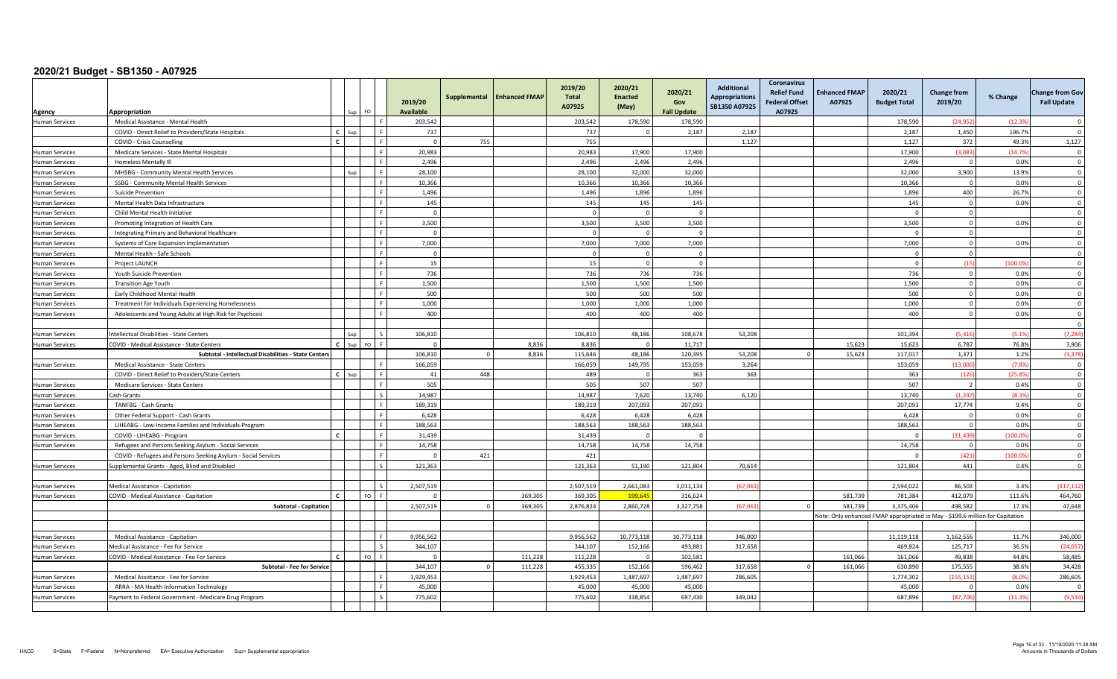| Agency                | Appropriation                                                 |              |     | FO.           | 2019/20<br><b>Available</b> | Supplemental   | <b>Enhanced FMAP</b> | 2019/20<br><b>Total</b><br>A07925 | 2020/21<br><b>Enacted</b><br>(May) | 2020/21<br>Gov<br><b>Fall Update</b> | <b>Additional</b><br><b>Appropriations</b><br>SB1350 A07925 | <b>Coronavirus</b><br><b>Relief Fund</b><br><b>Federal Offset</b><br>A07925 | <b>Enhanced FMAP</b><br>A07925 | 2020/21<br><b>Budget Total</b>                                                | <b>Change from</b><br>2019/20 | % Change | <b>Change from Gov</b><br><b>Fall Update</b> |
|-----------------------|---------------------------------------------------------------|--------------|-----|---------------|-----------------------------|----------------|----------------------|-----------------------------------|------------------------------------|--------------------------------------|-------------------------------------------------------------|-----------------------------------------------------------------------------|--------------------------------|-------------------------------------------------------------------------------|-------------------------------|----------|----------------------------------------------|
| <b>Human Services</b> | Medical Assistance - Mental Health                            |              |     |               | 203,542                     |                |                      | 203,542                           | 178,590                            | 178,590                              |                                                             |                                                                             |                                | 178,590                                                                       | (24, 952)                     | (12.3)   | $\Omega$                                     |
|                       | COVID - Direct Relief to Providers/State Hospitals            | $\mathbf{c}$ | Sun |               | 737                         |                |                      | 737                               |                                    | 2,187                                | 2,187                                                       |                                                                             |                                | 2,187                                                                         | 1,450                         | 196.7%   | - 0                                          |
|                       | COVID - Crisis Counselling                                    | $\mathbf{r}$ |     |               | $\overline{0}$              | 755            |                      | 755                               |                                    |                                      | 1,127                                                       |                                                                             |                                | 1,127                                                                         | 372                           | 49.3%    | 1,127                                        |
| <b>Human Services</b> | Medicare Services - State Mental Hospitals                    |              |     |               | 20,983                      |                |                      | 20,983                            | 17,900                             | 17,900                               |                                                             |                                                                             |                                | 17,900                                                                        | (3.083)                       | (14.79)  | $\overline{\mathbf{0}}$                      |
| <b>Human Services</b> | <b>Homeless Mentally III</b>                                  |              |     |               | 2,496                       |                |                      | 2,496                             | 2,496                              | 2,496                                |                                                             |                                                                             |                                | 2,496                                                                         | $\overline{0}$                | 0.0%     | $\Omega$                                     |
| <b>Human Services</b> | MHSBG - Community Mental Health Services                      |              |     |               | 28,100                      |                |                      | 28,100                            | 32,000                             | 32,000                               |                                                             |                                                                             |                                | 32,000                                                                        | 3,900                         | 13.9%    | $\overline{0}$                               |
| <b>Human Services</b> | SSBG - Community Mental Health Services                       |              |     |               | 10,366                      |                |                      | 10,366                            | 10,366                             | 10,366                               |                                                             |                                                                             |                                | 10,366                                                                        | $\overline{0}$                | 0.0%     | $\Omega$                                     |
| <b>Human Services</b> | Suicide Prevention                                            |              |     |               | 1,496                       |                |                      | 1,496                             | 1,896                              | 1,896                                |                                                             |                                                                             |                                | 1,896                                                                         | 400                           | 26.7%    | $\Omega$                                     |
| <b>Human Services</b> | Mental Health Data Infrastructure                             |              |     | $\mathbf{E}$  | 145                         |                |                      | 145                               | 145                                | 145                                  |                                                             |                                                                             |                                | 145                                                                           | $\mathbf 0$                   | 0.0%     | $\overline{\mathbf{0}}$                      |
| <b>Human Services</b> | Child Mental Health Initiative                                |              |     | $\mathbf{r}$  | $\overline{0}$              |                |                      | $\bigcap$                         | $\Omega$                           | $\Omega$                             |                                                             |                                                                             |                                | $\Omega$                                                                      | $\overline{0}$                |          | $\overline{\mathbf{0}}$                      |
| <b>Human Services</b> | Promoting Integration of Health Care                          |              |     | F.            | 3,500                       |                |                      | 3,500                             | 3,500                              | 3,500                                |                                                             |                                                                             |                                | 3,500                                                                         | $\overline{0}$                | 0.0%     | $\overline{0}$                               |
| <b>Human Services</b> | Integrating Primary and Behavioral Healthcare                 |              |     |               | $\overline{0}$              |                |                      |                                   | $\Omega$                           | $\Omega$                             |                                                             |                                                                             |                                | $\Omega$                                                                      | $\overline{0}$                |          | $\overline{\mathbf{0}}$                      |
| <b>Human Services</b> | Systems of Care Expansion Implementation                      |              |     |               | 7,000                       |                |                      | 7,000                             | 7,000                              | 7,000                                |                                                             |                                                                             |                                | 7,000                                                                         | $\mathsf 0$                   | 0.0%     | $\Omega$                                     |
| <b>Human Services</b> | Mental Health - Safe Schools                                  |              |     |               | $\overline{0}$              |                |                      |                                   | $\Omega$                           | $\Omega$                             |                                                             |                                                                             |                                | $\Omega$                                                                      | $\mathbf{0}$                  |          | $\Omega$                                     |
| <b>Human Services</b> | <b>Project LAUNCH</b>                                         |              |     | $\mathbb{R}$  | 15                          |                |                      | 15                                | $\Omega$                           | $\Omega$                             |                                                             |                                                                             |                                | $\overline{0}$                                                                | (15)                          | (100.09) | $\overline{0}$                               |
| <b>Human Services</b> | Youth Suicide Prevention                                      |              |     | $\mathbf{F}$  | 736                         |                |                      | 736                               | 736                                | 736                                  |                                                             |                                                                             |                                | 736                                                                           | $\overline{0}$                | 0.0%     | $\overline{\mathbf{0}}$                      |
| <b>Human Services</b> | <b>Transition Age Youth</b>                                   |              |     | $\mathbf{E}$  | 1,500                       |                |                      | 1,500                             | 1,500                              | 1,500                                |                                                             |                                                                             |                                | 1,500                                                                         | $\overline{0}$                | 0.0%     | $\overline{0}$                               |
| <b>Human Services</b> | Early Childhood Mental Health                                 |              |     | -F            | 500                         |                |                      | 500                               | 500                                | 500                                  |                                                             |                                                                             |                                | 500                                                                           | $\circ$                       | 0.0%     | $\overline{0}$                               |
| <b>Human Services</b> | Treatment for Individuals Experiencing Homelessness           |              |     |               | 1,000                       |                |                      | 1,000                             | 1,000                              | 1,000                                |                                                             |                                                                             |                                | 1,000                                                                         | $\mathbf 0$                   | 0.0%     | $\overline{0}$                               |
| <b>Human Services</b> | Adolescents and Young Adults at High Risk for Psychosis       |              |     |               | 400                         |                |                      | 400                               | 400                                | 400                                  |                                                             |                                                                             |                                | 400                                                                           | $\Omega$                      | 0.0%     | $\Omega$                                     |
|                       |                                                               |              |     |               |                             |                |                      |                                   |                                    |                                      |                                                             |                                                                             |                                |                                                                               |                               |          | $\Omega$                                     |
| <b>Human Services</b> | tellectual Disabilities - State Centers                       |              |     |               | 106,810                     |                |                      | 106,810                           | 48,186                             | 108,678                              | 53,208                                                      |                                                                             |                                | 101,394                                                                       | (5, 416)                      | (5.1%    | (7, 284)                                     |
| <b>Human Services</b> | COVID - Medical Assistance - State Centers                    |              |     | EQ.           | $\sqrt{2}$                  |                | 8.836                | 8.836                             |                                    | 11.717                               |                                                             |                                                                             | 15.623                         | 15.623                                                                        | 6.787                         | 76.8%    | 3,906                                        |
|                       | Subtotal - Intellectual Disabilities - State Centers          |              |     |               | 106,810                     | $\overline{0}$ | 8,836                | 115,646                           | 48,186                             | 120,395                              | 53,208                                                      |                                                                             | 15,623                         | 117,017                                                                       | 1,371                         | 1.2%     | (3, 378)                                     |
| <b>Human Services</b> | Medical Assistance - State Centers                            |              |     |               | 166.059                     |                |                      | 166.059                           | 149.795                            | 153,059                              | 3,264                                                       |                                                                             |                                | 153.059                                                                       | (13.000)                      | (7.8%    | $\Omega$                                     |
|                       | COVID - Direct Relief to Providers/State Centers              | $\mathbf{C}$ | Sur |               | 41                          | 448            |                      | 489                               | $\Omega$                           | 363                                  | 363                                                         |                                                                             |                                | 363                                                                           | (126)                         | (25.8%   | $\overline{0}$                               |
| <b>Human Services</b> | Medicare Services - State Centers                             |              |     |               | 505                         |                |                      | 505                               | 507                                | 507                                  |                                                             |                                                                             |                                | 507                                                                           | $\overline{2}$                | 0.4%     | $\Omega$                                     |
| <b>Human Services</b> | Cash Grants                                                   |              |     |               | 14,987                      |                |                      | 14.987                            | 7,620                              | 13,740                               | 6,120                                                       |                                                                             |                                | 13,740                                                                        | (1, 247)                      | (8.3%    | $\Omega$                                     |
| <b>Human Services</b> | TANFBG - Cash Grants                                          |              |     | $\mathbf{E}$  | 189,319                     |                |                      | 189,319                           | 207,093                            | 207,093                              |                                                             |                                                                             |                                | 207,093                                                                       | 17,774                        | 9.4%     | $\overline{\mathbf{0}}$                      |
| <b>Human Services</b> | Other Federal Support - Cash Grants                           |              |     |               | 6,428                       |                |                      | 6,428                             | 6,428                              | 6,428                                |                                                             |                                                                             |                                | 6,428                                                                         | $\Omega$                      | 0.0%     | $\Omega$                                     |
| <b>Human Services</b> | LIHEABG - Low-Income Families and Individuals-Program         |              |     |               | 188,563                     |                |                      | 188,563                           | 188,563                            | 188,563                              |                                                             |                                                                             |                                | 188,563                                                                       | $\circ$                       | 0.0%     | $\overline{0}$                               |
| <b>Human Services</b> | COVID - LIHEABG - Program                                     |              |     |               | 31,439                      |                |                      | 31,439                            |                                    | $\Omega$                             |                                                             |                                                                             |                                |                                                                               | (31, 439)                     | (100.09) | $\overline{0}$                               |
| <b>Human Services</b> | Refugees and Persons Seeking Asylum - Social Services         |              |     |               | 14,758                      |                |                      | 14,758                            | 14,758                             | 14,758                               |                                                             |                                                                             |                                | 14,758                                                                        | $\Omega$                      | 0.0%     | $\Omega$                                     |
|                       | COVID - Refugees and Persons Seeking Asylum - Social Services |              |     | F             | $\Omega$                    | 421            |                      | 421                               |                                    |                                      |                                                             |                                                                             |                                |                                                                               | (421)                         | (100.09) | $\overline{\mathbf{0}}$                      |
| <b>Human Services</b> | Supplemental Grants - Aged, Blind and Disabled                |              |     | $\varsigma$   | 121,363                     |                |                      | 121,363                           | 51,190                             | 121,804                              | 70,614                                                      |                                                                             |                                | 121,804                                                                       | 441                           | 0.4%     | $\Omega$                                     |
|                       |                                                               |              |     |               |                             |                |                      |                                   |                                    |                                      |                                                             |                                                                             |                                |                                                                               |                               |          |                                              |
| <b>Human Services</b> | Medical Assistance - Capitation                               |              |     | $\mathcal{S}$ | 2,507,519                   |                |                      | 2,507,519                         | 2,661,083                          | 3,011,134                            | (67,06)                                                     |                                                                             |                                | 2,594,022                                                                     | 86,503                        | 3.4%     | (417, 11)                                    |
| <b>Human Services</b> | COVID - Medical Assistance - Capitation                       |              |     | FO.           | $\cap$                      |                | 369.305              | 369.305                           | 199.645                            | 316,624                              |                                                             |                                                                             | 581.739                        | 781.384                                                                       | 412.079                       | 111.6%   | 464,760                                      |
|                       | <b>Subtotal - Capitation</b>                                  |              |     |               | 2,507,519                   |                | 369,305              | 2,876,824                         | 2,860,728                          | 3,327,758                            | (67,06)                                                     |                                                                             | 581.739                        | 3.375.406                                                                     | 498.582                       | 17.3%    | 47,648                                       |
|                       |                                                               |              |     |               |                             |                |                      |                                   |                                    |                                      |                                                             |                                                                             |                                | Vote: Only enhanced FMAP appropriated in May - \$199.6 million for Capitation |                               |          |                                              |
|                       |                                                               |              |     |               |                             |                |                      |                                   |                                    |                                      |                                                             |                                                                             |                                |                                                                               |                               |          |                                              |
| <b>Human Services</b> | Medical Assistance - Capitation                               |              |     |               | 9,956,562                   |                |                      | 9,956,562                         | 10,773,118                         | 10,773,118                           | 346,000                                                     |                                                                             |                                | 11,119,118                                                                    | 1,162,556                     | 11.7%    | 346,000                                      |
| <b>Human Services</b> | Medical Assistance - Fee for Service                          |              |     | $\varsigma$   | 344.107                     |                |                      | 344.107                           | 152,166                            | 493.881                              | 317,658                                                     |                                                                             |                                | 469.824                                                                       | 125.717                       | 36.5%    | (24.05)                                      |
| <b>Human Services</b> | COVID - Medical Assistance - Fee For Service                  | $\mathbf{r}$ |     | FO            | $\Omega$                    |                | 111,228              | 111,228                           | $\Omega$                           | 102,581                              |                                                             |                                                                             | 161,066                        | 161,066                                                                       | 49.838                        | 44.8%    | 58,485                                       |
|                       | <b>Subtotal - Fee for Service</b>                             |              |     |               | 344,107                     | $\Omega$       | 111,228              | 455,335                           | 152,166                            | 596,462                              | 317,658                                                     |                                                                             | 161,066                        | 630,890                                                                       | 175,555                       | 38.6%    | 34,428                                       |
| <b>Human Services</b> | Medical Assistance - Fee for Service                          |              |     |               | 1.929.453                   |                |                      | 1.929.453                         | 1.487.697                          | 1.487.697                            | 286.605                                                     |                                                                             |                                | 1.774.302                                                                     | (155.151                      | (8.0%    | 286,605                                      |
| <b>Human Services</b> | ARRA - MA Health Information Technology                       |              |     |               | 45,000                      |                |                      | 45,000                            | 45,000                             | 45,000                               |                                                             |                                                                             |                                | 45,000                                                                        | $\Omega$                      | 0.0%     |                                              |
| <b>Human Services</b> | Payment to Federal Government - Medicare Drug Program         |              |     |               | 775,602                     |                |                      | 775,602                           | 338,854                            | 697,430                              | 349,042                                                     |                                                                             |                                | 687,896                                                                       | (87,706)                      | (11.39)  | (9,534)                                      |
|                       |                                                               |              |     |               |                             |                |                      |                                   |                                    |                                      |                                                             |                                                                             |                                |                                                                               |                               |          |                                              |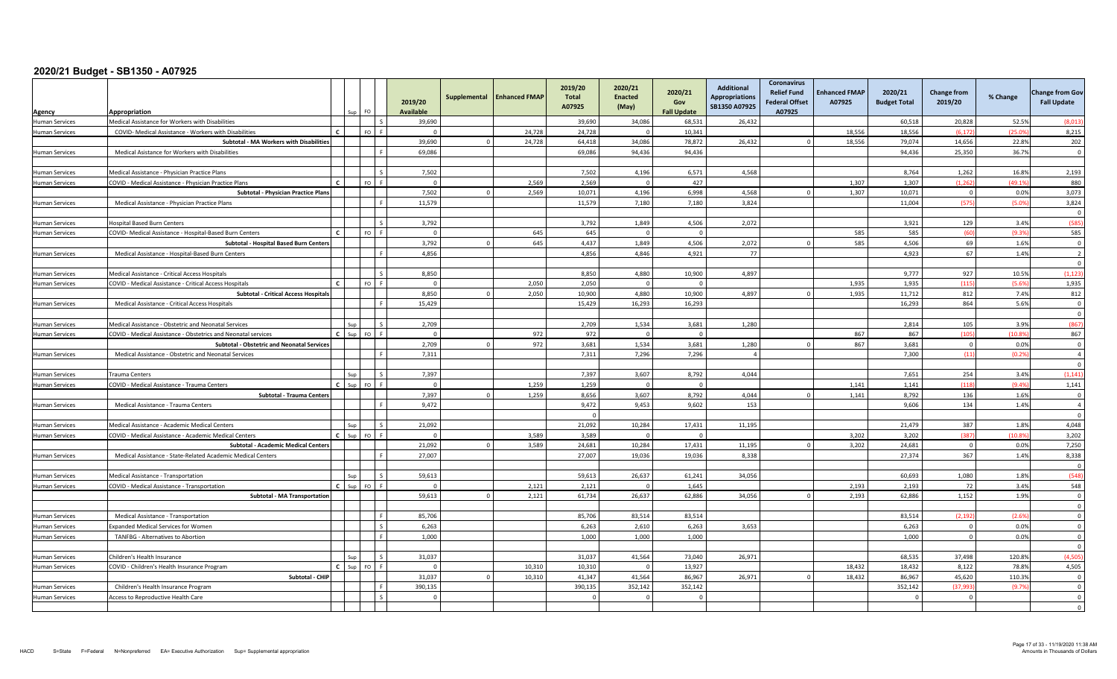| Agency                                         | Appropriation                                                                                                         |              |     | FO.             | 2019/20<br><b>Available</b> | Supplemental | <b>Enhanced FMAP</b> | 2019/20<br><b>Total</b><br>A07925 | 2020/21<br><b>Enacted</b><br>(May) | 2020/21<br>Gov<br><b>Fall Update</b> | <b>Additional</b><br><b>Appropriations</b><br>SB1350 A07925 | Coronavirus<br><b>Relief Fund</b><br><b>Federal Offset</b><br>A07925 | <b>Enhanced FMAP</b><br>A07925 | 2020/21<br><b>Budget Total</b> | <b>Change from</b><br>2019/20 | % Change      | <b>Change from Gov</b><br><b>Fall Update</b> |
|------------------------------------------------|-----------------------------------------------------------------------------------------------------------------------|--------------|-----|-----------------|-----------------------------|--------------|----------------------|-----------------------------------|------------------------------------|--------------------------------------|-------------------------------------------------------------|----------------------------------------------------------------------|--------------------------------|--------------------------------|-------------------------------|---------------|----------------------------------------------|
| Human Services                                 | Medical Assistance for Workers with Disabilities                                                                      |              |     | ΙS              | 39,690                      |              |                      | 39,690                            | 34,086                             | 68,531                               | 26,432                                                      |                                                                      |                                | 60,518                         | 20,828                        | 52.5%         | (8,013)                                      |
| <b>Human Services</b>                          | COVID- Medical Assistance - Workers with Disabilities                                                                 |              |     | $FO$ $F$        |                             |              | 24.728               | 24.728                            | $\Omega$                           | 10.341                               |                                                             |                                                                      | 18.556                         | 18.556                         | (6.172)                       | (25.09        | 8,215                                        |
|                                                | Subtotal - MA Workers with Disabilities                                                                               |              |     |                 | 39,690                      | $\Omega$     | 24,728               | 64,418                            | 34,086                             | 78,872                               | 26,432                                                      |                                                                      | 18,556                         | 79,074                         | 14,656                        | 22.8%         | 202                                          |
| Human Services                                 | Medical Asistance for Workers with Disabilities                                                                       |              |     | Iс              | 69,086                      |              |                      | 69,086                            | 94,436                             | 94,436                               |                                                             |                                                                      |                                | 94,436                         | 25,350                        | 36.7%         | $\Omega$                                     |
|                                                |                                                                                                                       |              |     |                 |                             |              |                      |                                   |                                    |                                      |                                                             |                                                                      |                                |                                |                               |               |                                              |
| <b>Human Services</b>                          | Medical Assistance - Physician Practice Plans                                                                         |              |     | l s             | 7,502                       |              |                      | 7,502                             | 4,196                              | 6,571                                | 4,568                                                       |                                                                      |                                | 8,764                          | 1,262                         | 16.8%         | 2,193                                        |
| <b>Human Services</b>                          | COVID - Medical Assistance - Physician Practice Plans                                                                 |              |     | $FQ$ $F$        | $\Omega$                    |              | 2.569                | 2.569                             | $\Omega$                           | 427                                  |                                                             |                                                                      | 1.307                          | 1.307                          | (1.262)                       | (49.1%        | 880                                          |
|                                                | <b>Subtotal - Physician Practice Plans</b>                                                                            |              |     |                 | 7.502                       |              | 2.569                | 10.071                            | 4.196                              | 6.998                                | 4.568                                                       |                                                                      | 1,307                          | 10.071                         | $\overline{0}$                | 0.0%          | 3,073                                        |
| Human Services                                 | Medical Assistance - Physician Practice Plans                                                                         |              |     | l c             | 11.579                      |              |                      | 11.579                            | 7.180                              | 7.180                                | 3.824                                                       |                                                                      |                                | 11.004                         | (575                          | (5.0%         | 3,824                                        |
|                                                |                                                                                                                       |              |     |                 |                             |              |                      |                                   |                                    |                                      |                                                             |                                                                      |                                |                                |                               |               | $\overline{\mathbf{0}}$                      |
| Human Services                                 | <b>Hospital Based Burn Centers</b>                                                                                    |              |     | l s             | 3,792                       |              |                      | 3,792                             | 1,849                              | 4,506                                | 2,072                                                       |                                                                      |                                | 3,921                          | 129                           | 3.4%          | (585                                         |
| <b>Human Services</b>                          | COVID- Medical Assistance - Hospital-Based Burn Centers                                                               |              |     | $FQ$ $F$        | $\overline{0}$              |              | 645                  | 645                               | $\overline{0}$                     | $\Omega$                             |                                                             |                                                                      | 585                            | 585                            | (60)                          | (9.3%         | 585                                          |
|                                                | Subtotal - Hospital Based Burn Centers                                                                                |              |     |                 | 3,792                       |              | 645                  | 4,437                             | 1,849                              | 4,506                                | 2,072                                                       |                                                                      | 585                            | 4,506                          | 69                            | 1.6%          | $\Omega$                                     |
| <b>Human Services</b>                          | Medical Assistance - Hospital-Based Burn Centers                                                                      |              |     |                 | 4.856                       |              |                      | 4.856                             | 4.846                              | 4.921                                | 77                                                          |                                                                      |                                | 4,923                          | 67                            | 1.4%          | $\overline{2}$                               |
|                                                |                                                                                                                       |              |     |                 |                             |              |                      |                                   |                                    |                                      |                                                             |                                                                      |                                |                                |                               |               | $\Omega$                                     |
| Human Services                                 | Medical Assistance - Critical Access Hospitals                                                                        |              |     | $\sim$          | 8,850                       |              |                      | 8,850                             | 4,880                              | 10,900                               | 4,897                                                       |                                                                      |                                | 9,777                          | 927                           | 10.5%         | (1, 123)                                     |
| <b>Human Services</b>                          | COVID - Medical Assistance - Critical Access Hospitals                                                                |              |     | $FO$ $F$        | $\Omega$                    |              | 2.050                | 2.050                             | $\Omega$                           | $\Omega$                             |                                                             |                                                                      | 1.935                          | 1.935                          | (115)                         | (5.6%         | 1,935                                        |
|                                                | <b>Subtotal - Critical Access Hospitals</b>                                                                           |              |     | ΙF              | 8,850                       |              | 2,050                | 10,900                            | 4,880                              | 10,900                               | 4,897                                                       |                                                                      | 1,935                          | 11,712                         | 812<br>864                    | 7.4%          | 812<br>$\Omega$                              |
| Human Services                                 | Medical Assistance - Critical Access Hospitals                                                                        |              |     |                 | 15.429                      |              |                      | 15,429                            | 16.293                             | 16.293                               |                                                             |                                                                      |                                | 16,293                         |                               | 5.6%          | $\Omega$                                     |
|                                                |                                                                                                                       |              | Sun | Ιs              |                             |              |                      | 2,709                             | 1,534                              | 3,681                                | 1,280                                                       |                                                                      |                                | 2,814                          | 105                           | 3.9%          | (867)                                        |
| <b>Human Services</b><br><b>Human Services</b> | Medical Assistance - Obstetric and Neonatal Services<br>COVID - Medical Assistance - Obstetrics and Neonatal services | $C$ Sup      |     | FO <sub>F</sub> | 2,709<br>$\Omega$           |              | 972                  | 972                               | $\Omega$                           | $\Omega$                             |                                                             |                                                                      | 867                            | 867                            | (105)                         | (10.8%        | 867                                          |
|                                                | <b>Subtotal - Obstetric and Neonatal Services</b>                                                                     |              |     |                 | 2,709                       |              | 972                  | 3,681                             | 1,534                              | 3,681                                | 1,280                                                       |                                                                      | 867                            | 3,681                          | $\overline{0}$                | 0.0%          | $\overline{0}$                               |
| <b>Human Services</b>                          | Medical Assistance - Obstetric and Neonatal Services                                                                  |              |     | l F             | 7.311                       |              |                      | 7,311                             | 7,296                              | 7.296                                | $\overline{4}$                                              |                                                                      |                                | 7.300                          | (11)                          | (0.2%         | $\overline{4}$                               |
|                                                |                                                                                                                       |              |     |                 |                             |              |                      |                                   |                                    |                                      |                                                             |                                                                      |                                |                                |                               |               | $\Omega$                                     |
| Human Services                                 | <b>Trauma Centers</b>                                                                                                 |              | Sup | l s             | 7,397                       |              |                      | 7,397                             | 3,607                              | 8,792                                | 4,044                                                       |                                                                      |                                | 7,651                          | 254                           | 3.4%          | (1, 141)                                     |
| <b>Human Services</b>                          | COVID - Medical Assistance - Trauma Centers                                                                           | $\mathbf{c}$ | Sun | $FO$ $F$        | $\overline{0}$              |              | 1.259                | 1.259                             | $\Omega$                           | $\Omega$                             |                                                             |                                                                      | 1.141                          | 1.141                          | (118)                         | (9.4%         | 1,141                                        |
|                                                | Subtotal - Trauma Centers                                                                                             |              |     |                 | 7,397                       |              | 1,259                | 8,656                             | 3,607                              | 8,792                                | 4,044                                                       |                                                                      | 1,141                          | 8,792                          | 136                           | 1.6%          | $\overline{\mathbf{0}}$                      |
| <b>Human Services</b>                          | Medical Assistance - Trauma Centers                                                                                   |              |     | ΙF              | 9,472                       |              |                      | 9,472                             | 9.453                              | 9,602                                | 153                                                         |                                                                      |                                | 9,606                          | 134                           | 1.4%          | $\overline{4}$                               |
|                                                |                                                                                                                       |              |     |                 |                             |              |                      | $\Omega$                          |                                    |                                      |                                                             |                                                                      |                                |                                |                               |               | $\Omega$                                     |
| <b>Human Services</b>                          | Medical Assistance - Academic Medical Centers                                                                         |              | Sur | I۶              | 21.092                      |              |                      | 21.092                            | 10.284                             | 17,431                               | 11,195                                                      |                                                                      |                                | 21.479                         | 387                           | 1.8%          | 4,048                                        |
| <b>Human Services</b>                          | COVID - Medical Assistance - Academic Medical Centers                                                                 | $C$ Sun      |     | $FQ$ $F$        | $\Omega$                    |              | 3.589                | 3.589                             | $\Omega$                           | $\Omega$                             |                                                             |                                                                      | 3,202                          | 3.202                          | (387)                         | (10.8%        | 3,202                                        |
|                                                | Subtotal - Academic Medical Centers                                                                                   |              |     |                 | 21,092                      |              | 3,589                | 24,681                            | 10,284                             | 17,431                               | 11,195                                                      |                                                                      | 3,202                          | 24,681                         | $\overline{0}$                | 0.0%          | 7,250                                        |
| <b>Human Services</b>                          | Medical Assistance - State-Related Academic Medical Centers                                                           |              |     | ΙF              | 27,007                      |              |                      | 27,007                            | 19,036                             | 19,036                               | 8,338                                                       |                                                                      |                                | 27,374                         | 367                           | 1.4%          | 8,338                                        |
|                                                |                                                                                                                       |              |     |                 |                             |              |                      |                                   |                                    |                                      |                                                             |                                                                      |                                |                                |                               |               | $\overline{\mathbf{0}}$                      |
| <b>Human Services</b>                          | Medical Assistance - Transportation                                                                                   |              | Sup | l s             | 59,613                      |              |                      | 59,613                            | 26,637                             | 61,241                               | 34,056                                                      |                                                                      |                                | 60,693                         | 1,080                         | 1.8%          | (548)                                        |
| <b>Human Services</b>                          | COVID - Medical Assistance - Transportation                                                                           | $C$ Sup      |     | $FO$ $F$        | $\Omega$                    |              | 2,121                | 2,121                             | $\Omega$                           | 1.645                                |                                                             |                                                                      | 2,193                          | 2.193                          | 72                            | 3.4%          | 548                                          |
|                                                | Subtotal - MA Transportation                                                                                          |              |     |                 | 59,613                      |              | 2,121                | 61,734                            | 26,637                             | 62,886                               | 34,056                                                      |                                                                      | 2,193                          | 62,886                         | 1,152                         | 1.9%          | $\overline{0}$                               |
|                                                |                                                                                                                       |              |     | Lε              |                             |              |                      |                                   |                                    |                                      |                                                             |                                                                      |                                |                                |                               |               | $\Omega$<br>$\overline{0}$                   |
| Human Services                                 | Medical Assistance - Transportation                                                                                   |              |     | $\mathsf{I}$    | 85,706<br>6,263             |              |                      | 85,706<br>6,263                   | 83,514<br>2,610                    | 83,514<br>6,263                      | 3,653                                                       |                                                                      |                                | 83,514<br>6,263                | (2, 192)<br>$\overline{0}$    | (2.6%<br>0.0% | $\mathbf 0$                                  |
| Human Services                                 | <b>Expanded Medical Services for Women</b><br>TANFBG - Alternatives to Abortion                                       |              |     | l F             | 1,000                       |              |                      | 1,000                             | 1,000                              | 1,000                                |                                                             |                                                                      |                                | 1,000                          | $\Omega$                      | 0.0%          | $\overline{\mathbf{0}}$                      |
| Human Services                                 |                                                                                                                       |              |     |                 |                             |              |                      |                                   |                                    |                                      |                                                             |                                                                      |                                |                                |                               |               | $\Omega$                                     |
| <b>Human Services</b>                          | Children's Health Insurance                                                                                           |              | Sup | l s             | 31,037                      |              |                      | 31,037                            | 41,564                             | 73,040                               | 26,971                                                      |                                                                      |                                | 68,535                         | 37,498                        | 120.8%        | (4, 505)                                     |
| Human Services                                 | COVID - Children's Health Insurance Program                                                                           |              |     | $FQ$ $F$        | $\Omega$                    |              | 10.310               | 10.310                            | $\Omega$                           | 13.927                               |                                                             |                                                                      | 18.432                         | 18.432                         | 8.122                         | 78.8%         | 4,505                                        |
|                                                | Subtotal - CHIP                                                                                                       |              |     |                 | 31.037                      |              | 10.310               | 41.347                            | 41.564                             | 86.967                               | 26.971                                                      |                                                                      | 18.432                         | 86.967                         | 45.620                        | 110.3%        | $\Omega$                                     |
| <b>Human Services</b>                          | Children's Health Insurance Program                                                                                   |              |     | Iя              | 390,135                     |              |                      | 390,135                           | 352,142                            | 352,142                              |                                                             |                                                                      |                                | 352,142                        | (37, 993)                     | (9.7%         | $\mathbf 0$                                  |
| Human Services                                 | Access to Reproductive Health Care                                                                                    |              |     | Ιc              | $\overline{0}$              |              |                      | $\Omega$                          | $\Omega$                           | $\Omega$                             |                                                             |                                                                      |                                | $\Omega$                       | $\mathbf 0$                   |               | $\Omega$                                     |
|                                                |                                                                                                                       |              |     |                 |                             |              |                      |                                   |                                    |                                      |                                                             |                                                                      |                                |                                |                               |               | $\overline{0}$                               |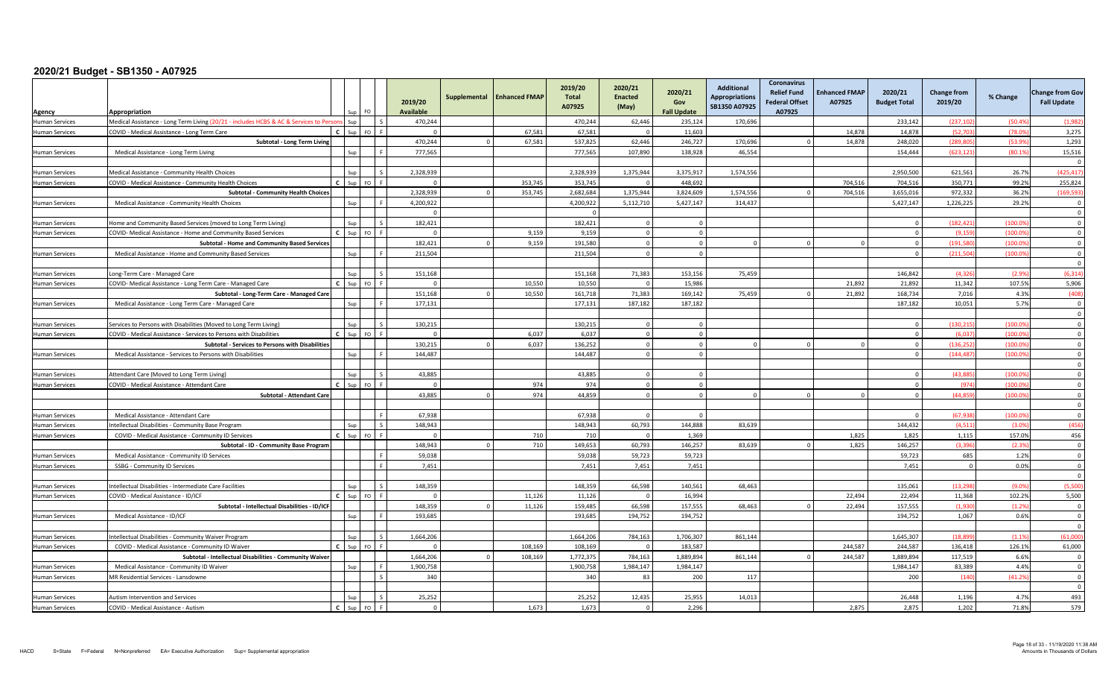| Agency                | Appropriation                                                                          |              |     |              | 2019/20<br><b>Available</b> | Supplemental | <b>Enhanced FMAP</b> | 2019/20<br><b>Total</b><br>A07925 | 2020/21<br><b>Enacted</b><br>(May) | 2020/21<br>Gov<br><b>Fall Update</b> | <b>Additional</b><br><b>Appropriations</b><br>SB1350 A07925 | <b>Coronavirus</b><br><b>Relief Fund</b><br><b>Federal Offset</b><br>A07925 | <b>Enhanced FMAP</b><br>A07925 | 2020/21<br><b>Budget Total</b> | <b>Change from</b><br>2019/20 | % Change | <b>Change from Gov</b><br><b>Fall Update</b> |
|-----------------------|----------------------------------------------------------------------------------------|--------------|-----|--------------|-----------------------------|--------------|----------------------|-----------------------------------|------------------------------------|--------------------------------------|-------------------------------------------------------------|-----------------------------------------------------------------------------|--------------------------------|--------------------------------|-------------------------------|----------|----------------------------------------------|
| <b>Human Services</b> | Medical Assistance - Long Term Living (20/21 - includes HCBS & AC & Services to Person |              | Sun |              | 470,244                     |              |                      | 470,244                           | 62,446                             | 235,124                              | 170,696                                                     |                                                                             |                                | 233,142                        | (237, 10)                     | (50.49)  | (1,98)                                       |
| <b>Human Services</b> | COVID - Medical Assistance - Long Term Care                                            |              |     | FO I         | $\Omega$                    |              | 67.581               | 67.581                            | $\Omega$                           | 11.603                               |                                                             |                                                                             | 14.878                         | 14.878                         | (52.703                       | (78.09   | 3,275                                        |
|                       | Subtotal - Long Term Living                                                            |              |     |              | 470.244                     | $\Omega$     | 67,581               | 537,825                           | 62.446                             | 246.727                              | 170.696                                                     |                                                                             | 14.878                         | 248.020                        | (289.80                       | (53.99)  | 1,293                                        |
| <b>Human Services</b> | Medical Assistance - Long Term Living                                                  |              |     |              | 777.565                     |              |                      | 777,565                           | 107,890                            | 138,928                              | 46,554                                                      |                                                                             |                                | 154,444                        | (623.121                      | (80.19)  | 15,516                                       |
|                       |                                                                                        |              |     |              |                             |              |                      |                                   |                                    |                                      |                                                             |                                                                             |                                |                                |                               |          | $\Omega$                                     |
| <b>Human Services</b> | Medical Assistance - Community Health Choices                                          |              |     |              | 2.328.939                   |              |                      | 2.328.939                         | 1,375,944                          | 3,375,917                            | 1.574.556                                                   |                                                                             |                                | 2.950.500                      | 621.561                       | 26.7%    | (425.41)                                     |
| <b>Human Services</b> | COVID - Medical Assistance - Community Health Choices                                  |              |     | FO.          | $\Omega$                    |              | 353,745              | 353.745                           |                                    | 448.692                              |                                                             |                                                                             | 704,516                        | 704.516                        | 350.771                       | 99.2%    | 255,824                                      |
|                       | <b>Subtotal - Community Health Choices</b>                                             |              |     |              | 2.328.939                   |              | 353,745              | 2.682.684                         | 1,375,944                          | 3,824,609                            | 1,574,556                                                   |                                                                             | 704,516                        | 3,655,016                      | 972,332                       | 36.2%    | (169, 59)                                    |
| <b>Human Services</b> | Medical Assistance - Community Health Choices                                          |              |     |              | 4,200,922                   |              |                      | 4,200,922                         | 5,112,710                          | 5,427,147                            | 314,437                                                     |                                                                             |                                | 5,427,147                      | 1,226,225                     | 29.2%    | - 0                                          |
|                       |                                                                                        |              |     |              | $\Omega$                    |              |                      | $\Omega$                          |                                    |                                      |                                                             |                                                                             |                                |                                |                               |          | $\overline{0}$                               |
| <b>Human Services</b> | Iome and Community Based Services (moved to Long Term Living)                          |              |     |              | 182,421                     |              |                      | 182,421                           | $\Omega$                           | $\Omega$                             |                                                             |                                                                             |                                | $\Omega$                       | (182.421)                     | (100.09) | $\overline{0}$                               |
| <b>Human Services</b> | COVID- Medical Assistance - Home and Community Based Services                          | $\epsilon$   | Sun | FO           | $\Omega$                    |              | 9.159                | 9.159                             | $\Omega$                           | $\Omega$                             |                                                             |                                                                             |                                | $\Omega$                       | (9.159)                       | (100.09) | $\Omega$                                     |
|                       | <b>Subtotal - Home and Community Based Services</b>                                    |              |     |              | 182,421                     |              | 9,159                | 191,580                           | $\Omega$                           | $\Omega$                             |                                                             |                                                                             |                                | $\Omega$                       | (191, 580)                    | (100.0)  | $\Omega$                                     |
| <b>Human Services</b> | Medical Assistance - Home and Community Based Services                                 |              |     |              | 211,504                     |              |                      | 211,504                           | $\Omega$                           | $\Omega$                             |                                                             |                                                                             |                                | $\Omega$                       | (211, 504)                    | (100.09) | $\Omega$                                     |
|                       |                                                                                        |              |     |              |                             |              |                      |                                   |                                    |                                      |                                                             |                                                                             |                                |                                |                               |          | $\mathfrak{c}$                               |
| <b>Human Services</b> | Long-Term Care - Managed Care                                                          |              | Sun | $\mathsf{S}$ | 151,168                     |              |                      | 151,168                           | 71,383                             | 153,156                              | 75,459                                                      |                                                                             |                                | 146.842                        | (4.326)                       | (2.99)   | (6, 314)                                     |
| <b>Human Services</b> | COVID-Medical Assistance - Long Term Care - Managed Care                               | $\mathbf{c}$ |     | <b>FO</b>    | $\Omega$                    |              | 10.550               | 10.550                            |                                    | 15.986                               |                                                             |                                                                             | 21,892                         | 21,892                         | 11.342                        | 107.5%   | 5,906                                        |
|                       | Subtotal - Long-Term Care - Managed Care                                               |              |     |              | 151,168                     |              | 10.550               | 161,718                           | 71,383                             | 169,142                              | 75,459                                                      |                                                                             | 21.892                         | 168.734                        | 7,016                         | 4.3%     | (408)                                        |
| <b>Human Services</b> | Medical Assistance - Long Term Care - Managed Care                                     |              | Sun |              | 177,131                     |              |                      | 177,131                           | 187,182                            | 187,182                              |                                                             |                                                                             |                                | 187,182                        | 10,051                        | 5.7%     | $\Omega$                                     |
|                       |                                                                                        |              |     |              |                             |              |                      |                                   |                                    |                                      |                                                             |                                                                             |                                |                                |                               |          | $\Omega$                                     |
| <b>Human Services</b> | Services to Persons with Disabilities (Moved to Long Term Living)                      |              |     |              | 130.215                     |              |                      | 130.215                           |                                    | $\Omega$                             |                                                             |                                                                             |                                | $\Omega$                       | (130.21)                      | (100.0)  | $\Omega$                                     |
| <b>Human Services</b> | COVID - Medical Assistance - Services to Persons with Disabilities                     | $\epsilon$   |     | FO.          | $\Omega$                    |              | 6,037                | 6,037                             | $\Omega$                           | $\Omega$                             |                                                             |                                                                             |                                | $\Omega$                       | (6.037)                       | (100.0)  | $\overline{0}$                               |
|                       | Subtotal - Services to Persons with Disabilities                                       |              |     |              | 130,215                     |              | 6,037                | 136,252                           | $\Omega$                           | $\Omega$                             |                                                             |                                                                             |                                | $\Omega$                       | (136.252)                     | (100.0   | $\overline{0}$                               |
| <b>Human Services</b> | Medical Assistance - Services to Persons with Disabilities                             |              |     |              | 144,487                     |              |                      | 144,487                           | $\Omega$                           | $\Omega$                             |                                                             |                                                                             |                                | $\Omega$                       | (144, 487)                    | (100.0)  | $\Omega$                                     |
|                       |                                                                                        |              |     |              |                             |              |                      |                                   |                                    |                                      |                                                             |                                                                             |                                |                                |                               |          | $\Omega$                                     |
| <b>Human Services</b> | Attendant Care (Moved to Long Term Living)                                             |              |     |              | 43.885                      |              |                      | 43,885                            |                                    |                                      |                                                             |                                                                             |                                |                                | (43.88)                       | (100.0)  | $\Omega$                                     |
| <b>Human Services</b> | COVID - Medical Assistance - Attendant Care                                            | $\epsilon$   |     | FO           | $\overline{0}$              |              | 974                  | 974                               | $\Omega$                           | $\Omega$                             |                                                             |                                                                             |                                | $\Omega$                       | (974)                         | (100.0)  | $\Omega$                                     |
|                       | <b>Subtotal - Attendant Care</b>                                                       |              |     |              | 43,885                      | $\Omega$     | 974                  | 44,859                            | $\Omega$                           | $\Omega$                             |                                                             |                                                                             |                                | $\Omega$                       | (44.859                       | (100.0)  | $\Omega$                                     |
|                       |                                                                                        |              |     |              |                             |              |                      |                                   |                                    |                                      |                                                             |                                                                             |                                |                                |                               |          | $\Omega$                                     |
| <b>Human Services</b> | Medical Assistance - Attendant Care                                                    |              |     |              | 67.938                      |              |                      | 67.938                            |                                    |                                      |                                                             |                                                                             |                                | $\Omega$                       | (67.938                       | (100.0)  | $\Omega$                                     |
| <b>Human Services</b> | ntellectual Disabilities - Community Base Program                                      |              |     |              | 148,943                     |              |                      | 148,943                           | 60,793                             | 144,888                              | 83.639                                                      |                                                                             |                                | 144,432                        | (4,511)                       | (3.09)   | (456)                                        |
| <b>Human Services</b> | COVID - Medical Assistance - Community ID Services                                     |              |     | FO F         | $\Omega$                    |              | 710                  | 710                               |                                    | 1,369                                |                                                             |                                                                             | 1,825                          | 1,825                          | 1,115                         | 157.0%   | 456                                          |
|                       | Subtotal - ID - Community Base Program                                                 |              |     |              | 148.943                     |              | 710                  | 149,653                           | 60,793                             | 146,257                              | 83.639                                                      |                                                                             | 1,825                          | 146,257                        | (3.396)                       | (2.3%    | $\Omega$                                     |
| <b>Human Services</b> | Medical Assistance - Community ID Services                                             |              |     | F.           | 59,038                      |              |                      | 59,038                            | 59,723                             | 59,723                               |                                                             |                                                                             |                                | 59,723                         | 685                           | 1.2%     | $\Omega$                                     |
| <b>Human Services</b> | SSBG - Community ID Services                                                           |              |     |              | 7,451                       |              |                      | 7,451                             | 7,451                              | 7,451                                |                                                             |                                                                             |                                | 7,451                          | $\mathbf{0}$                  | 0.0%     | $\overline{0}$                               |
|                       |                                                                                        |              |     |              |                             |              |                      |                                   |                                    |                                      |                                                             |                                                                             |                                |                                |                               |          | $\mathsf{C}$                                 |
| <b>Human Services</b> | ntellectual Disabilities - Intermediate Care Facilities                                |              |     |              | 148,359                     |              |                      | 148,359                           | 66,598                             | 140,561                              | 68.463                                                      |                                                                             |                                | 135,061                        | (13.298                       | (9.09)   | (5,500)                                      |
| <b>Human Services</b> | COVID - Medical Assistance - ID/ICF                                                    |              |     | FO I         | $\Omega$                    |              | 11,126               | 11,126                            | $\Omega$                           | 16,994                               |                                                             |                                                                             | 22,494                         | 22,494                         | 11,368                        | 102.2%   | 5,500                                        |
|                       | Subtotal - Intellectual Disabilities - ID/ICF                                          |              |     |              | 148.359                     | $\Omega$     | 11,126               | 159,485                           | 66.598                             | 157,555                              | 68,463                                                      |                                                                             | 22,494                         | 157,555                        | (1,930)                       | (1.2%    | $\overline{\mathbf{0}}$                      |
| <b>Human Services</b> | Medical Assistance - ID/ICF                                                            |              | Sun |              | 193,685                     |              |                      | 193.685                           | 194,752                            | 194,752                              |                                                             |                                                                             |                                | 194,752                        | 1,067                         | 0.6%     | $\Omega$                                     |
|                       |                                                                                        |              |     |              |                             |              |                      |                                   |                                    |                                      |                                                             |                                                                             |                                |                                |                               |          | $\Omega$                                     |
| <b>Human Services</b> | ntellectual Disabilities - Community Waiver Program                                    |              |     |              | 1,664,206                   |              |                      | 1.664.206                         | 784,163                            | 1,706,307                            | 861.144                                                     |                                                                             |                                | 1.645.307                      | (18.899                       | (1.1%    | (61.000)                                     |
| <b>Human Services</b> | COVID - Medical Assistance - Community ID Waiver                                       |              |     | <b>FO</b>    | $\Omega$                    |              | 108,169              | 108.169                           |                                    | 183.587                              |                                                             |                                                                             | 244,587                        | 244.587                        | 136,418                       | 126.1%   | 61,000                                       |
|                       | Subtotal - Intellectual Disabilities - Community Waiver                                |              |     |              | 1,664,206                   | $\cap$       | 108,169              | 1,772,375                         | 784,163                            | 1,889,894                            | 861,144                                                     |                                                                             | 244,587                        | 1,889,894                      | 117,519                       | 6.6%     | $\Omega$                                     |
| <b>Human Services</b> | Medical Assistance - Community ID Waiver                                               |              |     |              | 1.900.758                   |              |                      | 1,900,758                         | 1,984,147                          | 1,984,147                            |                                                             |                                                                             |                                | 1.984.147                      | 83.389                        | 4.4%     | $\Omega$                                     |
| <b>Human Services</b> | <b>MR Residential Services - Lansdowne</b>                                             |              |     | $\zeta$      | 340                         |              |                      | 340                               | 83                                 | 200                                  | 117                                                         |                                                                             |                                | 200                            | (140)                         | (41.2%   | $\overline{0}$                               |
|                       |                                                                                        |              |     |              |                             |              |                      |                                   |                                    |                                      |                                                             |                                                                             |                                |                                |                               |          | $\overline{0}$                               |
| <b>Human Services</b> | Autism Intervention and Services                                                       |              |     |              | 25.252                      |              |                      | 25,252                            | 12,435                             | 25,955                               | 14,013                                                      |                                                                             |                                | 26,448                         | 1,196                         | 4.7%     | 493                                          |
| <b>Human Services</b> | COVID - Medical Assistance - Autism                                                    |              |     |              | $\Omega$                    |              | 1,673                | 1,673                             |                                    | 2,296                                |                                                             |                                                                             | 2,875                          | 2.875                          | 1,202                         | 71.8%    | 579                                          |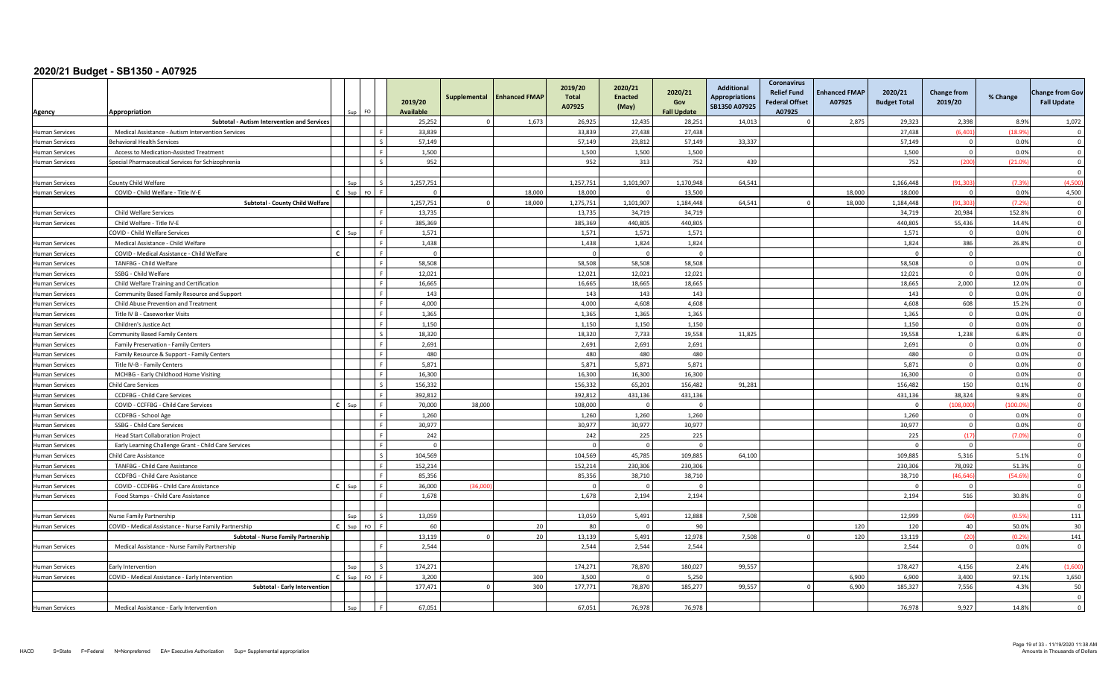| Agency                                         | Appropriation<br>sup                                                                         | FO. | 2019/20<br>Available | Supplemental | <b>Enhanced FMAP</b> | 2019/20<br>Total<br>A07925 | 2020/21<br><b>Enacted</b><br>(May) | 2020/21<br>Gov<br><b>Fall Update</b> | <b>Additional</b><br><b>Appropriations</b><br>SB1350 A07925 | Coronavirus<br><b>Relief Fund</b><br><b>Federal Offset</b><br>A07925 | <b>Enhanced FMAP</b><br>A07925 | 2020/21<br><b>Budget Total</b> | <b>Change from</b><br>2019/20 | % Change      | <b>Change from Gov</b><br><b>Fall Update</b> |
|------------------------------------------------|----------------------------------------------------------------------------------------------|-----|----------------------|--------------|----------------------|----------------------------|------------------------------------|--------------------------------------|-------------------------------------------------------------|----------------------------------------------------------------------|--------------------------------|--------------------------------|-------------------------------|---------------|----------------------------------------------|
|                                                | <b>Subtotal - Autism Intervention and Services</b>                                           |     | 25,252               |              | 1,673                | 26,925                     | 12,435                             | 28,251                               | 14,013                                                      |                                                                      | 2,875                          | 29,323                         | 2,398                         | 8.9%          | 1,072                                        |
| <b>Human Services</b>                          | Medical Assistance - Autism Intervention Services                                            |     | 33,839               |              |                      | 33,839                     | 27,438                             | 27,438                               |                                                             |                                                                      |                                | 27,438                         | (6, 401)                      | (18.99)       | $\overline{0}$                               |
| <b>Human Services</b>                          | <b>Behavioral Health Services</b>                                                            |     | 57,149               |              |                      | 57,149                     | 23,812                             | 57,149                               | 33,337                                                      |                                                                      |                                | 57,149                         | $\overline{0}$                | 0.0%          | $\overline{\mathbf{0}}$                      |
| <b>Human Services</b>                          | Access to Medication-Assisted Treatment                                                      |     | 1,500                |              |                      | 1,500                      | 1,500                              | 1,500                                |                                                             |                                                                      |                                | 1,500                          | $\Omega$                      | 0.0%          | $\overline{0}$                               |
| <b>Human Services</b>                          | Special Pharmaceutical Services for Schizophrenia                                            |     | 952                  |              |                      | 952                        | 313                                | 752                                  | 439                                                         |                                                                      |                                | 752                            | (200)                         | (21.09)       | $\Omega$<br>$\Omega$                         |
| <b>Human Services</b>                          | County Child Welfare                                                                         |     | 1,257,751            |              |                      | 1,257,751                  | 1,101,907                          | 1,170,948                            | 64,541                                                      |                                                                      |                                | 1,166,448                      | (91, 30)                      | (7.39)        | (4,500)                                      |
| <b>Human Services</b>                          | $\epsilon$<br>COVID - Child Welfare - Title IV-E                                             |     | $\Omega$             |              | 18,000               | 18,000                     |                                    | 13.500                               |                                                             |                                                                      | 18,000                         | 18,000                         | $\Omega$                      | 0.0%          | 4,500                                        |
|                                                | Subtotal - County Child Welfare                                                              |     | 1,257,751            |              | 18,000               | 1,275,751                  | 1,101,907                          | 1,184,448                            | 64,541                                                      | $\Omega$                                                             | 18,000                         | 1,184,448                      | (91, 303)                     | (7.2%         | $\overline{\mathbf{0}}$                      |
| <b>Human Services</b>                          | Child Welfare Services                                                                       |     | 13,735               |              |                      | 13,735                     | 34,719                             | 34,719                               |                                                             |                                                                      |                                | 34,719                         | 20,984                        | 152.8%        | $\overline{0}$                               |
| <b>Human Services</b>                          | Child Welfare - Title IV-E                                                                   |     | 385.369              |              |                      | 385.369                    | 440.805                            | 440.805                              |                                                             |                                                                      |                                | 440.805                        | 55.436                        | 14.4%         | $\overline{0}$                               |
|                                                | $\mathbf{c}$<br>COVID - Child Welfare Services<br>Sup                                        |     | 1,571                |              |                      | 1,571                      | 1,571                              | 1,571                                |                                                             |                                                                      |                                | 1,571                          | $\overline{0}$                | 0.0%          | $\mathbf{0}$                                 |
| <b>Human Services</b>                          | Medical Assistance - Child Welfare                                                           |     | 1,438                |              |                      | 1,438                      | 1,824                              | 1,824                                |                                                             |                                                                      |                                | 1,824                          | 386                           | 26.8%         | $\overline{\mathbf{0}}$                      |
| <b>Human Services</b>                          | $\mathbf{c}$<br>COVID - Medical Assistance - Child Welfare                                   |     | $\Omega$             |              |                      |                            | $\Omega$                           | $\Omega$                             |                                                             |                                                                      |                                | - 0                            | $\Omega$                      |               | $\Omega$                                     |
| <b>Human Services</b>                          | TANFBG - Child Welfare                                                                       |     | 58,508               |              |                      | 58,508                     | 58,508                             | 58,508                               |                                                             |                                                                      |                                | 58,508                         | $\overline{0}$                | 0.0%          | $\overline{\mathbf{0}}$                      |
| <b>Human Services</b>                          | SSBG - Child Welfare                                                                         |     | 12,021               |              |                      | 12,021                     | 12,021                             | 12,021                               |                                                             |                                                                      |                                | 12,021                         | $\overline{0}$                | 0.0%          | $\overline{0}$                               |
| <b>Human Services</b>                          | Child Welfare Training and Certification                                                     |     | 16.665               |              |                      | 16.665                     | 18.665                             | 18.665                               |                                                             |                                                                      |                                | 18.665                         | 2.000                         | 12.0%         | $\Omega$                                     |
| <b>Human Services</b>                          | Community Based Family Resource and Support                                                  |     | 143                  |              |                      | 143                        | 143                                | 143                                  |                                                             |                                                                      |                                | 143                            | $\overline{0}$                | 0.0%          | $\overline{\mathbf{0}}$                      |
| <b>Human Services</b>                          | Child Abuse Prevention and Treatment<br>Title IV B - Caseworker Visits                       |     | 4,000<br>1.365       |              |                      | 4,000<br>1.365             | 4,608<br>1.365                     | 4,608<br>1.365                       |                                                             |                                                                      |                                | 4,608<br>1.365                 | 608<br>$\overline{0}$         | 15.2%<br>0.0% | $\Omega$<br>$\overline{0}$                   |
| <b>Human Services</b>                          | Children's Justice Act                                                                       |     | 1,150                |              |                      | 1,150                      | 1,150                              | 1,150                                |                                                             |                                                                      |                                | 1,150                          | $\overline{0}$                | 0.0%          | $\overline{\mathbf{0}}$                      |
| <b>Human Services</b><br><b>Human Services</b> | Community Based Family Centers                                                               |     | 18,320               |              |                      | 18.320                     | 7.733                              | 19.558                               | 11,825                                                      |                                                                      |                                | 19,558                         | 1,238                         | 6.8%          | $\overline{0}$                               |
| <b>Human Services</b>                          | Family Preservation - Family Centers                                                         |     | 2,691                |              |                      | 2.691                      | 2.691                              | 2.691                                |                                                             |                                                                      |                                | 2.691                          | $\overline{0}$                | 0.0%          | $\overline{0}$                               |
| <b>Human Services</b>                          | Family Resource & Support - Family Centers                                                   |     | 480                  |              |                      | 480                        | 480                                | 480                                  |                                                             |                                                                      |                                | 480                            | $\overline{0}$                | 0.0%          | $\mathbf 0$                                  |
| <b>Human Services</b>                          | Title IV-B - Family Centers                                                                  |     | 5.871                |              |                      | 5.871                      | 5.871                              | 5.871                                |                                                             |                                                                      |                                | 5.871                          | $\overline{0}$                | 0.0%          | $\Omega$                                     |
| <b>Human Services</b>                          | MCHBG - Early Childhood Home Visiting                                                        |     | 16.300               |              |                      | 16.300                     | 16.300                             | 16.300                               |                                                             |                                                                      |                                | 16.300                         | $\mathbf{0}$                  | 0.0%          | $\Omega$                                     |
| <b>Human Services</b>                          | <b>Child Care Services</b>                                                                   |     | 156,332              |              |                      | 156,332                    | 65,201                             | 156,482                              | 91,281                                                      |                                                                      |                                | 156,482                        | 150                           | 0.1%          | $\overline{\mathbf{0}}$                      |
| <b>Human Services</b>                          | CCDFBG - Child Care Services                                                                 |     | 392,812              |              |                      | 392,812                    | 431,136                            | 431,136                              |                                                             |                                                                      |                                | 431,136                        | 38.324                        | 9.8%          | $\overline{0}$                               |
| <b>Human Services</b>                          | c l<br>COVID - CCFFBG - Child Care Services<br>Sun                                           |     | 70.000               | 38,000       |                      | 108.000                    | $\Omega$                           | $\Omega$                             |                                                             |                                                                      |                                | $\Omega$                       | (108.000)                     | (100.0%       | $\overline{0}$                               |
| <b>Human Services</b>                          | CCDFBG - School Age                                                                          |     | 1,260                |              |                      | 1,260                      | 1,260                              | 1,260                                |                                                             |                                                                      |                                | 1,260                          | $\mathbf 0$                   | 0.0%          | $\overline{0}$                               |
| <b>Human Services</b>                          | SSBG - Child Care Services                                                                   |     | 30,977               |              |                      | 30,977                     | 30,977                             | 30.977                               |                                                             |                                                                      |                                | 30,977                         | $\Omega$                      | 0.0%          | $\Omega$                                     |
| <b>Human Services</b>                          | <b>Head Start Collaboration Project</b>                                                      |     | 242                  |              |                      | 242                        | 225                                | 225                                  |                                                             |                                                                      |                                | 225                            | (17)                          | (7.0%         | $\overline{\mathbf{0}}$                      |
| <b>Human Services</b>                          | Early Learning Challenge Grant - Child Care Services                                         |     | $\overline{0}$       |              |                      |                            | $\sqrt{ }$                         | $\mathbf 0$                          |                                                             |                                                                      |                                |                                | $\mathbf 0$                   |               | $\overline{\mathbf{0}}$                      |
| <b>Human Services</b>                          | Child Care Assistance                                                                        |     | 104.569              |              |                      | 104.569                    | 45,785                             | 109,885                              | 64,100                                                      |                                                                      |                                | 109,885                        | 5,316                         | 5.1%          | $\overline{0}$                               |
| <b>Human Services</b>                          | TANFBG - Child Care Assistance                                                               |     | 152,214              |              |                      | 152,214                    | 230,306                            | 230,306                              |                                                             |                                                                      |                                | 230,306                        | 78,092                        | 51.3%         | $\overline{0}$                               |
| <b>Human Services</b>                          | CCDFBG - Child Care Assistance                                                               |     | 85,356               |              |                      | 85,356                     | 38,710                             | 38,710                               |                                                             |                                                                      |                                | 38,710                         | (46, 646)                     | (54.6%        | $\Omega$                                     |
| <b>Human Services</b>                          | COVID - CCDFBG - Child Care Assistance<br>$\mathbf{c}$<br>Sun                                |     | 36,000               | (36.00)      |                      |                            |                                    | $\Omega$                             |                                                             |                                                                      |                                | - 0                            | $\overline{0}$                |               | $\Omega$                                     |
| <b>Human Services</b>                          | Food Stamps - Child Care Assistance                                                          |     | 1,678                |              |                      | 1,678                      | 2,194                              | 2,194                                |                                                             |                                                                      |                                | 2,194                          | 516                           | 30.8%         | $\overline{\mathbf{0}}$<br>$\Omega$          |
| <b>Human Services</b>                          | Nurse Family Partnership<br>Sup                                                              |     | 13,059               |              |                      | 13.059                     | 5,491                              | 12,888                               | 7,508                                                       |                                                                      |                                | 12.999                         | (60)                          | (0.59)        | 111                                          |
| <b>Human Services</b>                          | $\mathbf{c}$<br>COVID - Medical Assistance - Nurse Family Partnership<br>Sup                 | FO. | 60                   |              | 20                   | 80                         | $\Omega$                           | 90                                   |                                                             |                                                                      | 120                            | 120                            | 40                            | 50.0%         | 30                                           |
|                                                | Subtotal - Nurse Family Partnership                                                          |     | 13.119               |              | 20                   | 13.139                     | 5,491                              | 12,978                               | 7,508                                                       | $\Omega$                                                             | 120                            | 13,119                         | (20)                          | (0.2%         | 141                                          |
| <b>Human Services</b>                          | Medical Assistance - Nurse Family Partnership                                                |     | 2,544                |              |                      | 2,544                      | 2,544                              | 2,544                                |                                                             |                                                                      |                                | 2,544                          | $\mathbf{0}$                  | 0.0%          | $\Omega$                                     |
|                                                |                                                                                              |     |                      |              |                      |                            |                                    |                                      |                                                             |                                                                      |                                |                                | 4.156                         |               |                                              |
| <b>Human Services</b><br><b>Human Services</b> | Early Intervention<br>$\mathbf{c}$<br>COVID - Medical Assistance - Early Intervention<br>Sun |     | 174,271<br>3.200     |              | 300                  | 174.271<br>3.500           | 78.870<br>$\overline{0}$           | 180.027<br>5.250                     | 99,557                                                      |                                                                      | 6.900                          | 178,427<br>6.900               | 3.400                         | 2.4%<br>97.1% | (1,600)<br>1,650                             |
|                                                | Subtotal - Early Intervention                                                                |     | 177,471              |              | 300                  | 177,771                    | 78,870                             | 185,277                              | 99,557                                                      | $\Omega$                                                             | 6,900                          | 185,327                        | 7,556                         | 4.3%          | 50                                           |
|                                                |                                                                                              |     |                      |              |                      |                            |                                    |                                      |                                                             |                                                                      |                                |                                |                               |               | $\Omega$                                     |
| <b>Human Services</b>                          | Medical Assistance - Early Intervention                                                      |     | 67,051               |              |                      | 67,051                     | 76,978                             | 76,978                               |                                                             |                                                                      |                                | 76,978                         | 9,927                         | 14.8%         | $\Omega$                                     |
|                                                |                                                                                              |     |                      |              |                      |                            |                                    |                                      |                                                             |                                                                      |                                |                                |                               |               |                                              |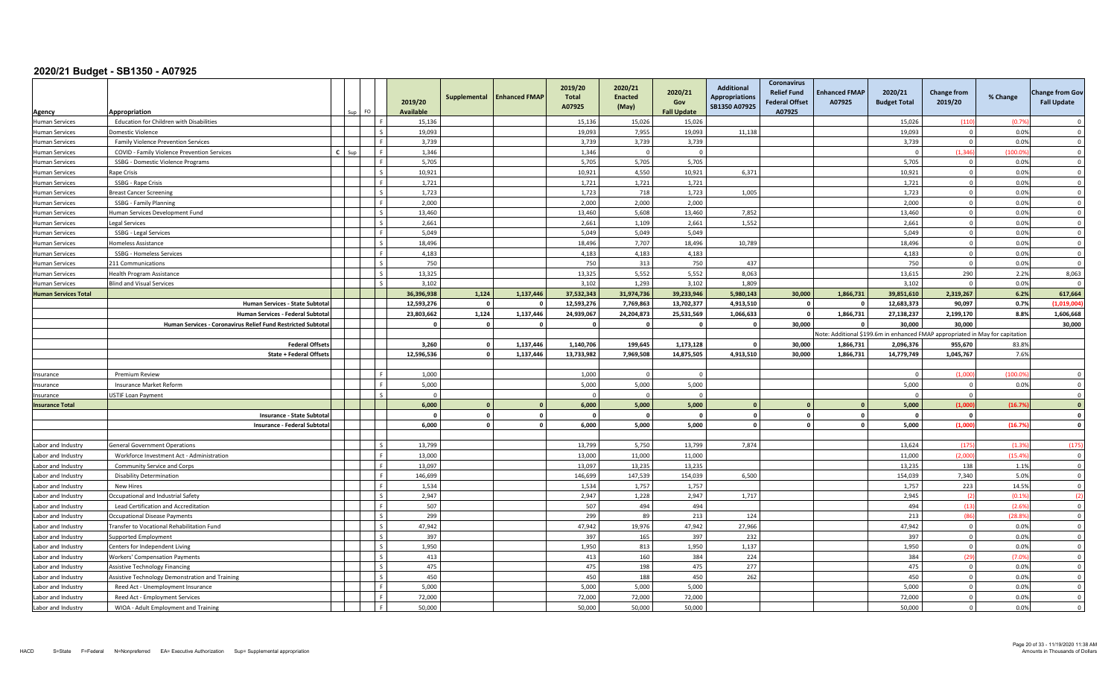| Agency                      | Appropriation                                               |  | FO                       | 2019/20<br><b>Available</b> | Supplemental   | <b>Enhanced FMAP</b> | 2019/20<br><b>Total</b><br>A07925 | 2020/21<br><b>Enacted</b><br>(May) | 2020/21<br>Gov<br><b>Fall Update</b> | <b>Additional</b><br><b>Appropriations</b><br>SB1350 A07925 | Coronavirus<br><b>Relief Fund</b><br><b>Federal Offset</b><br>A07925 | <b>Enhanced FMAP</b><br>A07925 | 2020/21<br><b>Budget Total</b>                                                | <b>Change from</b><br>2019/20 | % Change | <b>Change from Gov</b><br><b>Fall Update</b> |
|-----------------------------|-------------------------------------------------------------|--|--------------------------|-----------------------------|----------------|----------------------|-----------------------------------|------------------------------------|--------------------------------------|-------------------------------------------------------------|----------------------------------------------------------------------|--------------------------------|-------------------------------------------------------------------------------|-------------------------------|----------|----------------------------------------------|
| <b>Human Services</b>       | Education for Children with Disabilities                    |  |                          | 15,136                      |                |                      | 15,136                            | 15,026                             | 15,026                               |                                                             |                                                                      |                                | 15,026                                                                        | (110)                         | (0.7%    | $\Omega$                                     |
| <b>Human Services</b>       | Domestic Violence                                           |  |                          | 19,093                      |                |                      | 19,093                            | 7,955                              | 19,093                               | 11,138                                                      |                                                                      |                                | 19,093                                                                        | $\overline{0}$                | 0.0%     | $\Omega$                                     |
| <b>Human Services</b>       | <b>Family Violence Prevention Services</b>                  |  |                          | 3,739                       |                |                      | 3,739                             | 3,739                              | 3,739                                |                                                             |                                                                      |                                | 3,739                                                                         | $\overline{0}$                | 0.0%     | $\Omega$                                     |
| <b>Human Services</b>       | COVID - Family Violence Prevention Services                 |  |                          | 1,346                       |                |                      | 1,346                             | $\sqrt{ }$                         | $\Omega$                             |                                                             |                                                                      |                                | $\sqrt{ }$                                                                    | (1.346)                       | (100.09) | $\Omega$                                     |
| <b>Human Services</b>       | SSBG - Domestic Violence Programs                           |  | F.                       | 5,705                       |                |                      | 5,705                             | 5,705                              | 5,705                                |                                                             |                                                                      |                                | 5,705                                                                         | $\mathbf 0$                   | 0.0%     | $\Omega$                                     |
| <b>Human Services</b>       | Rape Crisis                                                 |  | $\overline{\phantom{a}}$ | 10,921                      |                |                      | 10,921                            | 4,550                              | 10,921                               | 6,371                                                       |                                                                      |                                | 10,921                                                                        | $\overline{0}$                | 0.0%     | $\overline{0}$                               |
| <b>Human Services</b>       | SSBG - Rape Crisis                                          |  |                          | 1,721                       |                |                      | 1,721                             | 1,721                              | 1,721                                |                                                             |                                                                      |                                | 1,721                                                                         | $\Omega$                      | 0.0%     | $\Omega$                                     |
| <b>Human Services</b>       | Breast Cancer Screening                                     |  | $\epsilon$               | 1.723                       |                |                      | 1,723                             | 718                                | 1.723                                | 1.005                                                       |                                                                      |                                | 1.723                                                                         | $\mathbf{0}$                  | 0.0%     | $\Omega$                                     |
| <b>Human Services</b>       | SSBG - Family Planning                                      |  |                          | 2,000                       |                |                      | 2,000                             | 2,000                              | 2,000                                |                                                             |                                                                      |                                | 2,000                                                                         | $\mathsf 0$                   | 0.0%     | $\overline{\mathbf{0}}$                      |
| <b>Human Services</b>       | Human Services Development Fund                             |  | S.                       | 13,460                      |                |                      | 13,460                            | 5,608                              | 13,460                               | 7,852                                                       |                                                                      |                                | 13,460                                                                        | $\overline{0}$                | 0.0%     | $\overline{0}$                               |
| <b>Human Services</b>       | egal Services                                               |  |                          | 2.661                       |                |                      | 2.661                             | 1.109                              | 2.661                                | 1.552                                                       |                                                                      |                                | 2.661                                                                         | $\circ$                       | 0.0%     | $\Omega$                                     |
| <b>Human Services</b>       | SSBG - Legal Services                                       |  |                          | 5,049                       |                |                      | 5,049                             | 5,049                              | 5,049                                |                                                             |                                                                      |                                | 5,049                                                                         | $\mathsf 0$                   | 0.0%     | $\overline{0}$                               |
| <b>Human Services</b>       | Iomeless Assistance                                         |  |                          | 18,496                      |                |                      | 18,496                            | 7,707                              | 18,496                               | 10,789                                                      |                                                                      |                                | 18,496                                                                        | $\mathbf{0}$                  | 0.0%     | $\Omega$                                     |
| <b>Human Services</b>       | SSBG - Homeless Services                                    |  |                          | 4.183                       |                |                      | 4.183                             | 4.183                              | 4.183                                |                                                             |                                                                      |                                | 4.183                                                                         | $\Omega$                      | 0.0%     | $\Omega$                                     |
| <b>Human Services</b>       | 211 Communications                                          |  |                          | 750                         |                |                      | 750                               | 313                                | 750                                  | 437                                                         |                                                                      |                                | 750                                                                           | $\overline{0}$                | 0.0%     | $\overline{0}$                               |
| Human Services              | <b>Health Program Assistance</b>                            |  |                          | 13,325                      |                |                      | 13,325                            | 5,552                              | 5,552                                | 8,063                                                       |                                                                      |                                | 13,615                                                                        | 290                           | 2.2%     | 8,063                                        |
| <b>Human Services</b>       | lind and Visual Services                                    |  |                          | 3.102                       |                |                      | 3.102                             | 1.293                              | 3.102                                | 1.809                                                       |                                                                      |                                | 3.102                                                                         | $\mathbf{0}$                  | 0.0%     | $\mathfrak{c}$                               |
| <b>Human Services Total</b> |                                                             |  |                          | 36,396,938                  | 1,124          | 1,137,446            | 37,532,343                        | 31,974,736                         | 39,233,946                           | 5,980,143                                                   | 30,000                                                               | 1,866,731                      | 39,851,610                                                                    | 2,319,267                     | 6.2%     | 617,664                                      |
|                             | Human Services - State Subtota                              |  |                          | 12,593,276                  | $\Omega$       | - 0                  | 12,593,276                        | 7,769,863                          | 13,702,377                           | 4,913,510                                                   | $\Omega$                                                             |                                | 12,683,373                                                                    | 90,097                        | 0.7%     | (1,019,004)                                  |
|                             | Human Services - Federal Subtota                            |  |                          | 23.803.662                  | 1,124          | 1,137,446            | 24,939,067                        | 24,204,873                         | 25,531,569                           | 1,066,633                                                   | $\Omega$                                                             | 1.866.731                      | 27.138.237                                                                    | 2.199.170                     | 8.8%     | 1,606,668                                    |
|                             | Human Services - Coronavirus Relief Fund Restricted Subtota |  |                          | $\mathbf 0$                 | $\mathbf 0$    | $\mathbf{0}$         |                                   | $\Omega$                           | $\mathbf 0$                          | 0                                                           | 30,000                                                               |                                | 30,000                                                                        | 30,000                        |          | 30,000                                       |
|                             |                                                             |  |                          |                             |                |                      |                                   |                                    |                                      |                                                             |                                                                      |                                | lote: Additional \$199.6m in enhanced FMAP appropriated in May for capitation |                               |          |                                              |
|                             | <b>Federal Offsets</b>                                      |  |                          | 3.260                       | $\circ$        | 1,137,446            | 1.140.706                         | 199,645                            | 1,173,128                            | $\mathbf{0}$                                                | 30.000                                                               | 1.866.731                      | 2.096.376                                                                     | 955,670                       | 83.8%    |                                              |
|                             | <b>State + Federal Offsets</b>                              |  |                          | 12,596,536                  | $\circ$        | 1,137,446            | 13,733,982                        | 7,969,508                          | 14,875,505                           | 4,913,510                                                   | 30,000                                                               | 1,866,731                      | 14,779,749                                                                    | 1,045,767                     | 7.6%     |                                              |
|                             |                                                             |  |                          |                             |                |                      |                                   |                                    |                                      |                                                             |                                                                      |                                |                                                                               |                               |          |                                              |
| Insurance                   | <b>Premium Review</b>                                       |  |                          | 1.000                       |                |                      | 1.000                             | $\Omega$                           | $\Omega$                             |                                                             |                                                                      |                                | $\Omega$                                                                      | (1.000)                       | (100.09) | $\Omega$                                     |
| surance                     | Insurance Market Reform                                     |  | $\mathbf{r}$             | 5,000                       |                |                      | 5,000                             | 5,000                              | 5,000                                |                                                             |                                                                      |                                | 5,000                                                                         | $\overline{0}$                | 0.0%     | $\overline{\mathbf{0}}$                      |
| Insurance                   | <b>JSTIF Loan Payment</b>                                   |  |                          | $\Omega$                    |                |                      |                                   | $\sqrt{ }$                         | $\Omega$                             |                                                             |                                                                      |                                | $\sqrt{ }$                                                                    | $\Omega$                      |          | $\overline{0}$                               |
| <b>Insurance Total</b>      |                                                             |  |                          | 6,000                       | $\Omega$       | $\mathbf{0}$         | 6.000                             | 5,000                              | 5,000                                | $\Omega$                                                    |                                                                      |                                | 5,000                                                                         | (1.000)                       | (16.79)  | $\overline{0}$                               |
|                             | <b>Insurance - State Subtotal</b>                           |  |                          | $\mathbf{0}$                | $\overline{0}$ | $\mathbf 0$          |                                   |                                    | $\sqrt{2}$                           | $\Omega$                                                    |                                                                      |                                | $\sqrt{2}$                                                                    | $\mathbf 0$                   |          | $\mathbf 0$                                  |
|                             | <b>Insurance - Federal Subtota</b>                          |  |                          | 6,000                       | $\Omega$       | $\mathbf{0}$         | 6,000                             | 5,000                              | 5,000                                | $\Omega$                                                    | $\Omega$                                                             |                                | 5,000                                                                         | (1,000)                       | (16.7)   | $\mathbf{0}$                                 |
|                             |                                                             |  |                          |                             |                |                      |                                   |                                    |                                      |                                                             |                                                                      |                                |                                                                               |                               |          |                                              |
| Labor and Industry          | <b>General Government Operations</b>                        |  |                          | 13,799                      |                |                      | 13,799                            | 5,750                              | 13,799                               | 7,874                                                       |                                                                      |                                | 13,624                                                                        | (175)                         | (1.39)   | (175)                                        |
| Labor and Industry          | Workforce Investment Act - Administration                   |  | F.                       | 13,000                      |                |                      | 13,000                            | 11,000                             | 11,000                               |                                                             |                                                                      |                                | 11,000                                                                        | (2.000)                       | (15.49)  | $\overline{0}$                               |
| Labor and Industry          | Community Service and Corps                                 |  |                          | 13,097                      |                |                      | 13,097                            | 13,235                             | 13,235                               |                                                             |                                                                      |                                | 13,235                                                                        | 138                           | 1.1%     | $\mathbf 0$                                  |
| Labor and Industry          | <b>Disability Determination</b>                             |  |                          | 146,699                     |                |                      | 146,699                           | 147,539                            | 154,039                              | 6,500                                                       |                                                                      |                                | 154,039                                                                       | 7,340                         | 5.0%     | $\Omega$                                     |
| Labor and Industry          | <b>New Hires</b>                                            |  |                          | 1,534                       |                |                      | 1,534                             | 1,757                              | 1,757                                |                                                             |                                                                      |                                | 1,757                                                                         | 223                           | 14.5%    | $\Omega$                                     |
| Labor and Industry          | Occupational and Industrial Safety                          |  | $\zeta$                  | 2,947                       |                |                      | 2,947                             | 1,228                              | 2,947                                | 1,717                                                       |                                                                      |                                | 2,945                                                                         | $\sqrt{2}$                    | (0.1%    | (2)                                          |
| Labor and Industry          | Lead Certification and Accreditation                        |  | F.                       | 507                         |                |                      | 507                               | 494                                | 494                                  |                                                             |                                                                      |                                | 494                                                                           | (13)                          | (2.6%    | $\Omega$                                     |
| Labor and Industry          | Occupational Disease Payments                               |  | $\zeta$                  | 299                         |                |                      | 299                               | 89                                 | 213                                  | 124                                                         |                                                                      |                                | 213                                                                           | (86)                          | (28.89)  | $\overline{0}$                               |
| Labor and Industry          | Fransfer to Vocational Rehabilitation Fund                  |  |                          | 47,942                      |                |                      | 47,942                            | 19,976                             | 47,942                               | 27,966                                                      |                                                                      |                                | 47,942                                                                        | $\overline{0}$                | 0.0%     | $\overline{\mathbf{0}}$                      |
| Labor and Industry          | Supported Employment                                        |  |                          | 397                         |                |                      | 397                               | 165                                | 397                                  | 232                                                         |                                                                      |                                | 397                                                                           | $\circ$                       | 0.0%     | $\Omega$                                     |
| Labor and Industry          | Centers for Independent Living                              |  |                          | 1,950                       |                |                      | 1,950                             | 813                                | 1,950                                | 1,137                                                       |                                                                      |                                | 1,950                                                                         | $\mathbf{0}$                  | 0.0%     | $\Omega$                                     |
| Labor and Industry          | <b>Workers' Compensation Payments</b>                       |  | $\zeta$                  | 413                         |                |                      | 413                               | 160                                | 384                                  | 224                                                         |                                                                      |                                | 384                                                                           | (29)                          | (7.0%    | $\overline{\mathbf{0}}$                      |
| Labor and Industry          | Assistive Technology Financing                              |  |                          | 475                         |                |                      | 475                               | 198                                | 475                                  | 277                                                         |                                                                      |                                | 475                                                                           | $\overline{0}$                | 0.0%     | $\overline{\mathbf{0}}$                      |
| Labor and Industry          | Assistive Technology Demonstration and Training             |  | $\mathsf{S}$             | 450                         |                |                      | 450                               | 188                                | 450                                  | 262                                                         |                                                                      |                                | 450                                                                           | $\overline{0}$                | 0.0%     | $\overline{0}$                               |
| Labor and Industry          | Reed Act - Unemployment Insurance                           |  |                          | 5,000                       |                |                      | 5,000                             | 5,000                              | 5,000                                |                                                             |                                                                      |                                | 5,000                                                                         | $\mathbf 0$                   | 0.0%     | $\overline{0}$                               |
| Labor and Industry          | Reed Act - Employment Services                              |  |                          | 72,000                      |                |                      | 72,000                            | 72,000                             | 72,000                               |                                                             |                                                                      |                                | 72,000                                                                        | $\mathbf{0}$                  | 0.0%     | $\Omega$                                     |
| Labor and Industry          | WIOA - Adult Employment and Training                        |  |                          | 50.000                      |                |                      | 50,000                            | 50,000                             | 50,000                               |                                                             |                                                                      |                                | 50,000                                                                        | $\mathsf 0$                   | 0.0%     | $\Omega$                                     |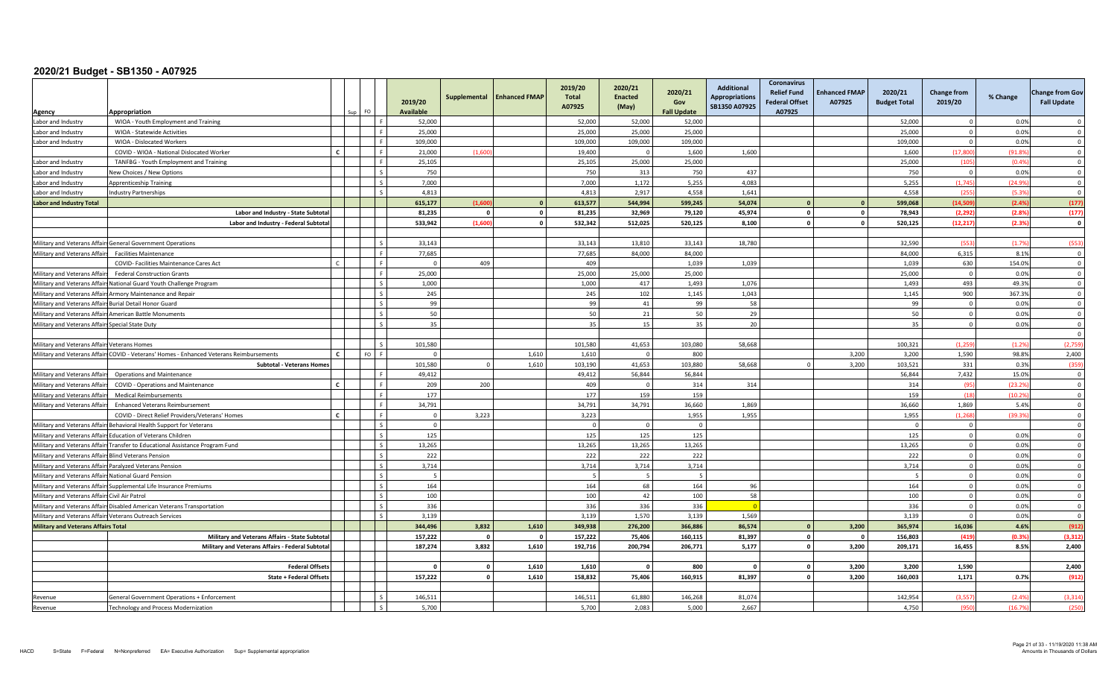| Agency                                           | Appropriation                                                                 |              | FO. |    | 2019/20<br><b>Available</b> | Supplemental            | <b>Enhanced FMAP</b> | 2019/20<br>Total<br>A07925 | 2020/21<br><b>Enacted</b><br>(May) | 2020/21<br>Gov<br><b>Fall Update</b> | <b>Additional</b><br><b>Appropriations</b><br>SB1350 A07925 | <b>Coronavirus</b><br><b>Relief Fund</b><br><b>Federal Offset</b><br>A07925 | <b>Enhanced FMAP</b><br>A07925 | 2020/21<br><b>Budget Total</b> | <b>Change from</b><br>2019/20 | % Change | <b>Change from Gov</b><br><b>Fall Update</b> |
|--------------------------------------------------|-------------------------------------------------------------------------------|--------------|-----|----|-----------------------------|-------------------------|----------------------|----------------------------|------------------------------------|--------------------------------------|-------------------------------------------------------------|-----------------------------------------------------------------------------|--------------------------------|--------------------------------|-------------------------------|----------|----------------------------------------------|
| Labor and Industry                               | WIOA - Youth Employment and Training                                          |              |     |    | 52,000                      |                         |                      | 52,000                     | 52,000                             | 52,000                               |                                                             |                                                                             |                                | 52,000                         | $\Omega$                      | 0.0%     | $\Omega$                                     |
| Labor and Industry                               | WIOA - Statewide Activities                                                   |              |     |    | 25,000                      |                         |                      | 25,000                     | 25,000                             | 25,000                               |                                                             |                                                                             |                                | 25,000                         | $\Omega$                      | 0.0%     | $\overline{0}$                               |
| Labor and Industry                               | WIOA - Dislocated Workers                                                     |              |     |    | 109,000                     |                         |                      | 109,000                    | 109,000                            | 109,000                              |                                                             |                                                                             |                                | 109,000                        | $\Omega$                      | 0.0%     | $\overline{0}$                               |
|                                                  | COVID - WIOA - National Dislocated Worker                                     |              |     |    | 21,000                      | (1.60)                  |                      | 19,400                     | $\Omega$                           | 1,600                                | 1,600                                                       |                                                                             |                                | 1,600                          | (17.800)                      | (91.8%   | $\overline{0}$                               |
| Labor and Industry                               | TANFBG - Youth Employment and Training                                        |              |     |    | 25,105                      |                         |                      | 25,105                     | 25,000                             | 25,000                               |                                                             |                                                                             |                                | 25,000                         | (105)                         | (0.4%    | $\Omega$                                     |
| Labor and Industry                               | <b>New Choices / New Options</b>                                              |              |     |    | 750                         |                         |                      | 750                        | 313                                | 750                                  | 437                                                         |                                                                             |                                | 750                            | $\Omega$                      | 0.0%     | $\overline{0}$                               |
| Labor and Industry                               | <b>Apprenticeship Training</b>                                                |              |     |    | 7,000                       |                         |                      | 7,000                      | 1,172                              | 5,255                                | 4,083                                                       |                                                                             |                                | 5,255                          | (1,745)                       | (24.9%   | $\overline{0}$                               |
| Labor and Industry                               | ndustry Partnerships                                                          |              |     |    | 4.813                       |                         |                      | 4.813                      | 2.917                              | 4.558                                | 1.641                                                       |                                                                             |                                | 4,558                          | (255)                         | (5.3%    | $\Omega$                                     |
| <b>Labor and Industry Total</b>                  |                                                                               |              |     |    | 615,177                     | (1.60)                  |                      | 613,577                    | 544,994                            | 599,245                              | 54,074                                                      |                                                                             |                                | 599,068                        | (14.509                       | (2.4%    | (177)                                        |
|                                                  | Labor and Industry - State Subtotal                                           |              |     |    | 81,235                      | $\sqrt{2}$              | $\Omega$             | 81,235                     | 32,969                             | 79,120                               | 45,974                                                      | $\mathbf{0}$                                                                | $\circ$                        | 78,943                         | (2, 292)                      | (2.8%    | (177)                                        |
|                                                  | Labor and Industry - Federal Subtota                                          |              |     |    | 533,942                     | (1.60)                  | $\mathbf{0}$         | 532,342                    | 512,025                            | 520,125                              | 8,100                                                       | $\Omega$                                                                    | $\circ$                        | 520,125                        | (12.217)                      | (2.3%    | $\mathbf{0}$                                 |
|                                                  |                                                                               |              |     |    |                             |                         |                      |                            |                                    |                                      |                                                             |                                                                             |                                |                                |                               |          |                                              |
|                                                  | Military and Veterans Affairs General Government Operations                   |              |     |    | 33,143                      |                         |                      | 33,143                     | 13.810                             | 33,143                               | 18,780                                                      |                                                                             |                                | 32,590                         | (553)                         | (1.7%    | (553)                                        |
| Military and Veterans Affairs                    | <b>Facilities Maintenance</b>                                                 |              |     |    | 77,685                      |                         |                      | 77,685                     | 84,000                             | 84,000                               |                                                             |                                                                             |                                | 84,000                         | 6,315                         | 8.1%     | $\Omega$                                     |
|                                                  | COVID- Facilities Maintenance Cares Act                                       |              |     |    | $\Omega$                    | 409                     |                      | 409                        |                                    | 1,039                                | 1,039                                                       |                                                                             |                                | 1,039                          | 630                           | 154.0%   | $\mathbf 0$                                  |
| Military and Veterans Affair                     | <b>Federal Construction Grants</b>                                            |              |     |    | 25,000                      |                         |                      | 25,000                     | 25,000                             | 25,000                               |                                                             |                                                                             |                                | 25,000                         | $\Omega$                      | 0.0%     | $\overline{0}$                               |
| Military and Veterans Affairs                    | National Guard Youth Challenge Program                                        |              |     |    | 1,000                       |                         |                      | 1,000                      | 417                                | 1,493                                | 1,076                                                       |                                                                             |                                | 1,493                          | 493                           | 49.3%    | $\overline{0}$                               |
|                                                  | Military and Veterans Affairs Armory Maintenance and Repair                   |              |     |    | 245                         |                         |                      | 245                        | 102                                | 1,145                                | 1,043                                                       |                                                                             |                                | 1,145                          | 900                           | 367.3%   | $\overline{0}$                               |
|                                                  | Military and Veterans Affairs Burial Detail Honor Guard                       |              |     |    | 99                          |                         |                      | 99                         | 41                                 | 99                                   | 58                                                          |                                                                             |                                | 99                             | $\overline{0}$                | 0.0%     | $\overline{0}$                               |
|                                                  | Military and Veterans Affairs American Battle Monuments                       |              |     |    | 50                          |                         |                      | 50                         | 21                                 | 50                                   | 29                                                          |                                                                             |                                | 50                             | $\Omega$                      | 0.0%     | $\overline{0}$                               |
| Military and Veterans Affairs Special State Duty |                                                                               |              |     |    | 35                          |                         |                      | 35                         | 15                                 | 35                                   | 20                                                          |                                                                             |                                | 35                             | $\Omega$                      | 0.0%     | $\overline{0}$                               |
|                                                  |                                                                               |              |     |    |                             |                         |                      |                            |                                    |                                      |                                                             |                                                                             |                                |                                |                               |          | $\overline{0}$                               |
| Military and Veterans Affairs                    | <b>Veterans Homes</b>                                                         |              |     |    | 101,580                     |                         |                      | 101,580                    | 41,653                             | 103,080                              | 58,668                                                      |                                                                             |                                | 100,321                        | (1,259)                       | (1.2%    | (2,759)                                      |
| Military and Veterans Affairs                    | COVID - Veterans' Homes - Enhanced Veterans Reimbursements                    | $\mathbf{C}$ |     | FQ | $\Omega$                    |                         | 1.610                | 1.610                      | $\Omega$                           | 800                                  |                                                             |                                                                             | 3.200                          | 3.200                          | 1.590                         | 98.8%    | 2,400                                        |
|                                                  | <b>Subtotal - Veterans Homes</b>                                              |              |     |    | 101,580                     | $\Omega$                | 1,610                | 103,190                    | 41,653                             | 103,880                              | 58,668                                                      |                                                                             | 3,200                          | 103,521                        | 331                           | 0.3%     | (359)                                        |
| Military and Veterans Affair                     | <b>Operations and Maintenance</b>                                             |              |     |    | 49,412                      |                         |                      | 49,412                     | 56,844                             | 56,844                               |                                                             |                                                                             |                                | 56,844                         | 7,432                         | 15.0%    | $\overline{0}$                               |
| Military and Veterans Affair                     | COVID - Operations and Maintenance                                            | $\mathbf{c}$ |     |    | 209                         | 200                     |                      | 409                        | $\Omega$                           | 314                                  | 314                                                         |                                                                             |                                | 314                            | (95)                          | (23.2%   | $\overline{0}$                               |
| Military and Veterans Affair                     | <b>Medical Reimbursements</b>                                                 |              |     |    | 177                         |                         |                      | 177                        | 159                                | 159                                  |                                                             |                                                                             |                                | 159                            | (18)                          | (10.2%   | $\overline{0}$                               |
| Military and Veterans Affair                     | <b>Enhanced Veterans Reimbursement</b>                                        |              |     |    | 34,791                      |                         |                      | 34,791                     | 34,791                             | 36,660                               | 1,869                                                       |                                                                             |                                | 36,660                         | 1,869                         | 5.4%     | $\Omega$                                     |
|                                                  | COVID - Direct Relief Providers/Veterans' Homes                               | $\mathbf{r}$ |     |    | $\Omega$                    | 3,223                   |                      | 3,223                      |                                    | 1,955                                | 1,955                                                       |                                                                             |                                | 1,955                          | (1.268)                       | (39.3%   | $\overline{0}$                               |
| Military and Veterans Affairs                    | Behavioral Health Support for Veterans                                        |              |     |    | $\overline{\mathbf{0}}$     |                         |                      |                            | $\Omega$                           | $\overline{0}$                       |                                                             |                                                                             |                                |                                | $\overline{0}$                |          | $\overline{0}$                               |
|                                                  | Military and Veterans Affairs Education of Veterans Children                  |              |     |    | 125                         |                         |                      | 125                        | 125                                | 125                                  |                                                             |                                                                             |                                | 125                            | $\overline{0}$                | 0.0%     | $\Omega$                                     |
|                                                  | Military and Veterans Affairs Transfer to Educational Assistance Program Fund |              |     |    | 13.265                      |                         |                      | 13,265                     | 13.265                             | 13,265                               |                                                             |                                                                             |                                | 13,265                         | $\Omega$                      | 0.0%     | $\overline{0}$                               |
| Military and Veterans Affairs                    | <b>Blind Veterans Pension</b>                                                 |              |     |    | 222                         |                         |                      | 222                        | 222                                | 222                                  |                                                             |                                                                             |                                | 222                            | $\mathbf 0$                   | 0.0%     | $\overline{0}$                               |
| Military and Veterans Affairs                    | Paralyzed Veterans Pension                                                    |              |     |    | 3,714                       |                         |                      | 3,714                      | 3,714                              | 3,714                                |                                                             |                                                                             |                                | 3,714                          | $\Omega$                      | 0.0%     | $\overline{0}$                               |
| Military and Veterans Affairs                    | <b>National Guard Pension</b>                                                 |              |     |    | 5                           |                         |                      | 5                          | -5                                 | 5                                    |                                                             |                                                                             |                                | -5                             | $\overline{0}$                | 0.0%     | $\overline{0}$                               |
| Military and Veterans Affairs                    | Supplemental Life Insurance Premiums                                          |              |     |    | 164                         |                         |                      | 164                        | 68                                 | 164                                  | 96                                                          |                                                                             |                                | 164                            | $\Omega$                      | 0.0%     | $\mathbf 0$                                  |
| Military and Veterans Affairs                    | Civil Air Patrol                                                              |              |     |    | 100                         |                         |                      | 100                        | 42                                 | 100                                  | 58                                                          |                                                                             |                                | 100                            | $\overline{0}$                | 0.0%     | $\overline{0}$                               |
|                                                  | Military and Veterans Affairs Disabled American Veterans Transportation       |              |     |    | 336                         |                         |                      | 336                        | 336                                | 336                                  |                                                             |                                                                             |                                | 336                            | $\Omega$                      | 0.0%     | $\overline{0}$                               |
|                                                  | Military and Veterans Affairs Veterans Outreach Services                      |              |     |    | 3,139                       |                         |                      | 3,139                      | 1,570                              | 3,139                                | 1,569                                                       |                                                                             |                                | 3,139                          | $\Omega$                      | 0.0%     | $\overline{0}$                               |
| <b>Military and Veterans Affairs Total</b>       |                                                                               |              |     |    | 344,496                     | 3,832                   | 1,610                | 349,938                    | 276,200                            | 366.886                              | 86,574                                                      | $\Omega$                                                                    | 3,200                          | 365,974                        | 16,036                        | 4.6%     | (912)                                        |
|                                                  | Military and Veterans Affairs - State Subtota                                 |              |     |    | 157,222                     | $\overline{\mathbf{0}}$ | $\mathbf{0}$         | 157,222                    | 75,406                             | 160,115                              | 81,397                                                      | $\mathbf{0}$                                                                | $\mathbf{0}$                   | 156,803                        | (419)                         | (0.3%    | (3, 312)                                     |
|                                                  | Military and Veterans Affairs - Federal Subtotal                              |              |     |    | 187,274                     | 3,832                   | 1,610                | 192,716                    | 200,794                            | 206,771                              | 5,177                                                       | $\mathbf{0}$                                                                | 3,200                          | 209,171                        | 16,455                        | 8.5%     | 2,400                                        |
|                                                  |                                                                               |              |     |    | $\sqrt{ }$                  | $\mathbf{0}$            |                      |                            | $\Omega$                           |                                      |                                                             | $\Omega$                                                                    |                                |                                |                               |          |                                              |
|                                                  | <b>Federal Offsets</b>                                                        |              |     |    | 157,222                     | $\circ$                 | 1,610<br>1,610       | 1,610<br>158,832           | 75,406                             | 800<br>160,915                       | 81,397                                                      | $\mathbf{0}$                                                                | 3,200<br>3,200                 | 3,200<br>160,003               | 1,590<br>1,171                | 0.7%     | 2,400<br>(912)                               |
|                                                  | <b>State + Federal Offsets</b>                                                |              |     |    |                             |                         |                      |                            |                                    |                                      |                                                             |                                                                             |                                |                                |                               |          |                                              |
| Revenue                                          | <b>General Government Operations + Enforcement</b>                            |              |     |    | 146.511                     |                         |                      | 146,511                    | 61.880                             | 146,268                              | 81,074                                                      |                                                                             |                                | 142,954                        | (3.557)                       | (2.4%    | (3, 314)                                     |
| Revenue                                          | Technology and Process Modernization                                          |              |     |    | 5,700                       |                         |                      | 5,700                      | 2.083                              | 5,000                                | 2,667                                                       |                                                                             |                                | 4,750                          | (950)                         | (16.7%   | (250)                                        |
|                                                  |                                                                               |              |     |    |                             |                         |                      |                            |                                    |                                      |                                                             |                                                                             |                                |                                |                               |          |                                              |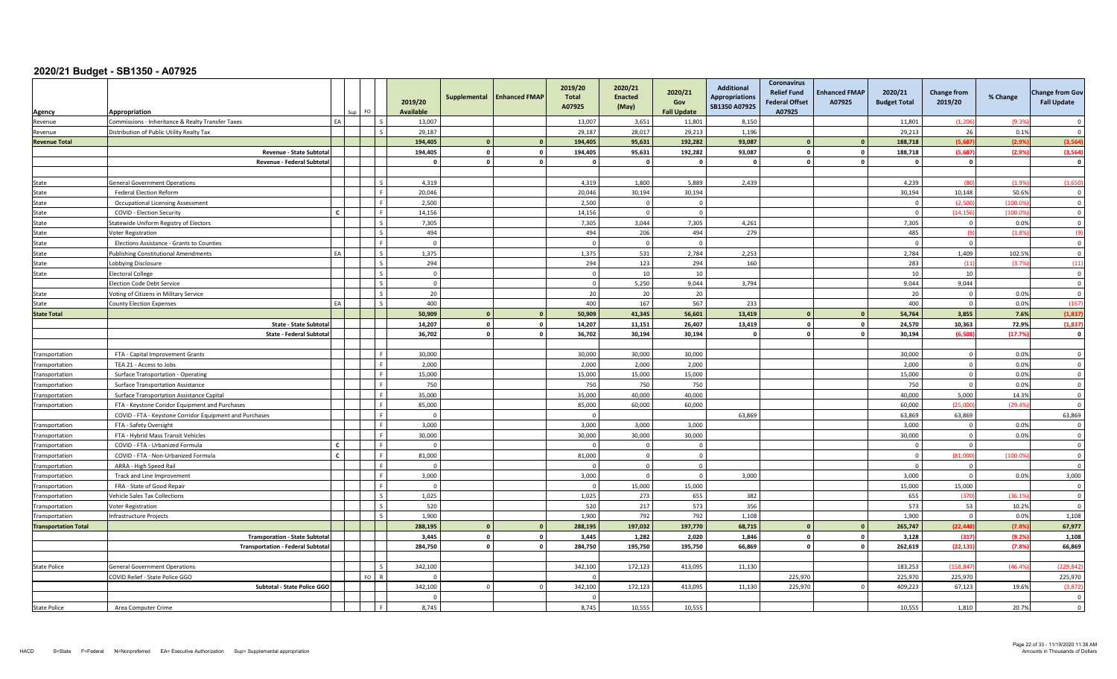| Agency                      | Appropriation                                           |              |                 | 2019/20<br><b>Available</b> | Supplemental   | <b>Enhanced FMAP</b> | 2019/20<br><b>Total</b><br>A07925 | 2020/21<br><b>Enacted</b><br>(May) | 2020/21<br>Gov<br><b>Fall Update</b> | <b>Additional</b><br><b>Appropriations</b><br>SB1350 A07925 | Coronavirus<br><b>Relief Fund</b><br><b>Federal Offset</b><br>A07925 | <b>Enhanced FMAP</b><br>A07925 | 2020/21<br><b>Budget Total</b> | <b>Change from</b><br>2019/20 | % Change | <b>Change from Gov</b><br><b>Fall Update</b> |
|-----------------------------|---------------------------------------------------------|--------------|-----------------|-----------------------------|----------------|----------------------|-----------------------------------|------------------------------------|--------------------------------------|-------------------------------------------------------------|----------------------------------------------------------------------|--------------------------------|--------------------------------|-------------------------------|----------|----------------------------------------------|
| Revenue                     | Commissions - Inheritance & Realty Transfer Taxes       | FA           |                 | 13,007                      |                |                      | 13,007                            | 3,651                              | 11,801                               | 8,150                                                       |                                                                      |                                | 11,801                         | (1, 206)                      | (9.39)   | $\Omega$                                     |
| Revenue                     | Distribution of Public Utility Realty Tax               |              | $\sim$          | 29,187                      |                |                      | 29.187                            | 28,017                             | 29,213                               | 1,196                                                       |                                                                      |                                | 29.213                         | 26                            | 0.1%     | $\Omega$                                     |
| <b>Revenue Total</b>        |                                                         |              |                 | 194.405                     | $\Omega$       | $\mathbf{0}$         | 194,405                           | 95,631                             | 192,282                              | 93,087                                                      |                                                                      | $\Omega$                       | 188,718                        | (5.687)                       | (2.9%    | (3, 564)                                     |
|                             | Revenue - State Subtota                                 |              |                 | 194,405                     | $\mathbf{0}$   | $\mathbf 0$          | 194.405                           | 95,631                             | 192,282                              | 93,087                                                      | $\Omega$                                                             | $\Omega$                       | 188.718                        | (5.687)                       | (2.9%    | (3, 564)                                     |
|                             | Revenue - Federal Subtotal                              |              |                 | $\mathbf{0}$                | $\mathbf{0}$   | $\mathbf 0$          | <sup>o</sup>                      | $\Omega$                           | $\Omega$                             | $\mathbf{0}$                                                | $\Omega$                                                             |                                | $\mathbf{0}$                   | $\mathbf 0$                   |          | $\mathbf{0}$                                 |
|                             |                                                         |              |                 |                             |                |                      |                                   |                                    |                                      |                                                             |                                                                      |                                |                                |                               |          |                                              |
| State                       | <b>General Government Operations</b>                    |              | $\mathsf{L}$    | 4,319                       |                |                      | 4,319                             | 1,800                              | 5,889                                | 2,439                                                       |                                                                      |                                | 4,239                          | (80)                          | (1.99)   | (1,650)                                      |
| State                       | <b>Federal Election Reform</b>                          |              | l F             | 20,046                      |                |                      | 20,046                            | 30.194                             | 30,194                               |                                                             |                                                                      |                                | 30,194                         | 10,148                        | 50.69    | $\overline{\mathbf{0}}$                      |
| State                       | <b>Occupational Licensing Assessment</b>                |              | l F.            | 2,500                       |                |                      | 2,500                             | $\Omega$                           | $\Omega$                             |                                                             |                                                                      |                                | $\Omega$                       | (2.500)                       | (100.0)  | $\overline{\mathbf{0}}$                      |
| State                       | COVID - Election Security                               | C            | l F             | 14,156                      |                |                      | 14.156                            | $\Omega$                           | $\Omega$                             |                                                             |                                                                      |                                | $\Omega$                       | (14.156)                      | (100.09) | $\overline{0}$                               |
| State                       | Statewide Uniform Registry of Electors                  |              | l s             | 7,305                       |                |                      | 7,305                             | 3,044                              | 7,305                                | 4,261                                                       |                                                                      |                                | 7,305                          | $\overline{0}$                | 0.0%     | $\mathbf 0$                                  |
| State                       | Voter Registration                                      |              | $\sim$          | 494                         |                |                      | 494                               | 206                                | 494                                  | 279                                                         |                                                                      |                                | 485                            | (9)                           | (1.8%    | (9)                                          |
| State                       | Elections Assistance - Grants to Counties               |              | ۱F              | $\mathbf{0}$                |                |                      |                                   | $\Omega$                           | $\Omega$                             |                                                             |                                                                      |                                | $\Omega$                       | $\overline{0}$                |          | $\overline{0}$                               |
| State                       | <b>Publishing Constitutional Amendments</b>             |              | l s             | 1,375                       |                |                      | 1,375                             | 531                                | 2,784                                | 2,253                                                       |                                                                      |                                | 2,784                          | 1,409                         | 102.5%   | $\overline{\mathbf{0}}$                      |
| State                       | Lobbying Disclosure                                     |              | $\mathsf{I}$    | 294                         |                |                      | 294                               | 123                                | 294                                  | 160                                                         |                                                                      |                                | 283                            | (11)                          | (3.7%    | (11)                                         |
| State                       | <b>Electoral College</b>                                |              | $\mathsf{L}$    | $\overline{0}$              |                |                      | $\Omega$                          | 10                                 | 10                                   |                                                             |                                                                      |                                | 10                             | 10                            |          | $\overline{\mathbf{0}}$                      |
|                             | <b>Election Code Debt Service</b>                       |              | l s             | $\overline{0}$              |                |                      | $\Omega$                          | 5,250                              | 9,044                                | 3,794                                                       |                                                                      |                                | 9,044                          | 9,044                         |          | $\mathbf 0$                                  |
| State                       | Voting of Citizens in Military Service                  |              | Ιs              | 20                          |                |                      | 20                                | 20                                 | 20                                   |                                                             |                                                                      |                                | 20                             | $\overline{0}$                | 0.0%     | $\Omega$                                     |
| State                       | <b>County Election Expenses</b>                         | EA           | l s             | 400                         |                |                      | 400                               | 167                                | 567                                  | 233                                                         |                                                                      |                                | 400                            | $\overline{0}$                | 0.0%     | (167)                                        |
| <b>State Total</b>          |                                                         |              |                 | 50,909                      | $\overline{0}$ | $\mathbf{0}$         | 50,909                            | 41,345                             | 56,601                               | 13,419                                                      |                                                                      |                                | 54,764                         | 3,855                         | 7.6%     | (1,837)                                      |
|                             | <b>State - State Subtota</b>                            |              |                 | 14,207                      | $\mathbf{0}$   | $\mathbf 0$          | 14,207                            | 11,151                             | 26,407                               | 13,419                                                      | $\Omega$                                                             | $\Omega$                       | 24,570                         | 10,363                        | 72.9%    | (1, 837)                                     |
|                             | <b>State - Federal Subtota</b>                          |              |                 | 36,702                      | $\circ$        | $\mathbf 0$          | 36,702                            | 30,194                             | 30,194                               | $\mathbf{0}$                                                | $\mathbf{0}$                                                         | $\Omega$                       | 30,194                         | (6.508)                       | (17.7%   | $\mathbf 0$                                  |
|                             |                                                         |              |                 |                             |                |                      |                                   |                                    |                                      |                                                             |                                                                      |                                |                                |                               |          |                                              |
| Transportation              | FTA - Capital Improvement Grants                        |              | l F             | 30,000                      |                |                      | 30,000                            | 30,000                             | 30,000                               |                                                             |                                                                      |                                | 30,000                         | $\circ$                       | 0.0%     | $\Omega$                                     |
| Transportation              | TEA 21 - Access to Jobs                                 |              | l F             | 2.000                       |                |                      | 2,000                             | 2.000                              | 2.000                                |                                                             |                                                                      |                                | 2,000                          | $\overline{0}$                | 0.0%     | $\Omega$                                     |
| Transportation              | Surface Transportation - Operating                      |              | l F             | 15,000                      |                |                      | 15,000                            | 15,000                             | 15,000                               |                                                             |                                                                      |                                | 15,000                         | $\mathbf 0$                   | 0.0%     | $\Omega$                                     |
| Transportation              | <b>Surface Transportation Assistance</b>                |              | l F             | 750                         |                |                      | 750                               | 750                                | 750                                  |                                                             |                                                                      |                                | 750                            | $\overline{0}$                | 0.0%     | $\overline{\mathbf{0}}$                      |
| Transportation              | Surface Transportation Assistance Capital               |              | l F             | 35,000                      |                |                      | 35,000                            | 40,000                             | 40,000                               |                                                             |                                                                      |                                | 40,000                         | 5,000                         | 14.3%    | $\overline{\mathbf{0}}$                      |
| Transportation              | FTA - Keystone Coridor Equipment and Purchases          |              | l F             | 85.000                      |                |                      | 85.000                            | 60.000                             | 60.000                               |                                                             |                                                                      |                                | 60.000                         | (25.000)                      | (29.4%   | $\Omega$                                     |
|                             | COVID - FTA - Keystone Corridor Equipment and Purchases |              | l F             | $\Omega$                    |                |                      | $\Omega$                          |                                    |                                      | 63,869                                                      |                                                                      |                                | 63,869                         | 63,869                        |          | 63,869                                       |
| Transportation              | FTA - Safety Oversight                                  |              | l F             | 3,000                       |                |                      | 3,000                             | 3,000                              | 3,000                                |                                                             |                                                                      |                                | 3,000                          | $\overline{0}$                | 0.0%     | $\Omega$                                     |
| Transportation              | FTA - Hybrid Mass Transit Vehicles                      |              | l F             | 30,000                      |                |                      | 30,000                            | 30,000                             | 30,000                               |                                                             |                                                                      |                                | 30,000                         | $\overline{0}$                | 0.0%     | $\overline{\mathbf{0}}$                      |
| Transportation              | COVID - FTA - Urbanized Formula                         | $\epsilon$   | l e             | $\Omega$                    |                |                      | $\Omega$                          | $\Omega$                           | $\Omega$                             |                                                             |                                                                      |                                | $\Omega$                       | $\overline{0}$                |          | $\overline{\mathbf{0}}$                      |
| Transportation              | COVID - FTA - Non-Urbanized Formula                     | $\mathbf{r}$ | l F             | 81,000                      |                |                      | 81,000                            | $\Omega$                           | $\Omega$                             |                                                             |                                                                      |                                | $\Omega$                       | (81.000)                      | (100.0)  | $\overline{0}$                               |
| Transportation              | ARRA - High Speed Rail                                  |              | l F             | $\Omega$                    |                |                      | $\Omega$                          | $\Omega$                           | $\Omega$                             |                                                             |                                                                      |                                | $\Omega$                       | $\overline{0}$                |          | $\overline{\mathbf{0}}$                      |
| Transportation              | Track and Line Improvement                              |              | l F             | 3,000                       |                |                      | 3,000                             | $\Omega$                           | $\Omega$                             | 3,000                                                       |                                                                      |                                | 3,000                          | $\mathsf 0$                   | 0.0%     | 3,000                                        |
| Transportation              | FRA - State of Good Repair                              |              | ١F              | $\Omega$                    |                |                      |                                   | 15,000                             | 15,000                               |                                                             |                                                                      |                                | 15,000                         | 15,000                        |          | $\Omega$                                     |
| Transportation              | Vehicle Sales Tax Collections                           |              | $\mathsf{L}$    | 1,025                       |                |                      | 1,025                             | 273                                | 655                                  | 382                                                         |                                                                      |                                | 655                            | (370)                         | (36.19)  | $\overline{\mathbf{0}}$                      |
| Transportation              | Voter Registration                                      |              | $\mathsf{L}$    | 520                         |                |                      | 520                               | 217                                | 573                                  | 356                                                         |                                                                      |                                | 573                            | 53                            | 10.2%    | $\overline{\mathbf{0}}$                      |
| Transportation              | <b>Infrastructure Projects</b>                          |              | $\mathsf{I}$    | 1.900                       |                |                      | 1.900                             | 792                                | 792                                  | 1,108                                                       |                                                                      |                                | 1.900                          | $\Omega$                      | 0.0%     | 1,108                                        |
| <b>Transportation Total</b> |                                                         |              |                 | 288,195                     | $\overline{0}$ | $\mathbf{0}$         | 288,195                           | 197,032                            | 197,770                              | 68,715                                                      |                                                                      |                                | 265,747                        | (22, 448)                     | (7.8%    | 67,977                                       |
|                             | <b>Transporation - State Subtota</b>                    |              |                 | 3,445                       | $\mathbf 0$    | $\mathbf 0$          | 3,445                             | 1,282                              | 2,020                                | 1,846                                                       | $\Omega$                                                             |                                | 3,128                          | (317)                         | (9.2%    | 1,108                                        |
|                             | <b>Transportation - Federal Subtotal</b>                |              |                 | 284,750                     | $\mathbf{0}$   | $\circ$              | 284,750                           | 195,750                            | 195,750                              | 66,869                                                      | $\Omega$                                                             | $\mathbf{a}$                   | 262,619                        | (22, 131)                     | (7.8%    | 66,869                                       |
|                             |                                                         |              |                 |                             |                |                      |                                   |                                    |                                      |                                                             |                                                                      |                                |                                |                               |          |                                              |
| <b>State Police</b>         | <b>General Government Operations</b>                    |              | Ιc              | 342,100                     |                |                      | 342,100                           | 172,123                            | 413,095                              | 11,130                                                      |                                                                      |                                | 183.253                        | (158.847                      | (46.49)  | (229.84)                                     |
|                             | COVID Relief - State Police GGO                         |              | FO <sub>R</sub> | $\Omega$                    |                |                      | $\Omega$                          |                                    |                                      |                                                             | 225,970                                                              |                                | 225.970                        | 225.970                       |          | 225,970                                      |
|                             | Subtotal - State Police GGO                             |              |                 | 342,100                     | $\overline{0}$ | $\Omega$             | 342,100                           | 172,123                            | 413,095                              | 11,130                                                      | 225,970                                                              |                                | 409,223                        | 67,123                        | 19.6%    | (3,872)                                      |
|                             |                                                         |              |                 | $\Omega$                    |                |                      | $\Omega$                          |                                    |                                      |                                                             |                                                                      |                                |                                |                               |          | $\Omega$                                     |
| <b>State Police</b>         | Area Computer Crime                                     |              |                 | 8,745                       |                |                      | 8,745                             | 10,555                             | 10,555                               |                                                             |                                                                      |                                | 10,555                         | 1,810                         | 20.7%    | $\overline{0}$                               |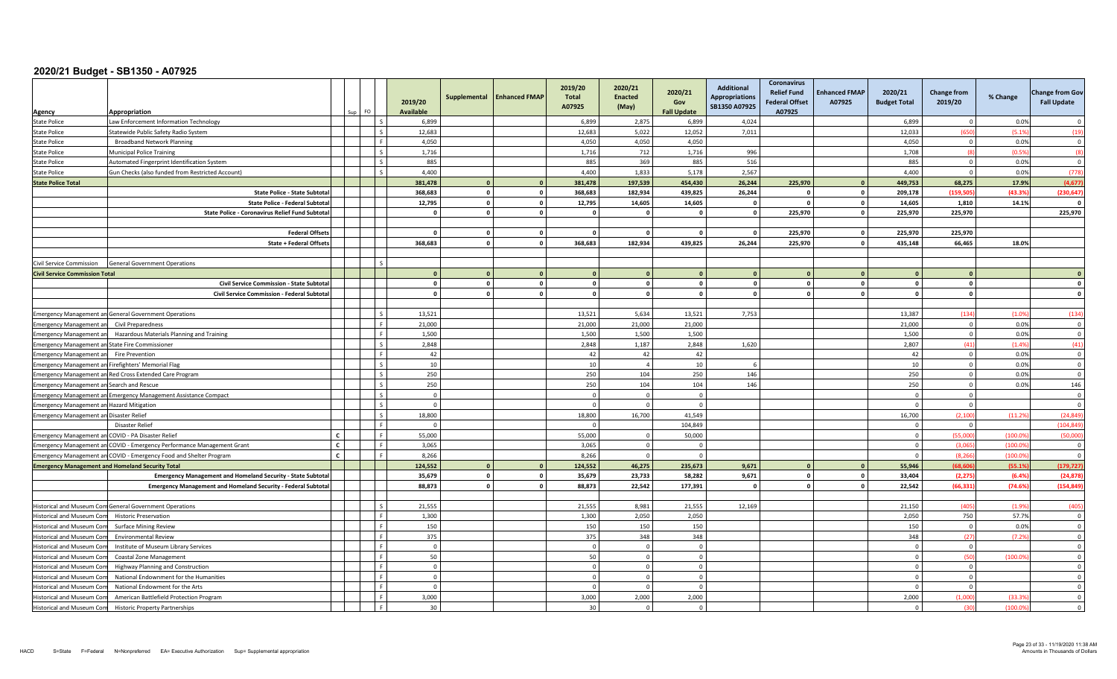| Agency                                                  | Appropriation                                                                          | FO.<br>sun I | 2019/20<br>Available | Supplemental            | <b>Enhanced FMAP</b> | 2019/20<br>Total<br>A07925 | 2020/21<br><b>Enacted</b><br>(May) | 2020/21<br>Gov<br><b>Fall Update</b> | Additional<br><b>Appropriations</b><br>SB1350 A07925 | Coronavirus<br><b>Relief Fund</b><br><b>Federal Offset</b><br>A07925 | <b>Enhanced FMAP</b><br>A07925 | 2020/21<br><b>Budget Total</b> | <b>Change from</b><br>2019/20 | % Change | <b>Change from Gov</b><br><b>Fall Update</b> |
|---------------------------------------------------------|----------------------------------------------------------------------------------------|--------------|----------------------|-------------------------|----------------------|----------------------------|------------------------------------|--------------------------------------|------------------------------------------------------|----------------------------------------------------------------------|--------------------------------|--------------------------------|-------------------------------|----------|----------------------------------------------|
| <b>State Police</b>                                     | Law Enforcement Information Technology                                                 |              | 6,899                |                         |                      | 6,899                      | 2,875                              | 6,899                                | 4,024                                                |                                                                      |                                | 6,899                          | $\Omega$                      | 0.0%     | $\Omega$                                     |
| <b>State Police</b>                                     | Statewide Public Safety Radio System                                                   |              | 12,683               |                         |                      | 12,683                     | 5,022                              | 12,052                               | 7,011                                                |                                                                      |                                | 12,033                         | (650                          | (5.1%    | (19)                                         |
| <b>State Police</b>                                     | <b>Broadband Network Planning</b>                                                      |              | 4,050                |                         |                      | 4,050                      | 4,050                              | 4.050                                |                                                      |                                                                      |                                | 4,050                          | $\Omega$                      | 0.0%     | $\overline{0}$                               |
| <b>State Police</b>                                     | <b>Municipal Police Training</b>                                                       |              | 1,716                |                         |                      | 1,716                      | 712                                | 1,716                                | 996                                                  |                                                                      |                                | 1,708                          | $\overline{18}$               | (0.5%    | (8)                                          |
| <b>State Police</b>                                     | Automated Fingerprint Identification System                                            |              | 885                  |                         |                      | 885                        | 369                                | 885                                  | 516                                                  |                                                                      |                                | 885                            | $\overline{0}$                | 0.0%     | $\Omega$                                     |
| <b>State Police</b>                                     | Gun Checks (also funded from Restricted Account)                                       |              | 4,400                |                         |                      | 4,400                      | 1.833                              | 5,178                                | 2,567                                                |                                                                      |                                | 4,400                          | $\overline{0}$                | 0.0%     | (778)                                        |
| <b>State Police Total</b>                               |                                                                                        |              | 381,478              |                         | $\mathbf{0}$         | 381,478                    | 197,539                            | 454,430                              | 26,244                                               | 225,970                                                              |                                | 449,753                        | 68,275                        | 17.9%    | (4, 677)                                     |
|                                                         | <b>State Police - State Subtotal</b>                                                   |              | 368.683              | $\Omega$                | $\mathbf{0}$         | 368.683                    | 182.934                            | 439.825                              | 26,244                                               | $\Omega$                                                             | $\mathbf{0}$                   | 209,178                        | (159.505                      | (43.3%   | (230, 647)                                   |
|                                                         | State Police - Federal Subtotal                                                        |              | 12,795               | $\mathbf{0}$            | $\mathbf 0$          | 12,795                     | 14,605                             | 14,605                               | $\Omega$                                             | $\mathbf 0$                                                          | $\circ$                        | 14,605                         | 1,810                         | 14.1%    | $\Omega$                                     |
|                                                         | State Police - Coronavirus Relief Fund Subtotal                                        |              | $\Omega$             | $\Omega$                | $\mathbf 0$          | $\Omega$                   | $\Omega$                           | $\mathbf 0$                          | $\sqrt{2}$                                           | 225,970                                                              | $\mathbf 0$                    | 225,970                        | 225,970                       |          | 225,970                                      |
|                                                         |                                                                                        |              |                      |                         |                      |                            |                                    |                                      |                                                      |                                                                      |                                |                                |                               |          |                                              |
|                                                         | <b>Federal Offsets</b>                                                                 |              | $^{\circ}$           | $\mathbf{0}$            | $\mathbf 0$          | n                          | $\mathbf{0}$                       | $\mathbf{0}$                         |                                                      | 225,970                                                              | $\mathbf 0$                    | 225,970                        | 225,970                       |          |                                              |
|                                                         | <b>State + Federal Offsets</b>                                                         |              | 368.683              | $\mathbf{a}$            | $\mathbf{0}$         | 368.683                    | 182.934                            | 439.825                              | 26,244                                               | 225.970                                                              | $\Omega$                       | 435,148                        | 66.465                        | 18.0%    |                                              |
|                                                         |                                                                                        |              |                      |                         |                      |                            |                                    |                                      |                                                      |                                                                      |                                |                                |                               |          |                                              |
| Civil Service Commission                                | <b>General Government Operations</b>                                                   |              |                      |                         |                      |                            |                                    |                                      |                                                      |                                                                      |                                |                                |                               |          |                                              |
| <b>Civil Service Commission Total</b>                   |                                                                                        |              | $\Omega$             | $\sqrt{2}$              | $\Omega$             | $\sqrt{2}$                 | $\Omega$                           | $\mathbf{0}$                         |                                                      |                                                                      |                                |                                | $\sqrt{2}$                    |          |                                              |
|                                                         | Civil Service Commission - State Subtota                                               |              | $\mathbf{o}$         | $\mathbf{0}$            | $\mathbf{0}$         | $\Omega$                   | $\mathbf{0}$                       | $\mathbf{0}$                         |                                                      | $\mathbf{0}$                                                         | $\Omega$                       | - 0                            | $\mathbf{0}$                  |          | $\Omega$                                     |
|                                                         | Civil Service Commission - Federal Subtotal                                            |              | $\Omega$             | $\Omega$                | $\Omega$             | $\Omega$                   | $\Omega$                           | $\Omega$                             |                                                      | $\Omega$                                                             | $\Omega$                       |                                | $\Omega$                      |          | $\mathbf{0}$                                 |
|                                                         |                                                                                        |              |                      |                         |                      |                            |                                    |                                      |                                                      |                                                                      |                                |                                |                               |          |                                              |
|                                                         | <b>Emergency Management an General Government Operations</b>                           |              | 13,521               |                         |                      | 13,521                     | 5,634                              | 13,521                               | 7,753                                                |                                                                      |                                | 13,387                         | (134)                         | (1.0%    | (134)                                        |
| <b>Emergency Management an</b>                          | <b>Civil Preparedness</b>                                                              |              | 21.000               |                         |                      | 21.000                     | 21.000                             | 21.000                               |                                                      |                                                                      |                                | 21,000                         | $\Omega$                      | 0.0%     | $\overline{0}$                               |
| <b>Emergency Management an</b>                          | Hazardous Materials Planning and Training                                              |              | 1,500                |                         |                      | 1,500                      | 1,500                              | 1,500                                |                                                      |                                                                      |                                | 1,500                          | $\overline{0}$                | 0.0%     | $\overline{\mathbf{0}}$                      |
| <b>Emergency Management an State Fire Commissioner</b>  |                                                                                        |              | 2,848                |                         |                      | 2,848                      | 1,187                              | 2,848                                | 1,620                                                |                                                                      |                                | 2,807                          | (41)                          | (1.4%    | (41)                                         |
| <b>Emergency Management an</b>                          | <b>Fire Prevention</b>                                                                 |              | 42                   |                         |                      | 42                         | 42                                 | 42                                   |                                                      |                                                                      |                                | 42                             | $\overline{0}$                | 0.0%     | $\overline{0}$                               |
|                                                         | Emergency Management an Firefighters' Memorial Flag                                    |              | 10                   |                         |                      | 10                         | $\overline{A}$                     | 10                                   |                                                      |                                                                      |                                | 10                             | $\Omega$                      | 0.0%     | $\overline{0}$                               |
|                                                         | Emergency Management an Red Cross Extended Care Program                                |              | 250                  |                         |                      | 250                        | 104                                | 250                                  | 146                                                  |                                                                      |                                | 250                            | $\overline{0}$                | 0.0%     | $\overline{0}$                               |
| <b>Emergency Management an Search and Rescue</b>        |                                                                                        |              | 250                  |                         |                      | 250                        | 104                                | 104                                  | 146                                                  |                                                                      |                                | 250                            | $\overline{0}$                | 0.0%     | 146                                          |
|                                                         | Emergency Management an Emergency Management Assistance Compact                        |              | $\mathbf 0$          |                         |                      | $\Omega$                   | $\Omega$                           | $\mathsf 0$                          |                                                      |                                                                      |                                |                                | $\Omega$                      |          | $\mathbf 0$                                  |
| <b>Emergency Management an Hazard Mitigation</b>        |                                                                                        |              | $\Omega$             |                         |                      | $\Omega$                   | $\sqrt{ }$                         | $\Omega$                             |                                                      |                                                                      |                                | $\sqrt{ }$                     | $\Omega$                      |          | $\Omega$                                     |
| <b>Emergency Management an Disaster Relief</b>          |                                                                                        |              | 18,800               |                         |                      | 18.800                     | 16,700                             | 41.549                               |                                                      |                                                                      |                                | 16,700                         | (2.100)                       | (11.29)  | (24.849)                                     |
|                                                         | Disaster Relief                                                                        |              | $\Omega$             |                         |                      |                            |                                    | 104,849                              |                                                      |                                                                      |                                |                                | $\Omega$                      |          | (104, 849)                                   |
| Emergency Management an COVID - PA Disaster Relief      | $\mathsf{C}$                                                                           |              | 55,000               |                         |                      | 55,000                     | $\Omega$                           | 50.000                               |                                                      |                                                                      |                                |                                | (55.000                       | (100.09) | (50,000)                                     |
|                                                         | $\mathbf{c}$<br>Emergency Management an COVID - Emergency Performance Management Grant |              | 3.065                |                         |                      | 3.065                      | $\Omega$                           | $\Omega$                             |                                                      |                                                                      |                                |                                | (3.065)                       | (100.09) | $\overline{0}$                               |
|                                                         | $\mathbf{c}$<br>Emergency Management an COVID - Emergency Food and Shelter Program     |              | 8,266                |                         |                      | 8,266                      | $\overline{\mathbf{0}}$            | $\mathbf 0$                          |                                                      |                                                                      |                                | $\sqrt{ }$                     | (8, 266)                      | (100.09) | $\Omega$                                     |
| <b>Emergency Management and Homeland Security Total</b> |                                                                                        |              | 124,552              | $\mathbf{a}$            | $\Omega$             | 124,552                    | 46,275                             | 235,673                              | 9,671                                                | $\sqrt{2}$                                                           |                                | 55,946                         | (68,606                       | (55.1%   | (179, 727)                                   |
|                                                         | <b>Emergency Management and Homeland Security - State Subtotal</b>                     |              | 35,679               | $\overline{\mathbf{0}}$ | $\mathbf{0}$         | 35,679                     | 23,733                             | 58,282                               | 9,671                                                | $\mathbf 0$                                                          | $\mathbf{0}$                   | 33,404                         | (2, 275)                      | (6.4%    | (24, 878)                                    |
|                                                         | <b>Emergency Management and Homeland Security - Federal Subtotal</b>                   |              | 88,873               | $\Omega$                | $\mathbf{0}$         | 88,873                     | 22,542                             | 177,391                              |                                                      | $\Omega$                                                             | $\Omega$                       | 22,542                         | (66, 331)                     | (74.6%   | (154, 849)                                   |
|                                                         |                                                                                        |              |                      |                         |                      |                            |                                    |                                      |                                                      |                                                                      |                                |                                |                               |          |                                              |
|                                                         | Historical and Museum Com General Government Operations                                |              | 21,555               |                         |                      | 21,555                     | 8,981                              | 21,555                               | 12,169                                               |                                                                      |                                | 21,150                         | (405                          | (1.9%    | (405                                         |
| <b>Historical and Museum Com</b>                        | <b>Historic Preservation</b>                                                           |              | 1,300                |                         |                      | 1,300                      | 2,050                              | 2,050                                |                                                      |                                                                      |                                | 2,050                          | 750                           | 57.7%    | $\overline{0}$                               |
| <b>Historical and Museum Con</b>                        | <b>Surface Mining Review</b>                                                           |              | 150                  |                         |                      | 150                        | 150                                | 150                                  |                                                      |                                                                      |                                | 150                            | $\overline{0}$                | 0.0%     | $\overline{0}$                               |
| <b>Historical and Museum Con</b>                        | <b>Environmental Review</b>                                                            |              | 375                  |                         |                      | 375                        | 348                                | 348                                  |                                                      |                                                                      |                                | 348                            | (27)                          | (7.2%    | $\overline{0}$                               |
| <b>Historical and Museum Con</b>                        | Institute of Museum Library Services                                                   |              | $\mathbf{0}$         |                         |                      | $\Omega$                   | $\Omega$                           | $\Omega$                             |                                                      |                                                                      |                                |                                | $\overline{0}$                |          | $\overline{0}$                               |
| <b>Historical and Museum Con</b>                        | Coastal Zone Management                                                                |              | 50                   |                         |                      | 50                         | $\Omega$                           | $\Omega$                             |                                                      |                                                                      |                                |                                | (50)                          | (100.09) | $\Omega$                                     |
| <b>Historical and Museum Com</b>                        | Highway Planning and Construction                                                      |              | $\Omega$             |                         |                      |                            | $\Omega$                           | $\Omega$                             |                                                      |                                                                      |                                |                                | $\overline{0}$                |          | $\Omega$                                     |
| <b>Historical and Museum Con</b>                        | National Endownment for the Humanities                                                 |              | $\mathbf{0}$         |                         |                      | $\Omega$                   | $\Omega$                           | $\circ$                              |                                                      |                                                                      |                                |                                | $\Omega$                      |          | $\overline{0}$                               |
| <b>Historical and Museum Con</b>                        | National Endowment for the Arts                                                        |              | $\mathbf{0}$         |                         |                      | $\Omega$                   | $\Omega$                           | $\circ$                              |                                                      |                                                                      |                                |                                | $\Omega$                      |          | $\overline{0}$                               |
| <b>Historical and Museum Com</b>                        | American Battlefield Protection Program                                                |              | 3,000                |                         |                      | 3,000                      | 2.000                              | 2.000                                |                                                      |                                                                      |                                | 2.000                          | (1.000)                       | (33.39)  | $\Omega$                                     |
| <b>Historical and Museum Com</b>                        | <b>Historic Property Partnerships</b>                                                  |              | 30 <sup>°</sup>      |                         |                      | 30                         | $\Omega$                           | $\Omega$                             |                                                      |                                                                      |                                |                                | (30)                          | (100.0)  | $\overline{0}$                               |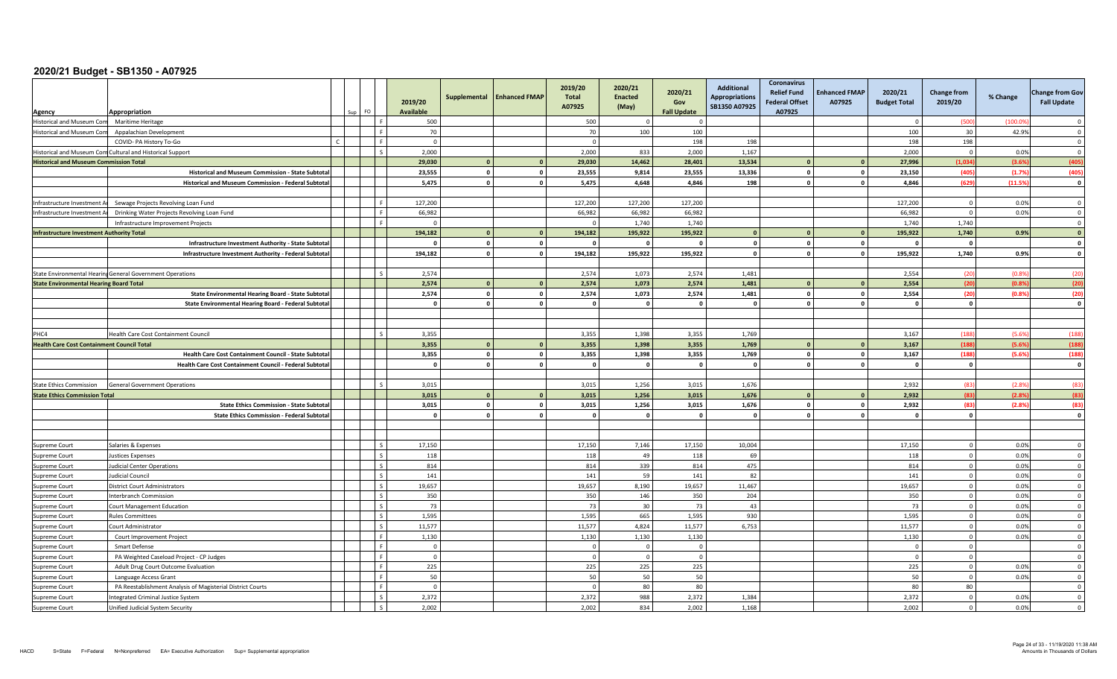| Agency                                            | Appropriation                                              |  | FO.                      | 2019/20<br><b>Available</b> | Supplemental   | <b>Enhanced FMAP</b>    | 2019/20<br>Total<br>A07925 | 2020/21<br><b>Enacted</b><br>(May) | 2020/21<br>Gov<br><b>Fall Update</b> | <b>Additional</b><br><b>Appropriations</b><br>SB1350 A07925 | <b>Coronavirus</b><br><b>Relief Fund</b><br><b>Federal Offset</b><br>A07925 | <b>Enhanced FMAP</b><br>A07925 | 2020/21<br><b>Budget Total</b> | <b>Change from</b><br>2019/20 | % Change | <b>Change from Gov</b><br><b>Fall Update</b> |
|---------------------------------------------------|------------------------------------------------------------|--|--------------------------|-----------------------------|----------------|-------------------------|----------------------------|------------------------------------|--------------------------------------|-------------------------------------------------------------|-----------------------------------------------------------------------------|--------------------------------|--------------------------------|-------------------------------|----------|----------------------------------------------|
| Historical and Museum Com                         | <b>Maritime Heritage</b>                                   |  |                          | 500                         |                |                         | 500                        |                                    | $\Omega$                             |                                                             |                                                                             |                                |                                | (500                          | (100.09) | $\Omega$                                     |
| <b>Historical and Museum Com</b>                  | Appalachian Development                                    |  |                          | 70                          |                |                         | 70                         | 100                                | 100                                  |                                                             |                                                                             |                                | 100                            | 30                            | 42.9%    | $\overline{0}$                               |
|                                                   | COVID- PA History To-Go                                    |  |                          | $\overline{0}$              |                |                         | $\Omega$                   |                                    | 198                                  | 198                                                         |                                                                             |                                | 198                            | 198                           |          | $\overline{0}$                               |
|                                                   | Historical and Museum Com Cultural and Historical Support  |  |                          | 2,000                       |                |                         | 2.000                      | 833                                | 2,000                                | 1,167                                                       |                                                                             |                                | 2,000                          | $\Omega$                      | 0.0%     | $\Omega$                                     |
| <b>Historical and Museum Commission Total</b>     |                                                            |  |                          | 29,030                      | $\overline{0}$ | $\mathbf{0}$            | 29,030                     | 14,462                             | 28,401                               | 13,534                                                      | $\mathbf{0}$                                                                |                                | 27,996                         | (1.034)                       | (3.6%    | (405)                                        |
|                                                   | Historical and Museum Commission - State Subtota           |  |                          | 23.555                      | $^{\circ}$     | $\mathbf{0}$            | 23,555                     | 9,814                              | 23.555                               | 13,336                                                      | $^{\circ}$                                                                  | $\mathbf{0}$                   | 23,150                         | (405)                         | (1.7%    | (405                                         |
|                                                   | Historical and Museum Commission - Federal Subtotal        |  |                          | 5,475                       | $\Omega$       | $\mathbf{0}$            | 5,475                      | 4,648                              | 4,846                                | 198                                                         | $\mathbf{0}$                                                                | $\Omega$                       | 4,846                          | (629)                         | (11.5%   | $\overline{\mathbf{0}}$                      |
|                                                   |                                                            |  |                          |                             |                |                         |                            |                                    |                                      |                                                             |                                                                             |                                |                                |                               |          |                                              |
| Infrastructure Investment Ar                      | Sewage Projects Revolving Loan Fund                        |  | $\mathbf{F}$             | 127.200                     |                |                         | 127,200                    | 127.200                            | 127.200                              |                                                             |                                                                             |                                | 127,200                        | $\Omega$                      | 0.0%     | $\overline{0}$                               |
| Infrastructure Investment Ar                      | Drinking Water Projects Revolving Loan Fund                |  | F.                       | 66,982                      |                |                         | 66,982                     | 66,982                             | 66,982                               |                                                             |                                                                             |                                | 66,982                         | $\Omega$                      | 0.0%     | $\overline{0}$                               |
|                                                   | Infrastructure Improvement Projects                        |  |                          | $\overline{0}$              |                |                         | $\Omega$                   | 1,740                              | 1,740                                |                                                             |                                                                             |                                | 1.740                          | 1,740                         |          | $\overline{0}$                               |
| <b>Infrastructure Investment Authority Total</b>  |                                                            |  |                          | 194,182                     | $\mathbf{0}$   | $\overline{\mathbf{0}}$ | 194,182                    | 195,922                            | 195,922                              |                                                             | $\Omega$                                                                    |                                | 195,922                        | 1,740                         | 0.9%     | $\mathbf{0}$                                 |
|                                                   | Infrastructure Investment Authority - State Subtotal       |  |                          | $\Omega$                    | $\Omega$       | $\mathbf 0$             |                            | - 0                                | $\Omega$                             | - 0                                                         | $\mathbf{0}$                                                                | $\Omega$                       |                                | $\overline{0}$                |          | $\Omega$                                     |
|                                                   | Infrastructure Investment Authority - Federal Subtotal     |  |                          | 194,182                     | $\Omega$       | $\mathbf{o}$            | 194,182                    | 195,922                            | 195,922                              |                                                             | $\mathbf{0}$                                                                | $\mathbf{0}$                   | 195,922                        | 1,740                         | 0.9%     | $\mathbf{0}$                                 |
|                                                   |                                                            |  |                          |                             |                |                         |                            |                                    |                                      |                                                             |                                                                             |                                |                                |                               |          |                                              |
|                                                   | State Environmental Hearing General Government Operations  |  | $\zeta$                  | 2,574                       |                |                         | 2,574                      | 1,073                              | 2,574                                | 1,481                                                       |                                                                             |                                | 2,554                          | (20)                          | (0.8%    | (20)                                         |
| <b>State Environmental Hearing Board Total</b>    |                                                            |  |                          | 2,574                       | $\overline{0}$ | $\overline{\mathbf{0}}$ | 2,574                      | 1,073                              | 2,574                                | 1,481                                                       | $\mathbf{0}$                                                                |                                | 2,554                          | (20)                          | (0.8%    | (20                                          |
|                                                   | State Environmental Hearing Board - State Subtotal         |  |                          | 2,574                       | $\overline{0}$ | $\mathbf{0}$            | 2,574                      | 1,073                              | 2,574                                | 1,481                                                       | $\mathbf{0}$                                                                | $\mathbf{0}$                   | 2,554                          | (20)                          | (0.8%    | (20)                                         |
|                                                   | State Environmental Hearing Board - Federal Subtotal       |  |                          | $\overline{\mathbf{0}}$     | $\Omega$       | $\mathbf 0$             | $\sqrt{2}$                 | - 0                                | $\mathbf{0}$                         |                                                             | $\Omega$                                                                    | $\Omega$                       |                                | $\mathbf{0}$                  |          | $\mathbf{0}$                                 |
|                                                   |                                                            |  |                          |                             |                |                         |                            |                                    |                                      |                                                             |                                                                             |                                |                                |                               |          |                                              |
|                                                   |                                                            |  |                          |                             |                |                         |                            |                                    |                                      |                                                             |                                                                             |                                |                                |                               |          |                                              |
| PHC4                                              | Health Care Cost Containment Council                       |  | $\mathsf{S}$             | 3,355                       |                |                         | 3,355                      | 1,398                              | 3,355                                | 1,769                                                       |                                                                             |                                | 3,167                          | (188)                         | (5.6%    | (188)                                        |
| <b>Health Care Cost Containment Council Total</b> |                                                            |  |                          | 3,355                       | $\overline{0}$ | $\mathbf{0}$            | 3,355                      | 1,398                              | 3,355                                | 1,769                                                       | $\Omega$                                                                    |                                | 3,167                          | (188)                         | (5.6%    | (188)                                        |
|                                                   | Health Care Cost Containment Council - State Subtota       |  |                          | 3,355                       | $\overline{0}$ | $\mathbf{0}$            | 3,355                      | 1,398                              | 3,355                                | 1,769                                                       | $\mathbf 0$                                                                 | $\Omega$                       | 3,167                          | (188)                         | (5.6%)   | (188)                                        |
|                                                   | Health Care Cost Containment Council - Federal Subtotal    |  |                          | $\mathbf{0}$                | $\Omega$       | $\mathbf 0$             |                            | - 0                                | $\mathbf 0$                          |                                                             | $\Omega$                                                                    | $\Omega$                       |                                | - 0                           |          | $\mathbf{0}$                                 |
|                                                   |                                                            |  |                          |                             |                |                         |                            |                                    |                                      |                                                             |                                                                             |                                |                                |                               |          |                                              |
| <b>State Ethics Commission</b>                    | <b>General Government Operations</b>                       |  |                          | 3,015                       |                |                         | 3,015                      | 1,256                              | 3,015                                | 1,676                                                       |                                                                             |                                | 2,932                          | (83)                          | (2.8%    | (83)                                         |
| <b>State Ethics Commission Total</b>              |                                                            |  |                          | 3,015                       | $\Omega$       | $\mathbf{0}$            | 3,015                      | 1,256                              | 3,015                                | 1,676                                                       |                                                                             |                                | 2,932                          | (83)                          | (2.8%    | (83)                                         |
|                                                   | <b>State Ethics Commission - State Subtota</b>             |  |                          | 3,015                       | $\overline{0}$ | $\mathbf{0}$            | 3,015                      | 1,256                              | 3,015                                | 1,676                                                       | $\mathbf 0$                                                                 | $\sqrt{2}$                     | 2,932                          | (83)                          | (2.8%    | (83)                                         |
|                                                   | <b>State Ethics Commission - Federal Subtotal</b>          |  |                          | $\mathbf{0}$                | $\Omega$       | $\mathbf{o}$            |                            | $\Omega$                           | $\mathbf{0}$                         |                                                             | $\Omega$                                                                    |                                |                                | $\Omega$                      |          | $\mathbf{0}$                                 |
|                                                   |                                                            |  |                          |                             |                |                         |                            |                                    |                                      |                                                             |                                                                             |                                |                                |                               |          |                                              |
|                                                   |                                                            |  |                          |                             |                |                         |                            |                                    |                                      |                                                             |                                                                             |                                |                                |                               |          |                                              |
| <b>Supreme Court</b>                              | Salaries & Expenses                                        |  |                          | 17,150                      |                |                         | 17,150                     | 7,146                              | 17,150                               | 10,004                                                      |                                                                             |                                | 17,150                         | $\Omega$                      | 0.0%     | $\overline{0}$                               |
| Supreme Court                                     | <b>Justices Expenses</b>                                   |  | $\mathsf{S}$             | 118                         |                |                         | 118                        | 49                                 | 118                                  | 69                                                          |                                                                             |                                | 118                            | $\overline{0}$                | 0.0%     | $\overline{0}$                               |
| Supreme Court                                     | <b>Judicial Center Operations</b>                          |  |                          | 814                         |                |                         | 814                        | 339                                | 814                                  | 475                                                         |                                                                             |                                | 814                            | $\mathbf 0$                   | 0.0%     | $\overline{0}$                               |
| Supreme Court                                     | udicial Council                                            |  |                          | 141                         |                |                         | 141                        | 59                                 | 141                                  | 82                                                          |                                                                             |                                | 141                            | $\Omega$                      | 0.0%     | $\overline{0}$                               |
| Supreme Court                                     | District Court Administrators                              |  |                          | 19,657                      |                |                         | 19,657                     | 8,190                              | 19,657                               | 11,467                                                      |                                                                             |                                | 19,657                         | $\overline{0}$                | 0.0%     | $\Omega$                                     |
| Supreme Court                                     | Interbranch Commission                                     |  |                          | 350                         |                |                         | 350                        | 146                                | 350                                  | 204                                                         |                                                                             |                                | 350                            | $\mathbf 0$                   | 0.0%     | $\mathbf 0$                                  |
| Supreme Court                                     | Court Management Education                                 |  | $\overline{\phantom{a}}$ | 73                          |                |                         | 73                         | 30                                 | 73                                   | 43                                                          |                                                                             |                                | 73                             | $\overline{0}$                | 0.0%     | $\overline{0}$                               |
| Supreme Court                                     | <b>Rules Committees</b>                                    |  | $\mathsf{S}$             | 1,595                       |                |                         | 1,595                      | 665                                | 1,595                                | 930                                                         |                                                                             |                                | 1,595                          | $\overline{0}$                | 0.0%     | $\overline{0}$                               |
| Supreme Court                                     | Court Administrator                                        |  | $\varsigma$              | 11,577                      |                |                         | 11,577                     | 4,824                              | 11,577                               | 6,753                                                       |                                                                             |                                | 11,577                         | $\mathbf 0$                   | 0.0%     | $\overline{\mathbf{0}}$                      |
| Supreme Court                                     | Court Improvement Project                                  |  |                          | 1,130                       |                |                         | 1,130                      | 1,130                              | 1,130                                |                                                             |                                                                             |                                | 1,130                          | $\Omega$                      | 0.0%     | $\overline{0}$                               |
| Supreme Court                                     | Smart Defense                                              |  |                          | $\overline{0}$              |                |                         |                            | $\Omega$                           | $\mathbf{0}$                         |                                                             |                                                                             |                                |                                | $\Omega$                      |          | $\Omega$                                     |
| Supreme Court                                     | PA Weighted Caseload Project - CP Judges                   |  | $\mathbf{F}$             | $\overline{0}$              |                |                         | $\Omega$                   | $\Omega$                           | $\overline{0}$                       |                                                             |                                                                             |                                |                                | $\mathbf 0$                   |          | $\overline{0}$                               |
| Supreme Court                                     | Adult Drug Court Outcome Evaluation                        |  | $\mathbf{r}$             | 225                         |                |                         | 225                        | 225                                | 225                                  |                                                             |                                                                             |                                | 225                            | $\Omega$                      | 0.0%     | $\overline{0}$                               |
| Supreme Court                                     | Language Access Grant                                      |  | F.                       | 50                          |                |                         | 50                         | 50                                 | 50                                   |                                                             |                                                                             |                                | 50                             | $\overline{0}$                | 0.0%     | $\overline{0}$                               |
| Supreme Court                                     | PA Reestablishment Analysis of Magisterial District Courts |  | F                        | $\overline{0}$              |                |                         | $\Omega$                   | 80                                 | 80                                   |                                                             |                                                                             |                                | 80                             | 80                            |          | $\overline{0}$                               |
| Supreme Court                                     | ntegrated Criminal Justice System                          |  |                          | 2,372                       |                |                         | 2,372                      | 988                                | 2,372                                | 1,384                                                       |                                                                             |                                | 2,372                          | $\overline{0}$                | 0.0%     | $\overline{0}$                               |
| Supreme Court                                     | Unified Judicial System Security                           |  |                          | 2,002                       |                |                         | 2,002                      | 834                                | 2,002                                | 1,168                                                       |                                                                             |                                | 2,002                          | $\Omega$                      | 0.0%     | $\Omega$                                     |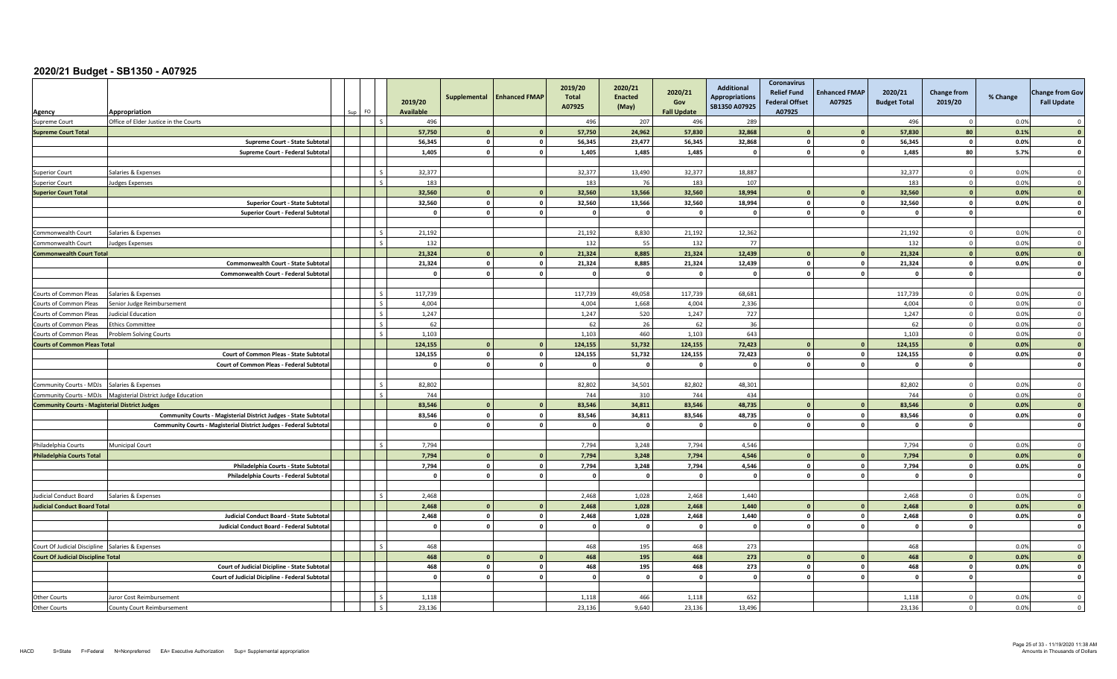| Agency                                                | Appropriation                                                     | FO |              | 2019/20<br><b>Available</b> | Supplemental            | <b>Enhanced FMAP</b> | 2019/20<br><b>Total</b><br>A07925 | 2020/21<br><b>Enacted</b><br>(May) | 2020/21<br>Gov<br><b>Fall Update</b> | <b>Additional</b><br><b>Appropriations</b><br>SB1350 A07925 | Coronavirus<br><b>Relief Fund</b><br><b>Federal Offset</b><br>A07925 | <b>Enhanced FMAP</b><br>A07925 | 2020/21<br><b>Budget Total</b> | <b>Change from</b><br>2019/20 | % Change | <b>Change from Gov</b><br><b>Fall Update</b> |
|-------------------------------------------------------|-------------------------------------------------------------------|----|--------------|-----------------------------|-------------------------|----------------------|-----------------------------------|------------------------------------|--------------------------------------|-------------------------------------------------------------|----------------------------------------------------------------------|--------------------------------|--------------------------------|-------------------------------|----------|----------------------------------------------|
| Supreme Court                                         | Office of Elder Justice in the Courts                             |    |              | 496                         |                         |                      | 496                               | 207                                | 496                                  | 289                                                         |                                                                      |                                | 496                            | $^{\circ}$                    | 0.0%     | $\Omega$                                     |
| <b>Supreme Court Total</b>                            |                                                                   |    |              | 57.750                      | $\Omega$                | $\mathbf{a}$         | 57.750                            | 24.962                             | 57.830                               | 32.868                                                      |                                                                      |                                | 57.830                         | 80                            | 0.1%     |                                              |
|                                                       | Supreme Court - State Subtota                                     |    |              | 56,345                      | $\overline{\mathbf{0}}$ | $\mathbf 0$          | 56,345                            | 23,477                             | 56,345                               | 32,868                                                      | $\mathbf{o}$                                                         | $\mathbf{0}$                   | 56,345                         | $\mathbf{o}$                  | 0.0%     | $\mathbf{0}$                                 |
|                                                       | Supreme Court - Federal Subtota                                   |    |              | 1,405                       | $\mathbf{r}$            | $\mathbf 0$          | 1,405                             | 1,485                              | 1,485                                |                                                             | $\sqrt{2}$                                                           | $\mathbf{a}$                   | 1,485                          | 80                            | 5.7%     | $\sqrt{2}$                                   |
|                                                       |                                                                   |    |              |                             |                         |                      |                                   |                                    |                                      |                                                             |                                                                      |                                |                                |                               |          |                                              |
| <b>Superior Court</b>                                 | Salaries & Expenses                                               |    | $\zeta$      | 32,377                      |                         |                      | 32,377                            | 13,490                             | 32,377                               | 18,887                                                      |                                                                      |                                | 32,377                         | $\mathbf 0$                   | 0.0%     | $\overline{0}$                               |
| uperior Court                                         | <b>Judges Expenses</b>                                            |    |              | 183                         |                         |                      | 183                               | 76                                 | 183                                  | 107                                                         |                                                                      |                                | 183                            | $\Omega$                      | 0.0%     | $\Omega$                                     |
| <b>Superior Court Total</b>                           |                                                                   |    |              | 32.560                      | $\Omega$                | $\mathbf{0}$         | 32,560                            | 13.566                             | 32,560                               | 18,994                                                      |                                                                      |                                | 32,560                         | $\overline{\mathbf{0}}$       | 0.0%     | $\mathbf{0}$                                 |
|                                                       | Superior Court - State Subtota                                    |    |              | 32.560                      | $\mathbf{0}$            | $\pmb{\mathsf{o}}$   | 32.560                            | 13.566                             | 32,560                               | 18,994                                                      | $\mathbf 0$                                                          | $\mathbf{0}$                   | 32,560                         | $\mathbf{0}$                  | 0.0%     | $\overline{\mathbf{0}}$                      |
|                                                       | <b>Superior Court - Federal Subtota</b>                           |    |              | $\Omega$                    | $\Omega$                | $\mathbf{0}$         | $\mathbf{0}$                      | $\overline{\mathbf{0}}$            | $\mathbf{0}$                         | $\Omega$                                                    | $\mathbf{o}$                                                         | $\Omega$                       | - 0                            | $\mathbf{0}$                  |          | $\mathbf{0}$                                 |
|                                                       |                                                                   |    |              |                             |                         |                      |                                   |                                    |                                      |                                                             |                                                                      |                                |                                |                               |          |                                              |
| Commonwealth Court                                    | Salaries & Expenses                                               |    | $\mathsf{S}$ | 21,192                      |                         |                      | 21,192                            | 8,830                              | 21,192                               | 12,362                                                      |                                                                      |                                | 21,192                         | $\overline{0}$                | 0.0%     | $\overline{0}$                               |
| Commonwealth Court                                    | <b>Judges Expenses</b>                                            |    |              | 132                         |                         |                      | 132                               | 55                                 | 132                                  | 77                                                          |                                                                      |                                | 132                            | $\overline{0}$                | 0.0%     | $\Omega$                                     |
| <b>Commonwealth Court Total</b>                       |                                                                   |    |              | 21,324                      | $\mathbf{r}$            | $\Omega$             | 21.324                            | 8.885                              | 21.324                               | 12,439                                                      |                                                                      |                                | 21.324                         | $\Omega$                      | 0.0%     | $\mathbf{0}$                                 |
|                                                       | Commonwealth Court - State Subtota                                |    |              | 21,324                      | $\circ$                 | $\mathbf 0$          | 21,324                            | 8.885                              | 21,324                               | 12,439                                                      | $\mathbf{o}$                                                         | $\mathbf{0}$                   | 21,324                         | $\mathbf{0}$                  | 0.0%     | $\mathbf{o}$                                 |
|                                                       | Commonwealth Court - Federal Subtota                              |    |              | $\Omega$                    | $\overline{0}$          | $\mathbf 0$          |                                   | - 0                                | $\mathbf 0$                          |                                                             | $\Omega$                                                             | $\Omega$                       |                                | $\Omega$                      |          | $\mathbf{0}$                                 |
|                                                       |                                                                   |    |              |                             |                         |                      |                                   |                                    |                                      |                                                             |                                                                      |                                |                                |                               |          |                                              |
| Courts of Common Pleas                                | Salaries & Expenses                                               |    | -S           | 117,739                     |                         |                      | 117,739                           | 49,058                             | 117,739                              | 68,681                                                      |                                                                      |                                | 117,739                        | $\overline{0}$                | 0.0%     | $\overline{0}$                               |
| Courts of Common Pleas                                | Senior Judge Reimbursement                                        |    |              | 4.004                       |                         |                      | 4.004                             | 1.668                              | 4.004                                | 2,336                                                       |                                                                      |                                | 4,004                          | $\Omega$                      | 0.0%     | $\Omega$                                     |
| Courts of Common Pleas                                | <b>Judicial Education</b>                                         |    |              | 1,247                       |                         |                      | 1,247                             | 520                                | 1.247                                | 727                                                         |                                                                      |                                | 1,247                          | $\overline{0}$                | 0.0%     | $\Omega$                                     |
| Courts of Common Pleas                                | <b>Ethics Committee</b>                                           |    |              | 62                          |                         |                      | 62                                | 26                                 | 62                                   | 36                                                          |                                                                      |                                | 62                             | $\Omega$                      | 0.0%     | $\mathbf 0$                                  |
| Courts of Common Pleas                                | <b>Problem Solving Courts</b>                                     |    |              | 1,103                       |                         |                      | 1,103                             | 460                                | 1,103                                | 643                                                         |                                                                      |                                | 1,103                          | $\overline{0}$                | 0.0%     | $\overline{0}$                               |
| <b>Courts of Common Pleas Total</b>                   |                                                                   |    |              | 124,155                     | $\Omega$                | $\mathbf{0}$         | 124,155                           | 51,732                             | 124,155                              | 72,423                                                      |                                                                      |                                | 124,155                        | $\mathbf{0}$                  | 0.0%     | $\Omega$                                     |
|                                                       | <b>Court of Common Pleas - State Subtota</b>                      |    |              | 124.155                     | $\overline{0}$          | $\mathbf{0}$         | 124,155                           | 51,732                             | 124,155                              | 72,423                                                      | $\mathbf 0$                                                          | $\Omega$                       | 124,155                        | $\mathbf{0}$                  | 0.0%     | $\mathbf{0}$                                 |
|                                                       | Court of Common Pleas - Federal Subtotal                          |    |              | $\mathbf{o}$                | $\mathbf{0}$            | $\mathbf{o}$         | $\sqrt{2}$                        | $\mathbf{0}$                       | $\mathbf 0$                          | $\Omega$                                                    | $\mathbf{0}$                                                         | $\mathbf{0}$                   | $\mathbf{0}$                   | $\mathbf{0}$                  |          | $\mathbf{0}$                                 |
|                                                       |                                                                   |    |              |                             |                         |                      |                                   |                                    |                                      |                                                             |                                                                      |                                |                                |                               |          |                                              |
| <b>Community Courts - MDJs</b>                        | Salaries & Expenses                                               |    |              | 82.802                      |                         |                      | 82,802                            | 34.501                             | 82.802                               | 48.301                                                      |                                                                      |                                | 82,802                         | $\Omega$                      | 0.0%     | $\Omega$                                     |
|                                                       | Community Courts - MDJs   Magisterial District Judge Education    |    |              | 744                         |                         |                      | 744                               | 310                                | 744                                  | 434                                                         |                                                                      |                                | 744                            | $\overline{0}$                | 0.0%     | $\mathbf 0$                                  |
| <b>Community Courts - Magisterial District Judges</b> |                                                                   |    |              | 83,546                      | $\Omega$                | $\mathbf{0}$         | 83,546                            | 34,811                             | 83.546                               | 48,735                                                      | $\sqrt{2}$                                                           |                                | 83,546                         | $\mathbf{0}$                  | 0.0%     | $\sqrt{2}$                                   |
|                                                       | Community Courts - Magisterial District Judges - State Subtotal   |    |              | 83,546                      | $\mathbf{0}$            | $\mathbf 0$          | 83,546                            | 34,811                             | 83,546                               | 48,735                                                      | $\mathbf{0}$                                                         | $\Omega$                       | 83,546                         | $\mathbf{0}$                  | 0.0%     | $\mathbf 0$                                  |
|                                                       | Community Courts - Magisterial District Judges - Federal Subtotal |    |              | $\overline{\mathbf{0}}$     | $\overline{0}$          | $\mathbf{o}$         | $\sqrt{2}$                        | $\mathbf{0}$                       | $\mathbf{0}$                         | $\Omega$                                                    | $\mathbf 0$                                                          | $\Omega$                       | - 0                            | $\mathbf{0}$                  |          | $\mathbf{0}$                                 |
|                                                       |                                                                   |    |              |                             |                         |                      |                                   |                                    |                                      |                                                             |                                                                      |                                |                                |                               |          |                                              |
| Philadelphia Courts                                   | Municipal Court                                                   |    |              | 7,794                       |                         |                      | 7,794                             | 3.248                              | 7,794                                | 4,546                                                       |                                                                      |                                | 7,794                          | $\Omega$                      | 0.0%     | $\Omega$                                     |
| <b>Philadelphia Courts Total</b>                      |                                                                   |    |              | 7,794                       | $\mathbf{0}$            | $\mathbf{0}$         | 7,794                             | 3.248                              | 7.794                                | 4,546                                                       | $\Omega$                                                             |                                | 7,794                          | $\overline{\mathbf{0}}$       | 0.0%     | $\mathbf{0}$                                 |
|                                                       | Philadelphia Courts - State Subtota                               |    |              | 7,794                       | $\overline{\mathbf{0}}$ | $\mathbf 0$          | 7,794                             | 3,248                              | 7,794                                | 4,546                                                       | $\mathbf 0$                                                          | $\Omega$                       | 7,794                          | $\mathbf{0}$                  | 0.0%     | $\mathbf{0}$                                 |
|                                                       | Philadelphia Courts - Federal Subtota                             |    |              | $\overline{0}$              | $\mathbf{0}$            | $\mathbf 0$          | $\sqrt{2}$                        | $\mathbf{0}$                       | $\mathbf 0$                          | - 0                                                         | $\mathbf{0}$                                                         | $\sqrt{2}$                     | - 0                            | $\mathbf{0}$                  |          | $\Omega$                                     |
|                                                       |                                                                   |    |              |                             |                         |                      |                                   |                                    |                                      |                                                             |                                                                      |                                |                                |                               |          |                                              |
| Judicial Conduct Board                                | Salaries & Expenses                                               |    |              | 2,468                       |                         |                      | 2,468                             | 1,028                              | 2,468                                | 1,440                                                       |                                                                      |                                | 2,468                          | $\mathbf 0$                   | 0.0%     | $\Omega$                                     |
| <b>Judicial Conduct Board Total</b>                   |                                                                   |    |              | 2.468                       | $\Omega$                | $\Omega$             | 2.468                             | 1,028                              | 2.468                                | 1,440                                                       | $\sqrt{ }$                                                           |                                | 2,468                          | $\mathbf{0}$                  | 0.0%     | $\Omega$                                     |
|                                                       | Judicial Conduct Board - State Subtota                            |    |              | 2,468                       | $\mathbf{0}$            | $\mathbf 0$          | 2,468                             | 1,028                              | 2,468                                | 1,440                                                       | $\mathbf 0$                                                          | $\mathbf{0}$                   | 2,468                          | $\mathbf{0}$                  | 0.0%     | $\mathbf{0}$                                 |
|                                                       | Judicial Conduct Board - Federal Subtota                          |    |              | $\mathbf{0}$                | $\Omega$                | $\mathbf 0$          | $\sqrt{2}$                        | $\Omega$                           | $\circ$                              | - 0                                                         | $\mathbf{0}$                                                         | $\mathbf{0}$                   | - 0                            | $\Omega$                      |          | $\mathbf{0}$                                 |
|                                                       |                                                                   |    |              |                             |                         |                      |                                   |                                    |                                      |                                                             |                                                                      |                                |                                |                               |          |                                              |
| Court Of Judicial Discipline Salaries & Expenses      |                                                                   |    | $\varsigma$  | 468                         |                         |                      | 468                               | 195                                | 468                                  | 273                                                         |                                                                      |                                | 468                            |                               | 0.0%     | $\overline{0}$                               |
| <b>Court Of Judicial Discipline Total</b>             |                                                                   |    |              | 468                         | $\Omega$                | $\mathbf{0}$         | 468                               | 195                                | 468                                  | 273                                                         | $\sqrt{2}$                                                           |                                | 468                            | $\Omega$                      | 0.0%     | $\mathbf{0}$                                 |
|                                                       | Court of Judicial Dicipline - State Subtota                       |    |              | 468                         | $\Omega$                | $\mathbf{0}$         | 468                               | 195                                | 468                                  | 273                                                         | $\mathbf 0$                                                          | $\Omega$                       | 468                            | - 0                           | 0.0%     | $\Omega$                                     |
|                                                       | Court of Judicial Dicipline - Federal Subtotal                    |    |              | $\mathbf{0}$                | $\mathbf{a}$            | $\Omega$             |                                   | $\Omega$                           | $\mathbf{0}$                         | - 0                                                         | $\mathbf{0}$                                                         | $\mathbf{a}$                   |                                | $\mathbf{0}$                  |          | $\mathbf{0}$                                 |
|                                                       |                                                                   |    |              |                             |                         |                      |                                   |                                    |                                      |                                                             |                                                                      |                                |                                |                               |          |                                              |
| <b>Other Courts</b>                                   | Juror Cost Reimbursement                                          |    |              | 1,118                       |                         |                      | 1,118                             | 466                                | 1,118                                | 652                                                         |                                                                      |                                | 1,118                          | $\Omega$                      | 0.0%     | $\Omega$                                     |
| Other Courts                                          | <b>County Court Reimbursement</b>                                 |    |              | 23.136                      |                         |                      | 23.136                            | 9.640                              | 23.136                               | 13.496                                                      |                                                                      |                                | 23.136                         | $\overline{0}$                | 0.0%     | $\overline{0}$                               |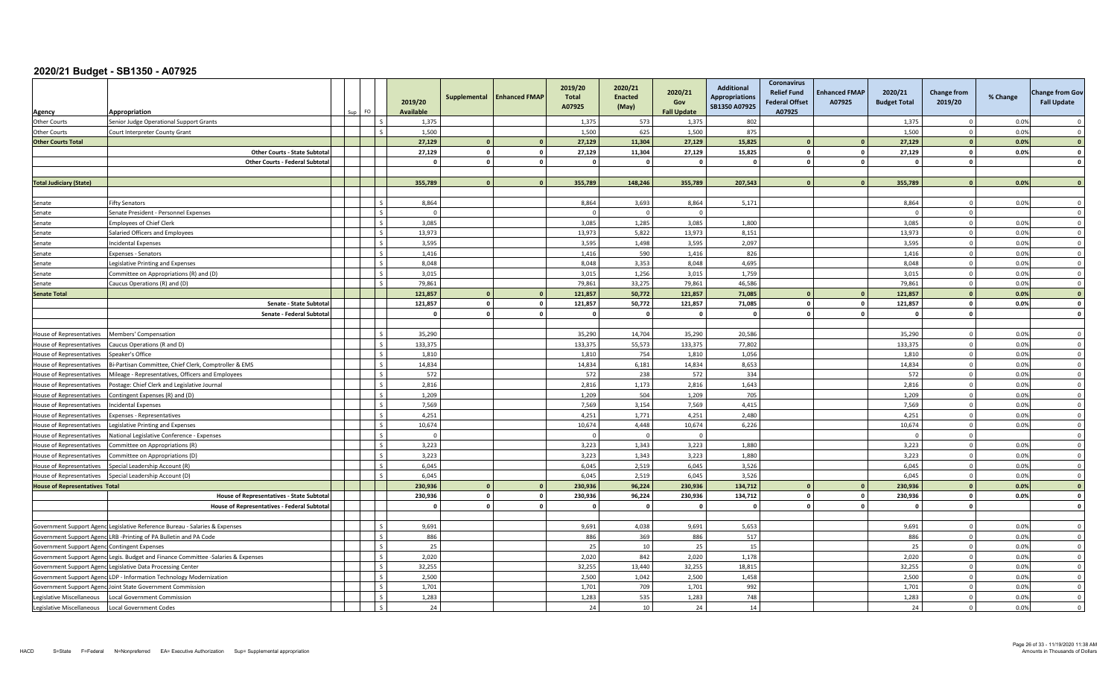| Agency                                       | Appropriation                                                                     |                          | 2019/20<br><b>Available</b> | Supplemental            | <b>Enhanced FMAP</b> | 2019/20<br><b>Total</b><br>A07925 | 2020/21<br><b>Enacted</b><br>(May) | 2020/21<br>Gov<br><b>Fall Update</b> | <b>Additional</b><br><b>Appropriations</b><br>SB1350 A07925 | <b>Coronavirus</b><br><b>Relief Fund</b><br><b>Federal Offset</b><br>A07925 | <b>Enhanced FMAP</b><br>A07925 | 2020/21<br><b>Budget Total</b> | <b>Change from</b><br>2019/20 | % Change | <b>Change from Gov</b><br><b>Fall Update</b> |
|----------------------------------------------|-----------------------------------------------------------------------------------|--------------------------|-----------------------------|-------------------------|----------------------|-----------------------------------|------------------------------------|--------------------------------------|-------------------------------------------------------------|-----------------------------------------------------------------------------|--------------------------------|--------------------------------|-------------------------------|----------|----------------------------------------------|
| <b>Other Courts</b>                          | Senior Judge Operational Support Grants                                           |                          | 1,375                       |                         |                      | 1,375                             | 573                                | 1,375                                | 802                                                         |                                                                             |                                | 1,375                          | $\Omega$                      | 0.0%     | $\Omega$                                     |
| <b>Other Courts</b>                          | Court Interpreter County Grant                                                    | $\zeta$                  | 1.500                       |                         |                      | 1.500                             | 625                                | 1,500                                | 875                                                         |                                                                             |                                | 1.500                          | $\overline{0}$                | 0.0%     | $\Omega$                                     |
| <b>Other Courts Total</b>                    |                                                                                   |                          | 27,129                      | $\mathbf{0}$            | $\mathbf{0}$         | 27,129                            | 11,304                             | 27,129                               | 15,825                                                      |                                                                             |                                | 27,129                         | $\mathbf{0}$                  | 0.0%     | $\overline{0}$                               |
|                                              | <b>Other Courts - State Subtota</b>                                               |                          | 27,129                      | $\mathbf{0}$            | $\mathbf 0$          | 27,129                            | 11,304                             | 27,129                               | 15,825                                                      |                                                                             | $\mathbf{r}$                   | 27,129                         | $\mathbf{0}$                  | 0.0%     | $\mathbf 0$                                  |
|                                              | <b>Other Courts - Federal Subtota</b>                                             |                          | $\mathbf{0}$                | $\overline{0}$          | $\mathbf{0}$         | $\overline{0}$                    | $\mathbf{0}$                       | $\Omega$                             | $\mathbf{0}$                                                | $\mathbf{0}$                                                                | $\mathbf{0}$                   | $\mathbf{0}$                   | $\mathbf{0}$                  |          | $\mathbf{0}$                                 |
|                                              |                                                                                   |                          |                             |                         |                      |                                   |                                    |                                      |                                                             |                                                                             |                                |                                |                               |          |                                              |
| <b>Total Judiciary (State)</b>               |                                                                                   |                          | 355,789                     |                         | $\overline{0}$       | 355,789                           | 148.246                            | 355,789                              | 207,543                                                     |                                                                             |                                | 355,789                        | $\Omega$                      | 0.0%     | $\sqrt{ }$                                   |
|                                              |                                                                                   |                          |                             |                         |                      |                                   |                                    |                                      |                                                             |                                                                             |                                |                                |                               |          |                                              |
| Senate                                       | <b>Fifty Senators</b>                                                             | $\mathsf{I}$ s           | 8,864                       |                         |                      | 8,864                             | 3,693                              | 8,864                                | 5,171                                                       |                                                                             |                                | 8,864                          | $^{\circ}$                    | 0.0%     | $\overline{\mathbf{0}}$                      |
| Senate                                       | Senate President - Personnel Expenses                                             | $\overline{\phantom{a}}$ | $\Omega$                    |                         |                      | $\Omega$                          | $\Omega$                           | $\Omega$                             |                                                             |                                                                             |                                | $\Omega$                       | $\overline{0}$                |          | $\overline{0}$                               |
| Senate                                       | <b>Employees of Chief Clerk</b>                                                   | $\overline{s}$           | 3.085                       |                         |                      | 3.085                             | 1,285                              | 3,085                                | 1,800                                                       |                                                                             |                                | 3.085                          | $\overline{0}$                | 0.0%     | $\mathbf{0}$                                 |
| Senate                                       | Salaried Officers and Employees                                                   | $\mathcal{S}$            | 13,973                      |                         |                      | 13,973                            | 5,822                              | 13,973                               | 8,151                                                       |                                                                             |                                | 13,973                         | $\overline{0}$                | 0.0%     | $\overline{0}$                               |
| Senate                                       | ncidental Expenses                                                                | $\zeta$                  | 3,595                       |                         |                      | 3,595                             | 1.498                              | 3,595                                | 2,097                                                       |                                                                             |                                | 3,595                          | $\overline{0}$                | 0.0%     | $\Omega$                                     |
| Senate                                       | Expenses - Senators                                                               | $\overline{\phantom{a}}$ | 1.416                       |                         |                      | 1.416                             | 590                                | 1.416                                | 826                                                         |                                                                             |                                | 1.416                          | $\Omega$                      | 0.0%     | $\Omega$                                     |
| Senate                                       | egislative Printing and Expenses                                                  | $\mathsf{I}$ s           | 8,048                       |                         |                      | 8,048                             | 3,353                              | 8,048                                | 4,695                                                       |                                                                             |                                | 8,048                          | $\mathbf 0$                   | 0.0%     | $\overline{\mathbf{0}}$                      |
| Senate                                       | Committee on Appropriations (R) and (D)                                           | $\overline{\phantom{a}}$ | 3,015                       |                         |                      | 3.015                             | 1.256                              | 3,015                                | 1,759                                                       |                                                                             |                                | 3,015                          | $\overline{0}$                | 0.0%     | $\overline{0}$                               |
| Senate                                       | Caucus Operations (R) and (D)                                                     | Ιs.                      | 79,861                      |                         |                      | 79.861                            | 33.275                             | 79,861                               | 46.586                                                      |                                                                             |                                | 79.861                         | $\overline{0}$                | 0.0%     | $\overline{0}$                               |
| <b>Senate Total</b>                          |                                                                                   |                          | 121,857                     | $\mathbf{0}$            | $\mathbf{0}$         | 121,857                           | 50,772                             | 121,857                              | 71,085                                                      |                                                                             |                                | 121,857                        | $\mathbf{0}$                  | 0.0%     | $\overline{\mathbf{0}}$                      |
|                                              | Senate - State Subtota                                                            |                          | 121,857                     | $\mathbf{0}$            | $\mathbf{0}$         | 121,857                           | 50,772                             | 121,857                              | 71,085                                                      |                                                                             |                                | 121,857                        | $\Omega$                      | 0.0%     | $\Omega$                                     |
|                                              | Senate - Federal Subtota                                                          |                          | $\Omega$                    | $\mathbf{0}$            | $\mathbf{0}$         | <sup>0</sup>                      | $\Omega$                           | $\mathbf{0}$                         | $\Omega$                                                    |                                                                             |                                | $\mathbf{0}$                   | $\mathbf{0}$                  |          | $\mathbf{o}$                                 |
|                                              |                                                                                   |                          |                             |                         |                      |                                   |                                    |                                      |                                                             |                                                                             |                                |                                |                               |          |                                              |
| House of Representatives                     | Members' Compensation                                                             | $\overline{\phantom{a}}$ | 35,290                      |                         |                      | 35,290                            | 14.704                             | 35,290                               | 20,586                                                      |                                                                             |                                | 35,290                         | $\overline{0}$                | 0.0%     | $\overline{0}$                               |
| <b>House of Representatives</b>              | Caucus Operations (R and D)                                                       | $\mathsf{L}$             | 133.375                     |                         |                      | 133.375                           | 55.573                             | 133,375                              | 77,802                                                      |                                                                             |                                | 133,375                        | $\overline{0}$                | 0.0%     | $\overline{0}$                               |
| <b>House of Representatives</b>              | Speaker's Office                                                                  | $\overline{\mathbf{s}}$  | 1,810                       |                         |                      | 1,810                             | 754                                | 1,810                                | 1,056                                                       |                                                                             |                                | 1,810                          | $\overline{0}$                | 0.0%     | $\overline{0}$                               |
| House of Representatives                     | 3i-Partisan Committee, Chief Clerk, Comptroller & EMS                             | $\sim$                   | 14.834                      |                         |                      | 14,834                            | 6,181                              | 14,834                               | 8,653                                                       |                                                                             |                                | 14,834                         | $\Omega$                      | 0.0%     | $\Omega$                                     |
| <b>House of Representatives</b>              | Mileage - Representatives, Officers and Employees                                 | l s                      | 572                         |                         |                      | 572                               | 238                                | 572                                  | 334                                                         |                                                                             |                                | 572                            | $\Omega$                      | 0.0%     | $\Omega$                                     |
| House of Representatives                     | 'ostage: Chief Clerk and Legislative Journal                                      | $\overline{\phantom{a}}$ | 2,816                       |                         |                      | 2,816                             | 1,173                              | 2,816                                | 1,643                                                       |                                                                             |                                | 2,816                          | $\mathbf 0$                   | 0.0%     | $\overline{0}$                               |
| House of Representatives                     | Contingent Expenses (R) and (D)                                                   | $\overline{\mathsf{S}}$  | 1,209                       |                         |                      | 1,209                             | 504                                | 1,209                                | 705                                                         |                                                                             |                                | 1,209                          | $\Omega$                      | 0.0%     | $\overline{0}$                               |
| <b>House of Representatives</b>              | cidental Expenses                                                                 |                          | 7.569                       |                         |                      | 7,569                             | 3.154                              | 7,569                                | 4.415                                                       |                                                                             |                                | 7,569                          | $\overline{0}$                | 0.0%     | $\Omega$                                     |
| House of Representatives                     | xpenses - Representatives                                                         | $\sim$                   | 4,251                       |                         |                      | 4,251                             | 1,771                              | 4,251                                | 2,480                                                       |                                                                             |                                | 4,251                          | $\Omega$                      | 0.0%     | $\overline{0}$                               |
| House of Representatives                     | egislative Printing and Expenses                                                  |                          | 10,674                      |                         |                      | 10,674                            | 4,448                              | 10,674                               | 6,226                                                       |                                                                             |                                | 10,674                         | $\Omega$                      | 0.0%     | $\Omega$                                     |
| <b>House of Representatives</b>              | Vational Legislative Conference - Expenses                                        | $\overline{s}$           | $\overline{0}$              |                         |                      | $\Omega$                          | $\Omega$                           | $\Omega$                             |                                                             |                                                                             |                                | $\Omega$                       | $\overline{0}$                |          | $\overline{0}$                               |
| <b>House of Representatives</b>              | ommittee on Appropriations (R)                                                    | l s                      | 3,223                       |                         |                      | 3,223                             | 1,343                              | 3,223                                | 1,880                                                       |                                                                             |                                | 3,223                          | $\mathbf 0$                   | 0.0%     | $\overline{0}$                               |
| House of Representatives                     | Committee on Appropriations (D)                                                   | $\mathsf{S}$             | 3,223                       |                         |                      | 3,223                             | 1,343                              | 3,223                                | 1,880                                                       |                                                                             |                                | 3,223                          | $\mathbf 0$                   | 0.0%     | $\overline{0}$                               |
| <b>House of Representatives</b>              | Special Leadership Account (R)                                                    | l s                      | 6,045                       |                         |                      | 6,045                             | 2,519                              | 6,045                                | 3,526                                                       |                                                                             |                                | 6,045                          | $\overline{0}$                | 0.0%     | $\Omega$                                     |
| House of Representatives                     | Special Leadership Account (D)                                                    | $\varsigma$              | 6,045                       |                         |                      | 6,045                             | 2,519                              | 6,045                                | 3,526                                                       |                                                                             |                                | 6,045                          | $\mathbf{0}$                  | 0.0%     | $\Omega$                                     |
| <b>House of Representatives Total</b>        |                                                                                   |                          | 230,936                     | $\sqrt{2}$              | $\mathbf{0}$         | 230,936                           | 96,224                             | 230,936                              | 134,712                                                     |                                                                             |                                | 230,936                        | $\mathbf{0}$                  | 0.0%     | $\mathbf{0}$                                 |
|                                              | House of Representatives - State Subtota                                          |                          | 230,936                     | $\circ$                 | $\mathbf 0$          | 230.936                           | 96,224                             | 230,936                              | 134,712                                                     |                                                                             |                                | 230,936                        | $\mathbf{0}$                  | 0.0%     | $\mathbf{0}$                                 |
|                                              | <b>House of Representatives - Federal Subtota</b>                                 |                          | $\mathbf{0}$                | $\overline{\mathbf{0}}$ | $\mathbf 0$          | $\mathbf{0}$                      | $\mathbf{0}$                       | $\mathbf{0}$                         | $\mathbf 0$                                                 |                                                                             |                                | 0                              | $\mathbf 0$                   |          | $\mathbf 0$                                  |
|                                              |                                                                                   |                          |                             |                         |                      |                                   |                                    |                                      |                                                             |                                                                             |                                |                                |                               |          |                                              |
|                                              | Government Support Agenc Legislative Reference Bureau - Salaries & Expenses       | l s                      | 9,691                       |                         |                      | 9,691                             | 4,038                              | 9,691                                | 5,653                                                       |                                                                             |                                | 9,691                          | $\overline{0}$                | 0.0%     | $\Omega$                                     |
|                                              | Government Support Agenc LRB -Printing of PA Bulletin and PA Code                 | $\zeta$                  | 886                         |                         |                      | 886                               | 369                                | 886                                  | 517                                                         |                                                                             |                                | 886                            | $\Omega$                      | 0.0%     | $\overline{\mathbf{0}}$                      |
| Government Support Agenc Contingent Expenses |                                                                                   | $\zeta$                  | 25                          |                         |                      | 25                                | 10                                 | 25                                   | 15                                                          |                                                                             |                                | 25                             | $\overline{0}$                | 0.0%     | $\Omega$                                     |
|                                              | Government Support Agenc Legis. Budget and Finance Committee -Salaries & Expenses | $\mathsf{L}$             | 2.020                       |                         |                      | 2,020                             | 842                                | 2.020                                | 1,178                                                       |                                                                             |                                | 2,020                          | $\mathbf{0}$                  | 0.0%     | $\Omega$                                     |
|                                              | Government Support Agenc Legislative Data Processing Center                       | $\sim$                   | 32,255                      |                         |                      | 32,255                            | 13,440                             | 32,255                               | 18,815                                                      |                                                                             |                                | 32,255                         | $\mathbf 0$                   | 0.0%     | $\overline{0}$                               |
|                                              | Government Support Agenc LDP - Information Technology Modernization               | $\mathsf{S}$             | 2,500                       |                         |                      | 2,500                             | 1,042                              | 2,500                                | 1,458                                                       |                                                                             |                                | 2,500                          | $\overline{0}$                | 0.0%     | $\overline{0}$                               |
|                                              | Government Support Agenc Joint State Government Commission                        | l s                      | 1,701                       |                         |                      | 1,701                             | 709                                | 1,701                                | 992                                                         |                                                                             |                                | 1,701                          | $\Omega$                      | 0.0%     | $\Omega$                                     |
| Legislative Miscellaneous                    | ocal Government Commission                                                        |                          | 1,283                       |                         |                      | 1,283                             | 535                                | 1,283                                | 748                                                         |                                                                             |                                | 1,283                          | $\Omega$                      | 0.0%     | $\Omega$                                     |
| Legislative Miscellaneous                    | Local Government Codes                                                            | $\mathcal{S}$            | 24                          |                         |                      | 24                                | 10                                 | 24                                   | 14                                                          |                                                                             |                                | 24                             | $\Omega$                      | 0.0%     | $\Omega$                                     |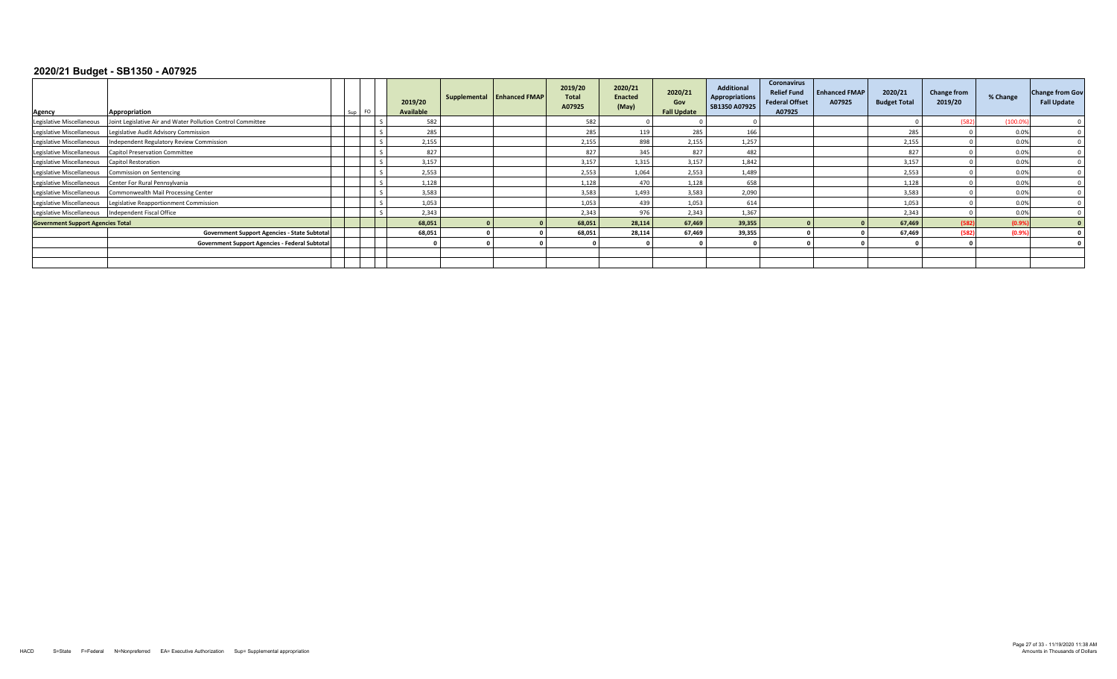| Agency                                   | Appropriation<br>Sup FO                                     | 2019/20<br>Available | Supplemental Enhanced FMAP | 2019/20<br><b>Total</b><br>A07925 | 2020/21<br><b>Enacted</b><br>(May) | 2020/21<br>Gov<br><b>Fall Update</b> | <b>Additional</b><br>Appropriations<br>SB1350 A07925 | <b>Coronavirus</b><br><b>Relief Fund</b><br><b>Federal Offset</b><br>A07925 | <b>Enhanced FMAP</b><br>A07925 | 2020/21<br><b>Budget Total</b> | <b>Change from</b><br>2019/20 | % Change | <b>Change from Gov</b><br><b>Fall Update</b> |
|------------------------------------------|-------------------------------------------------------------|----------------------|----------------------------|-----------------------------------|------------------------------------|--------------------------------------|------------------------------------------------------|-----------------------------------------------------------------------------|--------------------------------|--------------------------------|-------------------------------|----------|----------------------------------------------|
| Legislative Miscellaneous                | Joint Legislative Air and Water Pollution Control Committee | 582                  |                            | 582                               |                                    |                                      |                                                      |                                                                             |                                |                                | (582                          | (100.0)  |                                              |
| Legislative Miscellaneous                | Legislative Audit Advisory Commission                       | 285                  |                            | 285                               | 119                                | 285                                  | 166                                                  |                                                                             |                                | 285                            |                               | 0.0%     |                                              |
| Legislative Miscellaneous                | Independent Regulatory Review Commission                    | 2,155                |                            | 2,155                             | 898                                | 2,155                                | 1,257                                                |                                                                             |                                | 2,155                          |                               | 0.0%     |                                              |
| Legislative Miscellaneous                | <b>Capitol Preservation Committee</b>                       | 827                  |                            | 827                               | 345                                | 827                                  | 482                                                  |                                                                             |                                | 827                            |                               | 0.0%     |                                              |
| Legislative Miscellaneous                | <b>Capitol Restoration</b>                                  | 3,157                |                            | 3,157                             | 1,315                              | 3,157                                | 1.842                                                |                                                                             |                                | 3,157                          |                               | 0.0%     |                                              |
| Legislative Miscellaneous                | Commission on Sentencing                                    | 2,553                |                            | 2,553                             | 1.064                              | 2.553                                | 1,489                                                |                                                                             |                                | 2,553                          |                               | 0.0%     |                                              |
| Legislative Miscellaneous                | Center For Rural Pennsylvania                               | 1,128                |                            | 1,128                             | 470                                | 1.128                                | 658                                                  |                                                                             |                                | 1,128                          |                               | 0.0%     |                                              |
| Legislative Miscellaneous                | Commonwealth Mail Processing Center                         | 3,583                |                            | 3,583                             | 1,493                              | 3.583                                | 2,090                                                |                                                                             |                                | 3,583                          |                               | 0.0%     |                                              |
| Legislative Miscellaneous                | Legislative Reapportionment Commission                      | 1,053                |                            | 1,053                             | 439                                | 1,053                                | 614                                                  |                                                                             |                                | 1,053                          |                               | 0.0%     |                                              |
| Legislative Miscellaneous                | Independent Fiscal Office                                   | 2,343                |                            | 2,343                             | 976                                | 2,343                                | 1,367                                                |                                                                             |                                | 2,343                          |                               | 0.0%     |                                              |
| <b>Government Support Agencies Total</b> |                                                             | 68,051               |                            | 68,051                            | 28.114                             | 67.469                               | 39,355                                               |                                                                             |                                | 67,469                         | (582)                         | (0.9%    |                                              |
|                                          | <b>Government Support Agencies - State Subtotal</b>         | 68,051               |                            | 68,051                            | 28.114                             | 67.469                               | 39,355                                               |                                                                             |                                | 67,469                         | (582)                         | (0.9%    |                                              |
|                                          | Government Support Agencies - Federal Subtotal              |                      |                            |                                   |                                    |                                      |                                                      |                                                                             |                                |                                |                               |          |                                              |
|                                          |                                                             |                      |                            |                                   |                                    |                                      |                                                      |                                                                             |                                |                                |                               |          |                                              |
|                                          |                                                             |                      |                            |                                   |                                    |                                      |                                                      |                                                                             |                                |                                |                               |          |                                              |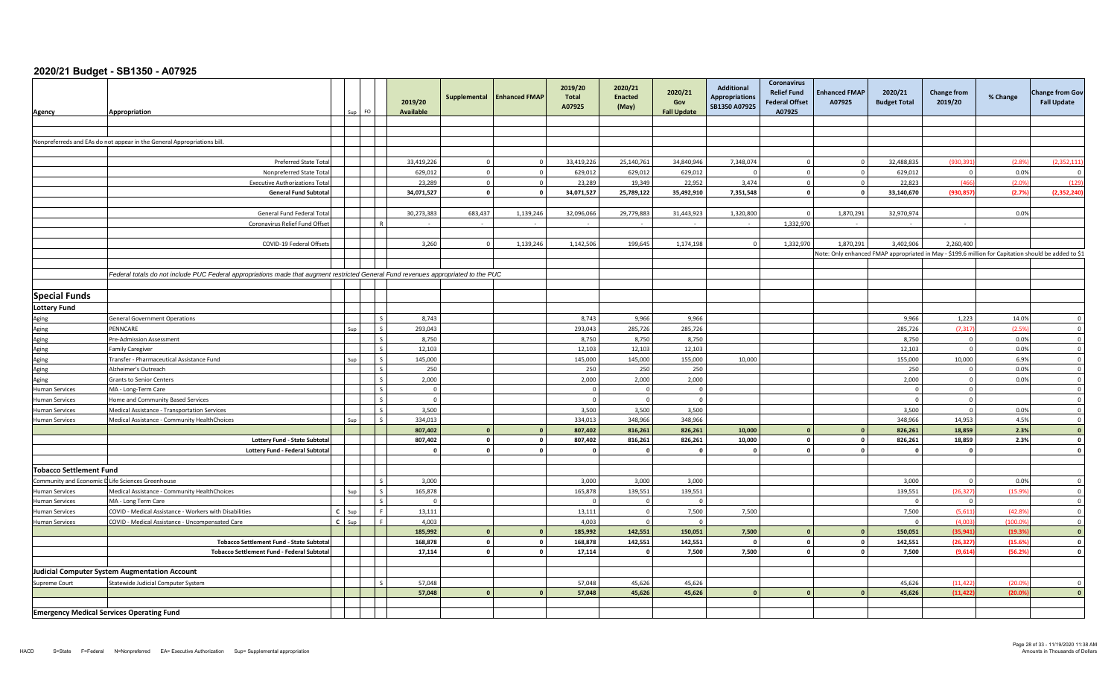| Agency                         | Appropriation                                                                                                                       |         |          | 2019/20<br><b>Available</b> | Supplemental                 | <b>Enhanced FMAP</b>         | 2019/20<br>Total<br>A07925 | 2020/21<br><b>Enacted</b><br>(May) | 2020/21<br>Gov<br><b>Fall Update</b> | <b>Additional</b><br><b>Appropriations</b><br>SB1350 A07925 | <b>Coronavirus</b><br><b>Relief Fund</b><br><b>Federal Offset</b><br>A07925 | <b>Enhanced FMAP</b><br>A07925 | 2020/21<br><b>Budget Total</b> | Change from<br>2019/20                                                                               | % Change | <b>Change from Gov</b><br><b>Fall Update</b> |
|--------------------------------|-------------------------------------------------------------------------------------------------------------------------------------|---------|----------|-----------------------------|------------------------------|------------------------------|----------------------------|------------------------------------|--------------------------------------|-------------------------------------------------------------|-----------------------------------------------------------------------------|--------------------------------|--------------------------------|------------------------------------------------------------------------------------------------------|----------|----------------------------------------------|
|                                |                                                                                                                                     |         |          |                             |                              |                              |                            |                                    |                                      |                                                             |                                                                             |                                |                                |                                                                                                      |          |                                              |
|                                |                                                                                                                                     |         |          |                             |                              |                              |                            |                                    |                                      |                                                             |                                                                             |                                |                                |                                                                                                      |          |                                              |
|                                | Nonpreferreds and EAs do not appear in the General Appropriations bill.                                                             |         |          |                             |                              |                              |                            |                                    |                                      |                                                             |                                                                             |                                |                                |                                                                                                      |          |                                              |
|                                |                                                                                                                                     |         |          |                             |                              |                              |                            |                                    |                                      |                                                             |                                                                             |                                |                                |                                                                                                      |          |                                              |
|                                | <b>Preferred State Total</b>                                                                                                        |         |          | 33,419,226                  | $\Omega$                     |                              | 33,419,226                 | 25,140,761                         | 34,840,946                           | 7,348,074                                                   |                                                                             | $\Omega$                       | 32,488,835                     | (930,391                                                                                             | (2.8%    | (2, 352, 111)                                |
|                                | Nonpreferred State Total                                                                                                            |         |          | 629,012                     | $\Omega$                     |                              | 629,012                    | 629,012                            | 629,012                              |                                                             | $\Omega$                                                                    | $\Omega$                       | 629,012                        | $\Omega$                                                                                             | 0.0%     |                                              |
|                                | <b>Executive Authorizations Tota</b>                                                                                                |         |          | 23,289                      | $\overline{0}$               | $\Omega$                     | 23,289                     | 19,349                             | 22,952                               | 3,474                                                       | $\mathbf 0$                                                                 | $\circ$                        | 22,823                         | (466)                                                                                                | (2.09)   | (129)                                        |
|                                | <b>General Fund Subtotal</b>                                                                                                        |         |          | 34,071,527                  | $\overline{0}$               | $\Omega$                     | 34,071,527                 | 25,789,122                         | 35,492,910                           | 7,351,548                                                   | $\mathbf{0}$                                                                | $\circ$                        | 33,140,670                     | (930, 857)                                                                                           | (2.7%    | (2, 352, 240)                                |
|                                |                                                                                                                                     |         |          |                             |                              |                              |                            |                                    |                                      |                                                             |                                                                             |                                |                                |                                                                                                      |          |                                              |
|                                | General Fund Federal Tota                                                                                                           |         |          | 30,273,383                  | 683,437                      | 1,139,246                    | 32,096,066                 | 29,779,883                         | 31,443,923                           | 1,320,800                                                   | $\Omega$                                                                    | 1,870,291                      | 32,970,974                     |                                                                                                      | 0.0%     |                                              |
|                                | Coronavirus Relief Fund Offset                                                                                                      |         |          | $\sim$                      |                              |                              |                            |                                    | $\sim$                               | $\sim$                                                      | 1,332,970                                                                   | $\sim$                         | $\sim$                         |                                                                                                      |          |                                              |
|                                |                                                                                                                                     |         |          |                             |                              |                              |                            |                                    |                                      |                                                             |                                                                             |                                |                                |                                                                                                      |          |                                              |
|                                | COVID-19 Federal Offsets                                                                                                            |         |          | 3,260                       | $\Omega$                     | 1,139,246                    | 1,142,506                  | 199,645                            | 1,174,198                            | $\Omega$                                                    | 1,332,970                                                                   | 1,870,291                      | 3,402,906                      | 2,260,400                                                                                            |          |                                              |
|                                |                                                                                                                                     |         |          |                             |                              |                              |                            |                                    |                                      |                                                             |                                                                             |                                |                                | Note: Only enhanced FMAP appropriated in May - \$199.6 million for Capitation should be added to \$1 |          |                                              |
|                                |                                                                                                                                     |         |          |                             |                              |                              |                            |                                    |                                      |                                                             |                                                                             |                                |                                |                                                                                                      |          |                                              |
|                                | Federal totals do not include PUC Federal appropriations made that augment restricted General Fund revenues appropriated to the PUC |         |          |                             |                              |                              |                            |                                    |                                      |                                                             |                                                                             |                                |                                |                                                                                                      |          |                                              |
|                                |                                                                                                                                     |         |          |                             |                              |                              |                            |                                    |                                      |                                                             |                                                                             |                                |                                |                                                                                                      |          |                                              |
| <b>Special Funds</b>           |                                                                                                                                     |         |          |                             |                              |                              |                            |                                    |                                      |                                                             |                                                                             |                                |                                |                                                                                                      |          |                                              |
| <b>Lottery Fund</b>            |                                                                                                                                     |         |          |                             |                              |                              |                            |                                    |                                      |                                                             |                                                                             |                                |                                |                                                                                                      |          |                                              |
| Aging                          | <b>General Government Operations</b>                                                                                                |         |          | 8,743                       |                              |                              | 8.743                      | 9.966                              | 9,966                                |                                                             |                                                                             |                                | 9,966                          | 1,223                                                                                                | 14.0%    | $\overline{0}$                               |
| Aging                          | PENNCARE                                                                                                                            |         |          | 293,043                     |                              |                              | 293,043                    | 285,726                            | 285,726                              |                                                             |                                                                             |                                | 285,726                        | (7, 317)                                                                                             | (2.5%    | $\overline{0}$                               |
| Aging                          | Pre-Admission Assessment                                                                                                            |         |          | 8,750                       |                              |                              | 8,750                      | 8,750                              | 8,750                                |                                                             |                                                                             |                                | 8,750                          | $\Omega$                                                                                             | 0.0%     | $\overline{0}$                               |
| Aging                          | Family Caregiver                                                                                                                    |         |          | 12,103                      |                              |                              | 12,103                     | 12,103                             | 12,103                               |                                                             |                                                                             |                                | 12,103                         | $\Omega$                                                                                             | 0.0%     | $\overline{0}$                               |
| Aging                          | Fransfer - Pharmaceutical Assistance Fund                                                                                           |         | Sup      | 145,000                     |                              |                              | 145,000                    | 145,000                            | 155,000                              | 10,000                                                      |                                                                             |                                | 155,000                        | 10,000                                                                                               | 6.9%     | $\overline{0}$                               |
| Aging                          | Alzheimer's Outreach                                                                                                                |         |          | 250                         |                              |                              | 250                        | 250                                | 250                                  |                                                             |                                                                             |                                | 250                            | $\overline{0}$                                                                                       | 0.0%     | $\overline{0}$                               |
| Aging                          | <b>Grants to Senior Centers</b>                                                                                                     |         |          | 2,000                       |                              |                              | 2,000                      | 2,000                              | 2,000                                |                                                             |                                                                             |                                | 2,000                          | $\overline{0}$                                                                                       | 0.0%     | $\overline{0}$                               |
| <b>Human Services</b>          | MA - Long-Term Care                                                                                                                 |         |          | $\overline{0}$              |                              |                              |                            | $\Omega$                           | $\mathbf{0}$                         |                                                             |                                                                             |                                |                                | $\overline{0}$                                                                                       |          | $\overline{0}$                               |
| <b>Human Services</b>          | <b>Iome and Community Based Services</b>                                                                                            |         |          | $\overline{0}$              |                              |                              |                            | $\Omega$                           | $\mathbf{0}$                         |                                                             |                                                                             |                                |                                | $\Omega$                                                                                             |          | $\overline{0}$                               |
| <b>Human Services</b>          | Medical Assistance - Transportation Services                                                                                        |         |          | 3,500                       |                              |                              | 3,500                      | 3,500                              | 3,500                                |                                                             |                                                                             |                                | 3,500                          | $\overline{0}$                                                                                       | 0.0%     | $\overline{0}$                               |
| <b>Human Services</b>          | Medical Assistance - Community HealthChoices                                                                                        |         | Sup      | 334,013                     |                              |                              | 334,013                    | 348,966                            | 348,966                              |                                                             |                                                                             |                                | 348,966                        | 14,953                                                                                               | 4.5%     | $\overline{\mathbf{0}}$                      |
|                                |                                                                                                                                     |         |          | 807,402                     | $\Omega$                     |                              | 807,402                    | 816,261                            | 826,261                              | 10,000                                                      | $\Omega$                                                                    |                                | 826,261                        | 18,859                                                                                               | 2.3%     | $\mathbf{0}$                                 |
|                                | <b>Lottery Fund - State Subtotal</b>                                                                                                |         |          | 807,402                     | $\overline{0}$               | $\mathbf 0$                  | 807,402                    | 816,261                            | 826,261                              | 10,000                                                      | $\mathbf{0}$                                                                | $\Omega$                       | 826,261                        | 18,859                                                                                               | 2.3%     | $\mathbf{0}$                                 |
|                                | <b>Lottery Fund - Federal Subtotal</b>                                                                                              |         |          | $\mathbf{0}$                | $\mathbf{0}$                 | $\Omega$                     |                            | $\mathbf{0}$                       | $\mathbf{0}$                         |                                                             | $\mathbf{0}$                                                                | $\circ$                        |                                | $\Omega$                                                                                             |          | $\mathbf{0}$                                 |
|                                |                                                                                                                                     |         |          |                             |                              |                              |                            |                                    |                                      |                                                             |                                                                             |                                |                                |                                                                                                      |          |                                              |
| <b>Tobacco Settlement Fund</b> |                                                                                                                                     |         |          |                             |                              |                              |                            |                                    |                                      |                                                             |                                                                             |                                |                                |                                                                                                      |          |                                              |
|                                | Community and Economic D Life Sciences Greenhouse                                                                                   |         |          | 3,000                       |                              |                              | 3.000                      | 3.000                              | 3,000                                |                                                             |                                                                             |                                | 3.000                          | $\overline{0}$                                                                                       | 0.0%     | $\overline{0}$                               |
| <b>Human Services</b>          | Medical Assistance - Community HealthChoices                                                                                        |         | $S_{11}$ | 165,878                     |                              |                              | 165,878                    | 139,551                            | 139,551                              |                                                             |                                                                             |                                | 139,551                        | (26, 327)                                                                                            | (15.9%   | $\Omega$                                     |
| <b>Human Services</b>          | MA - Long Term Care                                                                                                                 |         |          | $\Omega$                    |                              |                              |                            | $\Omega$                           | $\Omega$                             |                                                             |                                                                             |                                |                                | $\Omega$                                                                                             |          | $\overline{0}$                               |
| <b>Human Services</b>          | COVID - Medical Assistance - Workers with Disabilities                                                                              | $C$ Sup |          | 13,111                      |                              |                              | 13,111                     | $\Omega$                           | 7,500                                | 7,500                                                       |                                                                             |                                | 7,500                          | (5,611)                                                                                              | (42.89)  | $\overline{0}$                               |
| Human Services                 | COVID - Medical Assistance - Uncompensated Care                                                                                     | $C$ Sup |          | 4,003                       |                              |                              | 4,003                      | $\Omega$                           | $\Omega$                             |                                                             |                                                                             |                                |                                | (4.003)                                                                                              | (100.09) | $\Omega$                                     |
|                                |                                                                                                                                     |         |          | 185,992                     | $\mathbf{0}$                 | $\mathbf{0}$                 | 185,992                    | 142,551                            | 150,051                              | 7,500                                                       | $\mathbf{0}$                                                                |                                | 150,051                        | (35, 941)                                                                                            | (19.3%   | $\mathbf{0}$                                 |
|                                | <b>Tobacco Settlement Fund - State Subtotal</b>                                                                                     |         |          | 168,878                     | $\mathbf{0}$<br>$\mathbf{0}$ | $\mathbf{0}$<br>$\mathbf{0}$ | 168,878                    | 142,551                            | 142,551                              | $\Omega$                                                    | $\mathbf{0}$                                                                | $\mathbf{0}$<br>$\circ$        | 142,551                        | (26, 327)                                                                                            | (15.6%   | $\mathbf{0}$                                 |
|                                | Tobacco Settlement Fund - Federal Subtotal                                                                                          |         |          | 17,114                      |                              |                              | 17,114                     | $\mathbf{0}$                       | 7,500                                | 7,500                                                       | $\mathbf{0}$                                                                |                                | 7,500                          | (9,614)                                                                                              | (56.2%   | $\mathbf{0}$                                 |
|                                |                                                                                                                                     |         |          |                             |                              |                              |                            |                                    |                                      |                                                             |                                                                             |                                |                                |                                                                                                      |          |                                              |
|                                | <b>Judicial Computer System Augmentation Account</b>                                                                                |         |          |                             |                              |                              |                            |                                    |                                      |                                                             |                                                                             |                                |                                |                                                                                                      | (20.09)  |                                              |
| Supreme Court                  | Statewide Judicial Computer System                                                                                                  |         |          | 57,048<br>57,048            | $\mathbf{r}$                 |                              | 57,048<br>57,048           | 45,626<br>45,626                   | 45,626<br>45,626                     |                                                             |                                                                             |                                | 45,626<br>45,626               | (11, 422)<br>(11, 422)                                                                               | (20.09)  | $\overline{0}$                               |
|                                |                                                                                                                                     |         |          |                             |                              |                              |                            |                                    |                                      |                                                             |                                                                             |                                |                                |                                                                                                      |          |                                              |
|                                | <b>Emergency Medical Services Operating Fund</b>                                                                                    |         |          |                             |                              |                              |                            |                                    |                                      |                                                             |                                                                             |                                |                                |                                                                                                      |          |                                              |
|                                |                                                                                                                                     |         |          |                             |                              |                              |                            |                                    |                                      |                                                             |                                                                             |                                |                                |                                                                                                      |          |                                              |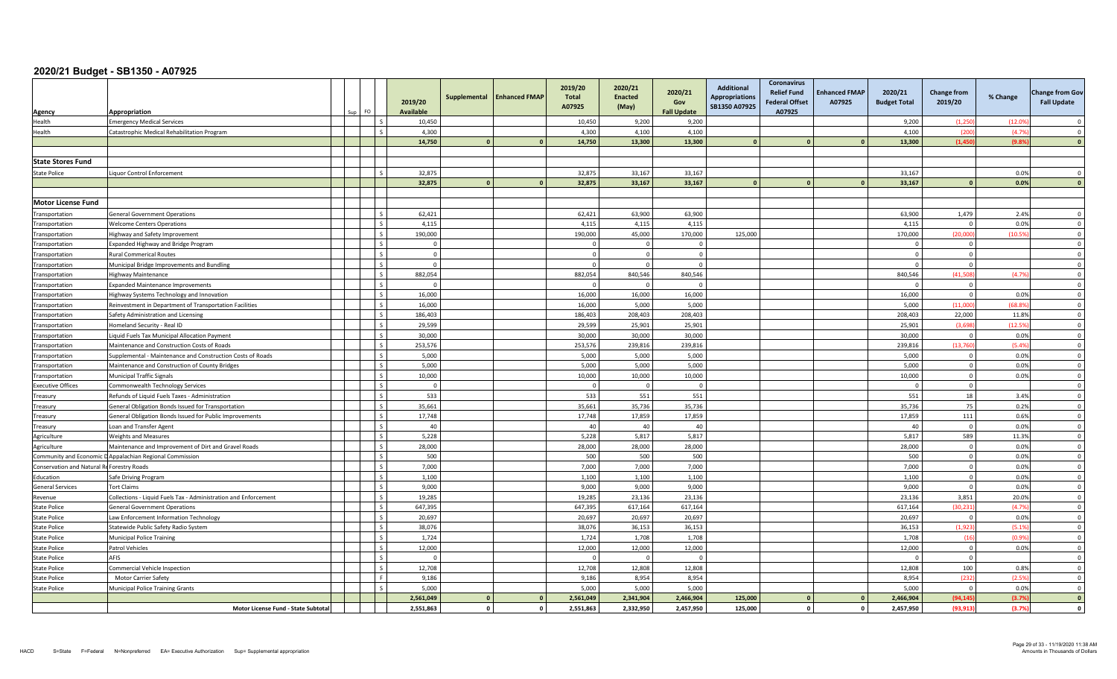| Agency                                    | Appropriation<br>FO.                                            | 2019/20<br><b>Available</b> | Supplemental   | <b>Enhanced FMAP</b> | 2019/20<br><b>Total</b><br>A07925 | 2020/21<br><b>Enacted</b><br>(May) | 2020/21<br>Gov<br><b>Fall Update</b> | <b>Additional</b><br><b>Appropriations</b><br>SB1350 A07925 | <b>Coronavirus</b><br><b>Relief Fund</b><br><b>Federal Offset</b><br>A07925 | <b>Enhanced FMAP</b><br>A07925 | 2020/21<br><b>Budget Total</b> | <b>Change from</b><br>2019/20 | % Change | <b>Change from Gov</b><br><b>Fall Update</b> |
|-------------------------------------------|-----------------------------------------------------------------|-----------------------------|----------------|----------------------|-----------------------------------|------------------------------------|--------------------------------------|-------------------------------------------------------------|-----------------------------------------------------------------------------|--------------------------------|--------------------------------|-------------------------------|----------|----------------------------------------------|
| Health                                    | <b>Emergency Medical Services</b>                               | 10,450                      |                |                      | 10,450                            | 9,200                              | 9,200                                |                                                             |                                                                             |                                | 9,200                          | (1,250)                       | (12.09)  |                                              |
| Health                                    | Catastrophic Medical Rehabilitation Program                     | 4.300                       |                |                      | 4,300                             | 4,100                              | 4.100                                |                                                             |                                                                             |                                | 4,100                          | (200)                         | (4.7%    | $\Omega$                                     |
|                                           |                                                                 | 14,750                      | $\mathbf{a}$   | $\Omega$             | 14,750                            | 13,300                             | 13,300                               |                                                             |                                                                             |                                | 13,300                         | (1, 450)                      | (9.89)   | $\Omega$                                     |
|                                           |                                                                 |                             |                |                      |                                   |                                    |                                      |                                                             |                                                                             |                                |                                |                               |          |                                              |
| <b>State Stores Fund</b>                  |                                                                 |                             |                |                      |                                   |                                    |                                      |                                                             |                                                                             |                                |                                |                               |          |                                              |
| <b>State Police</b>                       | Liquor Control Enforcement                                      | 32,875                      |                |                      | 32,875                            | 33,167                             | 33,167                               |                                                             |                                                                             |                                | 33,167                         |                               | 0.0%     | $\Omega$                                     |
|                                           |                                                                 | 32,875                      | $\Omega$       | $\Omega$             | 32,875                            | 33,167                             | 33,167                               |                                                             | $\Omega$                                                                    |                                | 33,167                         | $\Omega$                      | 0.0%     | - 0                                          |
|                                           |                                                                 |                             |                |                      |                                   |                                    |                                      |                                                             |                                                                             |                                |                                |                               |          |                                              |
| <b>Motor License Fund</b>                 |                                                                 |                             |                |                      |                                   |                                    |                                      |                                                             |                                                                             |                                |                                |                               |          |                                              |
| <b>Transportation</b>                     | <b>General Government Operations</b>                            | 62.421                      |                |                      | 62.421                            | 63.900                             | 63.900                               |                                                             |                                                                             |                                | 63.900                         | 1.479                         | 2.4%     | $\Omega$                                     |
| Transportation                            | <b>Welcome Centers Operations</b>                               | 4,115                       |                |                      | 4,115                             | 4,115                              | 4,115                                |                                                             |                                                                             |                                | 4,115                          | $\Omega$                      | 0.0%     | $\overline{\mathbf{0}}$                      |
| ransportation                             | Highway and Safety Improvement                                  | 190,000                     |                |                      | 190,000                           | 45,000                             | 170,000                              | 125,000                                                     |                                                                             |                                | 170,000                        | (20.000)                      | (10.59)  | $\overline{0}$                               |
| Transportation                            | Expanded Highway and Bridge Program                             | $\Omega$                    |                |                      |                                   | $\Omega$                           | $\Omega$                             |                                                             |                                                                             |                                | - 0                            | $\mathbf 0$                   |          | $\overline{0}$                               |
| ransportation                             | <b>Rural Commerical Routes</b>                                  | $\mathbf{0}$                |                |                      |                                   |                                    | $\Omega$                             |                                                             |                                                                             |                                | $\sqrt{ }$                     | $\mathbf{0}$                  |          | $\Omega$                                     |
| ransportation                             | Municipal Bridge Improvements and Bundling                      | $\Omega$                    |                |                      |                                   | $\Omega$                           | $\Omega$                             |                                                             |                                                                             |                                | ſ                              | $\Omega$                      |          | $\Omega$                                     |
| Transportation                            | Highway Maintenance                                             | 882,054                     |                |                      | 882,054                           | 840,546                            | 840,546                              |                                                             |                                                                             |                                | 840,546                        | (41, 508)                     | (4.7%    | $\mathbf 0$                                  |
| ransportation                             | <b>Expanded Maintenance Improvements</b>                        | $\mathbf{0}$                |                |                      | $\cap$                            | $\Omega$                           | $\Omega$                             |                                                             |                                                                             |                                | $\Omega$                       | $\overline{0}$                |          | $\overline{0}$                               |
| Transportation                            | Highway Systems Technology and Innovation                       | 16,000                      |                |                      | 16,000                            | 16,000                             | 16,000                               |                                                             |                                                                             |                                | 16,000                         | $\Omega$                      | 0.09     | $\overline{0}$                               |
| Transportation                            | Reinvestment in Department of Transportation Facilities         | 16,000                      |                |                      | 16,000                            | 5,000                              | 5,000                                |                                                             |                                                                             |                                | 5,000                          | (11,000)                      | (68.89)  | $\overline{\mathbf{0}}$                      |
| <b>Transportation</b>                     | Safety Administration and Licensing                             | 186,403                     |                |                      | 186,403                           | 208,403                            | 208,403                              |                                                             |                                                                             |                                | 208,403                        | 22.000                        | 11.8%    | $\Omega$                                     |
| Transportation                            | Homeland Security - Real ID                                     | 29.599                      |                |                      | 29.599                            | 25,901                             | 25.901                               |                                                             |                                                                             |                                | 25.901                         | (3.698)                       | (12.5%   | $\Omega$                                     |
| Transportation                            | Liquid Fuels Tax Municipal Allocation Payment                   | 30,000                      |                |                      | 30,000                            | 30,000                             | 30,000                               |                                                             |                                                                             |                                | 30,000                         | $\mathbf{0}$                  | 0.0%     | $\overline{0}$                               |
| Transportation                            | Maintenance and Construction Costs of Roads                     | 253,576                     |                |                      | 253,576                           | 239,816                            | 239,816                              |                                                             |                                                                             |                                | 239,816                        | (13,760)                      | (5.4%    | $\Omega$                                     |
| ransportation                             | Supplemental - Maintenance and Construction Costs of Roads      | 5,000                       |                |                      | 5,000                             | 5,000                              | 5,000                                |                                                             |                                                                             |                                | 5,000                          | $\overline{0}$                | 0.0%     | $\overline{0}$                               |
| Transportation                            | Maintenance and Construction of County Bridges                  | 5,000                       |                |                      | 5,000                             | 5,000                              | 5,000                                |                                                             |                                                                             |                                | 5,000                          | $\mathbf 0$                   | 0.0%     | $\overline{\mathbf{0}}$                      |
| Transportation                            | <b>Municipal Traffic Signals</b>                                | 10,000                      |                |                      | 10,000                            | 10,000                             | 10,000                               |                                                             |                                                                             |                                | 10,000                         | $\circ$                       | 0.0%     | $\Omega$                                     |
| <b>Executive Offices</b>                  | Commonwealth Technology Services                                | $\Omega$                    |                |                      |                                   | $\overline{0}$                     | $\Omega$                             |                                                             |                                                                             |                                | $\sqrt{ }$                     | $\circ$                       |          | $\Omega$                                     |
| reasury                                   | Refunds of Liquid Fuels Taxes - Administration                  | 533                         |                |                      | 533                               | 551                                | 551                                  |                                                             |                                                                             |                                | 551                            | 18                            | 3.4%     | $\overline{0}$                               |
| Treasury                                  | General Obligation Bonds Issued for Transportation              | 35,661                      |                |                      | 35,661                            | 35,736                             | 35,736                               |                                                             |                                                                             |                                | 35,736                         | 75                            | 0.2%     | $\Omega$                                     |
| Treasury                                  | General Obligation Bonds Issued for Public Improvements         | 17,748                      |                |                      | 17,748                            | 17,859                             | 17,859                               |                                                             |                                                                             |                                | 17,859                         | 111                           | 0.6%     | $\overline{0}$                               |
| Treasury                                  | Loan and Transfer Agent                                         | 40                          |                |                      | 40                                | 40                                 | 40                                   |                                                             |                                                                             |                                | 40                             | $\overline{0}$                | 0.0%     | $\overline{\mathbf{0}}$                      |
| Agriculture                               | <b>Weights and Measures</b>                                     | 5,228                       |                |                      | 5,228                             | 5,817                              | 5,817                                |                                                             |                                                                             |                                | 5,817                          | 589                           | 11.3%    | $\Omega$                                     |
| Agriculture                               | Maintenance and Improvement of Dirt and Gravel Roads            | 28,000                      |                |                      | 28,000                            | 28,000                             | 28,000                               |                                                             |                                                                             |                                | 28,000                         | $\Omega$                      | 0.0%     | $\Omega$                                     |
|                                           | Community and Economic D Appalachian Regional Commission        | 500                         |                |                      | 500                               | 500                                | 500                                  |                                                             |                                                                             |                                | 500                            | $\overline{0}$                | 0.0%     | $\overline{0}$                               |
| Conservation and Natural ReForestry Roads |                                                                 | 7,000                       |                |                      | 7,000                             | 7.000                              | 7.000                                |                                                             |                                                                             |                                | 7,000                          | $\mathbf{0}$                  | 0.0%     | $\Omega$                                     |
| Education                                 | Safe Driving Program                                            | 1,100                       |                |                      | 1.100                             | 1,100                              | 1.100                                |                                                             |                                                                             |                                | 1,100                          | $\overline{0}$                | 0.0%     | $\overline{0}$                               |
| <b>General Services</b>                   | <b>Tort Claims</b>                                              | 9,000                       |                |                      | 9,000                             | 9,000                              | 9,000                                |                                                             |                                                                             |                                | 9,000                          | $\mathbf{0}$                  | 0.0%     | $\Omega$                                     |
| Revenue                                   | Collections - Liquid Fuels Tax - Administration and Enforcement | 19,285                      |                |                      | 19,285                            | 23,136                             | 23,136                               |                                                             |                                                                             |                                | 23,136                         | 3,851                         | 20.0%    | $\Omega$                                     |
| <b>State Police</b>                       | <b>General Government Operations</b>                            | 647.395                     |                |                      | 647.395                           | 617.164                            | 617.164                              |                                                             |                                                                             |                                | 617.164                        | (30.231)                      | (4.7%    | $\Omega$                                     |
| <b>State Police</b>                       | Law Enforcement Information Technology                          | 20,697                      |                |                      | 20,697                            | 20,697                             | 20,697                               |                                                             |                                                                             |                                | 20,697                         | $\Omega$                      | 0.0%     | $\overline{0}$                               |
| <b>State Police</b>                       | Statewide Public Safety Radio System                            | 38,076                      |                |                      | 38,076                            | 36,153                             | 36,153                               |                                                             |                                                                             |                                | 36,153                         | (1,923)                       | (5.1%    | $\Omega$                                     |
| <b>State Police</b>                       | <b>Municipal Police Training</b>                                | 1.724                       |                |                      | 1.724                             | 1.708                              | 1.708                                |                                                             |                                                                             |                                | 1.708                          | (16)                          | (0.9%    | $\overline{0}$                               |
| <b>State Police</b>                       | Patrol Vehicles                                                 | 12,000                      |                |                      | 12,000                            | 12,000                             | 12,000                               |                                                             |                                                                             |                                | 12,000                         | $\overline{0}$                | 0.0%     | $\Omega$                                     |
| <b>State Police</b>                       | AFIS                                                            | $\Omega$                    |                |                      |                                   | - 0                                | $\Omega$                             |                                                             |                                                                             |                                | - 0                            | $\overline{0}$                |          | $\overline{\mathbf{0}}$                      |
| State Police                              | Commercial Vehicle Inspection                                   | 12,708                      |                |                      | 12.708                            | 12.808                             | 12.808                               |                                                             |                                                                             |                                | 12.808                         | 100                           | 0.8%     | $\Omega$                                     |
| State Police                              | <b>Motor Carrier Safety</b>                                     | 9,186                       |                |                      | 9,186                             | 8.954                              | 8.954                                |                                                             |                                                                             |                                | 8,954                          | (232)                         | (2.5%    | $\overline{\mathbf{0}}$                      |
| <b>State Police</b>                       | Municipal Police Training Grants                                | 5,000                       |                |                      | 5,000                             | 5,000                              | 5,000                                |                                                             |                                                                             |                                | 5,000                          | $\overline{0}$                | 0.0%     | $\Omega$                                     |
|                                           |                                                                 | 2.561.049                   | $\Omega$       | $\Omega$             | 2.561.049                         | 2.341.904                          | 2.466.904                            | 125.000                                                     |                                                                             |                                | 2.466.904                      | (94.145)                      | (3.7%    | $\mathbf{0}$                                 |
|                                           | Motor License Fund - State Subtotal                             | 2,551,863                   | $\overline{0}$ | $\mathbf{0}$         | 2,551,863                         | 2,332,950                          | 2,457,950                            | 125,000                                                     | $\mathbf 0$                                                                 | <sup>0</sup>                   | 2,457,950                      | (93, 913)                     | (3.7%    | $\mathbf{0}$                                 |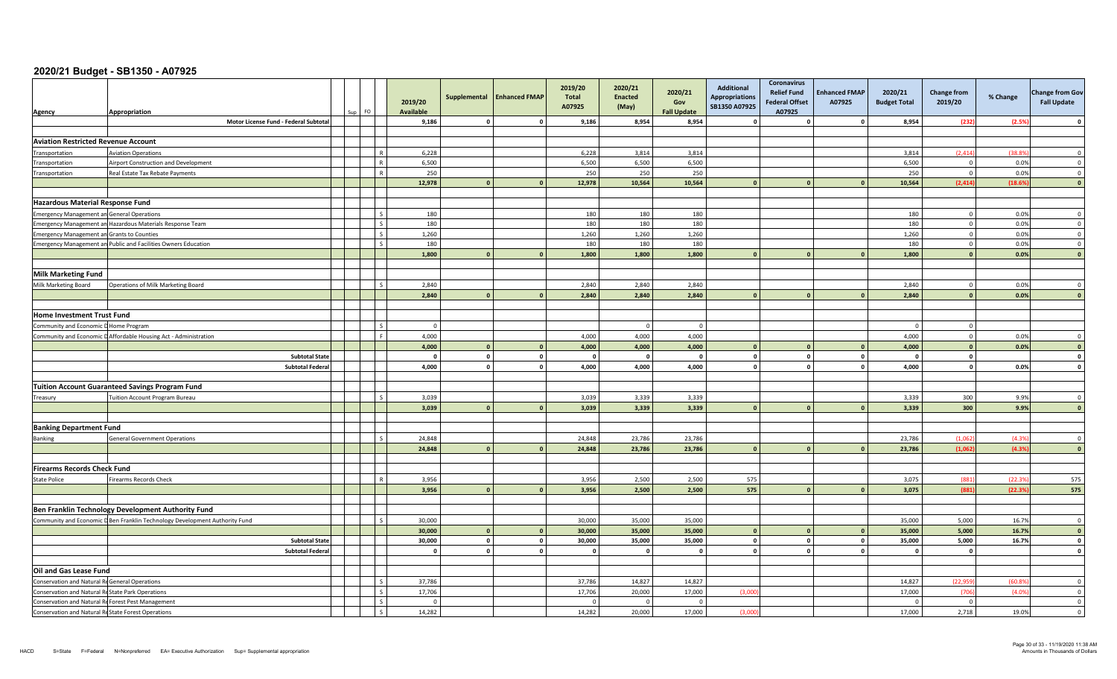| Agency                                             | Appropriation                                                               |  | 2019/20<br><b>Available</b> | Supplemental | <b>Enhanced FMAP</b> | 2019/20<br>Total<br>A07925 | 2020/21<br><b>Enacted</b><br>(May) | 2020/21<br>Gov<br><b>Fall Update</b> | <b>Additional</b><br><b>Appropriations</b><br>SB1350 A07925 | <b>Coronavirus</b><br><b>Relief Fund</b><br><b>Federal Offset</b><br>A07925 | <b>Enhanced FMAP</b><br>A07925 | 2020/21<br><b>Budget Total</b> | <b>Change from</b><br>2019/20 | % Change | <b>Change from Gov</b><br><b>Fall Update</b> |
|----------------------------------------------------|-----------------------------------------------------------------------------|--|-----------------------------|--------------|----------------------|----------------------------|------------------------------------|--------------------------------------|-------------------------------------------------------------|-----------------------------------------------------------------------------|--------------------------------|--------------------------------|-------------------------------|----------|----------------------------------------------|
|                                                    | Motor License Fund - Federal Subtotal                                       |  | 9,186                       | $\mathbf{a}$ |                      | 9,186                      | 8,954                              | 8,954                                |                                                             | - 0                                                                         | $\Omega$                       | 8,954                          | (232)                         | (2.5%    | $\Omega$                                     |
|                                                    |                                                                             |  |                             |              |                      |                            |                                    |                                      |                                                             |                                                                             |                                |                                |                               |          |                                              |
| <b>Aviation Restricted Revenue Account</b>         |                                                                             |  |                             |              |                      |                            |                                    |                                      |                                                             |                                                                             |                                |                                |                               |          |                                              |
| Transportation                                     | <b>Aviation Operations</b>                                                  |  | 6,228                       |              |                      | 6,228                      | 3,814                              | 3,814                                |                                                             |                                                                             |                                | 3,814                          | (2, 414)                      | (38.89)  | $\Omega$                                     |
| Transportation                                     | Airport Construction and Development                                        |  | 6,500                       |              |                      | 6,500                      | 6,500                              | 6,500                                |                                                             |                                                                             |                                | 6,500                          | $\overline{0}$                | 0.0%     | $\mathbf 0$                                  |
| Transportation                                     | Real Estate Tax Rebate Payments                                             |  | 250                         |              |                      | 250                        | 250                                | 250                                  |                                                             |                                                                             |                                | 250                            | $\overline{0}$                | 0.0%     | $\overline{0}$                               |
|                                                    |                                                                             |  | 12,978                      |              |                      | 12,978                     | 10,564                             | 10,564                               |                                                             |                                                                             |                                | 10,564                         | (2, 414)                      | (18.6%   | $\Omega$                                     |
| <b>Hazardous Material Response Fund</b>            |                                                                             |  |                             |              |                      |                            |                                    |                                      |                                                             |                                                                             |                                |                                |                               |          |                                              |
|                                                    |                                                                             |  | 180                         |              |                      |                            | 180                                | 180                                  |                                                             |                                                                             |                                |                                | $\overline{0}$                | 0.0%     | $\overline{0}$                               |
| <b>Emergency Management an General Operations</b>  | Emergency Management an Hazardous Materials Response Team                   |  | 180                         |              |                      | 180<br>180                 | 180                                | 180                                  |                                                             |                                                                             |                                | 180<br>180                     | $\overline{0}$                | 0.0%     | $\overline{0}$                               |
| <b>Emergency Management an Grants to Counties</b>  |                                                                             |  | 1,260                       |              |                      | 1,260                      | 1,260                              | 1,260                                |                                                             |                                                                             |                                | 1,260                          | $\mathbf 0$                   | 0.0%     | $\overline{0}$                               |
|                                                    | Emergency Management an Public and Facilities Owners Education              |  | 180                         |              |                      | 180                        | 180                                | 180                                  |                                                             |                                                                             |                                | 180                            | $\overline{0}$                | 0.0%     | $\overline{0}$                               |
|                                                    |                                                                             |  | 1,800                       | $\mathbf{a}$ |                      | 1,800                      | 1,800                              | 1,800                                |                                                             |                                                                             |                                | 1,800                          | $\mathbf{0}$                  | 0.0%     | $\mathbf{0}$                                 |
|                                                    |                                                                             |  |                             |              |                      |                            |                                    |                                      |                                                             |                                                                             |                                |                                |                               |          |                                              |
| <b>Milk Marketing Fund</b>                         |                                                                             |  |                             |              |                      |                            |                                    |                                      |                                                             |                                                                             |                                |                                |                               |          |                                              |
| Milk Marketing Board                               | Operations of Milk Marketing Board                                          |  | 2,840                       |              |                      | 2,840                      | 2,840                              | 2,840                                |                                                             |                                                                             |                                | 2,840                          | $\overline{0}$                | 0.0%     | $\Omega$                                     |
|                                                    |                                                                             |  | 2,840                       | $\mathbf{r}$ |                      | 2,840                      | 2,840                              | 2,840                                |                                                             |                                                                             |                                | 2,840                          | $\sqrt{2}$                    | 0.0%     | $\sqrt{ }$                                   |
|                                                    |                                                                             |  |                             |              |                      |                            |                                    |                                      |                                                             |                                                                             |                                |                                |                               |          |                                              |
| <b>Home Investment Trust Fund</b>                  |                                                                             |  |                             |              |                      |                            |                                    |                                      |                                                             |                                                                             |                                |                                |                               |          |                                              |
| Community and Economic D Home Program              |                                                                             |  | $\overline{0}$              |              |                      |                            | $\overline{0}$                     | $\mathbf{0}$                         |                                                             |                                                                             |                                |                                | $\Omega$                      |          |                                              |
|                                                    | Community and Economic D Affordable Housing Act - Administration            |  | 4,000                       |              |                      | 4,000                      | 4,000                              | 4.000                                |                                                             |                                                                             |                                | 4,000                          | $\overline{0}$                | 0.0%     | $\overline{0}$                               |
|                                                    |                                                                             |  | 4,000                       | $\mathbf{0}$ |                      | 4,000                      | 4,000                              | 4,000                                |                                                             |                                                                             |                                | 4,000                          | $\mathbf{0}$                  | 0.0%     | $\mathbf{0}$                                 |
|                                                    | <b>Subtotal State</b>                                                       |  | $\Omega$                    | $\mathbf{0}$ | $\mathbf{0}$         |                            | $\Omega$                           | $\mathbf{0}$                         |                                                             | $\mathbf{0}$                                                                | $\Omega$                       |                                | $\Omega$                      |          | $\overline{\mathbf{0}}$                      |
|                                                    | <b>Subtotal Federal</b>                                                     |  | 4,000                       | $\mathbf{o}$ | $\mathbf{0}$         | 4,000                      | 4,000                              | 4,000                                |                                                             | $\mathbf{0}$                                                                | $\circ$                        | 4,000                          | $\mathbf{0}$                  | 0.0%     | $\mathbf{0}$                                 |
|                                                    |                                                                             |  |                             |              |                      |                            |                                    |                                      |                                                             |                                                                             |                                |                                |                               |          |                                              |
|                                                    | <b>Tuition Account Guaranteed Savings Program Fund</b>                      |  |                             |              |                      |                            |                                    |                                      |                                                             |                                                                             |                                |                                |                               |          |                                              |
| Treasury                                           | <b>Tuition Account Program Bureau</b>                                       |  | 3,039                       |              |                      | 3,039                      | 3,339                              | 3,339                                |                                                             |                                                                             |                                | 3,339                          | 300                           | 9.9%     | $\overline{0}$                               |
|                                                    |                                                                             |  | 3,039                       | $\Omega$     |                      | 3,039                      | 3,339                              | 3,339                                |                                                             | $\Omega$                                                                    | $\Omega$                       | 3,339                          | 300                           | 9.9%     | $\mathbf{0}$                                 |
|                                                    |                                                                             |  |                             |              |                      |                            |                                    |                                      |                                                             |                                                                             |                                |                                |                               |          |                                              |
| <b>Banking Department Fund</b>                     |                                                                             |  |                             |              |                      |                            |                                    |                                      |                                                             |                                                                             |                                |                                |                               |          |                                              |
| Banking                                            | <b>General Government Operations</b>                                        |  | 24,848                      |              |                      | 24,848                     | 23,786                             | 23,786                               |                                                             |                                                                             |                                | 23,786                         | (1.062)                       | (4.3%    | $\overline{0}$                               |
|                                                    |                                                                             |  | 24,848                      | $\mathbf{r}$ |                      | 24,848                     | 23,786                             | 23,786                               |                                                             |                                                                             |                                | 23,786                         | (1.062)                       | (4.3%    | $\Omega$                                     |
| <b>Firearms Records Check Fund</b>                 |                                                                             |  |                             |              |                      |                            |                                    |                                      |                                                             |                                                                             |                                |                                |                               |          |                                              |
|                                                    |                                                                             |  | 3,956                       |              |                      | 3,956                      | 2,500                              | 2,500                                | 575                                                         |                                                                             |                                | 3,075                          | (881)                         | (22.39)  | 575                                          |
| <b>State Police</b>                                | Firearms Records Check                                                      |  | 3,956                       | $\Omega$     |                      | 3,956                      | 2,500                              | 2,500                                | 575                                                         |                                                                             |                                | 3,075                          | (881)                         | (22.39)  | 575                                          |
|                                                    |                                                                             |  |                             |              |                      |                            |                                    |                                      |                                                             |                                                                             |                                |                                |                               |          |                                              |
|                                                    | Ben Franklin Technology Development Authority Fund                          |  |                             |              |                      |                            |                                    |                                      |                                                             |                                                                             |                                |                                |                               |          |                                              |
|                                                    | Community and Economic D Ben Franklin Technology Development Authority Fund |  | 30,000                      |              |                      | 30,000                     | 35,000                             | 35,000                               |                                                             |                                                                             |                                | 35,000                         | 5,000                         | 16.7%    | $\Omega$                                     |
|                                                    |                                                                             |  | 30,000                      | $\Omega$     | $\Omega$             | 30,000                     | 35,000                             | 35,000                               |                                                             | $\Omega$                                                                    |                                | 35,000                         | 5,000                         | 16.7%    | $\mathbf{0}$                                 |
|                                                    | <b>Subtotal State</b>                                                       |  | 30,000                      | $\mathbf{o}$ | $\mathbf{0}$         | 30,000                     | 35,000                             | 35,000                               | $\Omega$                                                    | $\mathbf{0}$                                                                | $\circ$                        | 35,000                         | 5,000                         | 16.7%    | $\mathbf{0}$                                 |
|                                                    | <b>Subtotal Federal</b>                                                     |  | $\mathbf{0}$                | $\mathbf{0}$ | $\mathbf{0}$         |                            | $\Omega$                           | $\mathbf{0}$                         | $\Omega$                                                    | $\mathbf{0}$                                                                | $\circ$                        |                                | $\mathbf 0$                   |          | $\mathbf{0}$                                 |
|                                                    |                                                                             |  |                             |              |                      |                            |                                    |                                      |                                                             |                                                                             |                                |                                |                               |          |                                              |
| Oil and Gas Lease Fund                             |                                                                             |  |                             |              |                      |                            |                                    |                                      |                                                             |                                                                             |                                |                                |                               |          |                                              |
| Conservation and Natural Re General Operations     |                                                                             |  | 37,786                      |              |                      | 37,786                     | 14,827                             | 14,827                               |                                                             |                                                                             |                                | 14,827                         | (22, 959)                     | (60.8%   | $\overline{0}$                               |
| Conservation and Natural ReState Park Operations   |                                                                             |  | 17,706                      |              |                      | 17,706                     | 20,000                             | 17,000                               | (3,000)                                                     |                                                                             |                                | 17,000                         | (706)                         | (4.0%    | $\overline{0}$                               |
| Conservation and Natural ReForest Pest Management  |                                                                             |  | $\Omega$                    |              |                      |                            | $\Omega$                           | $\Omega$                             |                                                             |                                                                             |                                |                                | $\overline{0}$                |          | $\overline{0}$                               |
| Conservation and Natural ReState Forest Operations |                                                                             |  | 14,282                      |              |                      | 14,282                     | 20,000                             | 17,000                               | (3,000)                                                     |                                                                             |                                | 17,000                         | 2,718                         | 19.0%    | $\Omega$                                     |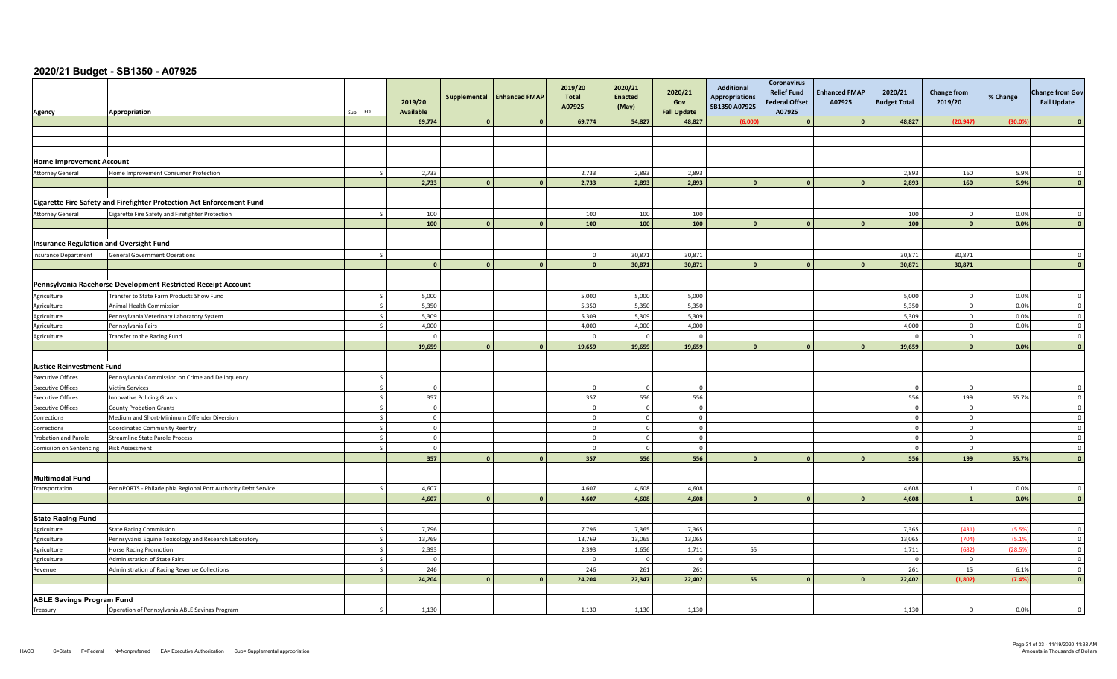| Agency                                         | Appropriation                                                                                              | Sun | FO.                     | 2019/20<br><b>Available</b> |                | Supplemental Enhanced FMAP | 2019/20<br><b>Total</b><br>A07925 | 2020/21<br><b>Enacted</b><br>(May) | 2020/21<br>Gov<br><b>Fall Update</b> | Additional<br><b>Appropriations</b><br>SB1350 A07925 | Coronavirus<br><b>Relief Fund</b><br><b>Federal Offset</b><br>A07925 | <b>Enhanced FMAP</b><br>A07925 | 2020/21<br><b>Budget Total</b> | <b>Change from</b><br>2019/20 | % Change       | <b>Change from Gov</b><br><b>Fall Update</b> |
|------------------------------------------------|------------------------------------------------------------------------------------------------------------|-----|-------------------------|-----------------------------|----------------|----------------------------|-----------------------------------|------------------------------------|--------------------------------------|------------------------------------------------------|----------------------------------------------------------------------|--------------------------------|--------------------------------|-------------------------------|----------------|----------------------------------------------|
|                                                |                                                                                                            |     |                         | 69,774                      |                | $\mathbf{0}$               | 69,774                            | 54,827                             | 48,827                               | (6,00)                                               |                                                                      |                                | 48,827                         | (20, 947)                     | (30.05)        |                                              |
|                                                |                                                                                                            |     |                         |                             |                |                            |                                   |                                    |                                      |                                                      |                                                                      |                                |                                |                               |                |                                              |
|                                                |                                                                                                            |     |                         |                             |                |                            |                                   |                                    |                                      |                                                      |                                                                      |                                |                                |                               |                |                                              |
|                                                |                                                                                                            |     |                         |                             |                |                            |                                   |                                    |                                      |                                                      |                                                                      |                                |                                |                               |                |                                              |
| <b>Home Improvement Account</b>                |                                                                                                            |     |                         |                             |                |                            |                                   |                                    |                                      |                                                      |                                                                      |                                |                                |                               |                |                                              |
| <b>Attorney General</b>                        | Home Improvement Consumer Protection                                                                       |     | $\mathsf{L}$            | 2,733                       |                |                            | 2,733                             | 2,893                              | 2,893                                |                                                      |                                                                      |                                | 2,893                          | 160                           | 5.9%           | $\overline{0}$                               |
|                                                |                                                                                                            |     |                         | 2,733                       | $\mathbf{0}$   | $\mathbf{0}$               | 2,733                             | 2,893                              | 2,893                                |                                                      | $\mathbf{0}$                                                         |                                | 2,893                          | 160                           | 5.9%           | $\mathbf{0}$                                 |
|                                                |                                                                                                            |     |                         |                             |                |                            |                                   |                                    |                                      |                                                      |                                                                      |                                |                                |                               |                |                                              |
|                                                | Cigarette Fire Safety and Firefighter Protection Act Enforcement Fund                                      |     |                         |                             |                |                            |                                   |                                    |                                      |                                                      |                                                                      |                                |                                |                               |                |                                              |
| <b>Attorney General</b>                        | Cigarette Fire Safety and Firefighter Protection                                                           |     | l s                     | 100                         |                |                            | 100                               | 100                                | 100                                  |                                                      |                                                                      |                                | 100                            | $\overline{0}$                | 0.0%           | $\overline{0}$                               |
|                                                |                                                                                                            |     |                         | 100                         | $\mathbf{a}$   | $\mathbf{0}$               | 100                               | 100                                | 100                                  |                                                      |                                                                      |                                | 100                            | $\mathbf{0}$                  | 0.0%           | $\mathbf{0}$                                 |
|                                                |                                                                                                            |     |                         |                             |                |                            |                                   |                                    |                                      |                                                      |                                                                      |                                |                                |                               |                |                                              |
| <b>Insurance Regulation and Oversight Fund</b> |                                                                                                            |     |                         |                             |                |                            |                                   |                                    |                                      |                                                      |                                                                      |                                |                                |                               |                |                                              |
| Insurance Department                           | <b>General Government Operations</b>                                                                       |     | l s                     |                             |                |                            | $\Omega$                          | 30.871                             | 30.871                               |                                                      |                                                                      |                                | 30.871                         | 30.871                        |                | $\Omega$                                     |
|                                                |                                                                                                            |     |                         | $\sqrt{2}$                  | $\Omega$       | $\mathbf{0}$               | $\Omega$                          | 30,871                             | 30,871                               |                                                      | $\Omega$                                                             |                                | 30,871                         | 30,871                        |                | $\Omega$                                     |
|                                                |                                                                                                            |     |                         |                             |                |                            |                                   |                                    |                                      |                                                      |                                                                      |                                |                                |                               |                |                                              |
|                                                | Pennsylvania Racehorse Development Restricted Receipt Account<br>Transfer to State Farm Products Show Fund |     | $\mathsf{L}$            | 5,000                       |                |                            | 5,000                             | 5,000                              | 5,000                                |                                                      |                                                                      |                                | 5,000                          | $\Omega$                      | 0.0%           | $\mathbf 0$                                  |
| Agriculture<br>Agriculture                     | Animal Health Commission                                                                                   |     | $\overline{\mathbf{s}}$ | 5,350                       |                |                            | 5,350                             | 5,350                              | 5,350                                |                                                      |                                                                      |                                | 5,350                          | $\overline{0}$                | 0.0%           | $\overline{0}$                               |
| Agriculture                                    | Pennsylvania Veterinary Laboratory System                                                                  |     | l s                     | 5,309                       |                |                            | 5,309                             | 5,309                              | 5,309                                |                                                      |                                                                      |                                | 5,309                          | $\overline{0}$                | 0.0%           | $\overline{0}$                               |
| Agriculture                                    | Pennsylvania Fairs                                                                                         |     | $\sim$                  | 4,000                       |                |                            | 4,000                             | 4,000                              | 4,000                                |                                                      |                                                                      |                                | 4,000                          | $\mathbf 0$                   | 0.0%           | $\overline{0}$                               |
| Agriculture                                    | Transfer to the Racing Fund                                                                                |     |                         | $\Omega$                    |                |                            | $\sqrt{ }$                        | $\Omega$                           | $\overline{0}$                       |                                                      |                                                                      |                                | - 0                            | $\mathbf 0$                   |                | $\overline{0}$                               |
|                                                |                                                                                                            |     |                         | 19,659                      | <sup>n</sup>   | $\Omega$                   | 19.659                            | 19,659                             | 19,659                               |                                                      |                                                                      |                                | 19,659                         | $\mathbf{0}$                  | 0.0%           |                                              |
|                                                |                                                                                                            |     |                         |                             |                |                            |                                   |                                    |                                      |                                                      |                                                                      |                                |                                |                               |                |                                              |
| Justice Reinvestment Fund                      |                                                                                                            |     |                         |                             |                |                            |                                   |                                    |                                      |                                                      |                                                                      |                                |                                |                               |                |                                              |
| <b>Executive Offices</b>                       | Pennsylvania Commission on Crime and Delinquency                                                           |     | $\mathsf{I}$            |                             |                |                            |                                   |                                    |                                      |                                                      |                                                                      |                                |                                |                               |                |                                              |
| <b>Executive Offices</b>                       | <b>Victim Services</b>                                                                                     |     | $\mathsf{I}$            | $\mathbf{0}$                |                |                            | $\sqrt{ }$                        | $\Omega$                           | $\overline{0}$                       |                                                      |                                                                      |                                |                                | $\overline{0}$                |                | $\Omega$                                     |
| <b>Executive Offices</b>                       | <b>Innovative Policing Grants</b>                                                                          |     | $\mathsf{L}$            | 357                         |                |                            | 357                               | 556                                | 556                                  |                                                      |                                                                      |                                | 556                            | 199                           | 55.7%          | $\Omega$                                     |
| <b>Executive Offices</b>                       | <b>County Probation Grants</b>                                                                             |     | $\vert s$               | $\overline{0}$              |                |                            |                                   |                                    | $\Omega$                             |                                                      |                                                                      |                                |                                | $\overline{0}$                |                | $\overline{0}$                               |
| Corrections                                    | Medium and Short-Minimum Offender Diversion                                                                |     | $\mathsf{I}$            | $\mathbf 0$                 |                |                            | $\Omega$                          |                                    | $\overline{0}$                       |                                                      |                                                                      |                                |                                | $\Omega$                      |                | $\overline{0}$                               |
| Corrections                                    | <b>Coordinated Community Reentry</b>                                                                       |     | $\mathsf{L}$            | $\overline{0}$              |                |                            | $\Omega$                          | $\Omega$                           | $\overline{0}$                       |                                                      |                                                                      |                                | - 0                            | $\overline{0}$                |                | $\Omega$                                     |
| <b>Probation and Parole</b>                    | <b>Streamline State Parole Process</b>                                                                     |     | $\vert s$               | $\mathbf 0$                 |                |                            | $\Omega$                          | $\Omega$                           | $\overline{0}$                       |                                                      |                                                                      |                                |                                | $\overline{0}$                |                | $\mathbf 0$                                  |
| Comission on Sentencing                        | <b>Risk Assessment</b>                                                                                     |     | $\mathsf{L}$            | $\overline{0}$              |                |                            | $\Omega$                          | $\Omega$                           | $\overline{0}$                       |                                                      |                                                                      |                                | - 0                            | $\overline{0}$                |                | $\Omega$                                     |
|                                                |                                                                                                            |     |                         | 357                         |                | $\Omega$                   | 357                               | 556                                | 556                                  |                                                      |                                                                      |                                | 556                            | 199                           | 55.7%          |                                              |
|                                                |                                                                                                            |     |                         |                             |                |                            |                                   |                                    |                                      |                                                      |                                                                      |                                |                                |                               |                |                                              |
| <b>Multimodal Fund</b>                         |                                                                                                            |     |                         |                             |                |                            |                                   |                                    |                                      |                                                      |                                                                      |                                |                                |                               |                |                                              |
| Transportation                                 | PennPORTS - Philadelphia Regional Port Authority Debt Service                                              |     | $\mathsf{L}$            | 4.607                       |                |                            | 4.607                             | 4.608                              | 4.608                                |                                                      |                                                                      |                                | 4.608                          | $\overline{1}$                | 0.0%           | $\Omega$                                     |
|                                                |                                                                                                            |     |                         | 4,607                       | $\Omega$       | $\mathbf{0}$               | 4,607                             | 4,608                              | 4,608                                |                                                      | $\Omega$                                                             |                                | 4,608                          | $\overline{1}$                | 0.0%           | $\mathbf{0}$                                 |
|                                                |                                                                                                            |     |                         |                             |                |                            |                                   |                                    |                                      |                                                      |                                                                      |                                |                                |                               |                |                                              |
| <b>State Racing Fund</b>                       |                                                                                                            |     | $\mathsf{L}$            |                             |                |                            |                                   |                                    |                                      |                                                      |                                                                      |                                |                                |                               |                |                                              |
| Agriculture                                    | <b>State Racing Commission</b>                                                                             |     | $\mathsf{L}$            | 7,796<br>13,769             |                |                            | 7,796<br>13,769                   | 7,365<br>13,065                    | 7,365<br>13,065                      |                                                      |                                                                      |                                | 7,365<br>13,065                | (431)<br>(704)                | (5.5%<br>(5.1% | $\mathbf 0$<br>$\overline{0}$                |
| Agriculture<br>Agriculture                     | Pennsyvania Equine Toxicology and Research Laboratory<br><b>Horse Racing Promotion</b>                     |     | l s                     | 2,393                       |                |                            | 2,393                             | 1,656                              | 1,711                                | 55                                                   |                                                                      |                                | 1,711                          | (682)                         | (28.5%         | $\overline{0}$                               |
| Agriculture                                    | Administration of State Fairs                                                                              |     | Ιs                      | $\overline{0}$              |                |                            |                                   | $\sqrt{ }$                         | $\mathbf{0}$                         |                                                      |                                                                      |                                |                                | $\overline{0}$                |                | $\overline{0}$                               |
| Revenue                                        | Administration of Racing Revenue Collections                                                               |     | l s                     | 246                         |                |                            | 246                               | 261                                | 261                                  |                                                      |                                                                      |                                | 261                            | 15                            | 6.1%           | $\overline{0}$                               |
|                                                |                                                                                                            |     |                         | 24,204                      | $\overline{0}$ | $\mathbf{0}$               | 24,204                            | 22,347                             | 22,402                               | 55                                                   | $\Omega$                                                             |                                | 22,402                         | (1,802)                       | (7.4%          | $\mathbf{0}$                                 |
|                                                |                                                                                                            |     |                         |                             |                |                            |                                   |                                    |                                      |                                                      |                                                                      |                                |                                |                               |                |                                              |
| <b>ABLE Savings Program Fund</b>               |                                                                                                            |     |                         |                             |                |                            |                                   |                                    |                                      |                                                      |                                                                      |                                |                                |                               |                |                                              |
| Treasury                                       | Operation of Pennsylvania ABLE Savings Program                                                             |     | l s                     | 1,130                       |                |                            | 1,130                             | 1,130                              | 1,130                                |                                                      |                                                                      |                                | 1,130                          | $\mathbf 0$                   | 0.0%           | $\Omega$                                     |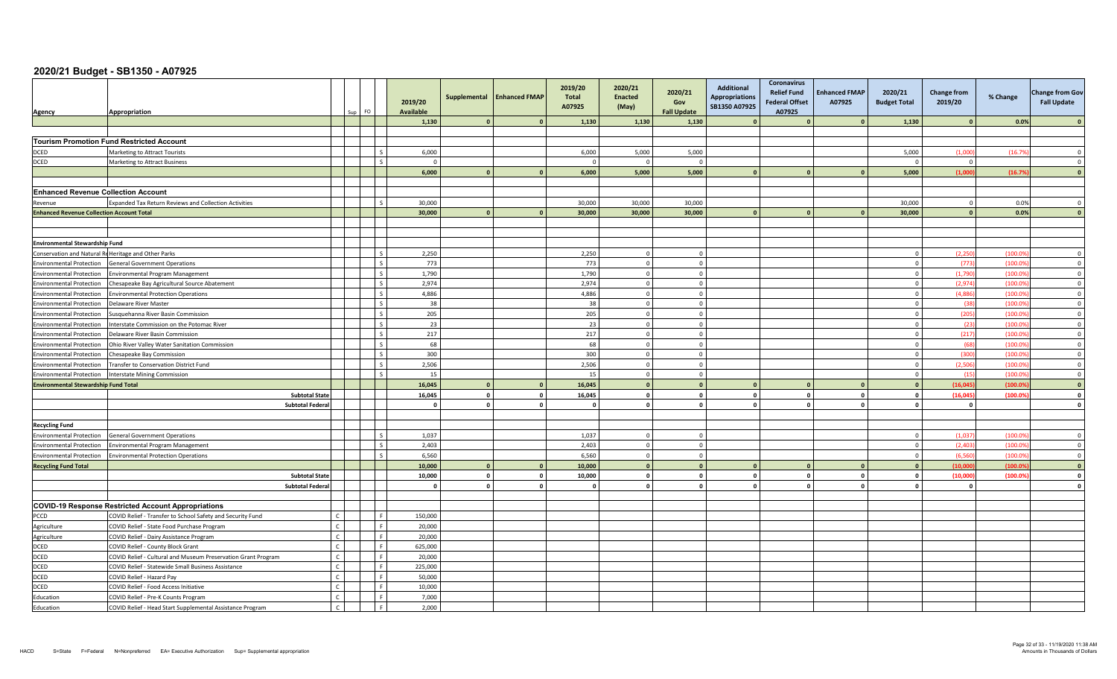| Agency                                           | Appropriation                                                 |                | FO.<br>Sun |     | 2019/20<br><b>Available</b> | Supplemental   | <b>Enhanced FMAP</b> | 2019/20<br>Total<br>A07925 | 2020/21<br><b>Enacted</b><br>(May) | 2020/21<br>Gov<br><b>Fall Update</b> | Additional<br><b>Appropriations</b><br>SB1350 A07925 | <b>Coronavirus</b><br><b>Relief Fund</b><br><b>Federal Offset</b><br>A07925 | <b>Enhanced FMAP</b><br>A07925 | 2020/21<br><b>Budget Total</b> | Change from<br>2019/20 | % Change | <b>Change from Gov</b><br><b>Fall Update</b> |
|--------------------------------------------------|---------------------------------------------------------------|----------------|------------|-----|-----------------------------|----------------|----------------------|----------------------------|------------------------------------|--------------------------------------|------------------------------------------------------|-----------------------------------------------------------------------------|--------------------------------|--------------------------------|------------------------|----------|----------------------------------------------|
|                                                  |                                                               |                |            |     | 1,130                       |                |                      | 1,130                      | 1,130                              | 1,130                                |                                                      |                                                                             |                                | 1,130                          | $\sqrt{2}$             | 0.0%     |                                              |
|                                                  |                                                               |                |            |     |                             |                |                      |                            |                                    |                                      |                                                      |                                                                             |                                |                                |                        |          |                                              |
|                                                  | <b>Tourism Promotion Fund Restricted Account</b>              |                |            |     |                             |                |                      |                            |                                    |                                      |                                                      |                                                                             |                                |                                |                        |          |                                              |
| DCED                                             | Marketing to Attract Tourists                                 |                |            |     | 6,000                       |                |                      | 6,000                      | 5,000                              | 5,000                                |                                                      |                                                                             |                                | 5,000                          | (1.000)                | (16.79)  | $\sqrt{ }$                                   |
| <b>DCED</b>                                      | <b>Marketing to Attract Business</b>                          |                |            |     | $\Omega$                    |                |                      |                            | $\Omega$                           | $\Omega$                             |                                                      |                                                                             |                                | $\sqrt{ }$                     | $\overline{0}$         |          | $\Omega$                                     |
|                                                  |                                                               |                |            |     | 6,000                       | $\Omega$       |                      | 6,000                      | 5,000                              | 5,000                                |                                                      |                                                                             |                                | 5,000                          | (1.000)                | (16.79)  |                                              |
|                                                  |                                                               |                |            |     |                             |                |                      |                            |                                    |                                      |                                                      |                                                                             |                                |                                |                        |          |                                              |
| <b>Enhanced Revenue Collection Account</b>       |                                                               |                |            |     |                             |                |                      |                            |                                    |                                      |                                                      |                                                                             |                                |                                |                        |          |                                              |
| Revenue                                          | <b>Expanded Tax Return Reviews and Collection Activities</b>  |                |            |     | 30,000                      |                |                      | 30,000                     | 30,000                             | 30,000                               |                                                      |                                                                             |                                | 30,000                         | $\mathbf{0}$           | 0.0%     |                                              |
| <b>Enhanced Revenue Collection Account Total</b> |                                                               |                |            |     | 30,000                      | $\mathbf{a}$   |                      | 30,000                     | 30,000                             | 30,000                               |                                                      |                                                                             |                                | 30,000                         | $\Omega$               | 0.0%     |                                              |
|                                                  |                                                               |                |            |     |                             |                |                      |                            |                                    |                                      |                                                      |                                                                             |                                |                                |                        |          |                                              |
|                                                  |                                                               |                |            |     |                             |                |                      |                            |                                    |                                      |                                                      |                                                                             |                                |                                |                        |          |                                              |
| <b>Environmental Stewardship Fund</b>            |                                                               |                |            |     |                             |                |                      |                            |                                    |                                      |                                                      |                                                                             |                                |                                |                        |          |                                              |
|                                                  | Conservation and Natural Re Heritage and Other Parks          |                |            |     | 2,250                       |                |                      | 2,250                      | $\Omega$                           | $\Omega$                             |                                                      |                                                                             |                                |                                | (2, 250)               | (100.0)  | $\Omega$                                     |
| <b>Environmental Protection</b>                  | <b>General Government Operations</b>                          |                |            |     | 773                         |                |                      | 773                        | $\mathbf{0}$                       | $\circ$                              |                                                      |                                                                             |                                |                                | (773)                  | (100.09) | $\overline{0}$                               |
| <b>Environmental Protection</b>                  | <b>Environmental Program Management</b>                       |                |            |     | 1,790                       |                |                      | 1,790                      | $\mathbf 0$                        | $\circ$                              |                                                      |                                                                             |                                |                                | (1,790)                | (100.09) | $\overline{\mathbf{0}}$                      |
| <b>Environmental Protection</b>                  | Chesapeake Bay Agricultural Source Abatement                  |                |            |     | 2,974                       |                |                      | 2,974                      | $\Omega$                           | $\circ$                              |                                                      |                                                                             |                                | $\sqrt{ }$                     | (2,974)                | (100.09) | $\overline{0}$                               |
| <b>Environmental Protection</b>                  | <b>Environmental Protection Operations</b>                    |                |            |     | 4.886                       |                |                      | 4.886                      | $\Omega$                           | $\Omega$                             |                                                      |                                                                             |                                | $\Omega$                       | (4.886)                | (100.09) | $\overline{0}$                               |
| <b>Environmental Protection</b>                  | Delaware River Master                                         |                |            |     | 38                          |                |                      | 38                         | $\Omega$                           | $\mathbf 0$                          |                                                      |                                                                             |                                |                                | (38)                   | (100.09) | $\overline{0}$                               |
| <b>Environmental Protection</b>                  | Susquehanna River Basin Commission                            |                |            |     | 205                         |                |                      | 205                        | $\Omega$                           | $\Omega$                             |                                                      |                                                                             |                                |                                | (205)                  | (100.09) | $\Omega$                                     |
| <b>Environmental Protection</b>                  | nterstate Commission on the Potomac River                     |                |            |     | 23                          |                |                      | 23                         | $\Omega$                           | $\Omega$                             |                                                      |                                                                             |                                |                                | (23)                   | (100.09) | $\overline{0}$                               |
| <b>Environmental Protection</b>                  | Delaware River Basin Commission                               |                |            |     | 217                         |                |                      | 217                        | $\mathbf 0$                        | $\overline{0}$                       |                                                      |                                                                             |                                |                                | (217)                  | (100.09) | $\overline{0}$                               |
| <b>Environmental Protection</b>                  | Ohio River Valley Water Sanitation Commission                 |                |            |     | 68                          |                |                      | 68                         | $\Omega$                           | $\Omega$                             |                                                      |                                                                             |                                |                                | (68)                   | (100.09) | $\overline{0}$                               |
| <b>Environmental Protection</b>                  | Chesapeake Bay Commission                                     |                |            |     | 300                         |                |                      | 300                        | $\overline{0}$                     | $\circ$                              |                                                      |                                                                             |                                | $\Omega$                       | (300)                  | (100.09) | $\overline{0}$                               |
| <b>Environmental Protection</b>                  | Fransfer to Conservation District Fund                        |                |            |     | 2,506                       |                |                      | 2,506                      | $\Omega$                           | $\Omega$                             |                                                      |                                                                             |                                |                                | (2.506)                | (100.09) | $\overline{0}$                               |
| <b>Environmental Protection</b>                  | <b>Interstate Mining Commission</b>                           |                |            |     | 15                          |                |                      | 15                         | $\Omega$                           | $\Omega$                             |                                                      |                                                                             |                                |                                | (15)                   | (100.09) | $\overline{0}$                               |
| <b>Environmental Stewardship Fund Total</b>      |                                                               |                |            |     | 16,045                      | $\mathbf{0}$   |                      | 16,045                     | $\Omega$                           | $\mathbf{0}$                         |                                                      |                                                                             |                                |                                | (16.045)               | (100.09) | $\mathbf{0}$                                 |
|                                                  | <b>Subtotal State</b>                                         |                |            |     | 16,045                      | $\mathbf{0}$   | $\mathbf{0}$         | 16,045                     | $\mathbf{0}$                       | $\mathbf{0}$                         |                                                      | $\mathbf{0}$                                                                | $\circ$                        |                                | (16, 045)              | (100.09) | $\mathbf{0}$                                 |
|                                                  | <b>Subtotal Federa</b>                                        |                |            |     | $\Omega$                    | $\mathbf{0}$   | $\Omega$             | $\mathbf{a}$               | $\mathbf{0}$                       | $\mathbf{0}$                         |                                                      | $\mathbf{0}$                                                                | $\circ$                        |                                | $\mathbf{o}$           |          | $\Omega$                                     |
|                                                  |                                                               |                |            |     |                             |                |                      |                            |                                    |                                      |                                                      |                                                                             |                                |                                |                        |          |                                              |
| <b>Recycling Fund</b>                            |                                                               |                |            |     |                             |                |                      |                            |                                    |                                      |                                                      |                                                                             |                                |                                |                        |          |                                              |
| <b>Environmental Protection</b>                  | <b>General Government Operations</b>                          |                |            |     | 1,037                       |                |                      | 1,037                      | $\Omega$                           | $\Omega$                             |                                                      |                                                                             |                                |                                | (1,037)                | (100.09) | $\Omega$                                     |
| <b>Environmental Protection</b>                  | Invironmental Program Management                              |                |            |     | 2,403                       |                |                      | 2,403                      | $\Omega$                           | $\Omega$                             |                                                      |                                                                             |                                |                                | (2.403)                | (100.09) | $\Omega$                                     |
| <b>Environmental Protection</b>                  | nvironmental Protection Operations                            |                |            |     | 6,560                       |                |                      | 6,560                      | $\mathbf{0}$                       | $\circ$                              |                                                      |                                                                             |                                |                                | (6, 560)               | (100.09) | $\overline{0}$                               |
| <b>Recycling Fund Total</b>                      |                                                               |                |            |     | 10,000                      | $\sqrt{2}$     | $\sqrt{2}$           | 10,000                     | $\mathbf{0}$                       | $\mathbf{0}$                         |                                                      |                                                                             |                                |                                | (10,000)               | (100.09) | $\sqrt{2}$                                   |
|                                                  | <b>Subtotal State</b>                                         |                |            |     | 10,000                      | $\overline{0}$ | $\mathbf{0}$         | 10,000                     | $\Omega$                           | $\Omega$                             | $\sqrt{2}$                                           | $\mathbf{0}$                                                                | $\Omega$                       | $\Omega$                       | (10,000)               | (100.09) | $\Omega$                                     |
|                                                  | <b>Subtotal Federal</b>                                       |                |            |     | $\mathbf{0}$                | $\mathbf{0}$   | $\mathbf{0}$         | $\Omega$                   | $\mathbf{0}$                       | $\mathbf{0}$                         |                                                      | $\mathbf{0}$                                                                | $\mathbf{0}$                   |                                | $\mathbf{0}$           |          | $\mathbf{0}$                                 |
|                                                  |                                                               |                |            |     |                             |                |                      |                            |                                    |                                      |                                                      |                                                                             |                                |                                |                        |          |                                              |
|                                                  | <b>COVID-19 Response Restricted Account Appropriations</b>    |                |            |     |                             |                |                      |                            |                                    |                                      |                                                      |                                                                             |                                |                                |                        |          |                                              |
| PCCD                                             | COVID Relief - Transfer to School Safety and Security Fund    | $\epsilon$     |            |     | 150,000                     |                |                      |                            |                                    |                                      |                                                      |                                                                             |                                |                                |                        |          |                                              |
| Agriculture                                      | COVID Relief - State Food Purchase Program                    | $\mathfrak{c}$ |            | Lε  | 20,000                      |                |                      |                            |                                    |                                      |                                                      |                                                                             |                                |                                |                        |          |                                              |
| Agriculture                                      | COVID Relief - Dairy Assistance Program                       | $\epsilon$     |            |     | 20,000                      |                |                      |                            |                                    |                                      |                                                      |                                                                             |                                |                                |                        |          |                                              |
| <b>DCED</b>                                      | COVID Relief - County Block Grant                             | $\mathsf{C}$   |            |     | 625,000                     |                |                      |                            |                                    |                                      |                                                      |                                                                             |                                |                                |                        |          |                                              |
| <b>DCED</b>                                      | COVID Relief - Cultural and Museum Preservation Grant Program |                |            |     | 20,000                      |                |                      |                            |                                    |                                      |                                                      |                                                                             |                                |                                |                        |          |                                              |
| <b>DCED</b>                                      | COVID Relief - Statewide Small Business Assistance            |                |            |     | 225,000                     |                |                      |                            |                                    |                                      |                                                      |                                                                             |                                |                                |                        |          |                                              |
| <b>DCED</b>                                      | COVID Relief - Hazard Pay                                     | $\epsilon$     |            |     | 50.000                      |                |                      |                            |                                    |                                      |                                                      |                                                                             |                                |                                |                        |          |                                              |
| DCED                                             | COVID Relief - Food Access Initiative                         | $\mathcal{C}$  |            |     | 10,000                      |                |                      |                            |                                    |                                      |                                                      |                                                                             |                                |                                |                        |          |                                              |
| Education                                        | COVID Relief - Pre-K Counts Program                           | $\epsilon$     |            |     | 7,000                       |                |                      |                            |                                    |                                      |                                                      |                                                                             |                                |                                |                        |          |                                              |
| Education                                        | COVID Relief - Head Start Supplemental Assistance Program     | $\mathsf{C}$   |            | l F | 2.000                       |                |                      |                            |                                    |                                      |                                                      |                                                                             |                                |                                |                        |          |                                              |